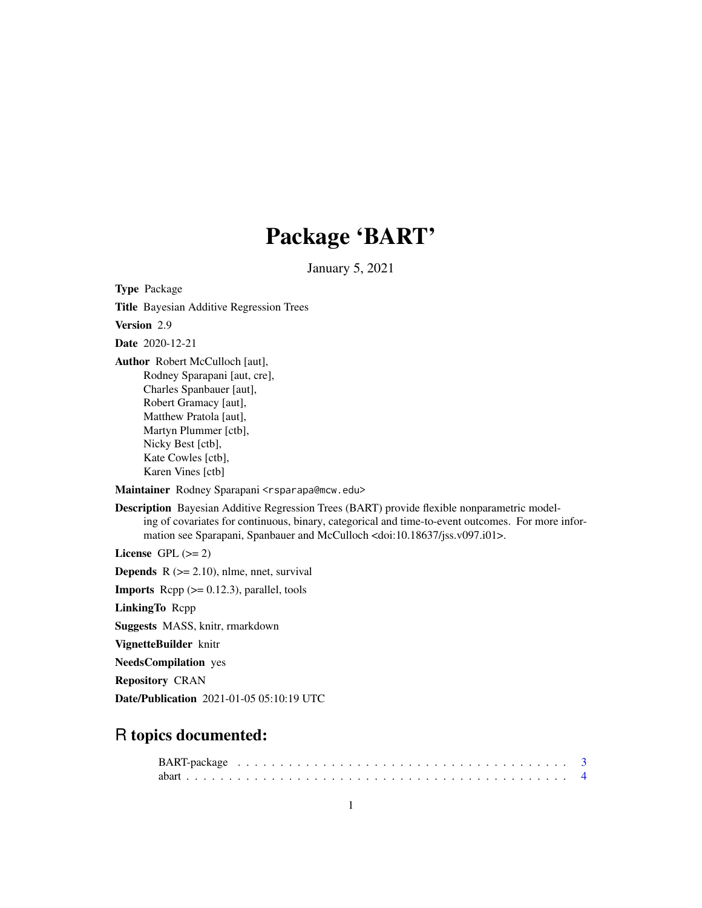# Package 'BART'

January 5, 2021

<span id="page-0-0"></span>Type Package Title Bayesian Additive Regression Trees

Version 2.9

Date 2020-12-21

Author Robert McCulloch [aut], Rodney Sparapani [aut, cre], Charles Spanbauer [aut], Robert Gramacy [aut], Matthew Pratola [aut], Martyn Plummer [ctb], Nicky Best [ctb], Kate Cowles [ctb], Karen Vines [ctb]

Maintainer Rodney Sparapani <rsparapa@mcw.edu>

Description Bayesian Additive Regression Trees (BART) provide flexible nonparametric modeling of covariates for continuous, binary, categorical and time-to-event outcomes. For more information see Sparapani, Spanbauer and McCulloch <doi:10.18637/jss.v097.i01>.

License GPL  $(>= 2)$ 

**Depends**  $R$  ( $>= 2.10$ ), nlme, nnet, survival

**Imports** Rcpp  $(>= 0.12.3)$ , parallel, tools

LinkingTo Rcpp

Suggests MASS, knitr, rmarkdown

VignetteBuilder knitr

NeedsCompilation yes

Repository CRAN

Date/Publication 2021-01-05 05:10:19 UTC

# R topics documented: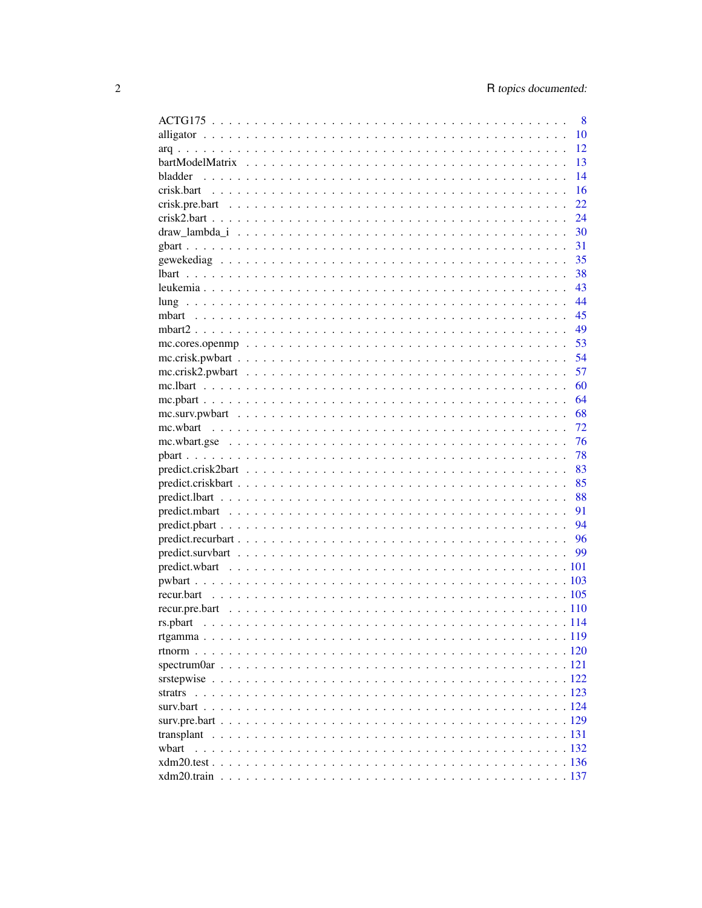|                                                                                                                      | 8    |
|----------------------------------------------------------------------------------------------------------------------|------|
|                                                                                                                      | 10   |
|                                                                                                                      | 12   |
|                                                                                                                      | 13   |
|                                                                                                                      | 14   |
|                                                                                                                      | 16   |
|                                                                                                                      | 22   |
|                                                                                                                      | 24   |
|                                                                                                                      | 30   |
|                                                                                                                      | 31   |
|                                                                                                                      | 35   |
|                                                                                                                      | 38   |
|                                                                                                                      | 43   |
|                                                                                                                      | - 44 |
|                                                                                                                      | 45   |
|                                                                                                                      | - 49 |
|                                                                                                                      | 53   |
|                                                                                                                      | 54   |
|                                                                                                                      | 57   |
|                                                                                                                      | 60   |
|                                                                                                                      |      |
|                                                                                                                      | 64   |
|                                                                                                                      | 68   |
|                                                                                                                      | 72   |
| mc.wbart.gse $\dots \dots \dots \dots \dots \dots \dots \dots \dots \dots \dots \dots \dots \dots \dots \dots \dots$ | 76   |
|                                                                                                                      | 78   |
|                                                                                                                      | 83   |
|                                                                                                                      | 85   |
|                                                                                                                      | 88   |
|                                                                                                                      | 91   |
|                                                                                                                      | 94   |
|                                                                                                                      |      |
|                                                                                                                      | 99   |
|                                                                                                                      |      |
|                                                                                                                      |      |
|                                                                                                                      |      |
|                                                                                                                      |      |
|                                                                                                                      |      |
|                                                                                                                      |      |
|                                                                                                                      |      |
|                                                                                                                      |      |
|                                                                                                                      |      |
|                                                                                                                      |      |
|                                                                                                                      |      |
|                                                                                                                      |      |
|                                                                                                                      |      |
| wbart                                                                                                                |      |
|                                                                                                                      |      |
| xdm20.train                                                                                                          |      |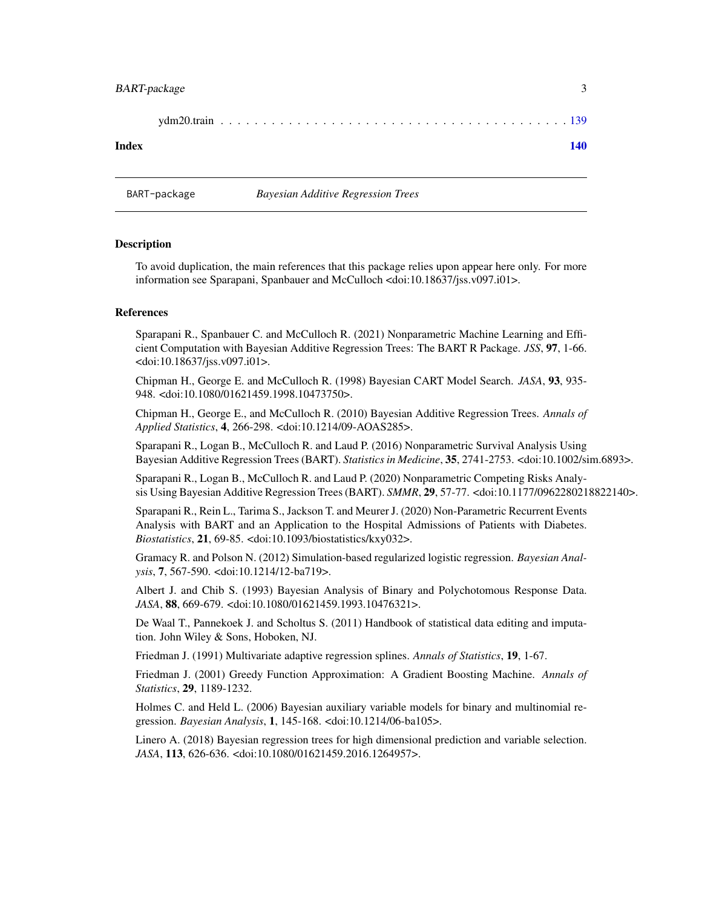# <span id="page-2-0"></span>BART-package 3

#### **Index** the contract of the contract of the contract of the contract of the contract of the contract of the contract of the contract of the contract of the contract of the contract of the contract of the contract of the co

BART-package *Bayesian Additive Regression Trees*

#### Description

To avoid duplication, the main references that this package relies upon appear here only. For more information see Sparapani, Spanbauer and McCulloch <doi:10.18637/jss.v097.i01>.

#### References

Sparapani R., Spanbauer C. and McCulloch R. (2021) Nonparametric Machine Learning and Efficient Computation with Bayesian Additive Regression Trees: The BART R Package. *JSS*, 97, 1-66. <doi:10.18637/jss.v097.i01>.

Chipman H., George E. and McCulloch R. (1998) Bayesian CART Model Search. *JASA*, 93, 935- 948. <doi:10.1080/01621459.1998.10473750>.

Chipman H., George E., and McCulloch R. (2010) Bayesian Additive Regression Trees. *Annals of Applied Statistics*, 4, 266-298. <doi:10.1214/09-AOAS285>.

Sparapani R., Logan B., McCulloch R. and Laud P. (2016) Nonparametric Survival Analysis Using Bayesian Additive Regression Trees (BART). *Statistics in Medicine*, 35, 2741-2753. <doi:10.1002/sim.6893>.

Sparapani R., Logan B., McCulloch R. and Laud P. (2020) Nonparametric Competing Risks Analysis Using Bayesian Additive Regression Trees (BART). *SMMR*, 29, 57-77. <doi:10.1177/0962280218822140>.

Sparapani R., Rein L., Tarima S., Jackson T. and Meurer J. (2020) Non-Parametric Recurrent Events Analysis with BART and an Application to the Hospital Admissions of Patients with Diabetes. *Biostatistics*, 21, 69-85. <doi:10.1093/biostatistics/kxy032>.

Gramacy R. and Polson N. (2012) Simulation-based regularized logistic regression. *Bayesian Analysis*, 7, 567-590. <doi:10.1214/12-ba719>.

Albert J. and Chib S. (1993) Bayesian Analysis of Binary and Polychotomous Response Data. *JASA*, 88, 669-679. <doi:10.1080/01621459.1993.10476321>.

De Waal T., Pannekoek J. and Scholtus S. (2011) Handbook of statistical data editing and imputation. John Wiley & Sons, Hoboken, NJ.

Friedman J. (1991) Multivariate adaptive regression splines. *Annals of Statistics*, 19, 1-67.

Friedman J. (2001) Greedy Function Approximation: A Gradient Boosting Machine. *Annals of Statistics*, 29, 1189-1232.

Holmes C. and Held L. (2006) Bayesian auxiliary variable models for binary and multinomial regression. *Bayesian Analysis*, 1, 145-168. <doi:10.1214/06-ba105>.

Linero A. (2018) Bayesian regression trees for high dimensional prediction and variable selection. *JASA*, 113, 626-636. <doi:10.1080/01621459.2016.1264957>.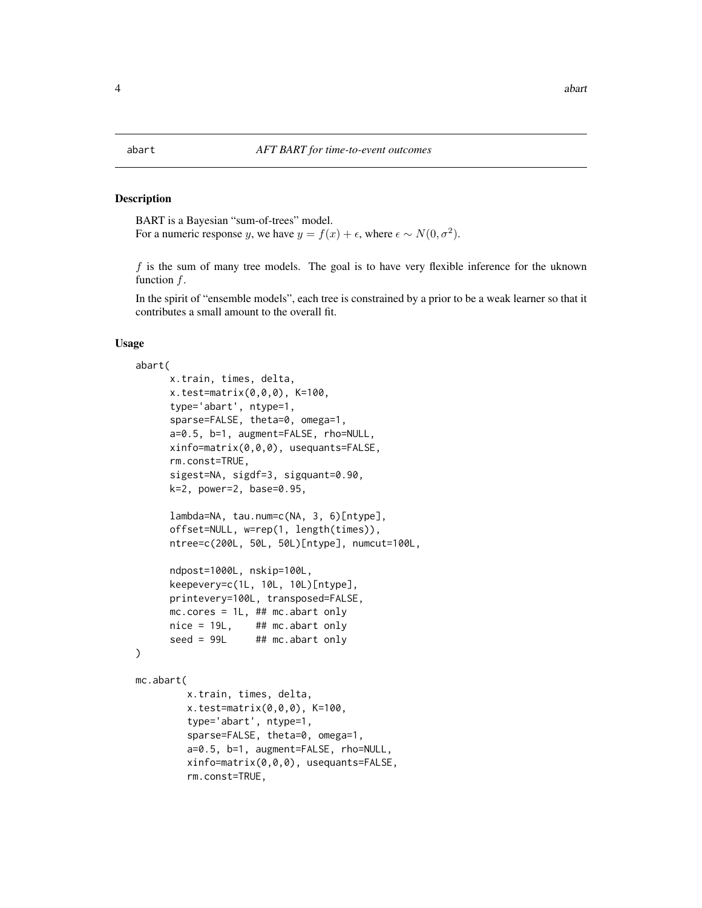#### <span id="page-3-0"></span>Description

BART is a Bayesian "sum-of-trees" model. For a numeric response y, we have  $y = f(x) + \epsilon$ , where  $\epsilon \sim N(0, \sigma^2)$ .

 $f$  is the sum of many tree models. The goal is to have very flexible inference for the uknown function f.

In the spirit of "ensemble models", each tree is constrained by a prior to be a weak learner so that it contributes a small amount to the overall fit.

#### Usage

```
abart(
     x.train, times, delta,
     x.test=matrix(0,0,0), K=100,
     type='abart', ntype=1,
     sparse=FALSE, theta=0, omega=1,
     a=0.5, b=1, augment=FALSE, rho=NULL,
     xinfo=matrix(0,0,0), usequants=FALSE,
     rm.const=TRUE,
     sigest=NA, sigdf=3, sigquant=0.90,
     k=2, power=2, base=0.95,
     lambda=NA, tau.num=c(NA, 3, 6)[ntype],
     offset=NULL, w=rep(1, length(times)),
     ntree=c(200L, 50L, 50L)[ntype], numcut=100L,
     ndpost=1000L, nskip=100L,
     keepevery=c(1L, 10L, 10L)[ntype],
     printevery=100L, transposed=FALSE,
     mc.cores = 1L, ## mc.abart only
     nice = 19L, ## mc.abart only
     seed = 99L ## mc.abart only
)
mc.abart(
         x.train, times, delta,
         x.test=matrix(0,0,0), K=100,
         type='abart', ntype=1,
         sparse=FALSE, theta=0, omega=1,
         a=0.5, b=1, augment=FALSE, rho=NULL,
         xinfo=matrix(0,0,0), usequants=FALSE,
         rm.const=TRUE,
```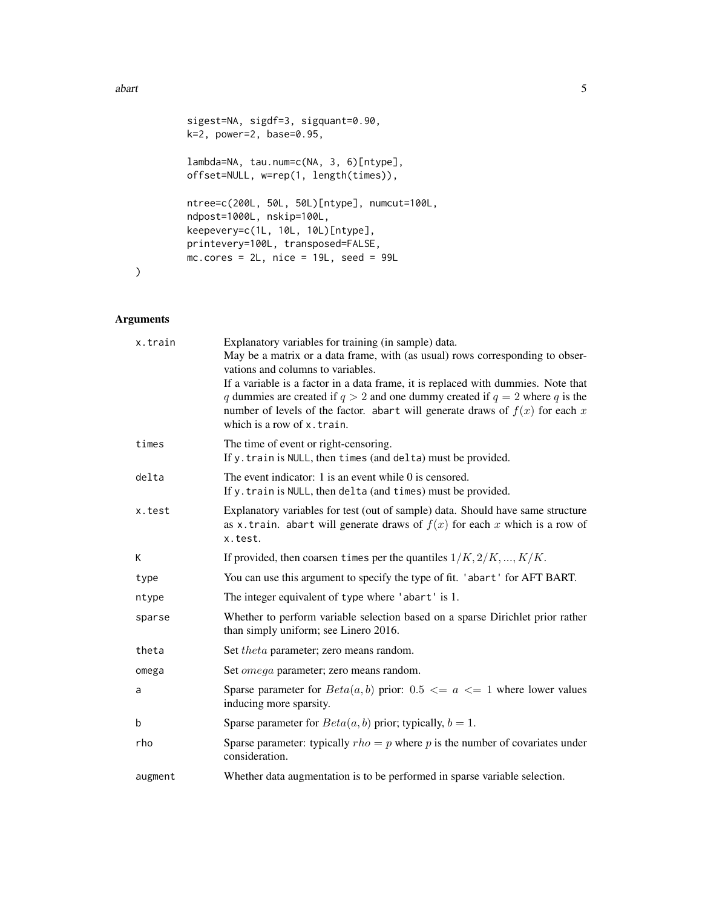#### abart 5 and 5 and 5 and 5 and 5 and 5 and 5 and 5 and 5 and 5 and 5 and 5 and 5 and 5 and 5 and 5 and 5 and 5

```
sigest=NA, sigdf=3, sigquant=0.90,
k=2, power=2, base=0.95,
lambda=NA, tau.num=c(NA, 3, 6)[ntype],
offset=NULL, w=rep(1, length(times)),
ntree=c(200L, 50L, 50L)[ntype], numcut=100L,
ndpost=1000L, nskip=100L,
keepevery=c(1L, 10L, 10L)[ntype],
printevery=100L, transposed=FALSE,
mc.cores = 2L, nice = 19L, seed = 99L
```
# Arguments

)

| x.train | Explanatory variables for training (in sample) data.<br>May be a matrix or a data frame, with (as usual) rows corresponding to obser-<br>vations and columns to variables.<br>If a variable is a factor in a data frame, it is replaced with dummies. Note that<br>q dummies are created if $q > 2$ and one dummy created if $q = 2$ where q is the<br>number of levels of the factor. abart will generate draws of $f(x)$ for each x<br>which is a row of x.train. |
|---------|---------------------------------------------------------------------------------------------------------------------------------------------------------------------------------------------------------------------------------------------------------------------------------------------------------------------------------------------------------------------------------------------------------------------------------------------------------------------|
| times   | The time of event or right-censoring.<br>If y. train is NULL, then times (and delta) must be provided.                                                                                                                                                                                                                                                                                                                                                              |
| delta   | The event indicator: 1 is an event while 0 is censored.<br>If y. train is NULL, then delta (and times) must be provided.                                                                                                                                                                                                                                                                                                                                            |
| x.test  | Explanatory variables for test (out of sample) data. Should have same structure<br>as x.train. abart will generate draws of $f(x)$ for each x which is a row of<br>x.test.                                                                                                                                                                                                                                                                                          |
| K       | If provided, then coarsen times per the quantiles $1/K, 2/K, , K/K$ .                                                                                                                                                                                                                                                                                                                                                                                               |
| type    | You can use this argument to specify the type of fit. 'abart' for AFT BART.                                                                                                                                                                                                                                                                                                                                                                                         |
| ntype   | The integer equivalent of type where 'abart' is 1.                                                                                                                                                                                                                                                                                                                                                                                                                  |
| sparse  | Whether to perform variable selection based on a sparse Dirichlet prior rather<br>than simply uniform; see Linero 2016.                                                                                                                                                                                                                                                                                                                                             |
| theta   | Set theta parameter; zero means random.                                                                                                                                                                                                                                                                                                                                                                                                                             |
| omega   | Set <i>omega</i> parameter; zero means random.                                                                                                                                                                                                                                                                                                                                                                                                                      |
| a       | Sparse parameter for $Beta(a, b)$ prior: 0.5 $\lt = a \lt = 1$ where lower values<br>inducing more sparsity.                                                                                                                                                                                                                                                                                                                                                        |
| b       | Sparse parameter for $Beta(a, b)$ prior; typically, $b = 1$ .                                                                                                                                                                                                                                                                                                                                                                                                       |
| rho     | Sparse parameter: typically $rho = p$ where p is the number of covariates under<br>consideration.                                                                                                                                                                                                                                                                                                                                                                   |
| augment | Whether data augmentation is to be performed in sparse variable selection.                                                                                                                                                                                                                                                                                                                                                                                          |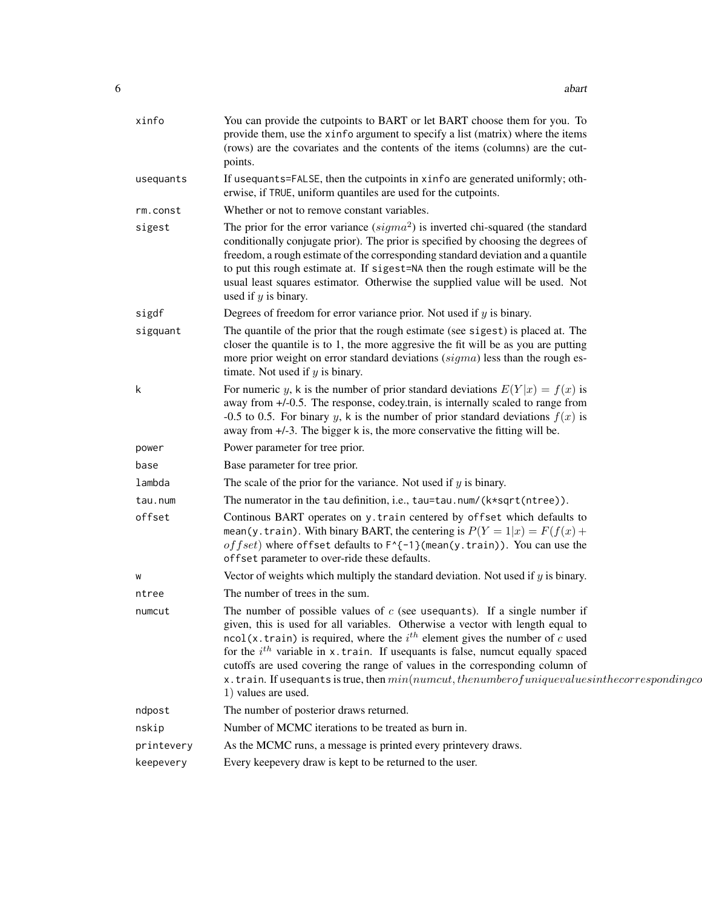| xinfo      | You can provide the cutpoints to BART or let BART choose them for you. To<br>provide them, use the xinfo argument to specify a list (matrix) where the items<br>(rows) are the covariates and the contents of the items (columns) are the cut-<br>points.                                                                                                                                                                                                                                                                                                                      |
|------------|--------------------------------------------------------------------------------------------------------------------------------------------------------------------------------------------------------------------------------------------------------------------------------------------------------------------------------------------------------------------------------------------------------------------------------------------------------------------------------------------------------------------------------------------------------------------------------|
| usequants  | If usequants=FALSE, then the cutpoints in xinfo are generated uniformly; oth-<br>erwise, if TRUE, uniform quantiles are used for the cutpoints.                                                                                                                                                                                                                                                                                                                                                                                                                                |
| rm.const   | Whether or not to remove constant variables.                                                                                                                                                                                                                                                                                                                                                                                                                                                                                                                                   |
| sigest     | The prior for the error variance $(sigma^2)$ is inverted chi-squared (the standard<br>conditionally conjugate prior). The prior is specified by choosing the degrees of<br>freedom, a rough estimate of the corresponding standard deviation and a quantile<br>to put this rough estimate at. If sigest=NA then the rough estimate will be the<br>usual least squares estimator. Otherwise the supplied value will be used. Not<br>used if $y$ is binary.                                                                                                                      |
| sigdf      | Degrees of freedom for error variance prior. Not used if $y$ is binary.                                                                                                                                                                                                                                                                                                                                                                                                                                                                                                        |
| sigquant   | The quantile of the prior that the rough estimate (see sigest) is placed at. The<br>closer the quantile is to 1, the more aggresive the fit will be as you are putting<br>more prior weight on error standard deviations $(sigma)$ less than the rough es-<br>timate. Not used if $y$ is binary.                                                                                                                                                                                                                                                                               |
| k          | For numeric y, k is the number of prior standard deviations $E(Y x) = f(x)$ is<br>away from +/-0.5. The response, codey.train, is internally scaled to range from<br>-0.5 to 0.5. For binary y, k is the number of prior standard deviations $f(x)$ is<br>away from +/-3. The bigger k is, the more conservative the fitting will be.                                                                                                                                                                                                                                          |
| power      | Power parameter for tree prior.                                                                                                                                                                                                                                                                                                                                                                                                                                                                                                                                                |
| base       | Base parameter for tree prior.                                                                                                                                                                                                                                                                                                                                                                                                                                                                                                                                                 |
| lambda     | The scale of the prior for the variance. Not used if $y$ is binary.                                                                                                                                                                                                                                                                                                                                                                                                                                                                                                            |
| tau.num    | The numerator in the tau definition, i.e., tau=tau.num/(k*sqrt(ntree)).                                                                                                                                                                                                                                                                                                                                                                                                                                                                                                        |
| offset     | Continous BART operates on y. train centered by offset which defaults to<br>mean(y.train). With binary BART, the centering is $P(Y = 1 x) = F(f(x)) +$<br>of fset) where of fset defaults to $F^{-1}$ (mean(y.train)). You can use the<br>offset parameter to over-ride these defaults.                                                                                                                                                                                                                                                                                        |
| W          | Vector of weights which multiply the standard deviation. Not used if $y$ is binary.                                                                                                                                                                                                                                                                                                                                                                                                                                                                                            |
| ntree      | The number of trees in the sum.                                                                                                                                                                                                                                                                                                                                                                                                                                                                                                                                                |
| numcut     | The number of possible values of $c$ (see usequants). If a single number if<br>given, this is used for all variables. Otherwise a vector with length equal to<br>$\text{ncol}(x.\text{train})$ is required, where the $i^{th}$ element gives the number of c used<br>for the $i^{th}$ variable in x.train. If used uants is false, numerated equally spaced<br>cutoffs are used covering the range of values in the corresponding column of<br>x.train. If usequants is true, then $min(numcut, the number of unique values in the corresponding codi-$<br>1) values are used. |
| ndpost     | The number of posterior draws returned.                                                                                                                                                                                                                                                                                                                                                                                                                                                                                                                                        |
| nskip      | Number of MCMC iterations to be treated as burn in.                                                                                                                                                                                                                                                                                                                                                                                                                                                                                                                            |
| printevery | As the MCMC runs, a message is printed every printevery draws.                                                                                                                                                                                                                                                                                                                                                                                                                                                                                                                 |
| keepevery  | Every keepevery draw is kept to be returned to the user.                                                                                                                                                                                                                                                                                                                                                                                                                                                                                                                       |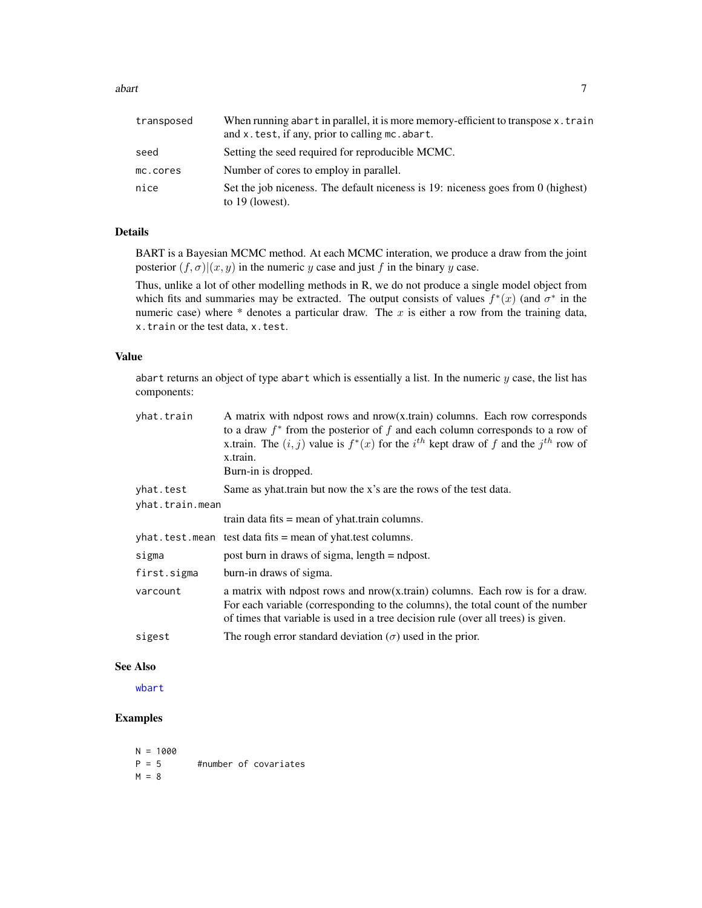abart 7 and 7 and 7 and 7 and 7 and 7 and 7 and 7 and 7 and 7 and 7 and 7 and 7 and 7 and 7 and 7 and 7 and 7 and 7 and 7 and 7 and 7 and 7 and 7 and 7 and 7 and 7 and 7 and 7 and 7 and 7 and 7 and 7 and 7 and 7 and 7 and

| transposed | When running abart in parallel, it is more memory-efficient to transpose x. train<br>and x. test, if any, prior to calling mc. abart. |
|------------|---------------------------------------------------------------------------------------------------------------------------------------|
| seed       | Setting the seed required for reproducible MCMC.                                                                                      |
| mc.cores   | Number of cores to employ in parallel.                                                                                                |
| nice       | Set the job niceness. The default niceness is 19: niceness goes from 0 (highest)<br>to $19$ (lowest).                                 |

# Details

BART is a Bayesian MCMC method. At each MCMC interation, we produce a draw from the joint posterior  $(f, \sigma)(x, y)$  in the numeric y case and just f in the binary y case.

Thus, unlike a lot of other modelling methods in R, we do not produce a single model object from which fits and summaries may be extracted. The output consists of values  $f^*(x)$  (and  $\sigma^*$  in the numeric case) where  $*$  denotes a particular draw. The  $x$  is either a row from the training data, x.train or the test data, x.test.

#### Value

abart returns an object of type abart which is essentially a list. In the numeric  $y$  case, the list has components:

| yhat.train      | A matrix with ndpost rows and nrow(x.train) columns. Each row corresponds<br>to a draw $f^*$ from the posterior of f and each column corresponds to a row of<br>x.train. The $(i, j)$ value is $f^*(x)$ for the $i^{th}$ kept draw of f and the $j^{th}$ row of<br>x.train.<br>Burn-in is dropped. |
|-----------------|----------------------------------------------------------------------------------------------------------------------------------------------------------------------------------------------------------------------------------------------------------------------------------------------------|
| yhat.test       | Same as yhat.train but now the x's are the rows of the test data.                                                                                                                                                                                                                                  |
| yhat.train.mean |                                                                                                                                                                                                                                                                                                    |
|                 | train data fits $=$ mean of yhat train columns.                                                                                                                                                                                                                                                    |
|                 | yhat. test. mean test data fits = mean of yhat. test columns.                                                                                                                                                                                                                                      |
| sigma           | post burn in draws of sigma, $length = ndpost$ .                                                                                                                                                                                                                                                   |
| first.sigma     | burn-in draws of sigma.                                                                                                                                                                                                                                                                            |
| varcount        | a matrix with ndpost rows and nrow(x.train) columns. Each row is for a draw.<br>For each variable (corresponding to the columns), the total count of the number<br>of times that variable is used in a tree decision rule (over all trees) is given.                                               |
| sigest          | The rough error standard deviation ( $\sigma$ ) used in the prior.                                                                                                                                                                                                                                 |

# See Also

[wbart](#page-131-1)

# Examples

 $N = 1000$ <br> $P = 5$ #number of covariates  $M = 8$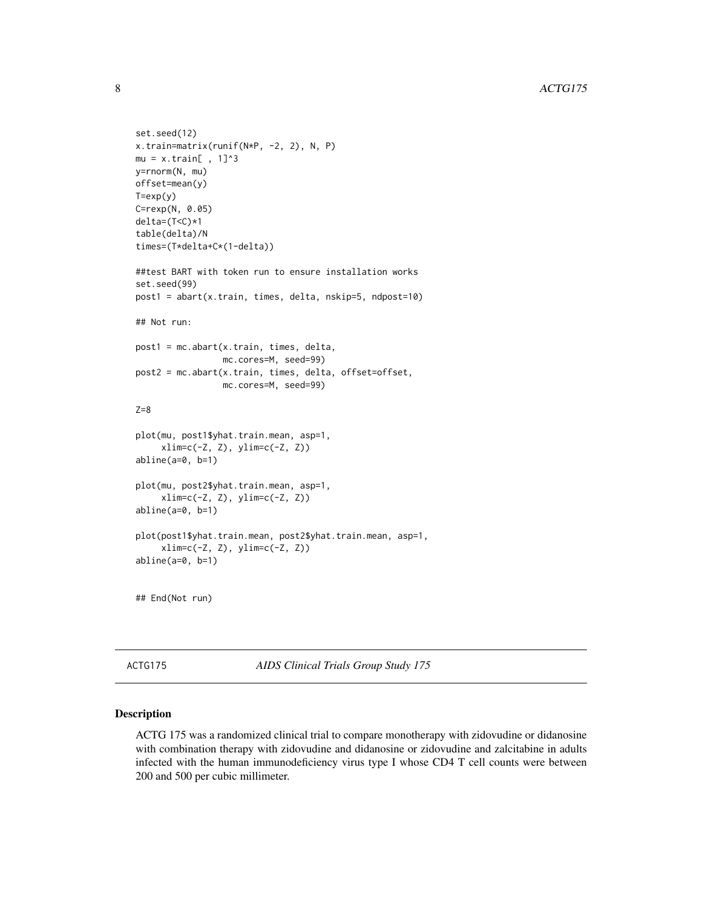```
set.seed(12)
x.train=matrix(runif(N*P, -2, 2), N, P)
mu = x.train[ , 1]^{3}y=rnorm(N, mu)
offset=mean(y)
T=exp(y)C=rexp(N, 0.05)
delta=(T<C)*1
table(delta)/N
times=(T*delta+C*(1-delta))
##test BART with token run to ensure installation works
set.seed(99)
post1 = abart(x.train, times, delta, nskip=5, ndpost=10)
## Not run:
post1 = mc.abart(x.train, times, delta,
                 mc.cores=M, seed=99)
post2 = mc.abart(x.train, times, delta, offset=offset,
                 mc.cores=M, seed=99)
Z=8plot(mu, post1$yhat.train.mean, asp=1,
     xlim=c(-Z, Z), ylim=c(-Z, Z))
abline(a=0, b=1)
plot(mu, post2$yhat.train.mean, asp=1,
     xlim=c(-Z, Z), ylim=c(-Z, Z))
abline(a=0, b=1)
plot(post1$yhat.train.mean, post2$yhat.train.mean, asp=1,
     xlim=c(-Z, Z), ylim=c(-Z, Z))abline(a=0, b=1)
## End(Not run)
```
ACTG175 *AIDS Clinical Trials Group Study 175*

#### Description

ACTG 175 was a randomized clinical trial to compare monotherapy with zidovudine or didanosine with combination therapy with zidovudine and didanosine or zidovudine and zalcitabine in adults infected with the human immunodeficiency virus type I whose CD4 T cell counts were between 200 and 500 per cubic millimeter.

<span id="page-7-0"></span>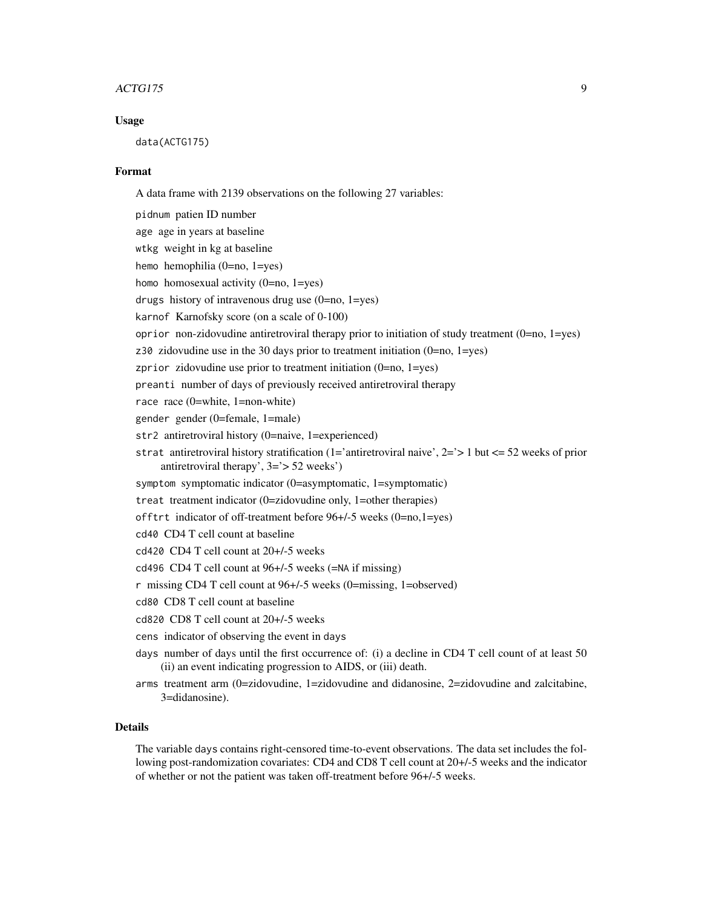#### ACTG175 9

#### Usage

data(ACTG175)

#### Format

A data frame with 2139 observations on the following 27 variables:

pidnum patien ID number age age in years at baseline wtkg weight in kg at baseline hemo hemophilia (0=no, 1=yes) homo homosexual activity (0=no, 1=yes) drugs history of intravenous drug use (0=no, 1=yes) karnof Karnofsky score (on a scale of 0-100) oprior non-zidovudine antiretroviral therapy prior to initiation of study treatment  $(0=no, 1=yes)$ z30 zidovudine use in the 30 days prior to treatment initiation (0=no, 1=yes) zprior zidovudine use prior to treatment initiation (0=no, 1=yes) preanti number of days of previously received antiretroviral therapy race race (0=white, 1=non-white) gender gender (0=female, 1=male) str2 antiretroviral history (0=naive, 1=experienced) strat antiretroviral history stratification (1='antiretroviral naive', 2='> 1 but <= 52 weeks of prior antiretroviral therapy', 3='> 52 weeks') symptom symptomatic indicator (0=asymptomatic, 1=symptomatic) treat treatment indicator (0=zidovudine only, 1=other therapies) offtrt indicator of off-treatment before 96+/-5 weeks (0=no,1=yes) cd40 CD4 T cell count at baseline cd420 CD4 T cell count at 20+/-5 weeks cd496 CD4 T cell count at 96+/-5 weeks (=NA if missing) r missing CD4 T cell count at 96+/-5 weeks (0=missing, 1=observed) cd80 CD8 T cell count at baseline cd820 CD8 T cell count at 20+/-5 weeks cens indicator of observing the event in days days number of days until the first occurrence of: (i) a decline in CD4 T cell count of at least 50 (ii) an event indicating progression to AIDS, or (iii) death.

arms treatment arm (0=zidovudine, 1=zidovudine and didanosine, 2=zidovudine and zalcitabine, 3=didanosine).

### Details

The variable days contains right-censored time-to-event observations. The data set includes the following post-randomization covariates: CD4 and CD8 T cell count at 20+/-5 weeks and the indicator of whether or not the patient was taken off-treatment before 96+/-5 weeks.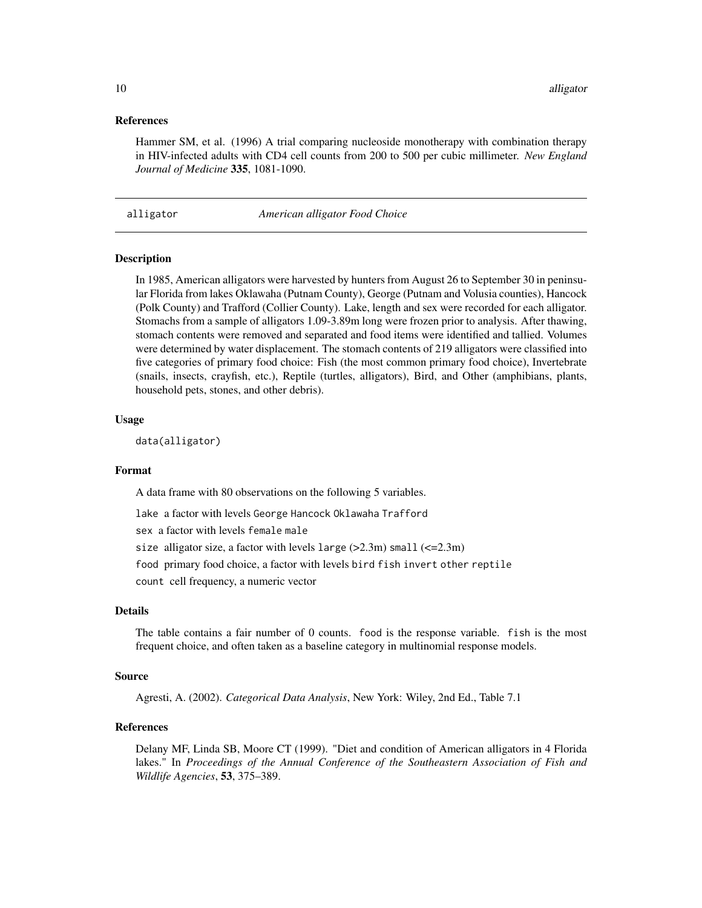#### <span id="page-9-0"></span>References

Hammer SM, et al. (1996) A trial comparing nucleoside monotherapy with combination therapy in HIV-infected adults with CD4 cell counts from 200 to 500 per cubic millimeter. *New England Journal of Medicine* 335, 1081-1090.

alligator *American alligator Food Choice*

#### Description

In 1985, American alligators were harvested by hunters from August 26 to September 30 in peninsular Florida from lakes Oklawaha (Putnam County), George (Putnam and Volusia counties), Hancock (Polk County) and Trafford (Collier County). Lake, length and sex were recorded for each alligator. Stomachs from a sample of alligators 1.09-3.89m long were frozen prior to analysis. After thawing, stomach contents were removed and separated and food items were identified and tallied. Volumes were determined by water displacement. The stomach contents of 219 alligators were classified into five categories of primary food choice: Fish (the most common primary food choice), Invertebrate (snails, insects, crayfish, etc.), Reptile (turtles, alligators), Bird, and Other (amphibians, plants, household pets, stones, and other debris).

#### Usage

data(alligator)

#### Format

A data frame with 80 observations on the following 5 variables.

lake a factor with levels George Hancock Oklawaha Trafford

sex a factor with levels female male

size alligator size, a factor with levels  $l \arg e$  (>2.3m) small (<= 2.3m)

food primary food choice, a factor with levels bird fish invert other reptile

count cell frequency, a numeric vector

#### Details

The table contains a fair number of 0 counts. food is the response variable. fish is the most frequent choice, and often taken as a baseline category in multinomial response models.

#### Source

Agresti, A. (2002). *Categorical Data Analysis*, New York: Wiley, 2nd Ed., Table 7.1

# References

Delany MF, Linda SB, Moore CT (1999). "Diet and condition of American alligators in 4 Florida lakes." In *Proceedings of the Annual Conference of the Southeastern Association of Fish and Wildlife Agencies*, 53, 375–389.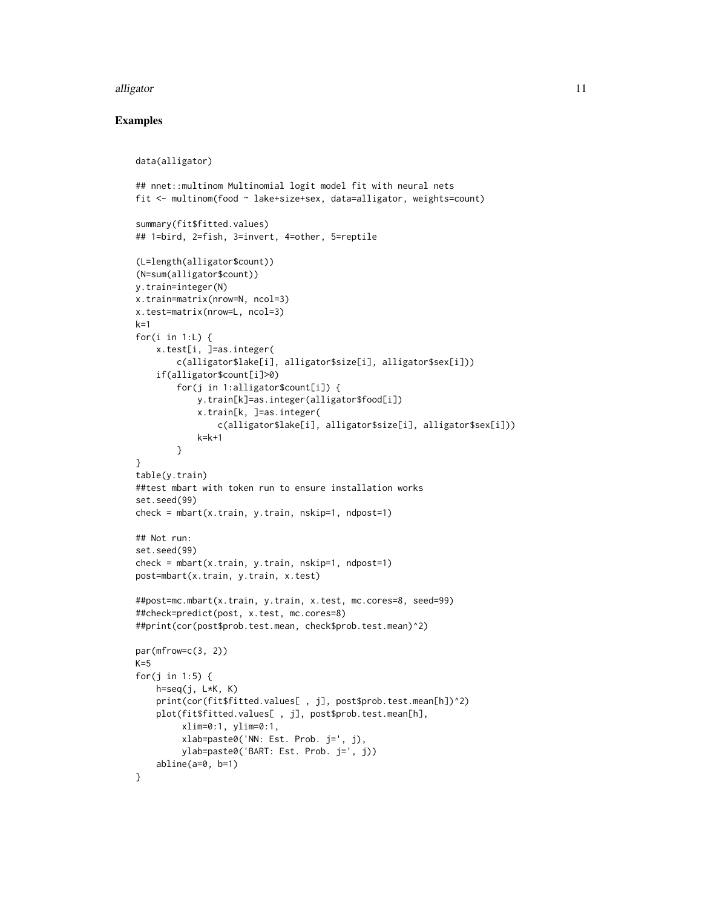#### alligator that the contract of the contract of the contract of the contract of the contract of the contract of the contract of the contract of the contract of the contract of the contract of the contract of the contract of

## Examples

```
data(alligator)
## nnet::multinom Multinomial logit model fit with neural nets
fit <- multinom(food ~ lake+size+sex, data=alligator, weights=count)
summary(fit$fitted.values)
## 1=bird, 2=fish, 3=invert, 4=other, 5=reptile
(L=length(alligator$count))
(N=sum(alligator$count))
y.train=integer(N)
x.train=matrix(nrow=N, ncol=3)
x.test=matrix(nrow=L, ncol=3)
k=1for(i in 1:L) {
   x.test[i, ]=as.integer(
        c(alligator$lake[i], alligator$size[i], alligator$sex[i]))
    if(alligator$count[i]>0)
        for(j in 1:alligator$count[i]) {
            y.train[k]=as.integer(alligator$food[i])
            x.train[k, ]=as.integer(
                c(alligator$lake[i], alligator$size[i], alligator$sex[i]))
            k=k+1
        }
}
table(y.train)
##test mbart with token run to ensure installation works
set.seed(99)
check = mbart(x.train, y.train, nskip=1, ndpost=1)## Not run:
set.seed(99)
check = mbart(x.train, y.train, nskip=1, ndpost=1)
post=mbart(x.train, y.train, x.test)
##post=mc.mbart(x.train, y.train, x.test, mc.cores=8, seed=99)
##check=predict(post, x.test, mc.cores=8)
##print(cor(post$prob.test.mean, check$prob.test.mean)^2)
par(mfrow=c(3, 2))
K=5for(j in 1:5) {
   h=seq(j, L*K, K)print(cor(fit$fitted.values[, j], post$prob.test.mean[h])^2)
    plot(fit$fitted.values[ , j], post$prob.test.mean[h],
         xlim=0:1, ylim=0:1,
         xlab=paste0('NN: Est. Prob. j=', j),
         ylab=paste0('BART: Est. Prob. j=', j))
    abline(a=0, b=1)
}
```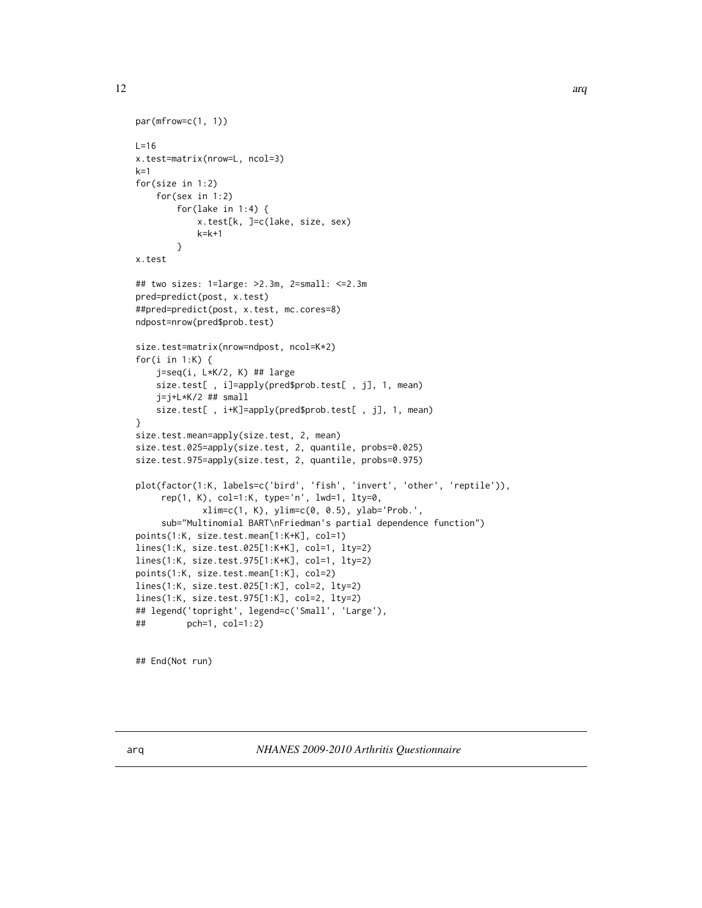<span id="page-11-0"></span>12 arq

```
par(mfrow=c(1, 1))L=16x.test=matrix(nrow=L, ncol=3)
k=1for(size in 1:2)
    for(sex in 1:2)
        for(lake in 1:4) {
            x.test[k, ]=c(lake, size, sex)
            k=k+1
        }
x.test
## two sizes: 1=large: >2.3m, 2=small: <=2.3m
pred=predict(post, x.test)
##pred=predict(post, x.test, mc.cores=8)
ndpost=nrow(pred$prob.test)
size.test=matrix(nrow=ndpost, ncol=K*2)
for(i in 1:K) {
    j=seq(i, L*K/2, K) ## large
    size.test[ , i]=apply(pred$prob.test[ , j], 1, mean)
    j=j+L*K/2 ## small
    size.test[ , i+K]=apply(pred$prob.test[ , j], 1, mean)
}
size.test.mean=apply(size.test, 2, mean)
size.test.025=apply(size.test, 2, quantile, probs=0.025)
size.test.975=apply(size.test, 2, quantile, probs=0.975)
plot(factor(1:K, labels=c('bird', 'fish', 'invert', 'other', 'reptile')),
     rep(1, K), col=1:K, type='n', lwd=1, lty=0,
             xlim=c(1, K), ylim=c(0, 0.5), ylab='Prob.',
     sub="Multinomial BART\nFriedman's partial dependence function")
points(1:K, size.test.mean[1:K+K], col=1)
lines(1:K, size.test.025[1:K+K], col=1, lty=2)
lines(1:K, size.test.975[1:K+K], col=1, lty=2)
points(1:K, size.test.mean[1:K], col=2)
lines(1:K, size.test.025[1:K], col=2, lty=2)
lines(1:K, size.test.975[1:K], col=2, lty=2)
## legend('topright', legend=c('Small', 'Large'),
## pch=1, col=1:2)
```
## End(Not run)

arq *NHANES 2009-2010 Arthritis Questionnaire*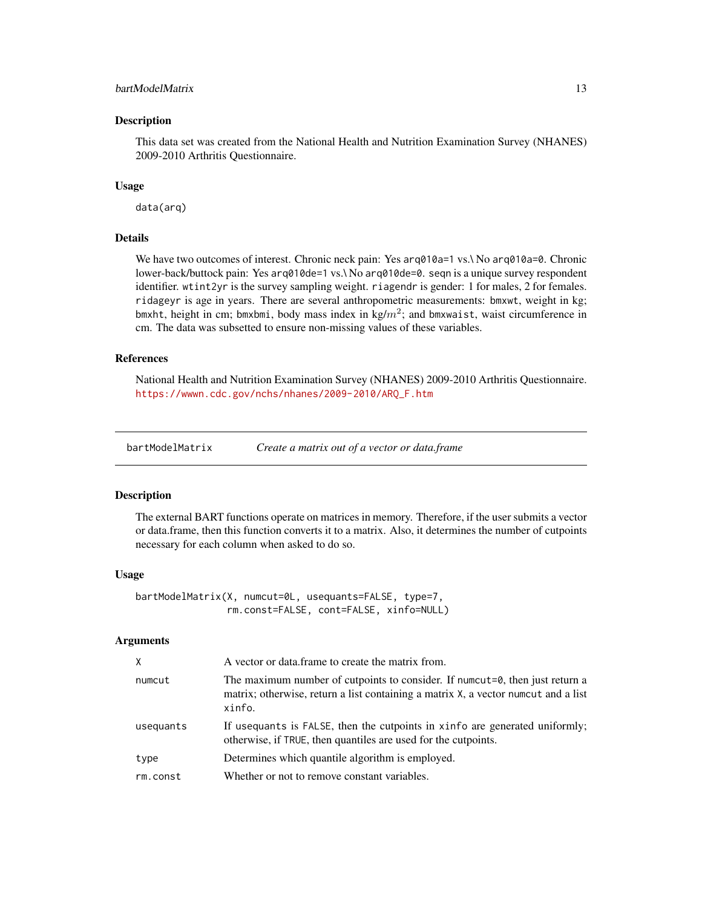# <span id="page-12-0"></span>bartModelMatrix 13

#### Description

This data set was created from the National Health and Nutrition Examination Survey (NHANES) 2009-2010 Arthritis Questionnaire.

#### Usage

data(arq)

#### Details

We have two outcomes of interest. Chronic neck pain: Yes arq010a=1 vs.\ No arq010a=0. Chronic lower-back/buttock pain: Yes arq010de=1 vs.\ No arq010de=0. seqn is a unique survey respondent identifier. wtint2yr is the survey sampling weight. riagendr is gender: 1 for males, 2 for females. ridageyr is age in years. There are several anthropometric measurements: bmxwt, weight in kg; bmxht, height in cm; bmxbmi, body mass index in kg/ $m^2$ ; and bmxwaist, waist circumference in cm. The data was subsetted to ensure non-missing values of these variables.

# References

National Health and Nutrition Examination Survey (NHANES) 2009-2010 Arthritis Questionnaire. [https://wwwn.cdc.gov/nchs/nhanes/2009-2010/ARQ\\_F.htm](https://wwwn.cdc.gov/nchs/nhanes/2009-2010/ARQ_F.htm)

bartModelMatrix *Create a matrix out of a vector or data.frame*

#### Description

The external BART functions operate on matrices in memory. Therefore, if the user submits a vector or data.frame, then this function converts it to a matrix. Also, it determines the number of cutpoints necessary for each column when asked to do so.

#### Usage

bartModelMatrix(X, numcut=0L, usequants=FALSE, type=7, rm.const=FALSE, cont=FALSE, xinfo=NULL)

#### Arguments

| $\mathsf{X}$ | A vector or data frame to create the matrix from.                                                                                                                             |
|--------------|-------------------------------------------------------------------------------------------------------------------------------------------------------------------------------|
| numcut       | The maximum number of cutpoints to consider. If numerates, then just return a<br>matrix; otherwise, return a list containing a matrix X, a vector numeration a list<br>xinfo. |
| usequants    | If usequants is FALSE, then the cutpoints in xinfo are generated uniformly;<br>otherwise, if TRUE, then quantiles are used for the cutpoints.                                 |
| type         | Determines which quantile algorithm is employed.                                                                                                                              |
| rm.const     | Whether or not to remove constant variables.                                                                                                                                  |
|              |                                                                                                                                                                               |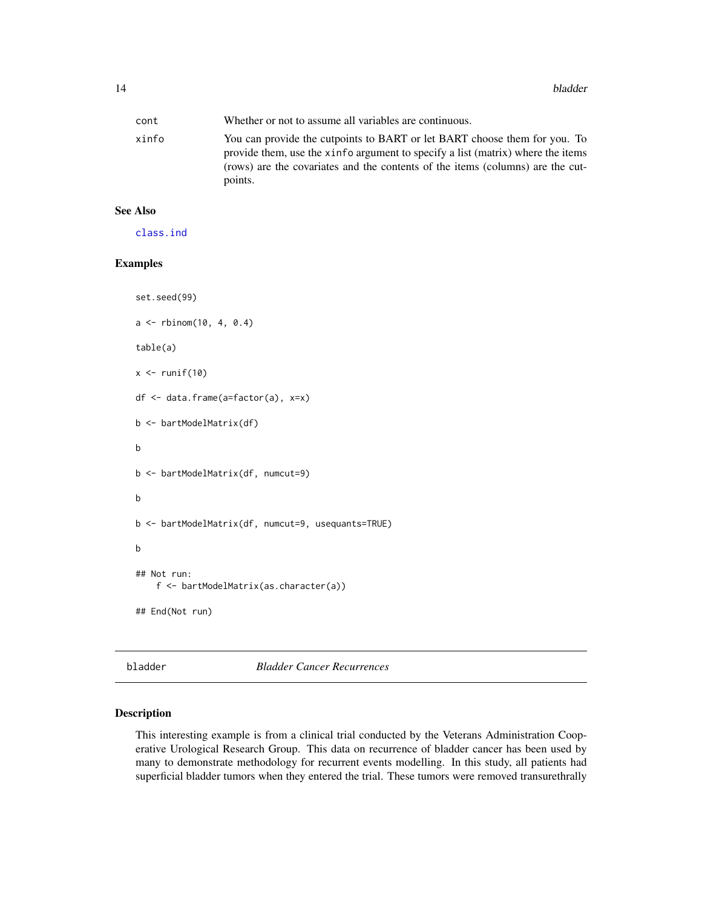<span id="page-13-0"></span>

| cont  | Whether or not to assume all variables are continuous.                                                                                                                                                                                                    |
|-------|-----------------------------------------------------------------------------------------------------------------------------------------------------------------------------------------------------------------------------------------------------------|
| xinfo | You can provide the cutpoints to BART or let BART choose them for you. To<br>provide them, use the xinfo argument to specify a list (matrix) where the items<br>(rows) are the covariates and the contents of the items (columns) are the cut-<br>points. |

# See Also

[class.ind](#page-0-0)

# Examples

```
set.seed(99)
a \leq rbinom(10, 4, 0.4)
table(a)
x \leftarrow runif(10)df <- data.frame(a=factor(a), x=x)
b <- bartModelMatrix(df)
b
b <- bartModelMatrix(df, numcut=9)
b
b <- bartModelMatrix(df, numcut=9, usequants=TRUE)
b
## Not run:
    f <- bartModelMatrix(as.character(a))
## End(Not run)
```
bladder *Bladder Cancer Recurrences*

### Description

This interesting example is from a clinical trial conducted by the Veterans Administration Cooperative Urological Research Group. This data on recurrence of bladder cancer has been used by many to demonstrate methodology for recurrent events modelling. In this study, all patients had superficial bladder tumors when they entered the trial. These tumors were removed transurethrally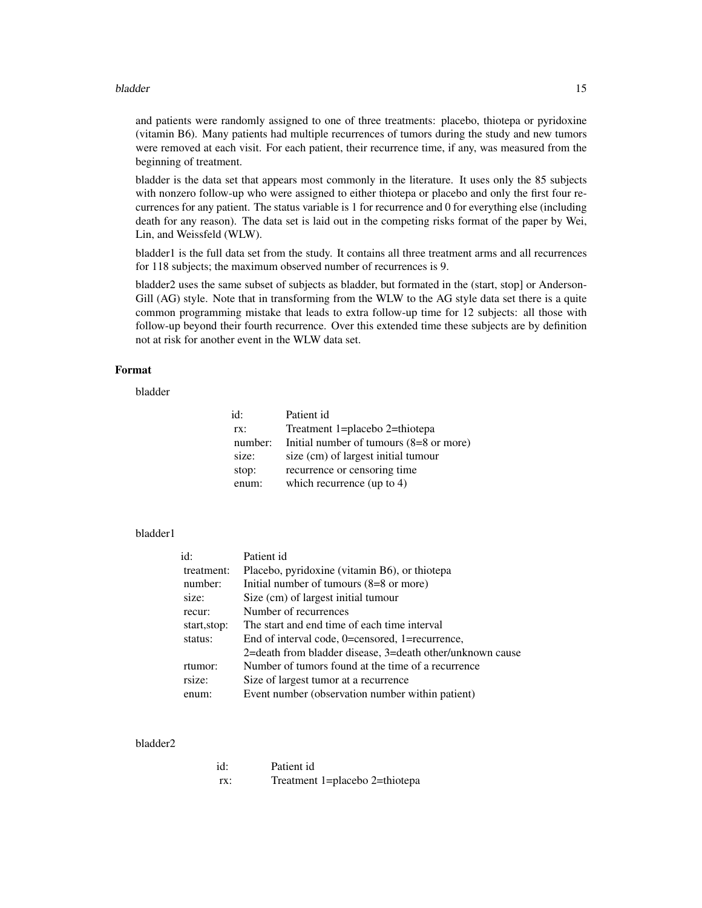#### bladder and the state of the state of the state of the state of the state of the state of the state of the state of the state of the state of the state of the state of the state of the state of the state of the state of th

and patients were randomly assigned to one of three treatments: placebo, thiotepa or pyridoxine (vitamin B6). Many patients had multiple recurrences of tumors during the study and new tumors were removed at each visit. For each patient, their recurrence time, if any, was measured from the beginning of treatment.

bladder is the data set that appears most commonly in the literature. It uses only the 85 subjects with nonzero follow-up who were assigned to either thiotepa or placebo and only the first four recurrences for any patient. The status variable is 1 for recurrence and 0 for everything else (including death for any reason). The data set is laid out in the competing risks format of the paper by Wei, Lin, and Weissfeld (WLW).

bladder1 is the full data set from the study. It contains all three treatment arms and all recurrences for 118 subjects; the maximum observed number of recurrences is 9.

bladder2 uses the same subset of subjects as bladder, but formated in the (start, stop] or Anderson-Gill (AG) style. Note that in transforming from the WLW to the AG style data set there is a quite common programming mistake that leads to extra follow-up time for 12 subjects: all those with follow-up beyond their fourth recurrence. Over this extended time these subjects are by definition not at risk for another event in the WLW data set.

# Format

bladder

| id:     | Patient id                              |
|---------|-----------------------------------------|
| rx:     | Treatment 1=placebo 2=thiotepa          |
| number: | Initial number of tumours (8=8 or more) |
| size:   | size (cm) of largest initial tumour     |
| stop:   | recurrence or censoring time            |
| enum:   | which recurrence (up to 4)              |

#### bladder1

| id:          | Patient id                                                |
|--------------|-----------------------------------------------------------|
| treatment:   | Placebo, pyridoxine (vitamin B6), or thiotepa             |
| number:      | Initial number of tumours $(8=8 \text{ or more})$         |
| size:        | Size (cm) of largest initial tumour                       |
| recur:       | Number of recurrences                                     |
| start, stop: | The start and end time of each time interval              |
| status:      | End of interval code, 0=censored, 1=recurrence,           |
|              | 2=death from bladder disease, 3=death other/unknown cause |
| rtumor:      | Number of tumors found at the time of a recurrence        |
| rsize:       | Size of largest tumor at a recurrence                     |
| enum:        | Event number (observation number within patient)          |

#### bladder2

| id: | Patient id                     |
|-----|--------------------------------|
| TX: | Treatment 1=placebo 2=thiotepa |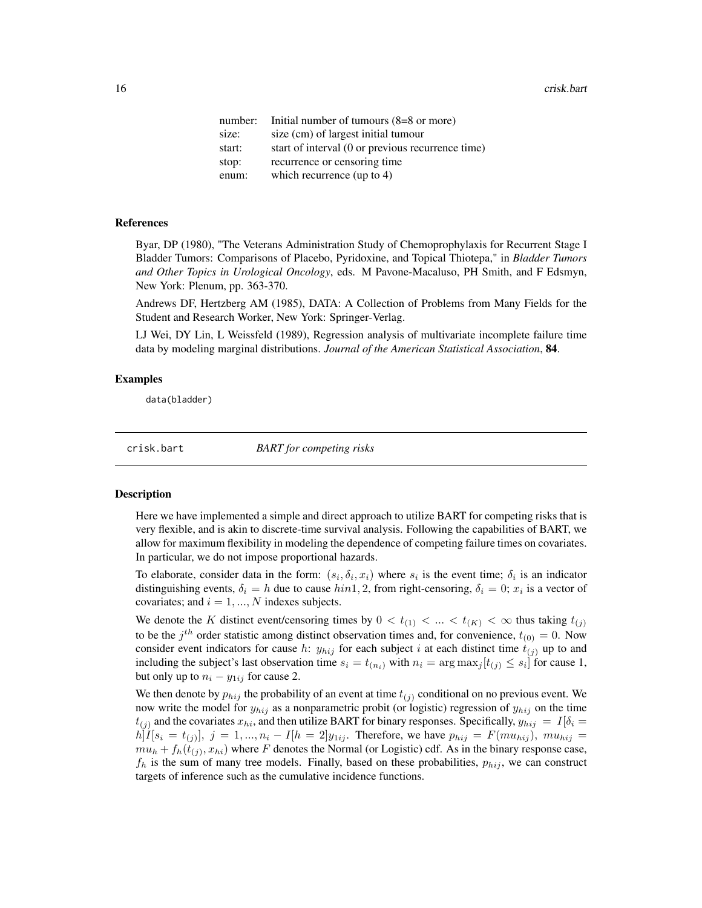<span id="page-15-0"></span>

| number: | Initial number of tumours $(8=8 \text{ or more})$ |
|---------|---------------------------------------------------|
| size:   | size (cm) of largest initial tumour               |
| start:  | start of interval (0 or previous recurrence time) |
| stop:   | recurrence or censoring time                      |
| enum:   | which recurrence (up to $4$ )                     |

#### References

Byar, DP (1980), "The Veterans Administration Study of Chemoprophylaxis for Recurrent Stage I Bladder Tumors: Comparisons of Placebo, Pyridoxine, and Topical Thiotepa," in *Bladder Tumors and Other Topics in Urological Oncology*, eds. M Pavone-Macaluso, PH Smith, and F Edsmyn, New York: Plenum, pp. 363-370.

Andrews DF, Hertzberg AM (1985), DATA: A Collection of Problems from Many Fields for the Student and Research Worker, New York: Springer-Verlag.

LJ Wei, DY Lin, L Weissfeld (1989), Regression analysis of multivariate incomplete failure time data by modeling marginal distributions. *Journal of the American Statistical Association*, 84.

#### Examples

data(bladder)

<span id="page-15-1"></span>crisk.bart *BART for competing risks*

#### **Description**

Here we have implemented a simple and direct approach to utilize BART for competing risks that is very flexible, and is akin to discrete-time survival analysis. Following the capabilities of BART, we allow for maximum flexibility in modeling the dependence of competing failure times on covariates. In particular, we do not impose proportional hazards.

To elaborate, consider data in the form:  $(s_i, \delta_i, x_i)$  where  $s_i$  is the event time;  $\delta_i$  is an indicator distinguishing events,  $\delta_i = h$  due to cause  $hin1, 2$ , from right-censoring,  $\delta_i = 0$ ;  $x_i$  is a vector of covariates; and  $i = 1, ..., N$  indexes subjects.

We denote the K distinct event/censoring times by  $0 < t_{(1)} < ... < t_{(K)} < \infty$  thus taking  $t_{(j)}$ to be the  $j^{th}$  order statistic among distinct observation times and, for convenience,  $t_{(0)} = 0$ . Now consider event indicators for cause h:  $y_{hij}$  for each subject i at each distinct time  $t_{(j)}$  up to and including the subject's last observation time  $s_i = t_{(n_i)}$  with  $n_i = \arg \max_j [t_{(j)} \le s_i]$  for cause 1, but only up to  $n_i - y_{1ij}$  for cause 2.

We then denote by  $p_{hi}$  the probability of an event at time  $t_{(i)}$  conditional on no previous event. We now write the model for  $y_{hij}$  as a nonparametric probit (or logistic) regression of  $y_{hij}$  on the time  $t_{(i)}$  and the covariates  $x_{hi}$ , and then utilize BART for binary responses. Specifically,  $y_{hi} = I[\delta_i =$  $h[I[s_i = t_{(j)}], j = 1, ..., n_i - I[h = 2]y_{1ij}$ . Therefore, we have  $p_{hij} = F(m u_{hij}), m u_{hij} =$  $mu_h + f_h(t_{(j)}, x_{hi})$  where F denotes the Normal (or Logistic) cdf. As in the binary response case,  $f_h$  is the sum of many tree models. Finally, based on these probabilities,  $p_{hij}$ , we can construct targets of inference such as the cumulative incidence functions.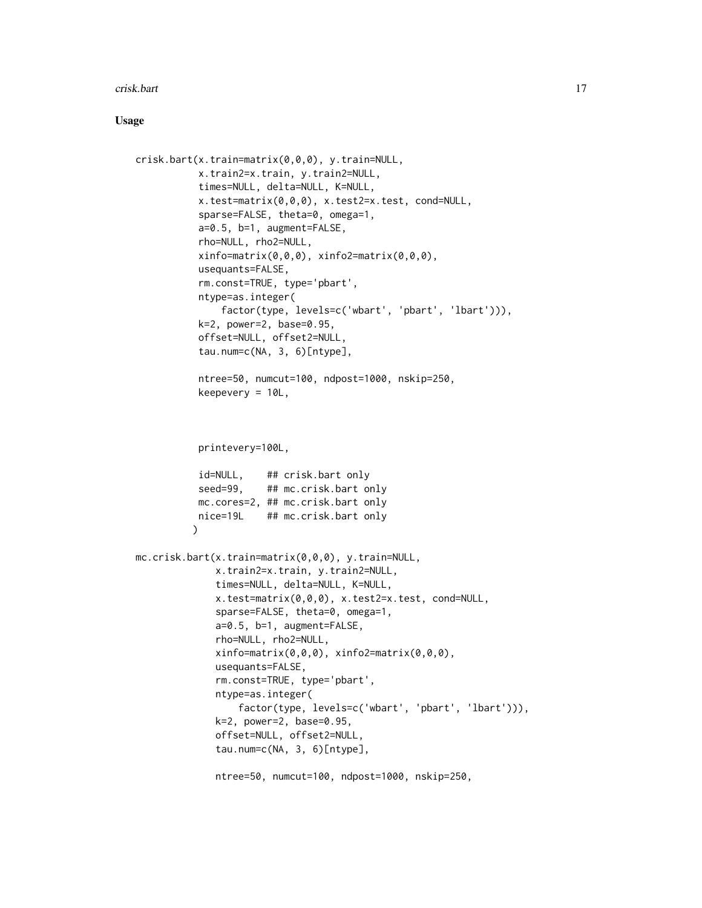#### crisk.bart 17

#### Usage

```
crisk.bart(x.train=matrix(0,0,0), y.train=NULL,
           x.train2=x.train, y.train2=NULL,
           times=NULL, delta=NULL, K=NULL,
           x.test=matrix(0,0,0), x.test2=x.test, cond=NULL,
           sparse=FALSE, theta=0, omega=1,
           a=0.5, b=1, augment=FALSE,
           rho=NULL, rho2=NULL,
           xinfo=matrix(0,0,0), xinfo2=matrix(0,0,0),
           usequants=FALSE,
           rm.const=TRUE, type='pbart',
           ntype=as.integer(
               factor(type, levels=c('wbart', 'pbart', 'lbart'))),
           k=2, power=2, base=0.95,
           offset=NULL, offset2=NULL,
           tau.num=c(NA, 3, 6)[ntype],
           ntree=50, numcut=100, ndpost=1000, nskip=250,
           keepevery = 10L,
           printevery=100L,
           id=NULL, ## crisk.bart only
           seed=99, ## mc.crisk.bart only
           mc.cores=2, ## mc.crisk.bart only
          nice=19L ## mc.crisk.bart only
          \lambdamc.crisk.bart(x.train=matrix(0,0,0), y.train=NULL,
              x.train2=x.train, y.train2=NULL,
              times=NULL, delta=NULL, K=NULL,
              x.test=matrix(0,0,0), x.test2=x.test, cond=NULL,
              sparse=FALSE, theta=0, omega=1,
              a=0.5, b=1, augment=FALSE,
              rho=NULL, rho2=NULL,
              xinfo=matrix(0,0,0), xinfo2=matrix(0,0,0),
              usequants=FALSE,
              rm.const=TRUE, type='pbart',
              ntype=as.integer(
                  factor(type, levels=c('wbart', 'pbart', 'lbart'))),
              k=2, power=2, base=0.95,
              offset=NULL, offset2=NULL,
              tau.num=c(NA, 3, 6)[ntype],
              ntree=50, numcut=100, ndpost=1000, nskip=250,
```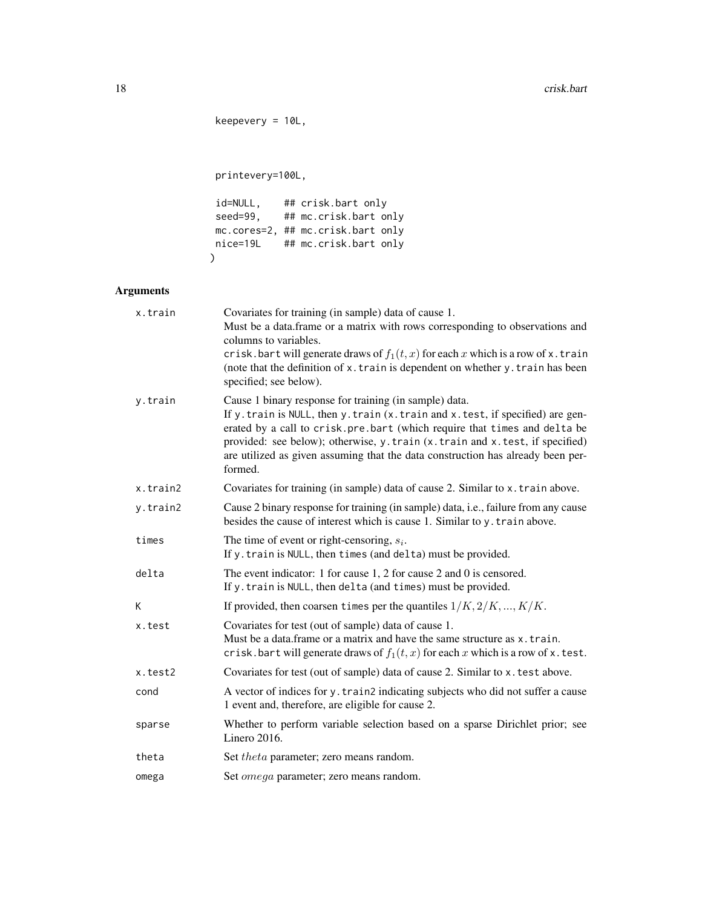```
keepevery = 10L,
```
printevery=100L,

```
id=NULL, ## crisk.bart only
 seed=99, ## mc.crisk.bart only
 mc.cores=2, ## mc.crisk.bart only
nice=19L ## mc.crisk.bart only
)
```
# Arguments

| x.train  | Covariates for training (in sample) data of cause 1.<br>Must be a data.frame or a matrix with rows corresponding to observations and<br>columns to variables.<br>crisk. bart will generate draws of $f_1(t, x)$ for each x which is a row of x. train<br>(note that the definition of x. train is dependent on whether y. train has been<br>specified; see below).                                   |  |
|----------|------------------------------------------------------------------------------------------------------------------------------------------------------------------------------------------------------------------------------------------------------------------------------------------------------------------------------------------------------------------------------------------------------|--|
| y.train  | Cause 1 binary response for training (in sample) data.<br>If y. train is NULL, then y. train (x. train and x. test, if specified) are gen-<br>erated by a call to crisk.pre.bart (which require that times and delta be<br>provided: see below); otherwise, y.train (x.train and x.test, if specified)<br>are utilized as given assuming that the data construction has already been per-<br>formed. |  |
| x.train2 | Covariates for training (in sample) data of cause 2. Similar to x. train above.                                                                                                                                                                                                                                                                                                                      |  |
| y.train2 | Cause 2 binary response for training (in sample) data, i.e., failure from any cause<br>besides the cause of interest which is cause 1. Similar to y. train above.                                                                                                                                                                                                                                    |  |
| times    | The time of event or right-censoring, $s_i$ .<br>If y. train is NULL, then times (and delta) must be provided.                                                                                                                                                                                                                                                                                       |  |
| delta    | The event indicator: 1 for cause $1$ , 2 for cause $2$ and $0$ is censored.<br>If y. train is NULL, then delta (and times) must be provided.                                                                                                                                                                                                                                                         |  |
| K        | If provided, then coarsen times per the quantiles $1/K, 2/K, , K/K$ .                                                                                                                                                                                                                                                                                                                                |  |
| x.test   | Covariates for test (out of sample) data of cause 1.<br>Must be a data frame or a matrix and have the same structure as x. train.<br>crisk. bart will generate draws of $f_1(t, x)$ for each x which is a row of x. test.                                                                                                                                                                            |  |
| x.test2  | Covariates for test (out of sample) data of cause 2. Similar to x. test above.                                                                                                                                                                                                                                                                                                                       |  |
| cond     | A vector of indices for y. train2 indicating subjects who did not suffer a cause<br>1 event and, therefore, are eligible for cause 2.                                                                                                                                                                                                                                                                |  |
| sparse   | Whether to perform variable selection based on a sparse Dirichlet prior; see<br>Linero $2016$ .                                                                                                                                                                                                                                                                                                      |  |
| theta    | Set theta parameter; zero means random.                                                                                                                                                                                                                                                                                                                                                              |  |
| omega    | Set <i>omega</i> parameter; zero means random.                                                                                                                                                                                                                                                                                                                                                       |  |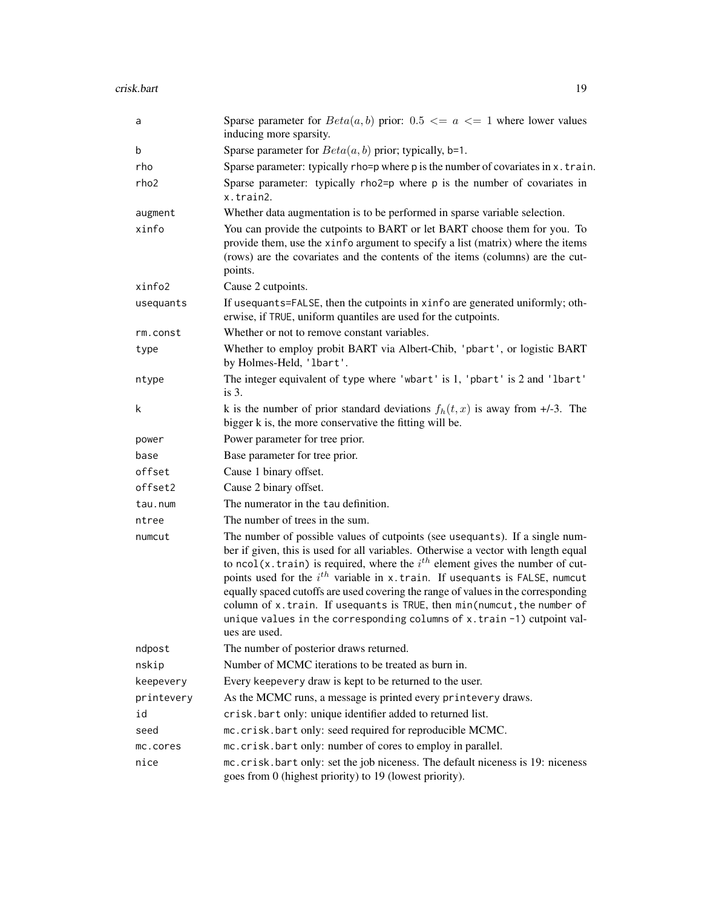| a                | Sparse parameter for $Beta(a, b)$ prior: 0.5 $\lt = a \lt = 1$ where lower values<br>inducing more sparsity.                                                                                                                                                                                                                                                                                                                                                                                                                                                                                          |  |
|------------------|-------------------------------------------------------------------------------------------------------------------------------------------------------------------------------------------------------------------------------------------------------------------------------------------------------------------------------------------------------------------------------------------------------------------------------------------------------------------------------------------------------------------------------------------------------------------------------------------------------|--|
| b                | Sparse parameter for $Beta(a, b)$ prior; typically, b=1.                                                                                                                                                                                                                                                                                                                                                                                                                                                                                                                                              |  |
| rho              | Sparse parameter: typically rho=p where p is the number of covariates in x. train.                                                                                                                                                                                                                                                                                                                                                                                                                                                                                                                    |  |
| rho <sub>2</sub> | Sparse parameter: typically rho2=p where p is the number of covariates in<br>x.train2.                                                                                                                                                                                                                                                                                                                                                                                                                                                                                                                |  |
| augment          | Whether data augmentation is to be performed in sparse variable selection.                                                                                                                                                                                                                                                                                                                                                                                                                                                                                                                            |  |
| xinfo            | You can provide the cutpoints to BART or let BART choose them for you. To<br>provide them, use the xinfo argument to specify a list (matrix) where the items<br>(rows) are the covariates and the contents of the items (columns) are the cut-<br>points.                                                                                                                                                                                                                                                                                                                                             |  |
| xinfo2           | Cause 2 cutpoints.                                                                                                                                                                                                                                                                                                                                                                                                                                                                                                                                                                                    |  |
| usequants        | If usequants=FALSE, then the cutpoints in xinfo are generated uniformly; oth-<br>erwise, if TRUE, uniform quantiles are used for the cutpoints.                                                                                                                                                                                                                                                                                                                                                                                                                                                       |  |
| rm.const         | Whether or not to remove constant variables.                                                                                                                                                                                                                                                                                                                                                                                                                                                                                                                                                          |  |
| type             | Whether to employ probit BART via Albert-Chib, 'pbart', or logistic BART<br>by Holmes-Held, 'lbart'.                                                                                                                                                                                                                                                                                                                                                                                                                                                                                                  |  |
| ntype            | The integer equivalent of type where 'wbart' is 1, 'pbart' is 2 and 'lbart'<br>is $3$ .                                                                                                                                                                                                                                                                                                                                                                                                                                                                                                               |  |
| k                | k is the number of prior standard deviations $f_h(t, x)$ is away from +/-3. The<br>bigger k is, the more conservative the fitting will be.                                                                                                                                                                                                                                                                                                                                                                                                                                                            |  |
| power            | Power parameter for tree prior.                                                                                                                                                                                                                                                                                                                                                                                                                                                                                                                                                                       |  |
| base             | Base parameter for tree prior.                                                                                                                                                                                                                                                                                                                                                                                                                                                                                                                                                                        |  |
| offset           | Cause 1 binary offset.                                                                                                                                                                                                                                                                                                                                                                                                                                                                                                                                                                                |  |
| offset2          | Cause 2 binary offset.                                                                                                                                                                                                                                                                                                                                                                                                                                                                                                                                                                                |  |
| tau.num          | The numerator in the tau definition.                                                                                                                                                                                                                                                                                                                                                                                                                                                                                                                                                                  |  |
| ntree            | The number of trees in the sum.                                                                                                                                                                                                                                                                                                                                                                                                                                                                                                                                                                       |  |
| numcut           | The number of possible values of cutpoints (see usequants). If a single num-<br>ber if given, this is used for all variables. Otherwise a vector with length equal<br>to ncol(x.train) is required, where the $ith$ element gives the number of cut-<br>points used for the $i^{th}$ variable in x. train. If usequants is FALSE, numcut<br>equally spaced cutoffs are used covering the range of values in the corresponding<br>column of x.train. If usequants is TRUE, then min(numcut, the number of<br>unique values in the corresponding columns of x. train -1) cutpoint val-<br>ues are used. |  |
| ndpost           | The number of posterior draws returned.                                                                                                                                                                                                                                                                                                                                                                                                                                                                                                                                                               |  |
| nskip            | Number of MCMC iterations to be treated as burn in.                                                                                                                                                                                                                                                                                                                                                                                                                                                                                                                                                   |  |
| keepevery        | Every keepevery draw is kept to be returned to the user.                                                                                                                                                                                                                                                                                                                                                                                                                                                                                                                                              |  |
| printevery       | As the MCMC runs, a message is printed every printevery draws.                                                                                                                                                                                                                                                                                                                                                                                                                                                                                                                                        |  |
| id               | crisk.bart only: unique identifier added to returned list.                                                                                                                                                                                                                                                                                                                                                                                                                                                                                                                                            |  |
| seed             | mc.crisk.bart only: seed required for reproducible MCMC.                                                                                                                                                                                                                                                                                                                                                                                                                                                                                                                                              |  |
| mc.cores         | mc.crisk.bart only: number of cores to employ in parallel.                                                                                                                                                                                                                                                                                                                                                                                                                                                                                                                                            |  |
| nice             | mc. crisk.bart only: set the job niceness. The default niceness is 19: niceness<br>goes from 0 (highest priority) to 19 (lowest priority).                                                                                                                                                                                                                                                                                                                                                                                                                                                            |  |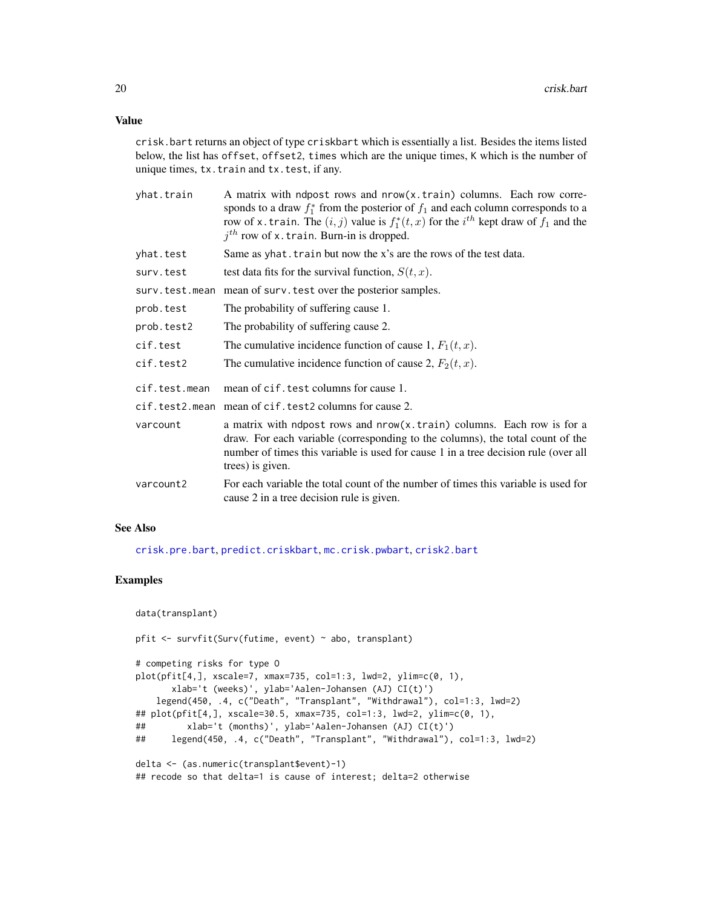crisk.bart returns an object of type criskbart which is essentially a list. Besides the items listed below, the list has offset, offset2, times which are the unique times, K which is the number of unique times, tx.train and tx.test, if any.

| yhat.train     | A matrix with ndpost rows and nrow(x.train) columns. Each row corre-<br>sponds to a draw $f_1^*$ from the posterior of $f_1$ and each column corresponds to a<br>row of x. train. The $(i, j)$ value is $f_1^*(t, x)$ for the $i^{th}$ kept draw of $f_1$ and the<br>$jth$ row of x. train. Burn-in is dropped. |
|----------------|-----------------------------------------------------------------------------------------------------------------------------------------------------------------------------------------------------------------------------------------------------------------------------------------------------------------|
| yhat.test      | Same as yhat. train but now the x's are the rows of the test data.                                                                                                                                                                                                                                              |
| surv.test      | test data fits for the survival function, $S(t, x)$ .                                                                                                                                                                                                                                                           |
| surv.test.mean | mean of surv. test over the posterior samples.                                                                                                                                                                                                                                                                  |
| prob.test      | The probability of suffering cause 1.                                                                                                                                                                                                                                                                           |
| prob.test2     | The probability of suffering cause 2.                                                                                                                                                                                                                                                                           |
| cif.test       | The cumulative incidence function of cause 1, $F_1(t, x)$ .                                                                                                                                                                                                                                                     |
| cif.test2      | The cumulative incidence function of cause 2, $F_2(t, x)$ .                                                                                                                                                                                                                                                     |
| cif.test.mean  | mean of cif. test columns for cause 1.                                                                                                                                                                                                                                                                          |
|                | cif.test2.mean mean of cif.test2 columns for cause 2.                                                                                                                                                                                                                                                           |
| varcount       | a matrix with ndpost rows and nrow(x.train) columns. Each row is for a<br>draw. For each variable (corresponding to the columns), the total count of the<br>number of times this variable is used for cause 1 in a tree decision rule (over all<br>trees) is given.                                             |
| varcount2      | For each variable the total count of the number of times this variable is used for<br>cause 2 in a tree decision rule is given.                                                                                                                                                                                 |

# See Also

[crisk.pre.bart](#page-21-1), [predict.criskbart](#page-84-1), [mc.crisk.pwbart](#page-53-1), [crisk2.bart](#page-23-1)

#### Examples

```
data(transplant)
pfit <- survfit(Surv(futime, event) ~ abo, transplant)
# competing risks for type O
plot(pfit[4,], xscale=7, xmax=735, col=1:3, lwd=2, ylim=c(0, 1),
      xlab='t (weeks)', ylab='Aalen-Johansen (AJ) CI(t)')
   legend(450, .4, c("Death", "Transplant", "Withdrawal"), col=1:3, lwd=2)
## plot(pfit[4,], xscale=30.5, xmax=735, col=1:3, lwd=2, ylim=c(0, 1),
## xlab='t (months)', ylab='Aalen-Johansen (AJ) CI(t)')
## legend(450, .4, c("Death", "Transplant", "Withdrawal"), col=1:3, lwd=2)
delta <- (as.numeric(transplant$event)-1)
## recode so that delta=1 is cause of interest; delta=2 otherwise
```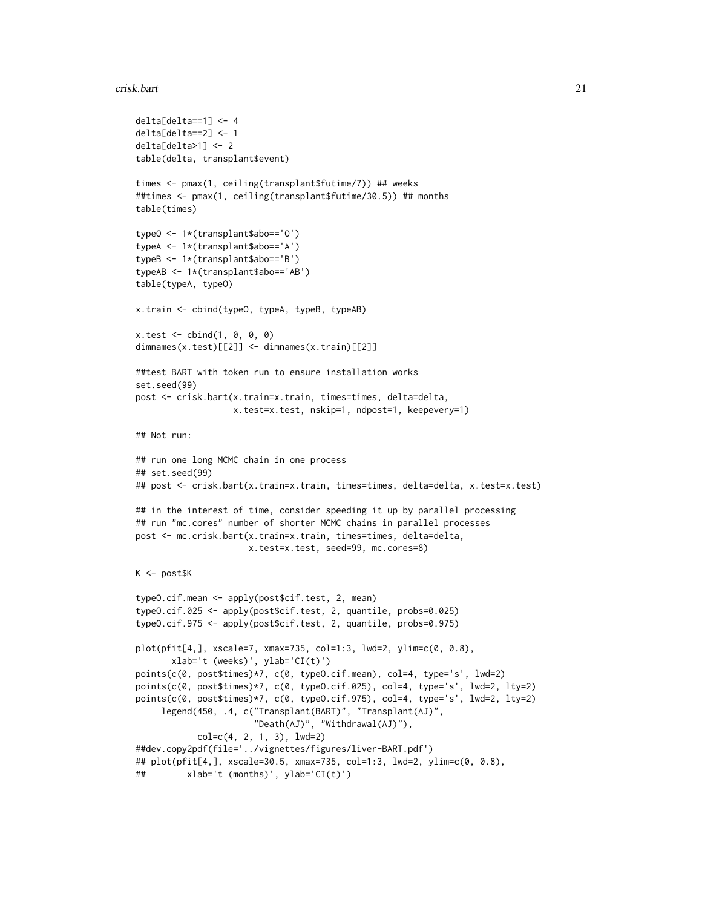#### crisk.bart 21

```
delta[delta==1] <- 4
delta[delta==2] <- 1
delta[delta>1] <- 2
table(delta, transplant$event)
times <- pmax(1, ceiling(transplant$futime/7)) ## weeks
##times <- pmax(1, ceiling(transplant$futime/30.5)) ## months
table(times)
typeO <- 1*(transplant$abo=='O')
typeA <- 1*(transplant$abo=='A')
typeB <- 1*(transplant$abo=='B')
typeAB <- 1*(transplant$abo=='AB')
table(typeA, typeO)
x.train <- cbind(typeO, typeA, typeB, typeAB)
x.test < - child(1, 0, 0, 0)dimnames(x.test)[[2]] <- dimnames(x.train)[[2]]
##test BART with token run to ensure installation works
set.seed(99)
post <- crisk.bart(x.train=x.train, times=times, delta=delta,
                   x.test=x.test, nskip=1, ndpost=1, keepevery=1)
## Not run:
## run one long MCMC chain in one process
## set.seed(99)
## post <- crisk.bart(x.train=x.train, times=times, delta=delta, x.test=x.test)
## in the interest of time, consider speeding it up by parallel processing
## run "mc.cores" number of shorter MCMC chains in parallel processes
post <- mc.crisk.bart(x.train=x.train, times=times, delta=delta,
                      x.test=x.test, seed=99, mc.cores=8)
K <- post$K
typeO.cif.mean <- apply(post$cif.test, 2, mean)
typeO.cif.025 <- apply(post$cif.test, 2, quantile, probs=0.025)
typeO.cif.975 <- apply(post$cif.test, 2, quantile, probs=0.975)
plot(pfit[4,], xscale=7, xmax=735, col=1:3, lwd=2, ylim=c(0, 0.8),
       xlab='t (weeks)', ylab='CI(t)')
points(c(0, post$times)*7, c(0, typeO.cif.mean), col=4, type='s', lwd=2)
points(c(0, post$times)*7, c(0, type0.cif.025), col=4, type='s', lwd=2, lty=2)points(c(0, post$times)*7, c(0, typeO.cif.975), col=4, type='s', lwd=2, lty=2)
     legend(450, .4, c("Transplant(BART)", "Transplant(AJ)",
                       "Death(AJ)", "Withdrawal(AJ)"),
            col=c(4, 2, 1, 3), lwd=2)
##dev.copy2pdf(file='../vignettes/figures/liver-BART.pdf')
## plot(pfit[4,], xscale=30.5, xmax=735, col=1:3, lwd=2, ylim=c(0, 0.8),
## xlab='t (months)', ylab='CI(t)')
```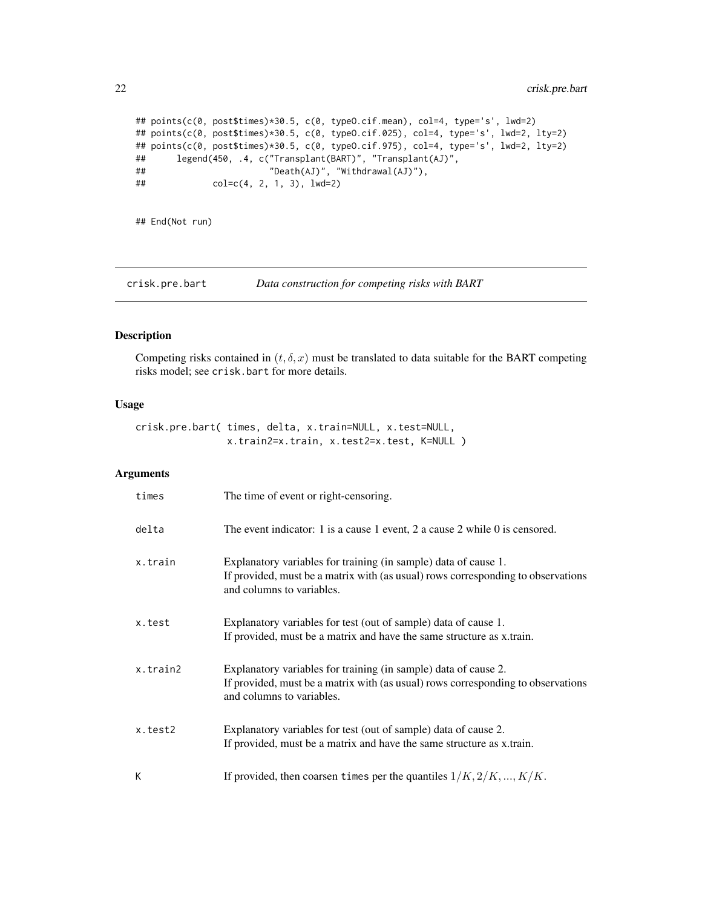```
## points(c(0, post$times)*30.5, c(0, typeO.cif.mean), col=4, type='s', lwd=2)
## points(c(0, post$times)*30.5, c(0, typeO.cif.025), col=4, type='s', lwd=2, lty=2)
## points(c(0, post$times)*30.5, c(0, typeO.cif.975), col=4, type='s', lwd=2, lty=2)
## legend(450, .4, c("Transplant(BART)", "Transplant(AJ)",
## "Death(AJ)", "Withdrawal(AJ)"),
## col=c(4, 2, 1, 3), lwd=2)
```
## End(Not run)

<span id="page-21-1"></span>crisk.pre.bart *Data construction for competing risks with BART*

# Description

Competing risks contained in  $(t, \delta, x)$  must be translated to data suitable for the BART competing risks model; see crisk.bart for more details.

#### Usage

```
crisk.pre.bart( times, delta, x.train=NULL, x.test=NULL,
                x.train2=x.train, x.test2=x.test, K=NULL )
```
# Arguments

| times    | The time of event or right-censoring.                                                                                                                                            |
|----------|----------------------------------------------------------------------------------------------------------------------------------------------------------------------------------|
| delta    | The event indicator: 1 is a cause 1 event, 2 a cause 2 while 0 is censored.                                                                                                      |
| x.train  | Explanatory variables for training (in sample) data of cause 1.<br>If provided, must be a matrix with (as usual) rows corresponding to observations<br>and columns to variables. |
| x.test   | Explanatory variables for test (out of sample) data of cause 1.<br>If provided, must be a matrix and have the same structure as x.train.                                         |
| x.train2 | Explanatory variables for training (in sample) data of cause 2.<br>If provided, must be a matrix with (as usual) rows corresponding to observations<br>and columns to variables. |
| x.test2  | Explanatory variables for test (out of sample) data of cause 2.<br>If provided, must be a matrix and have the same structure as x.train.                                         |
| К        | If provided, then coarsen times per the quantiles $1/K, 2/K, , K/K$ .                                                                                                            |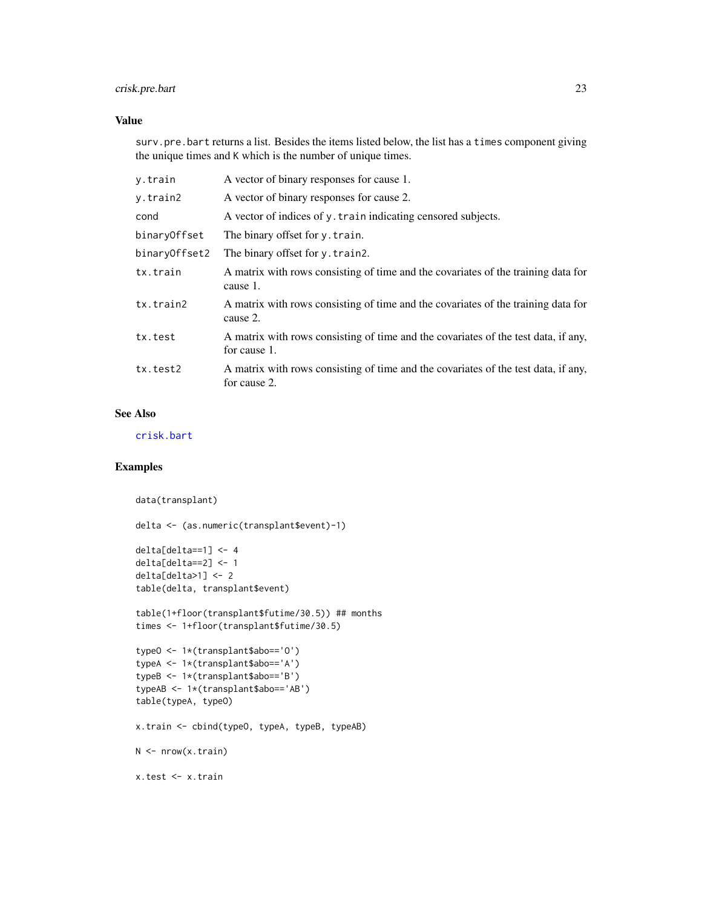# crisk.pre.bart 23

# Value

surv.pre.bart returns a list. Besides the items listed below, the list has a times component giving the unique times and K which is the number of unique times.

| y.train       | A vector of binary responses for cause 1.                                                          |
|---------------|----------------------------------------------------------------------------------------------------|
| y.train2      | A vector of binary responses for cause 2.                                                          |
| cond          | A vector of indices of y. train indicating censored subjects.                                      |
| binaryOffset  | The binary offset for y. train.                                                                    |
| binaryOffset2 | The binary offset for y. train2.                                                                   |
| tx.train      | A matrix with rows consisting of time and the covariates of the training data for<br>cause 1.      |
| tx.train2     | A matrix with rows consisting of time and the covariates of the training data for<br>cause 2.      |
| tx.test       | A matrix with rows consisting of time and the covariates of the test data, if any,<br>for cause 1. |
| tx.test2      | A matrix with rows consisting of time and the covariates of the test data, if any,<br>for cause 2. |

#### See Also

[crisk.bart](#page-15-1)

# Examples

```
data(transplant)
delta <- (as.numeric(transplant$event)-1)
delta[delta=-1] < -4delta[delta==2] <- 1
delta[delta>1] < -2table(delta, transplant$event)
table(1+floor(transplant$futime/30.5)) ## months
times <- 1+floor(transplant$futime/30.5)
typeO <- 1*(transplant$abo=='O')
typeA <- 1*(transplant$abo=='A')
typeB <- 1*(transplant$abo=='B')
typeAB <- 1*(transplant$abo=='AB')
table(typeA, typeO)
x.train <- cbind(typeO, typeA, typeB, typeAB)
N <- nrow(x.train)
x.test <- x.train
```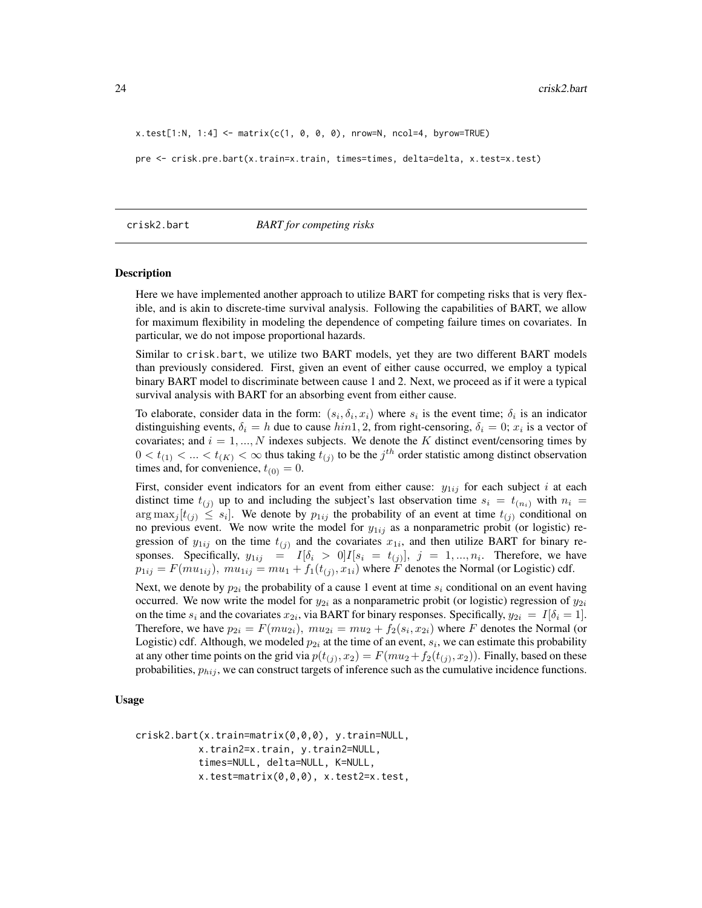<span id="page-23-0"></span> $x.test[1:N, 1:4] \leftarrow matrix(c(1, 0, 0, 0), nrow=N, ncol=4, byrow=TRUE)$ 

pre <- crisk.pre.bart(x.train=x.train, times=times, delta=delta, x.test=x.test)

#### <span id="page-23-1"></span>crisk2.bart *BART for competing risks*

#### **Description**

Here we have implemented another approach to utilize BART for competing risks that is very flexible, and is akin to discrete-time survival analysis. Following the capabilities of BART, we allow for maximum flexibility in modeling the dependence of competing failure times on covariates. In particular, we do not impose proportional hazards.

Similar to crisk.bart, we utilize two BART models, yet they are two different BART models than previously considered. First, given an event of either cause occurred, we employ a typical binary BART model to discriminate between cause 1 and 2. Next, we proceed as if it were a typical survival analysis with BART for an absorbing event from either cause.

To elaborate, consider data in the form:  $(s_i, \delta_i, x_i)$  where  $s_i$  is the event time;  $\delta_i$  is an indicator distinguishing events,  $\delta_i = h$  due to cause  $hin1, 2$ , from right-censoring,  $\delta_i = 0$ ;  $x_i$  is a vector of covariates; and  $i = 1, ..., N$  indexes subjects. We denote the K distinct event/censoring times by  $0 < t_{(1)} < ... < t_{(K)} < \infty$  thus taking  $t_{(j)}$  to be the  $j^{th}$  order statistic among distinct observation times and, for convenience,  $t_{(0)} = 0$ .

First, consider event indicators for an event from either cause:  $y_{1ij}$  for each subject i at each distinct time  $t_{(i)}$  up to and including the subject's last observation time  $s_i = t_{(n_i)}$  with  $n_i =$  $\arg \max_j [t_{(j)} \leq s_i]$ . We denote by  $p_{1ij}$  the probability of an event at time  $t_{(j)}$  conditional on no previous event. We now write the model for  $y_{1ij}$  as a nonparametric probit (or logistic) regression of  $y_{1ij}$  on the time  $t_{(j)}$  and the covariates  $x_{1i}$ , and then utilize BART for binary responses. Specifically,  $y_{1ij} = I[\delta_i > 0]I[s_i = t_{(j)}], j = 1, ..., n_i$ . Therefore, we have  $p_{1ij} = F(mu_{1ij}), \ mu_{1ij} = mu_1 + f_1(t_{(j)}, x_{1i})$  where F denotes the Normal (or Logistic) cdf.

Next, we denote by  $p_{2i}$  the probability of a cause 1 event at time  $s_i$  conditional on an event having occurred. We now write the model for  $y_{2i}$  as a nonparametric probit (or logistic) regression of  $y_{2i}$ on the time  $s_i$  and the covariates  $x_{2i}$ , via BART for binary responses. Specifically,  $y_{2i} = I[\delta_i = 1]$ . Therefore, we have  $p_{2i} = F(m u_{2i})$ ,  $mu_{2i} = m u_2 + f_2(s_i, x_{2i})$  where F denotes the Normal (or Logistic) cdf. Although, we modeled  $p_{2i}$  at the time of an event,  $s_i$ , we can estimate this probability at any other time points on the grid via  $p(t_{(j)}, x_2) = F(mu_2 + f_2(t_{(j)}, x_2))$ . Finally, based on these probabilities,  $p_{hij}$ , we can construct targets of inference such as the cumulative incidence functions.

#### Usage

```
crisk2.bart(x.train=matrix(0,0,0), y.train=NULL,
           x.train2=x.train, y.train2=NULL,
           times=NULL, delta=NULL, K=NULL,
           x.test=matrix(0,0,0), x.test2=x.test,
```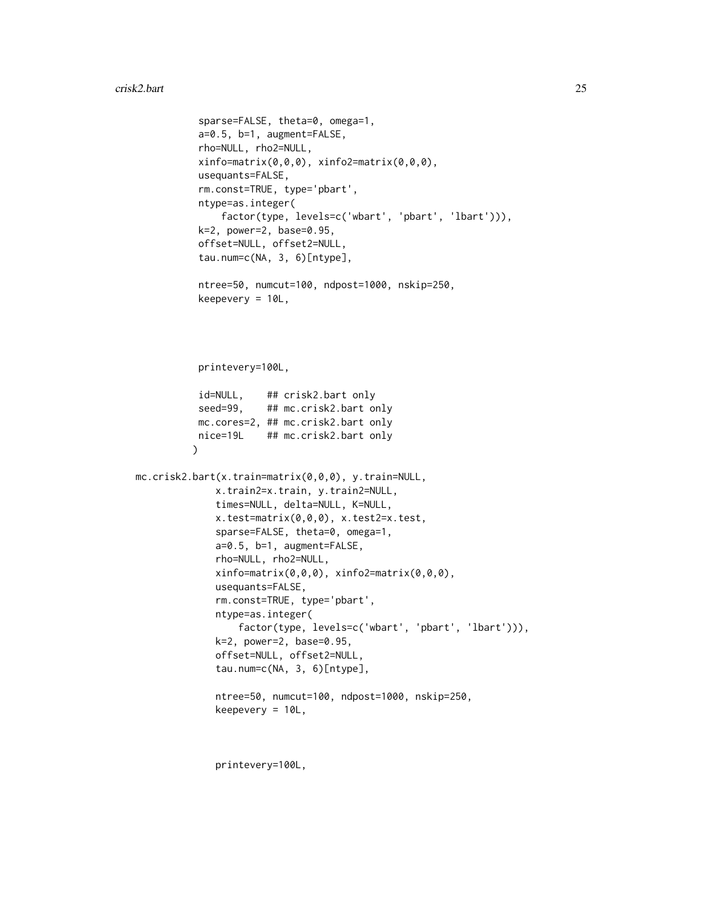```
sparse=FALSE, theta=0, omega=1,
           a=0.5, b=1, augment=FALSE,
           rho=NULL, rho2=NULL,
           xinfo=matrix(0,0,0), xinfo2=matrix(0,0,0),
           usequants=FALSE,
           rm.const=TRUE, type='pbart',
           ntype=as.integer(
               factor(type, levels=c('wbart', 'pbart', 'lbart'))),
           k=2, power=2, base=0.95,
           offset=NULL, offset2=NULL,
           tau.num=c(NA, 3, 6)[ntype],
           ntree=50, numcut=100, ndpost=1000, nskip=250,
           keepevery = 10L,
          printevery=100L,
           id=NULL, ## crisk2.bart only
           seed=99, ## mc.crisk2.bart only
          mc.cores=2, ## mc.crisk2.bart only
          nice=19L ## mc.crisk2.bart only
          \lambdamc.crisk2.bart(x.train=matrix(0,0,0), y.train=NULL,
              x.train2=x.train, y.train2=NULL,
              times=NULL, delta=NULL, K=NULL,
              x.test=matrix(0,0,0), x.test2=x.test,
              sparse=FALSE, theta=0, omega=1,
              a=0.5, b=1, augment=FALSE,
              rho=NULL, rho2=NULL,
              xinfo=matrix(0,0,0), xinfo2=matrix(0,0,0),
              usequants=FALSE,
              rm.const=TRUE, type='pbart',
              ntype=as.integer(
                  factor(type, levels=c('wbart', 'pbart', 'lbart'))),
              k=2, power=2, base=0.95,
              offset=NULL, offset2=NULL,
              tau.num=c(NA, 3, 6)[ntype],
              ntree=50, numcut=100, ndpost=1000, nskip=250,
              keepevery = 10L,
```
printevery=100L,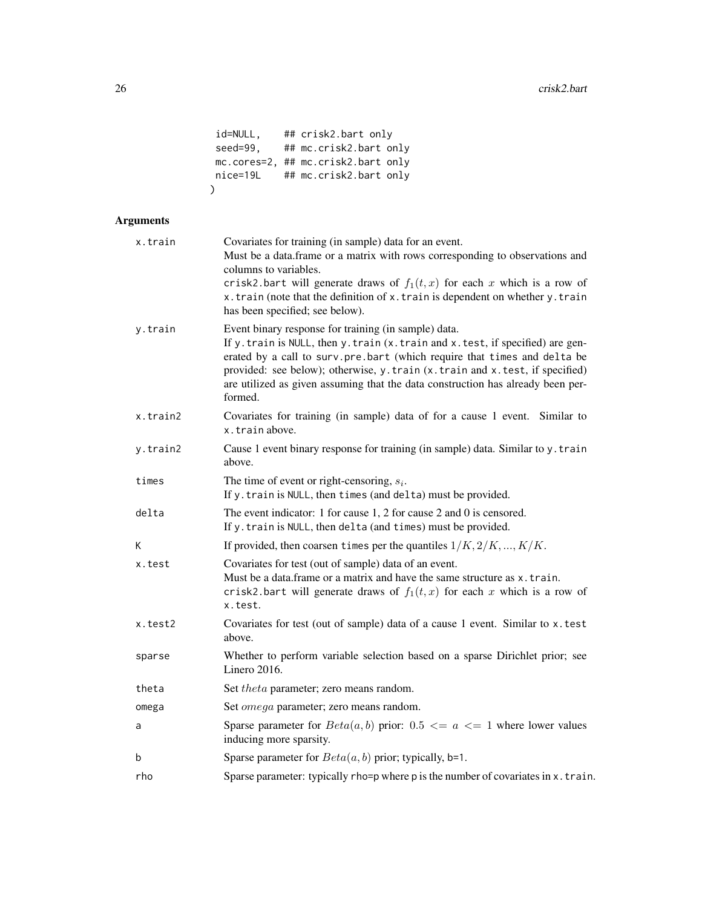```
id=NULL, ## crisk2.bart only
seed=99, ## mc.crisk2.bart only
mc.cores=2, ## mc.crisk2.bart only
nice=19L ## mc.crisk2.bart only
\mathcal{L}
```
# Arguments

| x.train  | Covariates for training (in sample) data for an event.<br>Must be a data.frame or a matrix with rows corresponding to observations and<br>columns to variables.<br>crisk2.bart will generate draws of $f_1(t, x)$ for each x which is a row of<br>x.train (note that the definition of x.train is dependent on whether y.train<br>has been specified; see below).                                 |  |
|----------|---------------------------------------------------------------------------------------------------------------------------------------------------------------------------------------------------------------------------------------------------------------------------------------------------------------------------------------------------------------------------------------------------|--|
| y.train  | Event binary response for training (in sample) data.<br>If y. train is NULL, then y. train (x. train and x. test, if specified) are gen-<br>erated by a call to surv.pre.bart (which require that times and delta be<br>provided: see below); otherwise, y.train (x.train and x.test, if specified)<br>are utilized as given assuming that the data construction has already been per-<br>formed. |  |
| x.train2 | Covariates for training (in sample) data of for a cause 1 event. Similar to<br>x.trainabove.                                                                                                                                                                                                                                                                                                      |  |
| y.train2 | Cause 1 event binary response for training (in sample) data. Similar to y. train<br>above.                                                                                                                                                                                                                                                                                                        |  |
| times    | The time of event or right-censoring, $s_i$ .<br>If y. train is NULL, then times (and delta) must be provided.                                                                                                                                                                                                                                                                                    |  |
| delta    | The event indicator: 1 for cause 1, 2 for cause 2 and 0 is censored.<br>If y. train is NULL, then delta (and times) must be provided.                                                                                                                                                                                                                                                             |  |
| К        | If provided, then coarsen times per the quantiles $1/K, 2/K, , K/K$ .                                                                                                                                                                                                                                                                                                                             |  |
| x.test   | Covariates for test (out of sample) data of an event.<br>Must be a data.frame or a matrix and have the same structure as x.train.<br>crisk2.bart will generate draws of $f_1(t, x)$ for each x which is a row of<br>x.test.                                                                                                                                                                       |  |
| x.test2  | Covariates for test (out of sample) data of a cause 1 event. Similar to x.test<br>above.                                                                                                                                                                                                                                                                                                          |  |
| sparse   | Whether to perform variable selection based on a sparse Dirichlet prior; see<br>Linero 2016.                                                                                                                                                                                                                                                                                                      |  |
| theta    | Set theta parameter; zero means random.                                                                                                                                                                                                                                                                                                                                                           |  |
| omega    | Set <i>omega</i> parameter; zero means random.                                                                                                                                                                                                                                                                                                                                                    |  |
| a        | Sparse parameter for $Beta(a, b)$ prior: $0.5 \le a \le 1$ where lower values<br>inducing more sparsity.                                                                                                                                                                                                                                                                                          |  |
| b        | Sparse parameter for $Beta(a, b)$ prior; typically, b=1.                                                                                                                                                                                                                                                                                                                                          |  |
| rho      | Sparse parameter: typically rho=p where p is the number of covariates in x. train.                                                                                                                                                                                                                                                                                                                |  |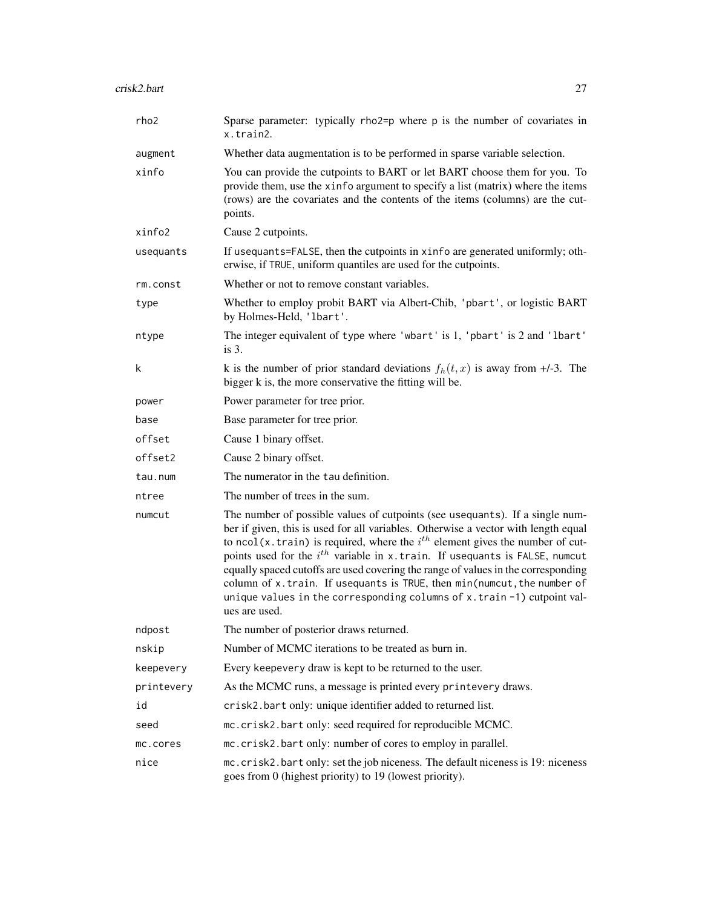| rho2       | Sparse parameter: typically rho2=p where p is the number of covariates in<br>x.train2.                                                                                                                                                                                                                                                                                                                                                                                                                                                                                                                         |  |
|------------|----------------------------------------------------------------------------------------------------------------------------------------------------------------------------------------------------------------------------------------------------------------------------------------------------------------------------------------------------------------------------------------------------------------------------------------------------------------------------------------------------------------------------------------------------------------------------------------------------------------|--|
| augment    | Whether data augmentation is to be performed in sparse variable selection.                                                                                                                                                                                                                                                                                                                                                                                                                                                                                                                                     |  |
| xinfo      | You can provide the cutpoints to BART or let BART choose them for you. To<br>provide them, use the xinfo argument to specify a list (matrix) where the items<br>(rows) are the covariates and the contents of the items (columns) are the cut-<br>points.                                                                                                                                                                                                                                                                                                                                                      |  |
| xinfo2     | Cause 2 cutpoints.                                                                                                                                                                                                                                                                                                                                                                                                                                                                                                                                                                                             |  |
| usequants  | If usequants=FALSE, then the cutpoints in xinfo are generated uniformly; oth-<br>erwise, if TRUE, uniform quantiles are used for the cutpoints.                                                                                                                                                                                                                                                                                                                                                                                                                                                                |  |
| rm.const   | Whether or not to remove constant variables.                                                                                                                                                                                                                                                                                                                                                                                                                                                                                                                                                                   |  |
| type       | Whether to employ probit BART via Albert-Chib, 'pbart', or logistic BART<br>by Holmes-Held, 'lbart'.                                                                                                                                                                                                                                                                                                                                                                                                                                                                                                           |  |
| ntype      | The integer equivalent of type where 'wbart' is 1, 'pbart' is 2 and 'lbart'<br>is $3$ .                                                                                                                                                                                                                                                                                                                                                                                                                                                                                                                        |  |
| k          | k is the number of prior standard deviations $f_h(t, x)$ is away from +/-3. The<br>bigger k is, the more conservative the fitting will be.                                                                                                                                                                                                                                                                                                                                                                                                                                                                     |  |
| power      | Power parameter for tree prior.                                                                                                                                                                                                                                                                                                                                                                                                                                                                                                                                                                                |  |
| base       | Base parameter for tree prior.                                                                                                                                                                                                                                                                                                                                                                                                                                                                                                                                                                                 |  |
| offset     | Cause 1 binary offset.                                                                                                                                                                                                                                                                                                                                                                                                                                                                                                                                                                                         |  |
| offset2    | Cause 2 binary offset.                                                                                                                                                                                                                                                                                                                                                                                                                                                                                                                                                                                         |  |
| tau.num    | The numerator in the tau definition.                                                                                                                                                                                                                                                                                                                                                                                                                                                                                                                                                                           |  |
| ntree      | The number of trees in the sum.                                                                                                                                                                                                                                                                                                                                                                                                                                                                                                                                                                                |  |
| numcut     | The number of possible values of cutpoints (see usequants). If a single num-<br>ber if given, this is used for all variables. Otherwise a vector with length equal<br>to ncol(x.train) is required, where the $i^{th}$ element gives the number of cut-<br>points used for the $i^{th}$ variable in x. train. If usequants is FALSE, numcut<br>equally spaced cutoffs are used covering the range of values in the corresponding<br>column of x.train. If usequants is TRUE, then min(numcut, the number of<br>unique values in the corresponding columns of $x$ . train $-1$ ) cutpoint val-<br>ues are used. |  |
| ndpost     | The number of posterior draws returned.                                                                                                                                                                                                                                                                                                                                                                                                                                                                                                                                                                        |  |
| nskip      | Number of MCMC iterations to be treated as burn in.                                                                                                                                                                                                                                                                                                                                                                                                                                                                                                                                                            |  |
| keepevery  | Every keepevery draw is kept to be returned to the user.                                                                                                                                                                                                                                                                                                                                                                                                                                                                                                                                                       |  |
| printevery | As the MCMC runs, a message is printed every printevery draws.                                                                                                                                                                                                                                                                                                                                                                                                                                                                                                                                                 |  |
| id         | crisk2.bart only: unique identifier added to returned list.                                                                                                                                                                                                                                                                                                                                                                                                                                                                                                                                                    |  |
| seed       | mc.crisk2.bart only: seed required for reproducible MCMC.                                                                                                                                                                                                                                                                                                                                                                                                                                                                                                                                                      |  |
| mc.cores   | mc.crisk2.bart only: number of cores to employ in parallel.                                                                                                                                                                                                                                                                                                                                                                                                                                                                                                                                                    |  |
| nice       | mc.crisk2.bart only: set the job niceness. The default niceness is 19: niceness<br>goes from 0 (highest priority) to 19 (lowest priority).                                                                                                                                                                                                                                                                                                                                                                                                                                                                     |  |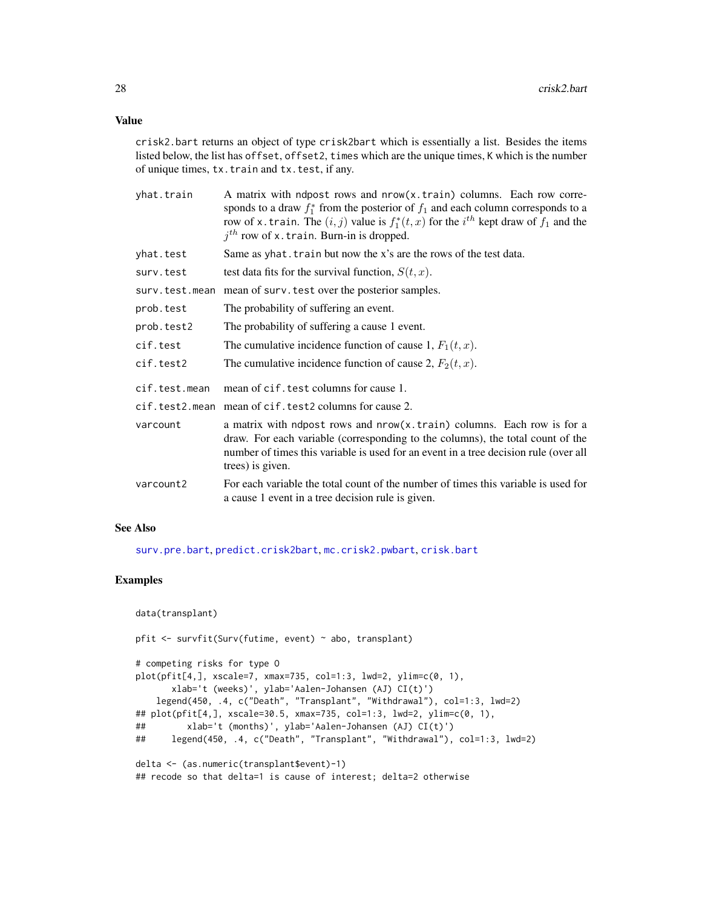crisk2.bart returns an object of type crisk2bart which is essentially a list. Besides the items listed below, the list has offset, offset2, times which are the unique times, K which is the number of unique times, tx.train and tx.test, if any.

| yhat.train     | A matrix with ndpost rows and nrow(x.train) columns. Each row corre-<br>sponds to a draw $f_1^*$ from the posterior of $f_1$ and each column corresponds to a<br>row of x. train. The $(i, j)$ value is $f_1^*(t, x)$ for the $i^{th}$ kept draw of $f_1$ and the<br>$jth$ row of x. train. Burn-in is dropped. |  |
|----------------|-----------------------------------------------------------------------------------------------------------------------------------------------------------------------------------------------------------------------------------------------------------------------------------------------------------------|--|
| yhat.test      | Same as yhat. train but now the x's are the rows of the test data.                                                                                                                                                                                                                                              |  |
| surv.test      | test data fits for the survival function, $S(t, x)$ .                                                                                                                                                                                                                                                           |  |
| surv.test.mean | mean of surv. test over the posterior samples.                                                                                                                                                                                                                                                                  |  |
| prob.test      | The probability of suffering an event.                                                                                                                                                                                                                                                                          |  |
| prob.test2     | The probability of suffering a cause 1 event.                                                                                                                                                                                                                                                                   |  |
| cif.test       | The cumulative incidence function of cause 1, $F_1(t, x)$ .                                                                                                                                                                                                                                                     |  |
| cif.test2      | The cumulative incidence function of cause 2, $F_2(t, x)$ .                                                                                                                                                                                                                                                     |  |
| cif.test.mean  | mean of cif. test columns for cause 1.                                                                                                                                                                                                                                                                          |  |
|                | cif.test2.mean mean of cif.test2 columns for cause 2.                                                                                                                                                                                                                                                           |  |
| varcount       | a matrix with ndpost rows and nrow(x.train) columns. Each row is for a<br>draw. For each variable (corresponding to the columns), the total count of the<br>number of times this variable is used for an event in a tree decision rule (over all<br>trees) is given.                                            |  |
| varcount2      | For each variable the total count of the number of times this variable is used for<br>a cause 1 event in a tree decision rule is given.                                                                                                                                                                         |  |

# See Also

[surv.pre.bart](#page-128-1), [predict.crisk2bart](#page-82-1), [mc.crisk2.pwbart](#page-56-1), [crisk.bart](#page-15-1)

#### Examples

```
data(transplant)
pfit <- survfit(Surv(futime, event) ~ abo, transplant)
# competing risks for type O
plot(pfit[4,], xscale=7, xmax=735, col=1:3, lwd=2, ylim=c(0, 1),
      xlab='t (weeks)', ylab='Aalen-Johansen (AJ) CI(t)')
   legend(450, .4, c("Death", "Transplant", "Withdrawal"), col=1:3, lwd=2)
## plot(pfit[4,], xscale=30.5, xmax=735, col=1:3, lwd=2, ylim=c(0, 1),
## xlab='t (months)', ylab='Aalen-Johansen (AJ) CI(t)')
## legend(450, .4, c("Death", "Transplant", "Withdrawal"), col=1:3, lwd=2)
delta <- (as.numeric(transplant$event)-1)
## recode so that delta=1 is cause of interest; delta=2 otherwise
```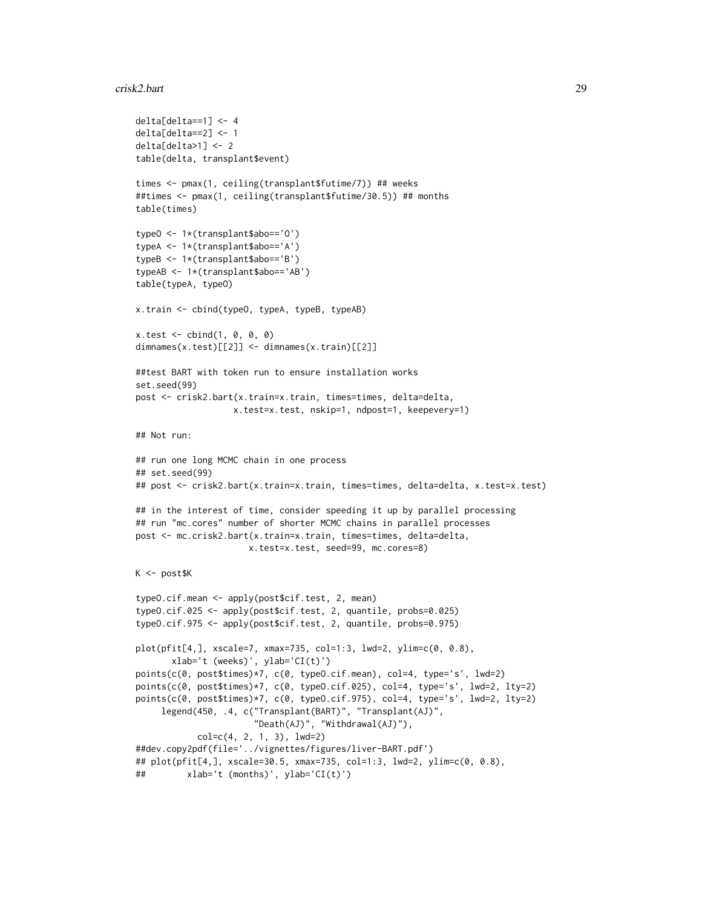#### crisk2.bart 29

```
delta[delta==1] <- 4
delta[delta==2] <- 1
delta[delta>1] <- 2
table(delta, transplant$event)
times <- pmax(1, ceiling(transplant$futime/7)) ## weeks
##times <- pmax(1, ceiling(transplant$futime/30.5)) ## months
table(times)
typeO <- 1*(transplant$abo=='O')
typeA <- 1*(transplant$abo=='A')
typeB <- 1*(transplant$abo=='B')
typeAB <- 1*(transplant$abo=='AB')
table(typeA, typeO)
x.train <- cbind(typeO, typeA, typeB, typeAB)
x.test < - child(1, 0, 0, 0)dimnames(x.test)[[2]] <- dimnames(x.train)[[2]]
##test BART with token run to ensure installation works
set.seed(99)
post <- crisk2.bart(x.train=x.train, times=times, delta=delta,
                   x.test=x.test, nskip=1, ndpost=1, keepevery=1)
## Not run:
## run one long MCMC chain in one process
## set.seed(99)
## post <- crisk2.bart(x.train=x.train, times=times, delta=delta, x.test=x.test)
## in the interest of time, consider speeding it up by parallel processing
## run "mc.cores" number of shorter MCMC chains in parallel processes
post <- mc.crisk2.bart(x.train=x.train, times=times, delta=delta,
                      x.test=x.test, seed=99, mc.cores=8)
K <- post$K
typeO.cif.mean <- apply(post$cif.test, 2, mean)
typeO.cif.025 <- apply(post$cif.test, 2, quantile, probs=0.025)
typeO.cif.975 <- apply(post$cif.test, 2, quantile, probs=0.975)
plot(pfit[4,], xscale=7, xmax=735, col=1:3, lwd=2, ylim=c(0, 0.8),
       xlab='t (weeks)', ylab='CI(t)')
points(c(0, post$times)*7, c(0, typeO.cif.mean), col=4, type='s', lwd=2)
points(c(0, post$times)*7, c(0, type0.cif.025), col=4, type='s', lwd=2, lty=2)points(c(0, post$times)*7, c(0, typeO.cif.975), col=4, type='s', lwd=2, lty=2)
     legend(450, .4, c("Transplant(BART)", "Transplant(AJ)",
                       "Death(AJ)", "Withdrawal(AJ)"),
            col=c(4, 2, 1, 3), lwd=2)
##dev.copy2pdf(file='../vignettes/figures/liver-BART.pdf')
## plot(pfit[4,], xscale=30.5, xmax=735, col=1:3, lwd=2, ylim=c(0, 0.8),
## xlab='t (months)', ylab='CI(t)')
```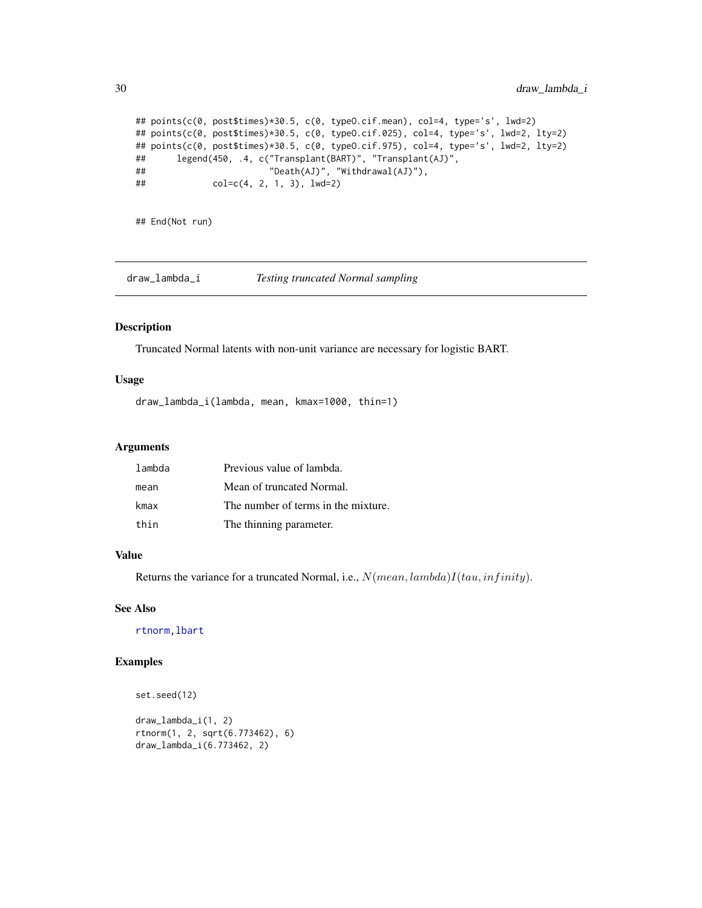```
## points(c(0, post$times)*30.5, c(0, typeO.cif.mean), col=4, type='s', lwd=2)
## points(c(0, post$times)*30.5, c(0, typeO.cif.025), col=4, type='s', lwd=2, lty=2)
## points(c(0, post$times)*30.5, c(0, typeO.cif.975), col=4, type='s', lwd=2, lty=2)
## legend(450, .4, c("Transplant(BART)", "Transplant(AJ)",
\# \# \text{col} = c(4, 2, 1, 3), \text{lwd}=2)<br>\# \text{col} = c(4, 2, 1, 3), \text{lwd}=2)col=c(4, 2, 1, 3), lwd=2)
```
## End(Not run)

draw\_lambda\_i *Testing truncated Normal sampling*

# Description

Truncated Normal latents with non-unit variance are necessary for logistic BART.

#### Usage

draw\_lambda\_i(lambda, mean, kmax=1000, thin=1)

## Arguments

| lambda | Previous value of lambda.           |
|--------|-------------------------------------|
| mean   | Mean of truncated Normal.           |
| kmax   | The number of terms in the mixture. |
| thin   | The thinning parameter.             |

# Value

Returns the variance for a truncated Normal, i.e.,  $N(mean, lambda)I(tau, infinity)$ .

#### See Also

[rtnorm](#page-119-1)[,lbart](#page-37-1)

# Examples

```
set.seed(12)
```
draw\_lambda\_i(1, 2) rtnorm(1, 2, sqrt(6.773462), 6) draw\_lambda\_i(6.773462, 2)

<span id="page-29-0"></span>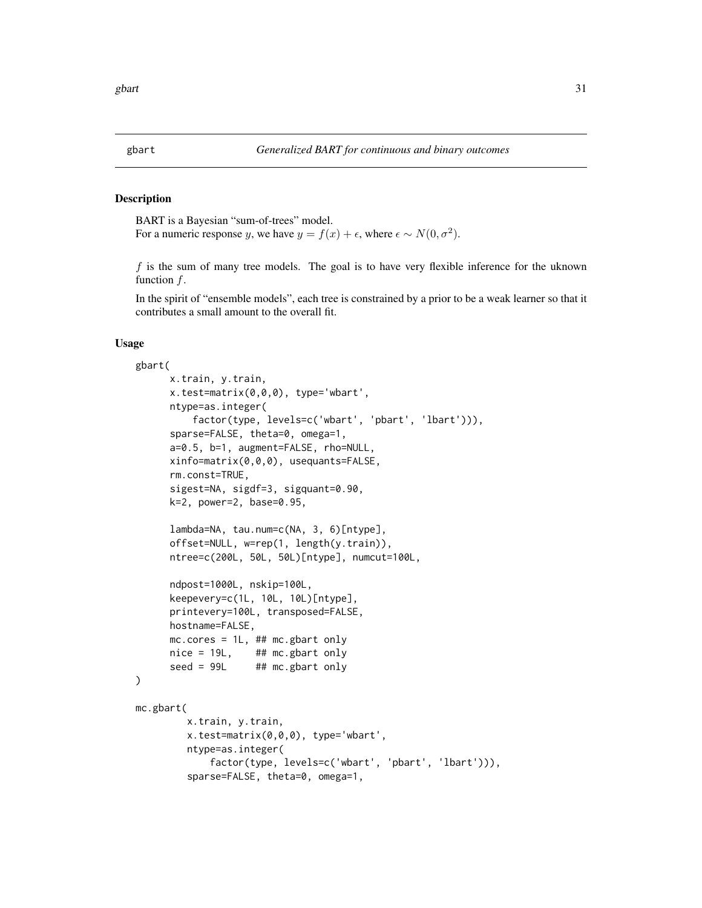#### <span id="page-30-0"></span>Description

BART is a Bayesian "sum-of-trees" model. For a numeric response y, we have  $y = f(x) + \epsilon$ , where  $\epsilon \sim N(0, \sigma^2)$ .

 $f$  is the sum of many tree models. The goal is to have very flexible inference for the uknown function f.

In the spirit of "ensemble models", each tree is constrained by a prior to be a weak learner so that it contributes a small amount to the overall fit.

# Usage

```
gbart(
     x.train, y.train,
     x.test=matrix(0,0,0), type='wbart',
     ntype=as.integer(
          factor(type, levels=c('wbart', 'pbart', 'lbart'))),
     sparse=FALSE, theta=0, omega=1,
     a=0.5, b=1, augment=FALSE, rho=NULL,
     xinfo=matrix(0,0,0), usequants=FALSE,
     rm.const=TRUE,
     sigest=NA, sigdf=3, sigquant=0.90,
     k=2, power=2, base=0.95,
     lambda=NA, tau.num=c(NA, 3, 6)[ntype],
     offset=NULL, w=rep(1, length(y.train)),
     ntree=c(200L, 50L, 50L)[ntype], numcut=100L,
     ndpost=1000L, nskip=100L,
     keepevery=c(1L, 10L, 10L)[ntype],
     printevery=100L, transposed=FALSE,
     hostname=FALSE,
     mc.cores = 1L, ## mc.gbart onlynice = 19L, ## mc.gbart only
     seed = 99L ## mc.gbart only
)
mc.gbart(
         x.train, y.train,
         x.test=matrix(0,0,0), type='wbart',
         ntype=as.integer(
             factor(type, levels=c('wbart', 'pbart', 'lbart'))),
         sparse=FALSE, theta=0, omega=1,
```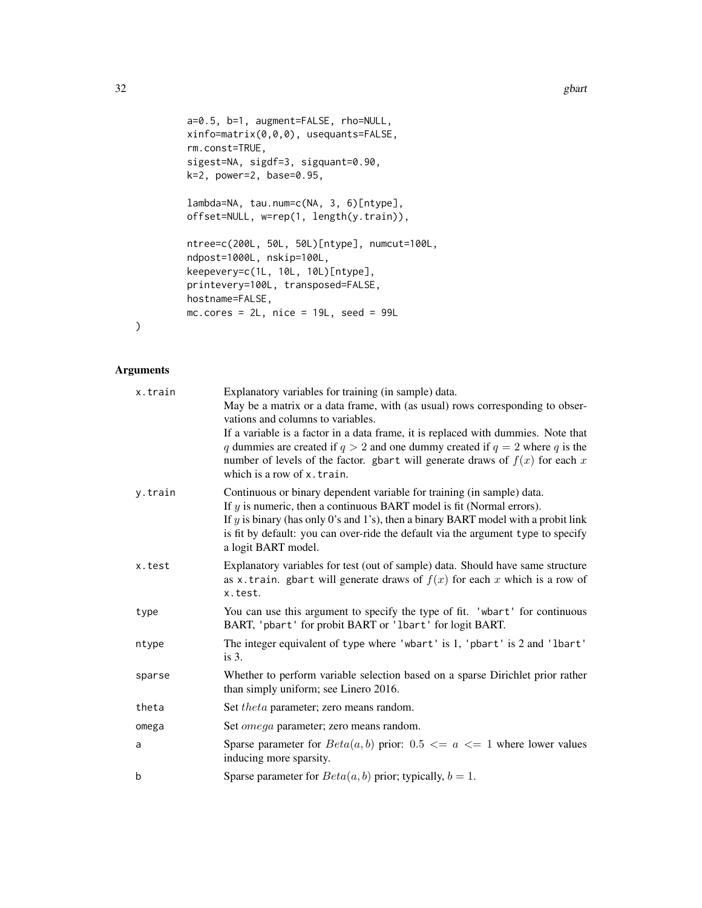```
a=0.5, b=1, augment=FALSE, rho=NULL,
xinfo=matrix(0,0,0), usequants=FALSE,
rm.const=TRUE,
sigest=NA, sigdf=3, sigquant=0.90,
k=2, power=2, base=0.95,
lambda=NA, tau.num=c(NA, 3, 6)[ntype],
offset=NULL, w=rep(1, length(y.train)),
ntree=c(200L, 50L, 50L)[ntype], numcut=100L,
ndpost=1000L, nskip=100L,
keepevery=c(1L, 10L, 10L)[ntype],
printevery=100L, transposed=FALSE,
hostname=FALSE,
mc.cores = 2L, nice = 19L, seed = 99L
```
# Arguments

)

| x.train | Explanatory variables for training (in sample) data.                                                                                                                                              |  |
|---------|---------------------------------------------------------------------------------------------------------------------------------------------------------------------------------------------------|--|
|         | May be a matrix or a data frame, with (as usual) rows corresponding to obser-<br>vations and columns to variables.                                                                                |  |
|         | If a variable is a factor in a data frame, it is replaced with dummies. Note that                                                                                                                 |  |
|         | q dummies are created if $q > 2$ and one dummy created if $q = 2$ where q is the<br>number of levels of the factor. gbart will generate draws of $f(x)$ for each x<br>which is a row of x. train. |  |
| y.train | Continuous or binary dependent variable for training (in sample) data.                                                                                                                            |  |
|         | If $y$ is numeric, then a continuous BART model is fit (Normal errors).                                                                                                                           |  |
|         | If $y$ is binary (has only 0's and 1's), then a binary BART model with a probit link<br>is fit by default: you can over-ride the default via the argument type to specify<br>a logit BART model.  |  |
| x.test  | Explanatory variables for test (out of sample) data. Should have same structure                                                                                                                   |  |
|         | as x.train. gbart will generate draws of $f(x)$ for each x which is a row of<br>x.test.                                                                                                           |  |
| type    | You can use this argument to specify the type of fit. 'wbart' for continuous<br>BART, 'pbart' for probit BART or 'lbart' for logit BART.                                                          |  |
| ntype   | The integer equivalent of type where 'wbart' is 1, 'pbart' is 2 and 'lbart'<br>$is3$ .                                                                                                            |  |
| sparse  | Whether to perform variable selection based on a sparse Dirichlet prior rather<br>than simply uniform; see Linero 2016.                                                                           |  |
| theta   | Set <i>theta</i> parameter; zero means random.                                                                                                                                                    |  |
| omega   | Set <i>omega</i> parameter; zero means random.                                                                                                                                                    |  |
| a       | Sparse parameter for $Beta(a, b)$ prior: $0.5 \le a \le 1$ where lower values<br>inducing more sparsity.                                                                                          |  |
| b       | Sparse parameter for $Beta(a, b)$ prior; typically, $b = 1$ .                                                                                                                                     |  |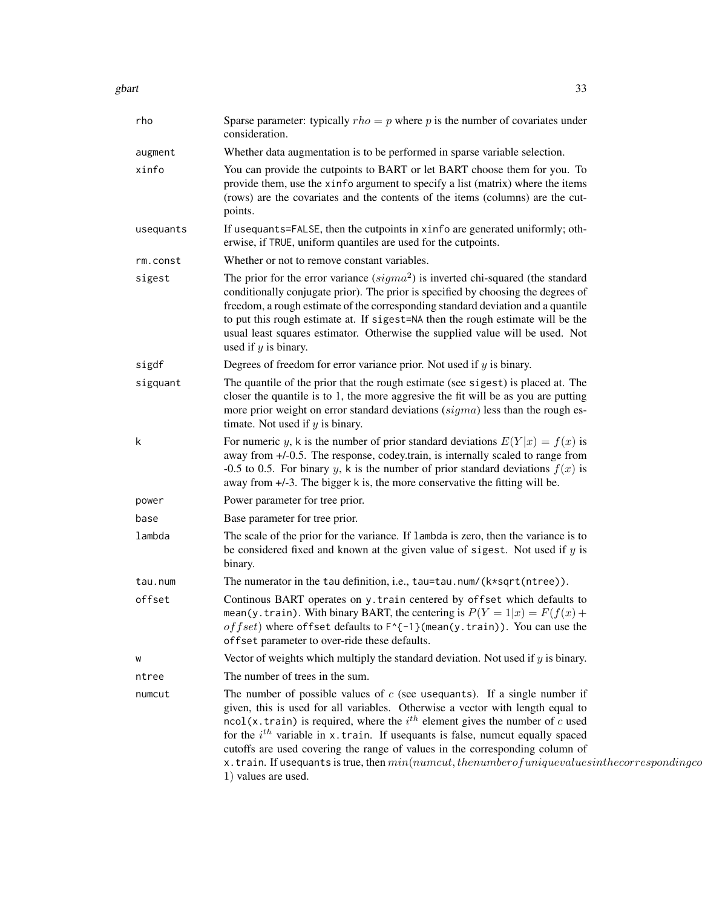gbart  $\sim$  33

| rho       | Sparse parameter: typically $rho = p$ where p is the number of covariates under<br>consideration.                                                                                                                                                                                                                                                                                                                                                                                                                                                       |
|-----------|---------------------------------------------------------------------------------------------------------------------------------------------------------------------------------------------------------------------------------------------------------------------------------------------------------------------------------------------------------------------------------------------------------------------------------------------------------------------------------------------------------------------------------------------------------|
| augment   | Whether data augmentation is to be performed in sparse variable selection.                                                                                                                                                                                                                                                                                                                                                                                                                                                                              |
| xinfo     | You can provide the cutpoints to BART or let BART choose them for you. To<br>provide them, use the xinfo argument to specify a list (matrix) where the items<br>(rows) are the covariates and the contents of the items (columns) are the cut-<br>points.                                                                                                                                                                                                                                                                                               |
| usequants | If usequants=FALSE, then the cutpoints in xinfo are generated uniformly; oth-<br>erwise, if TRUE, uniform quantiles are used for the cutpoints.                                                                                                                                                                                                                                                                                                                                                                                                         |
| rm.const  | Whether or not to remove constant variables.                                                                                                                                                                                                                                                                                                                                                                                                                                                                                                            |
| sigest    | The prior for the error variance $(sigma^2)$ is inverted chi-squared (the standard<br>conditionally conjugate prior). The prior is specified by choosing the degrees of<br>freedom, a rough estimate of the corresponding standard deviation and a quantile<br>to put this rough estimate at. If sigest=NA then the rough estimate will be the<br>usual least squares estimator. Otherwise the supplied value will be used. Not<br>used if $y$ is binary.                                                                                               |
| sigdf     | Degrees of freedom for error variance prior. Not used if $y$ is binary.                                                                                                                                                                                                                                                                                                                                                                                                                                                                                 |
| sigquant  | The quantile of the prior that the rough estimate (see sigest) is placed at. The<br>closer the quantile is to 1, the more aggresive the fit will be as you are putting<br>more prior weight on error standard deviations $(sigma)$ less than the rough es-<br>timate. Not used if $y$ is binary.                                                                                                                                                                                                                                                        |
| k         | For numeric y, k is the number of prior standard deviations $E(Y x) = f(x)$ is<br>away from +/-0.5. The response, codey.train, is internally scaled to range from<br>-0.5 to 0.5. For binary y, k is the number of prior standard deviations $f(x)$ is<br>away from +/-3. The bigger k is, the more conservative the fitting will be.                                                                                                                                                                                                                   |
| power     | Power parameter for tree prior.                                                                                                                                                                                                                                                                                                                                                                                                                                                                                                                         |
| base      | Base parameter for tree prior.                                                                                                                                                                                                                                                                                                                                                                                                                                                                                                                          |
| lambda    | The scale of the prior for the variance. If lambda is zero, then the variance is to<br>be considered fixed and known at the given value of sigest. Not used if $y$ is<br>binary.                                                                                                                                                                                                                                                                                                                                                                        |
| tau.num   | The numerator in the tau definition, i.e., tau=tau.num/(k*sqrt(ntree)).                                                                                                                                                                                                                                                                                                                                                                                                                                                                                 |
| offset    | Continous BART operates on y. train centered by offset which defaults to<br>mean(y.train). With binary BART, the centering is $P(Y = 1 x) = F(f(x)) +$<br>of fset) where of fset defaults to $F^{-1}$ (mean(y.train)). You can use the<br>offset parameter to over-ride these defaults.                                                                                                                                                                                                                                                                 |
| W         | Vector of weights which multiply the standard deviation. Not used if $y$ is binary.                                                                                                                                                                                                                                                                                                                                                                                                                                                                     |
| ntree     | The number of trees in the sum.                                                                                                                                                                                                                                                                                                                                                                                                                                                                                                                         |
| numcut    | The number of possible values of $c$ (see usequants). If a single number if<br>given, this is used for all variables. Otherwise a vector with length equal to<br>$ncol(x, train)$ is required, where the $ith$ element gives the number of c used<br>for the $i^{th}$ variable in x.train. If used uants is false, numerally spaced<br>cutoffs are used covering the range of values in the corresponding column of<br>$x.$ train. If usequants is true, then $min(numcut, the number of unique values in the corresponding col$<br>1) values are used. |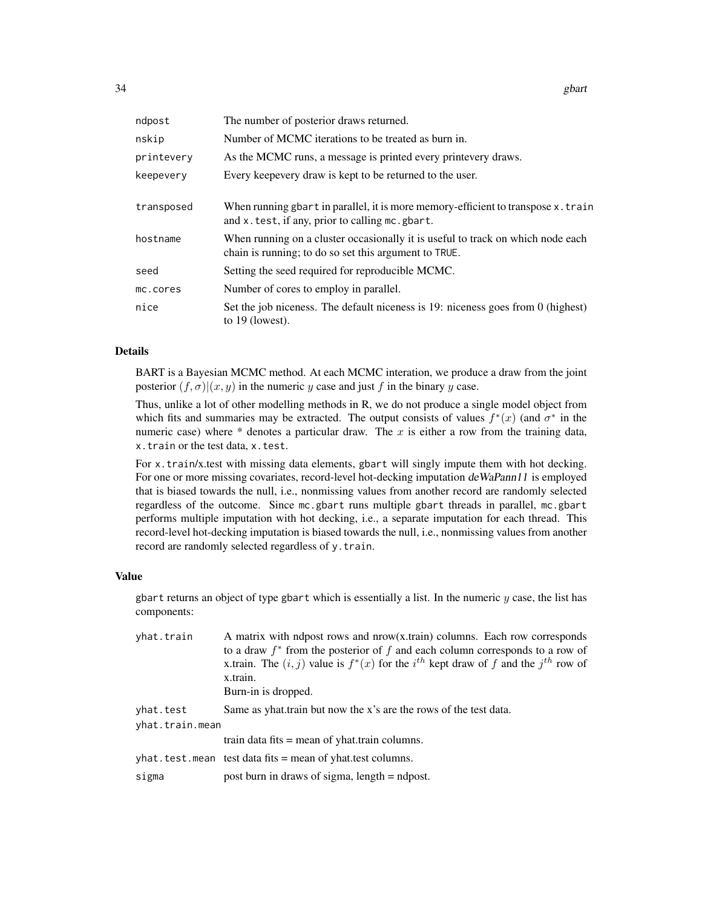| ndpost     | The number of posterior draws returned.                                                                                                  |
|------------|------------------------------------------------------------------------------------------------------------------------------------------|
| nskip      | Number of MCMC iterations to be treated as burn in.                                                                                      |
| printevery | As the MCMC runs, a message is printed every printevery draws.                                                                           |
| keepevery  | Every keepevery draw is kept to be returned to the user.                                                                                 |
| transposed | When running gbart in parallel, it is more memory-efficient to transpose $x$ . train<br>and x. test, if any, prior to calling mc. gbart. |
| hostname   | When running on a cluster occasionally it is useful to track on which node each<br>chain is running; to do so set this argument to TRUE. |
| seed       | Setting the seed required for reproducible MCMC.                                                                                         |
| mc.cores   | Number of cores to employ in parallel.                                                                                                   |
| nice       | Set the job niceness. The default niceness is 19: niceness goes from 0 (highest)<br>to $19$ (lowest).                                    |

#### Details

BART is a Bayesian MCMC method. At each MCMC interation, we produce a draw from the joint posterior  $(f, \sigma) | (x, y)$  in the numeric y case and just f in the binary y case.

Thus, unlike a lot of other modelling methods in R, we do not produce a single model object from which fits and summaries may be extracted. The output consists of values  $f^*(x)$  (and  $\sigma^*$  in the numeric case) where  $*$  denotes a particular draw. The x is either a row from the training data, x.train or the test data, x.test.

For x.train/x.test with missing data elements, gbart will singly impute them with hot decking. For one or more missing covariates, record-level hot-decking imputation deWaPann11 is employed that is biased towards the null, i.e., nonmissing values from another record are randomly selected regardless of the outcome. Since mc.gbart runs multiple gbart threads in parallel, mc.gbart performs multiple imputation with hot decking, i.e., a separate imputation for each thread. This record-level hot-decking imputation is biased towards the null, i.e., nonmissing values from another record are randomly selected regardless of y.train.

#### Value

gbart returns an object of type gbart which is essentially a list. In the numeric  $y$  case, the list has components:

| yhat.train      | A matrix with ndpost rows and nrow(x.train) columns. Each row corresponds<br>to a draw $f^*$ from the posterior of f and each column corresponds to a row of<br>x.train. The $(i, j)$ value is $f^*(x)$ for the $i^{th}$ kept draw of f and the $j^{th}$ row of<br>x.train.<br>Burn-in is dropped. |
|-----------------|----------------------------------------------------------------------------------------------------------------------------------------------------------------------------------------------------------------------------------------------------------------------------------------------------|
| yhat.test       | Same as yhat train but now the x's are the rows of the test data.                                                                                                                                                                                                                                  |
| yhat.train.mean |                                                                                                                                                                                                                                                                                                    |
|                 | train data fits $=$ mean of yhat train columns.                                                                                                                                                                                                                                                    |
|                 | $yhat.test.$ mean test data fits = mean of yhat test columns.                                                                                                                                                                                                                                      |
| sigma           | post burn in draws of sigma, length = ndpost.                                                                                                                                                                                                                                                      |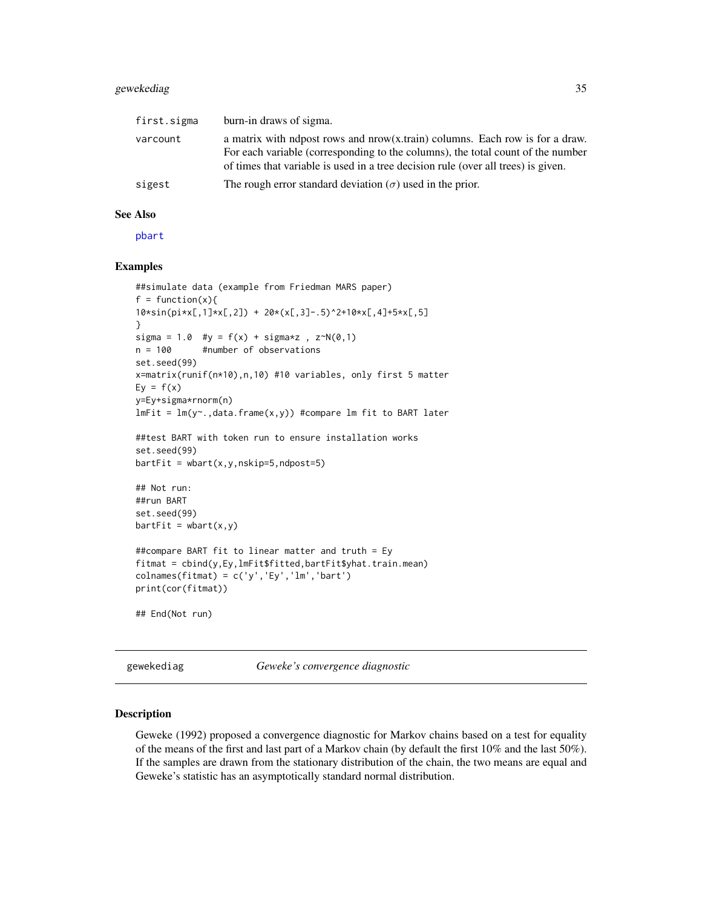# <span id="page-34-0"></span>gewekediag 35

| first.sigma | burn-in draws of sigma.                                                                                                                                                                                                                                 |
|-------------|---------------------------------------------------------------------------------------------------------------------------------------------------------------------------------------------------------------------------------------------------------|
| varcount    | a matrix with ndpost rows and $nrow(x, train)$ columns. Each row is for a draw.<br>For each variable (corresponding to the columns), the total count of the number<br>of times that variable is used in a tree decision rule (over all trees) is given. |
| sigest      | The rough error standard deviation ( $\sigma$ ) used in the prior.                                                                                                                                                                                      |

# See Also

[pbart](#page-77-1)

#### Examples

```
##simulate data (example from Friedman MARS paper)
f = function(x)10*sin(pixL,1]*xL,2]) + 20*(xL,3] - .5)^2+10*xL,4] + 5*xL,5]}
sigma = 1.0 #y = f(x) + sigma*z, z \sim N(0,1)n = 100 #number of observations
set.seed(99)
x=matrix(runif(n*10),n,10) #10 variables, only first 5 matter
Ey = f(x)y=Ey+sigma*rnorm(n)
lmFit = lm(y~. , data frame(x, y)) #compare lm fit to BART later
##test BART with token run to ensure installation works
set.seed(99)
barffit = wbart(x,y,nskip=5,ndpost=5)## Not run:
##run BART
set.seed(99)
barffit = whart(x,y)##compare BART fit to linear matter and truth = Ey
fitmat = cbind(y,Ey,lmFit$fitted,bartFit$yhat.train.mean)
colnames(fitmat) = c('y','Ey','lm','bart')
print(cor(fitmat))
## End(Not run)
```
gewekediag *Geweke's convergence diagnostic*

#### Description

Geweke (1992) proposed a convergence diagnostic for Markov chains based on a test for equality of the means of the first and last part of a Markov chain (by default the first 10% and the last 50%). If the samples are drawn from the stationary distribution of the chain, the two means are equal and Geweke's statistic has an asymptotically standard normal distribution.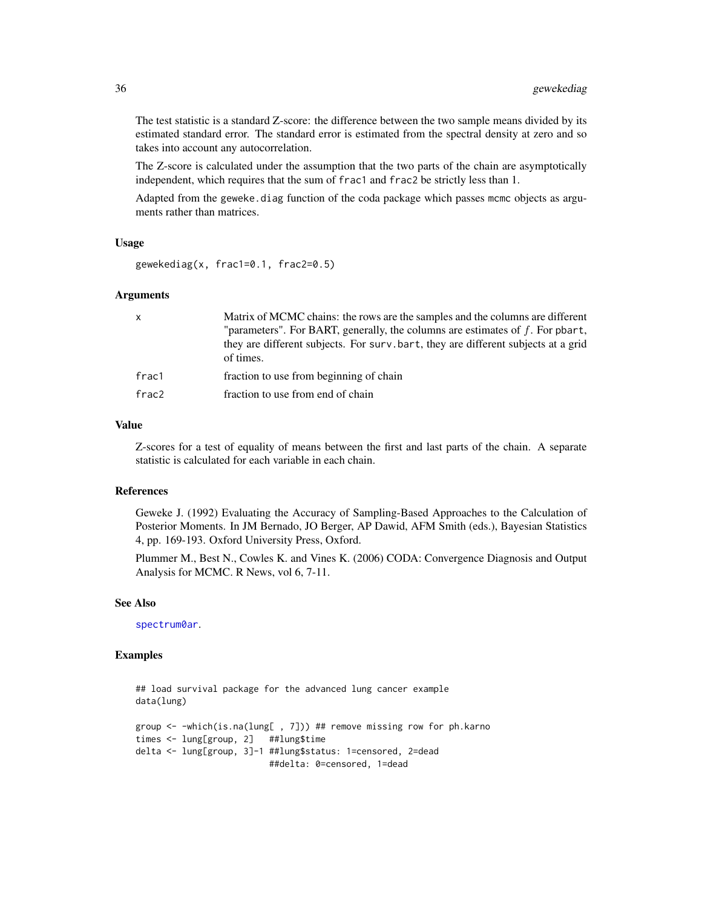The test statistic is a standard Z-score: the difference between the two sample means divided by its estimated standard error. The standard error is estimated from the spectral density at zero and so takes into account any autocorrelation.

The Z-score is calculated under the assumption that the two parts of the chain are asymptotically independent, which requires that the sum of frac1 and frac2 be strictly less than 1.

Adapted from the geweke.diag function of the coda package which passes mcmc objects as arguments rather than matrices.

#### Usage

```
gewekediag(x, frac1=0.1, frac2=0.5)
```
#### Arguments

| X                 | Matrix of MCMC chains: the rows are the samples and the columns are different                  |
|-------------------|------------------------------------------------------------------------------------------------|
|                   | "parameters". For BART, generally, the columns are estimates of $f$ . For pbart,               |
|                   | they are different subjects. For surv bart, they are different subjects at a grid<br>of times. |
| frac1             | fraction to use from beginning of chain                                                        |
| frac <sub>2</sub> | fraction to use from end of chain                                                              |
|                   |                                                                                                |

## Value

Z-scores for a test of equality of means between the first and last parts of the chain. A separate statistic is calculated for each variable in each chain.

## References

Geweke J. (1992) Evaluating the Accuracy of Sampling-Based Approaches to the Calculation of Posterior Moments. In JM Bernado, JO Berger, AP Dawid, AFM Smith (eds.), Bayesian Statistics 4, pp. 169-193. Oxford University Press, Oxford.

Plummer M., Best N., Cowles K. and Vines K. (2006) CODA: Convergence Diagnosis and Output Analysis for MCMC. R News, vol 6, 7-11.

## See Also

[spectrum0ar](#page-120-1).

# Examples

```
## load survival package for the advanced lung cancer example
data(lung)
group <- -which(is.na(lung[ , 7])) ## remove missing row for ph.karno
times <- lung[group, 2] ##lung$time
delta <- lung[group, 3]-1 ##lung$status: 1=censored, 2=dead
                         ##delta: 0=censored, 1=dead
```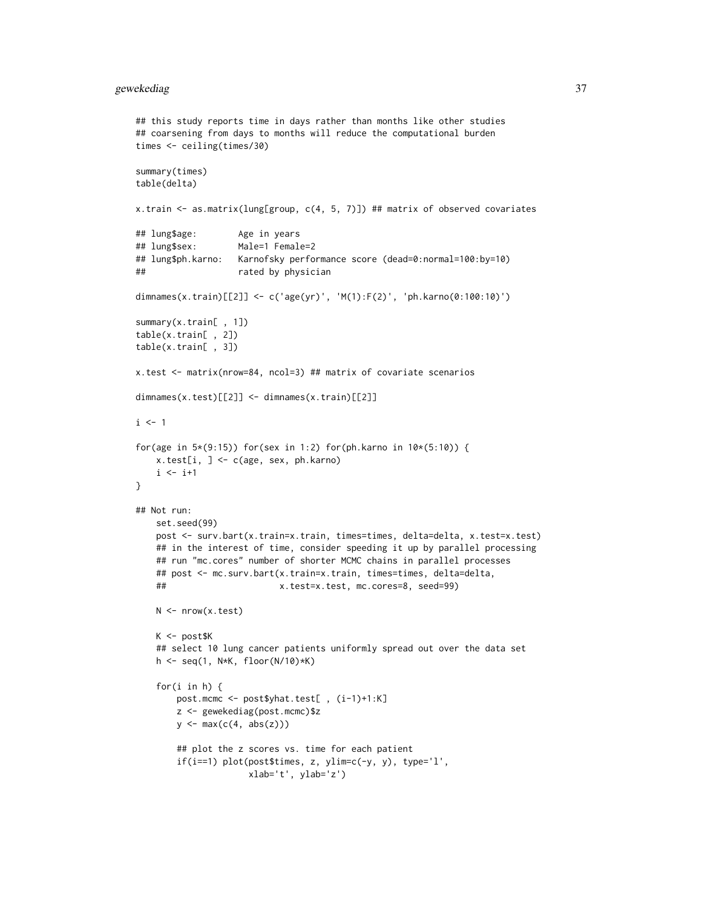# gewekediag 37

```
## this study reports time in days rather than months like other studies
## coarsening from days to months will reduce the computational burden
times <- ceiling(times/30)
summary(times)
table(delta)
x.train <- as.matrix(lung[group, c(4, 5, 7)]) ## matrix of observed covariates
## lung$age: Age in years
## lung$sex: Male=1 Female=2
## lung$ph.karno: Karnofsky performance score (dead=0:normal=100:by=10)
## rated by physician
dimnames(x.train)[[2]] <- c('age(yr)', 'M(1):F(2)', 'ph.karno(0:100:10)')
summary(x.train[ , 1])
table(x.train[ , 2])
table(x.train[ , 3])
x.test <- matrix(nrow=84, ncol=3) ## matrix of covariate scenarios
dimnames(x.test)[[2]] <- dimnames(x.train)[[2]]
i \leq 1for(age in 5*(9:15)) for(sex in 1:2) for(ph.karno in 10*(5:10)) {
   x.test[i, ] <- c(age, sex, ph.karno)
   i \leftarrow i+1}
## Not run:
   set.seed(99)
   post <- surv.bart(x.train=x.train, times=times, delta=delta, x.test=x.test)
   ## in the interest of time, consider speeding it up by parallel processing
   ## run "mc.cores" number of shorter MCMC chains in parallel processes
   ## post <- mc.surv.bart(x.train=x.train, times=times, delta=delta,
   ## x.test=x.test, mc.cores=8, seed=99)
   N <- nrow(x.test)K <- post$K
   ## select 10 lung cancer patients uniformly spread out over the data set
   h <- seq(1, N*K, floor(N/10)*K)
    for(i in h) {
       post.mcmc <- post$yhat.test[ , (i-1)+1:K]
       z <- gewekediag(post.mcmc)$z
       y <- max(c(4, abs(z)))
       ## plot the z scores vs. time for each patient
       if(i==1) plot(post$times, z, ylim=c(-y, y), type='l',
                     xlab='t', ylab='z')
```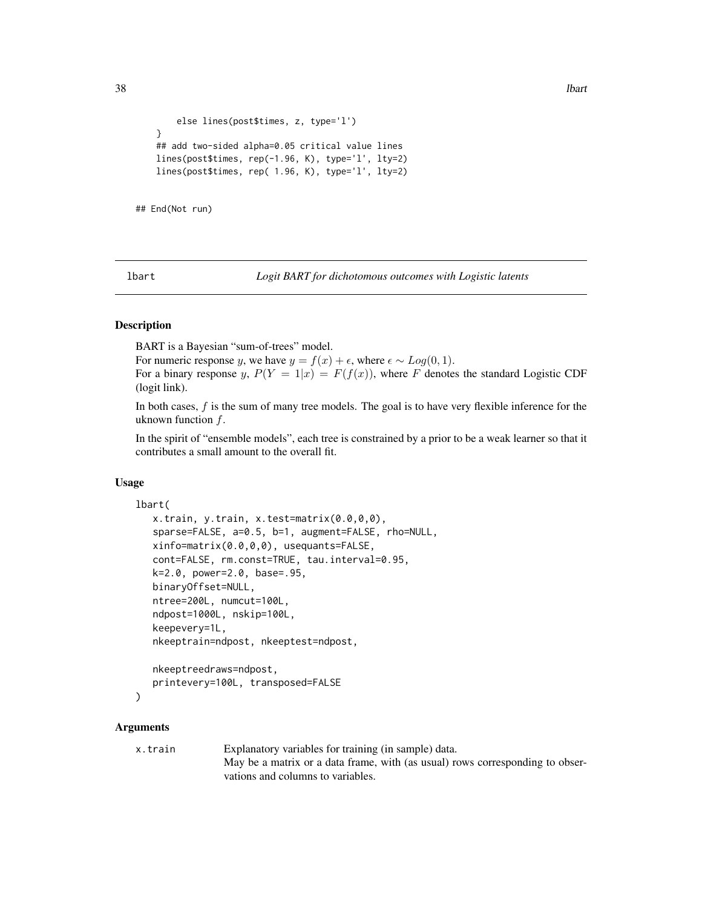```
else lines(post$times, z, type='l')
}
## add two-sided alpha=0.05 critical value lines
lines(post$times, rep(-1.96, K), type='l', lty=2)
lines(post$times, rep( 1.96, K), type='l', lty=2)
```
## End(Not run)

<span id="page-37-0"></span>lbart *Logit BART for dichotomous outcomes with Logistic latents*

## Description

BART is a Bayesian "sum-of-trees" model.

For numeric response y, we have  $y = f(x) + \epsilon$ , where  $\epsilon \sim Log(0, 1)$ . For a binary response y,  $P(Y = 1|x) = F(f(x))$ , where F denotes the standard Logistic CDF (logit link).

In both cases, f is the sum of many tree models. The goal is to have very flexible inference for the uknown function  $f$ .

In the spirit of "ensemble models", each tree is constrained by a prior to be a weak learner so that it contributes a small amount to the overall fit.

## Usage

```
lbart(
```

```
x.train, y.train, x.test=matrix(0.0,0,0),
sparse=FALSE, a=0.5, b=1, augment=FALSE, rho=NULL,
xinfo=matrix(0.0,0,0), usequants=FALSE,
cont=FALSE, rm.const=TRUE, tau.interval=0.95,
k=2.0, power=2.0, base=.95,
binaryOffset=NULL,
ntree=200L, numcut=100L,
ndpost=1000L, nskip=100L,
keepevery=1L,
nkeeptrain=ndpost, nkeeptest=ndpost,
```

```
nkeeptreedraws=ndpost,
printevery=100L, transposed=FALSE
```

```
\lambda
```
## **Arguments**

x.train Explanatory variables for training (in sample) data. May be a matrix or a data frame, with (as usual) rows corresponding to observations and columns to variables.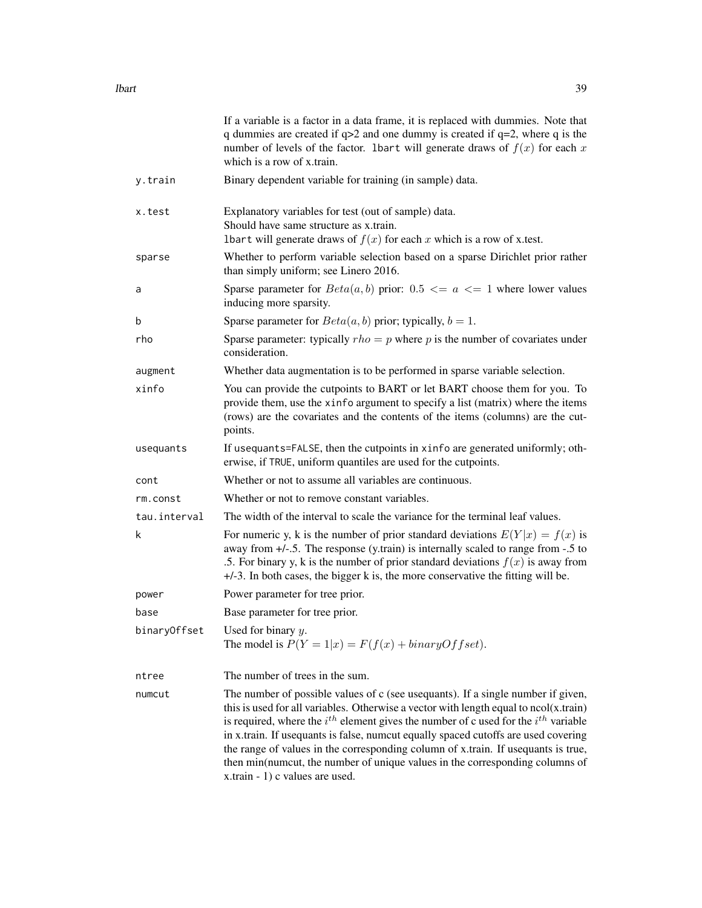|              | If a variable is a factor in a data frame, it is replaced with dummies. Note that<br>q dummies are created if $q>2$ and one dummy is created if $q=2$ , where q is the<br>number of levels of the factor. 1bart will generate draws of $f(x)$ for each x<br>which is a row of x.train.                                                                                                                                                                                                                                                                                     |
|--------------|----------------------------------------------------------------------------------------------------------------------------------------------------------------------------------------------------------------------------------------------------------------------------------------------------------------------------------------------------------------------------------------------------------------------------------------------------------------------------------------------------------------------------------------------------------------------------|
| y.train      | Binary dependent variable for training (in sample) data.                                                                                                                                                                                                                                                                                                                                                                                                                                                                                                                   |
| x.test       | Explanatory variables for test (out of sample) data.<br>Should have same structure as x.train.<br>Ibart will generate draws of $f(x)$ for each x which is a row of x test.                                                                                                                                                                                                                                                                                                                                                                                                 |
| sparse       | Whether to perform variable selection based on a sparse Dirichlet prior rather<br>than simply uniform; see Linero 2016.                                                                                                                                                                                                                                                                                                                                                                                                                                                    |
| a            | Sparse parameter for $Beta(a, b)$ prior: $0.5 \le a \le 1$ where lower values<br>inducing more sparsity.                                                                                                                                                                                                                                                                                                                                                                                                                                                                   |
| b            | Sparse parameter for $Beta(a, b)$ prior; typically, $b = 1$ .                                                                                                                                                                                                                                                                                                                                                                                                                                                                                                              |
| rho          | Sparse parameter: typically $rho = p$ where p is the number of covariates under<br>consideration.                                                                                                                                                                                                                                                                                                                                                                                                                                                                          |
| augment      | Whether data augmentation is to be performed in sparse variable selection.                                                                                                                                                                                                                                                                                                                                                                                                                                                                                                 |
| xinfo        | You can provide the cutpoints to BART or let BART choose them for you. To<br>provide them, use the xinfo argument to specify a list (matrix) where the items<br>(rows) are the covariates and the contents of the items (columns) are the cut-<br>points.                                                                                                                                                                                                                                                                                                                  |
| usequants    | If usequants=FALSE, then the cutpoints in xinfo are generated uniformly; oth-<br>erwise, if TRUE, uniform quantiles are used for the cutpoints.                                                                                                                                                                                                                                                                                                                                                                                                                            |
| cont         | Whether or not to assume all variables are continuous.                                                                                                                                                                                                                                                                                                                                                                                                                                                                                                                     |
| rm.const     | Whether or not to remove constant variables.                                                                                                                                                                                                                                                                                                                                                                                                                                                                                                                               |
| tau.interval | The width of the interval to scale the variance for the terminal leaf values.                                                                                                                                                                                                                                                                                                                                                                                                                                                                                              |
| k            | For numeric y, k is the number of prior standard deviations $E(Y x) = f(x)$ is<br>away from $+/-$ .5. The response (y.train) is internally scaled to range from $-.5$ to<br>.5. For binary y, k is the number of prior standard deviations $f(x)$ is away from<br>+/-3. In both cases, the bigger k is, the more conservative the fitting will be.                                                                                                                                                                                                                         |
| power        | Power parameter for tree prior.                                                                                                                                                                                                                                                                                                                                                                                                                                                                                                                                            |
| base         | Base parameter for tree prior.                                                                                                                                                                                                                                                                                                                                                                                                                                                                                                                                             |
|              | binaryOffset Used for binary $y$ .<br>The model is $P(Y = 1 x) = F(f(x) + binaryOffset)$ .                                                                                                                                                                                                                                                                                                                                                                                                                                                                                 |
| ntree        | The number of trees in the sum.                                                                                                                                                                                                                                                                                                                                                                                                                                                                                                                                            |
| numcut       | The number of possible values of c (see usequants). If a single number if given,<br>this is used for all variables. Otherwise a vector with length equal to $ncol(x, train)$<br>is required, where the $i^{th}$ element gives the number of c used for the $i^{th}$ variable<br>in x.train. If usequants is false, numcut equally spaced cutoffs are used covering<br>the range of values in the corresponding column of x.train. If usequants is true,<br>then min(numcut, the number of unique values in the corresponding columns of<br>x.train - 1) c values are used. |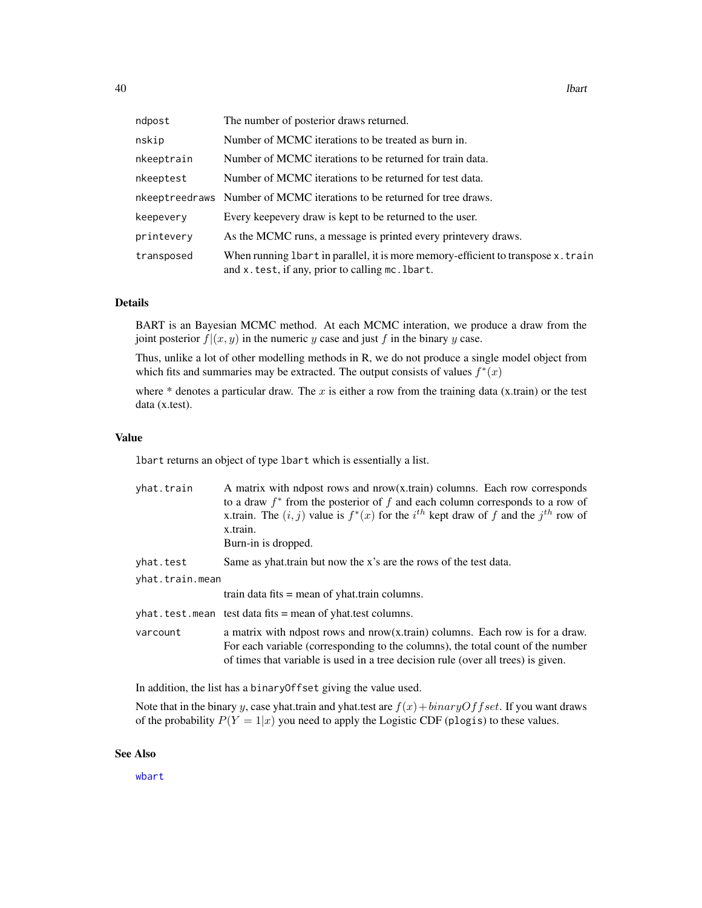| ndpost     | The number of posterior draws returned.                                                                                               |
|------------|---------------------------------------------------------------------------------------------------------------------------------------|
| nskip      | Number of MCMC iterations to be treated as burn in.                                                                                   |
| nkeeptrain | Number of MCMC iterations to be returned for train data.                                                                              |
| nkeeptest  | Number of MCMC iterations to be returned for test data.                                                                               |
|            | nkeeptreedraws Number of MCMC iterations to be returned for tree draws.                                                               |
| keepevery  | Every keepevery draw is kept to be returned to the user.                                                                              |
| printevery | As the MCMC runs, a message is printed every printevery draws.                                                                        |
| transposed | When running 1bart in parallel, it is more memory-efficient to transpose x. train<br>and x. test, if any, prior to calling mc. 1bart. |

# Details

BART is an Bayesian MCMC method. At each MCMC interation, we produce a draw from the joint posterior  $f|(x, y)$  in the numeric y case and just f in the binary y case.

Thus, unlike a lot of other modelling methods in R, we do not produce a single model object from which fits and summaries may be extracted. The output consists of values  $f^*(x)$ 

where  $*$  denotes a particular draw. The  $x$  is either a row from the training data (x.train) or the test data (x.test).

#### Value

lbart returns an object of type lbart which is essentially a list.

| yhat.train      | A matrix with ndpost rows and $now(x.train)$ columns. Each row corresponds<br>to a draw $f^*$ from the posterior of f and each column corresponds to a row of<br>x.train. The $(i, j)$ value is $f^*(x)$ for the $i^{th}$ kept draw of f and the $j^{th}$ row of<br>x.train.<br>Burn-in is dropped. |
|-----------------|-----------------------------------------------------------------------------------------------------------------------------------------------------------------------------------------------------------------------------------------------------------------------------------------------------|
| yhat.test       | Same as yhat train but now the x's are the rows of the test data.                                                                                                                                                                                                                                   |
| yhat.train.mean |                                                                                                                                                                                                                                                                                                     |
|                 | train data fits $=$ mean of yhat. train columns.                                                                                                                                                                                                                                                    |
|                 | $yhat.test.$ mean test data fits = mean of yhat. test columns.                                                                                                                                                                                                                                      |
| varcount        | a matrix with ndpost rows and $nrow(x.train)$ columns. Each row is for a draw.<br>For each variable (corresponding to the columns), the total count of the number<br>of times that variable is used in a tree decision rule (over all trees) is given.                                              |

In addition, the list has a binaryOffset giving the value used.

Note that in the binary y, case yhat.train and yhat.test are  $f(x) + binaryOffset$ . If you want draws of the probability  $P(Y = 1|x)$  you need to apply the Logistic CDF (plogis) to these values.

#### See Also

[wbart](#page-131-0)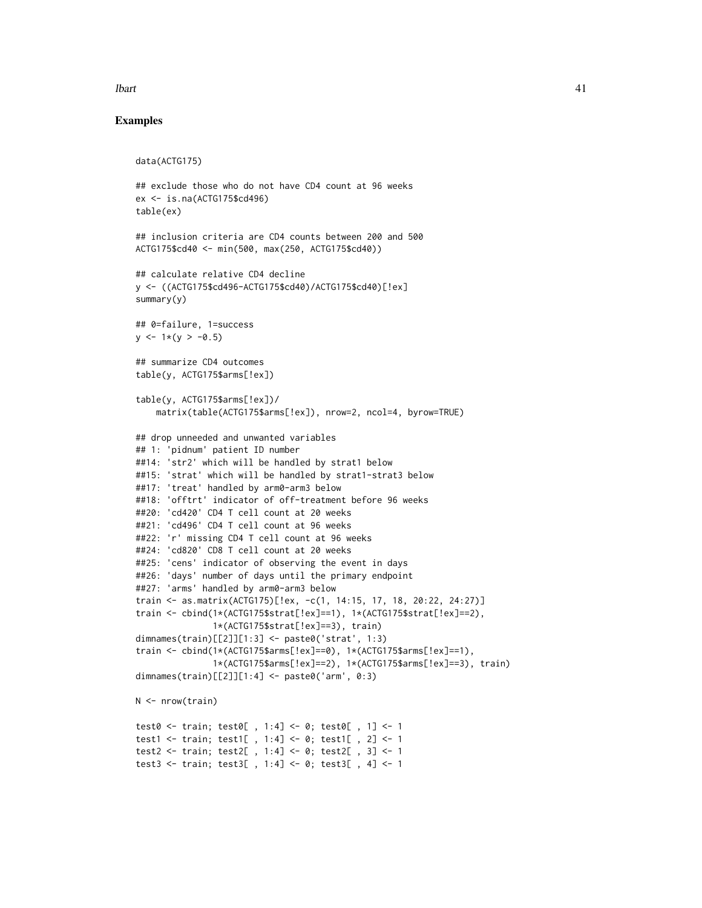#### **lbart** 41

# Examples

```
data(ACTG175)
## exclude those who do not have CD4 count at 96 weeks
ex <- is.na(ACTG175$cd496)
table(ex)
## inclusion criteria are CD4 counts between 200 and 500
ACTG175$cd40 <- min(500, max(250, ACTG175$cd40))
## calculate relative CD4 decline
y <- ((ACTG175$cd496-ACTG175$cd40)/ACTG175$cd40)[!ex]
summary(y)
## 0=failure, 1=success
y \le -1*(y > -0.5)## summarize CD4 outcomes
table(y, ACTG175$arms[!ex])
table(y, ACTG175$arms[!ex])/
    matrix(table(ACTG175$arms[!ex]), nrow=2, ncol=4, byrow=TRUE)
## drop unneeded and unwanted variables
## 1: 'pidnum' patient ID number
##14: 'str2' which will be handled by strat1 below
##15: 'strat' which will be handled by strat1-strat3 below
##17: 'treat' handled by arm0-arm3 below
##18: 'offtrt' indicator of off-treatment before 96 weeks
##20: 'cd420' CD4 T cell count at 20 weeks
##21: 'cd496' CD4 T cell count at 96 weeks
##22: 'r' missing CD4 T cell count at 96 weeks
##24: 'cd820' CD8 T cell count at 20 weeks
##25: 'cens' indicator of observing the event in days
##26: 'days' number of days until the primary endpoint
##27: 'arms' handled by arm0-arm3 below
train <- as.matrix(ACTG175)[!ex, -c(1, 14:15, 17, 18, 20:22, 24:27)]
train <- cbind(1*(ACTG175$strat[!ex]==1), 1*(ACTG175$strat[!ex]==2),
               1*(ACTG175$strat[!ex]==3), train)
dimnames(train)[[2]][1:3] <- paste0('strat', 1:3)
train <- cbind(1*(ACTG175$arms[!ex]==0), 1*(ACTG175$arms[!ex]==1),
               1*(ACTG175$arms[!ex]==2), 1*(ACTG175$arms[!ex]==3), train)
dimnames(train)[[2]][1:4] <- paste0('arm', 0:3)
N <- nrow(train)
test0 <- train; test0[ , 1:4] <- 0; test0[ , 1] <- 1
test1 <- train; test1[ , 1:4] <- 0; test1[ , 2] <- 1
test2 <- train; test2[ , 1:4] <- 0; test2[ , 3] <- 1
test3 <- train; test3[ , 1:4] <- 0; test3[ , 4] <- 1
```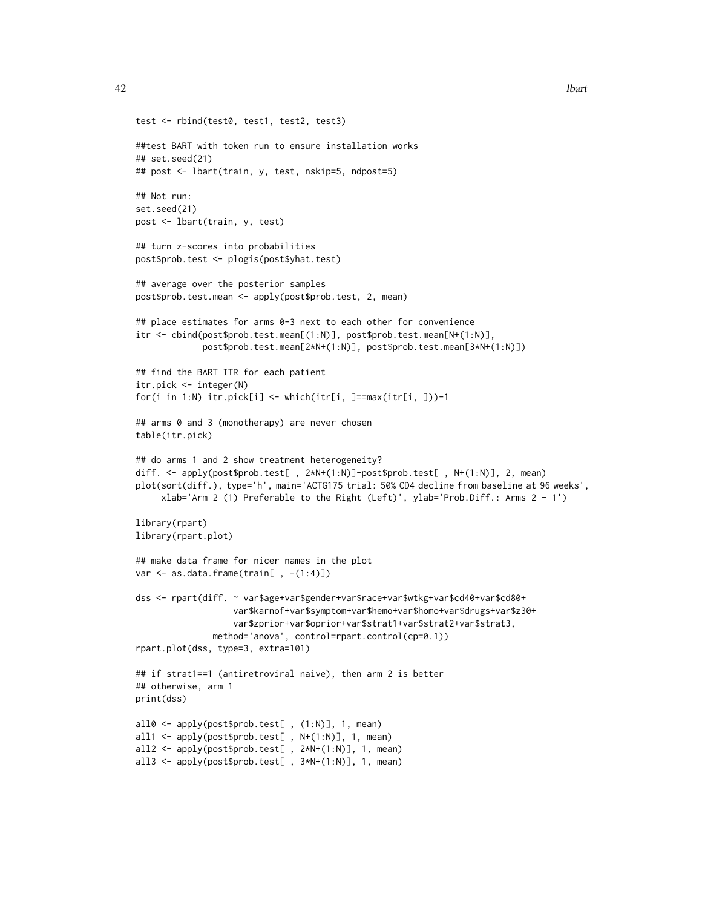```
test <- rbind(test0, test1, test2, test3)
##test BART with token run to ensure installation works
## set.seed(21)
## post <- lbart(train, y, test, nskip=5, ndpost=5)
## Not run:
set.seed(21)
post <- lbart(train, y, test)
## turn z-scores into probabilities
post$prob.test <- plogis(post$yhat.test)
## average over the posterior samples
post$prob.test.mean <- apply(post$prob.test, 2, mean)
## place estimates for arms 0-3 next to each other for convenience
itr <- cbind(post$prob.test.mean[(1:N)], post$prob.test.mean[N+(1:N)],
             post$prob.test.mean[2*N+(1:N)], post$prob.test.mean[3*N+(1:N)])
## find the BART ITR for each patient
itr.pick <- integer(N)
for(i in 1:N) itr.pick[i] <- which(itr[i, ]==max(itr[i, ]))-1
## arms 0 and 3 (monotherapy) are never chosen
table(itr.pick)
## do arms 1 and 2 show treatment heterogeneity?
diff. <- apply(post$prob.test[ , 2*N+(1:N)]-post$prob.test[ , N+(1:N)], 2, mean)
plot(sort(diff.), type='h', main='ACTG175 trial: 50% CD4 decline from baseline at 96 weeks',
     xlab='Arm 2 (1) Preferable to the Right (Left)', ylab='Prob.Diff.: Arms 2 - 1')
library(rpart)
library(rpart.plot)
## make data frame for nicer names in the plot
var \leq as.data.frame(train[ , -(1:4)])
dss <- rpart(diff. ~ var$age+var$gender+var$race+var$wtkg+var$cd40+var$cd80+
                   var$karnof+var$symptom+var$hemo+var$homo+var$drugs+var$z30+
                   var$zprior+var$oprior+var$strat1+var$strat2+var$strat3,
               method='anova', control=rpart.control(cp=0.1))
rpart.plot(dss, type=3, extra=101)
## if strat1==1 (antiretroviral naive), then arm 2 is better
## otherwise, arm 1
print(dss)
all0 <- apply(post$prob.test[ , (1:N)], 1, mean)
all1 <- apply(post$prob.test[ , N+(1:N)], 1, mean)
all2 <- apply(post$prob.test[ , 2*N+(1:N)], 1, mean)
all3 <- apply(post$prob.test[ , 3*N+(1:N)], 1, mean)
```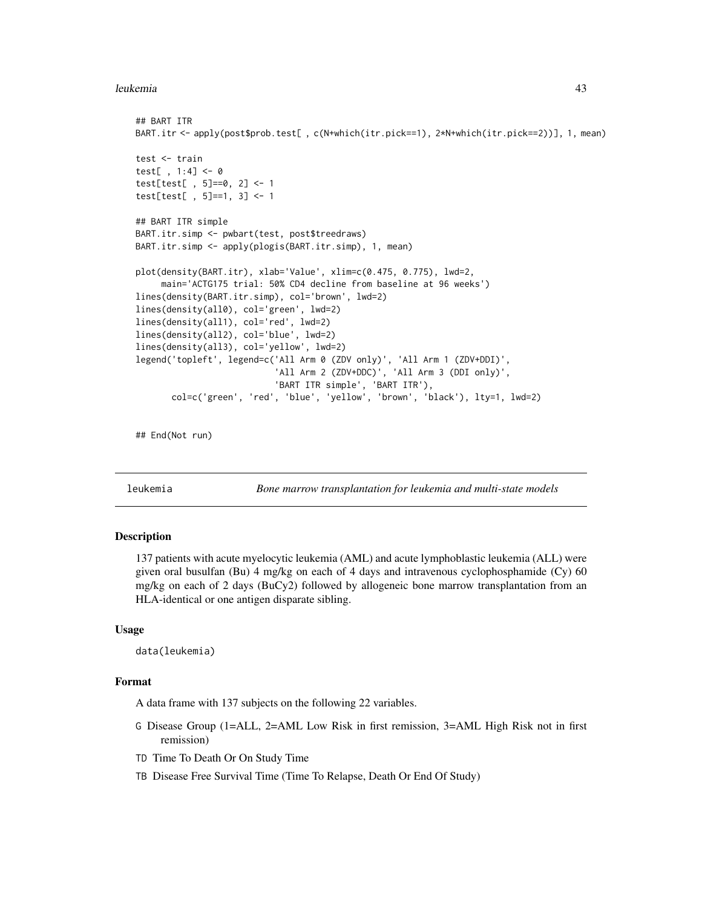#### leukemia 43

```
## BART ITR
BART.itr <- apply(post$prob.test[ , c(N+which(itr.pick==1), 2*N+which(itr.pick==2))], 1, mean)
test <- train
test[ , 1:4] <- 0
test[test[ , 5]==0, 2] <- 1
test[test[ , 5]==1, 3] <- 1
## BART ITR simple
BART.itr.simp <- pwbart(test, post$treedraws)
BART.itr.simp <- apply(plogis(BART.itr.simp), 1, mean)
plot(density(BART.itr), xlab='Value', xlim=c(0.475, 0.775), lwd=2,
     main='ACTG175 trial: 50% CD4 decline from baseline at 96 weeks')
lines(density(BART.itr.simp), col='brown', lwd=2)
lines(density(all0), col='green', lwd=2)
lines(density(all1), col='red', lwd=2)
lines(density(all2), col='blue', lwd=2)
lines(density(all3), col='yellow', lwd=2)
legend('topleft', legend=c('All Arm 0 (ZDV only)', 'All Arm 1 (ZDV+DDI)',
                           'All Arm 2 (ZDV+DDC)', 'All Arm 3 (DDI only)',
                           'BART ITR simple', 'BART ITR'),
       col=c('green', 'red', 'blue', 'yellow', 'brown', 'black'), lty=1, lwd=2)
```
## End(Not run)

leukemia *Bone marrow transplantation for leukemia and multi-state models*

## Description

137 patients with acute myelocytic leukemia (AML) and acute lymphoblastic leukemia (ALL) were given oral busulfan (Bu) 4 mg/kg on each of 4 days and intravenous cyclophosphamide (Cy) 60 mg/kg on each of 2 days (BuCy2) followed by allogeneic bone marrow transplantation from an HLA-identical or one antigen disparate sibling.

# Usage

data(leukemia)

# Format

A data frame with 137 subjects on the following 22 variables.

- G Disease Group (1=ALL, 2=AML Low Risk in first remission, 3=AML High Risk not in first remission)
- TD Time To Death Or On Study Time
- TB Disease Free Survival Time (Time To Relapse, Death Or End Of Study)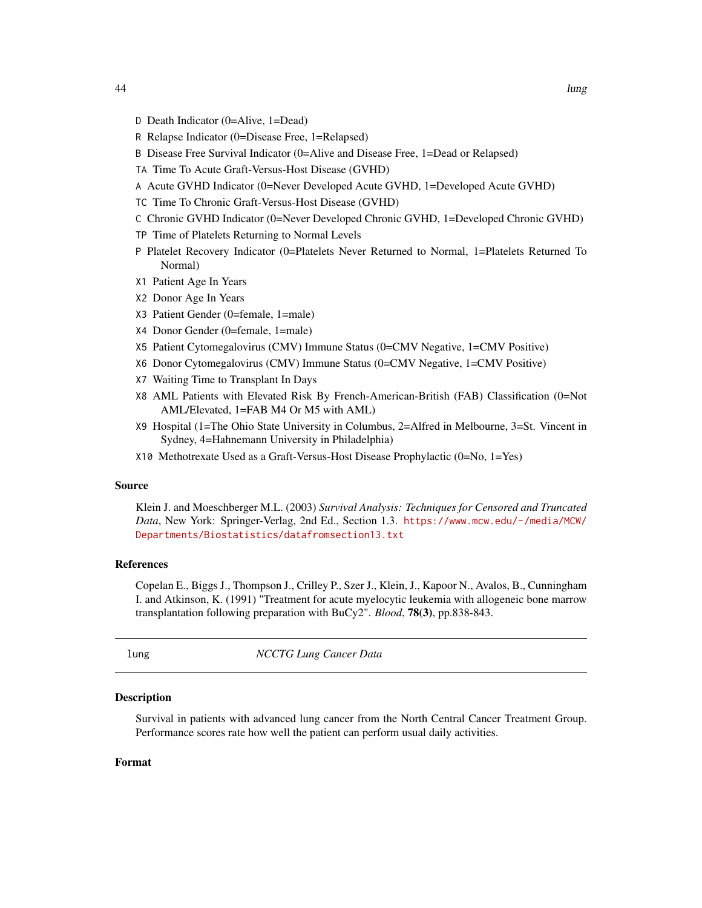- D Death Indicator (0=Alive, 1=Dead)
- R Relapse Indicator (0=Disease Free, 1=Relapsed)
- B Disease Free Survival Indicator (0=Alive and Disease Free, 1=Dead or Relapsed)
- TA Time To Acute Graft-Versus-Host Disease (GVHD)
- A Acute GVHD Indicator (0=Never Developed Acute GVHD, 1=Developed Acute GVHD)
- TC Time To Chronic Graft-Versus-Host Disease (GVHD)
- C Chronic GVHD Indicator (0=Never Developed Chronic GVHD, 1=Developed Chronic GVHD)
- TP Time of Platelets Returning to Normal Levels
- P Platelet Recovery Indicator (0=Platelets Never Returned to Normal, 1=Platelets Returned To Normal)
- X1 Patient Age In Years
- X2 Donor Age In Years
- X3 Patient Gender (0=female, 1=male)
- X4 Donor Gender (0=female, 1=male)
- X5 Patient Cytomegalovirus (CMV) Immune Status (0=CMV Negative, 1=CMV Positive)
- X6 Donor Cytomegalovirus (CMV) Immune Status (0=CMV Negative, 1=CMV Positive)
- X7 Waiting Time to Transplant In Days
- X8 AML Patients with Elevated Risk By French-American-British (FAB) Classification (0=Not AML/Elevated, 1=FAB M4 Or M5 with AML)
- X9 Hospital (1=The Ohio State University in Columbus, 2=Alfred in Melbourne, 3=St. Vincent in Sydney, 4=Hahnemann University in Philadelphia)
- X10 Methotrexate Used as a Graft-Versus-Host Disease Prophylactic (0=No, 1=Yes)

## Source

Klein J. and Moeschberger M.L. (2003) *Survival Analysis: Techniques for Censored and Truncated Data*, New York: Springer-Verlag, 2nd Ed., Section 1.3. [https://www.mcw.edu/-/media/MCW/](https://www.mcw.edu/-/media/MCW/Departments/Biostatistics/datafromsection13.txt) [Departments/Biostatistics/datafromsection13.txt](https://www.mcw.edu/-/media/MCW/Departments/Biostatistics/datafromsection13.txt)

## References

Copelan E., Biggs J., Thompson J., Crilley P., Szer J., Klein, J., Kapoor N., Avalos, B., Cunningham I. and Atkinson, K. (1991) "Treatment for acute myelocytic leukemia with allogeneic bone marrow transplantation following preparation with BuCy2". *Blood*, 78(3), pp.838-843.

lung *NCCTG Lung Cancer Data*

## **Description**

Survival in patients with advanced lung cancer from the North Central Cancer Treatment Group. Performance scores rate how well the patient can perform usual daily activities.

#### Format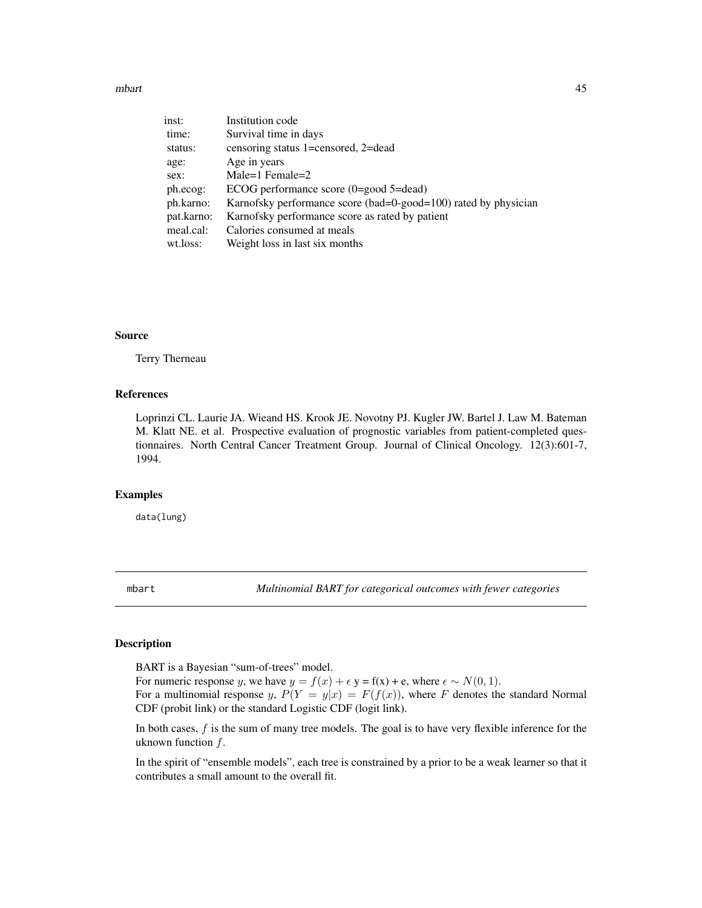#### mbart 15 and 15 and 16 and 16 and 16 and 16 and 16 and 16 and 16 and 16 and 16 and 16 and 16 and 16 and 16 and 16 and 16 and 16 and 16 and 16 and 16 and 16 and 16 and 16 and 16 and 16 and 16 and 16 and 16 and 16 and 16 and

| inst:      | Institution code                                                |
|------------|-----------------------------------------------------------------|
| time:      | Survival time in days                                           |
| status:    | censoring status 1=censored, 2=dead                             |
| age:       | Age in years                                                    |
| sex:       | Male=1 Female=2                                                 |
| ph.ecog:   | ECOG performance score $(0 = good 5 = dead)$                    |
| ph.karno:  | Karnofsky performance score (bad=0-good=100) rated by physician |
| pat.karno: | Karnofsky performance score as rated by patient                 |
| meal.cal:  | Calories consumed at meals                                      |
| wt.loss:   | Weight loss in last six months                                  |

## Source

Terry Therneau

# References

Loprinzi CL. Laurie JA. Wieand HS. Krook JE. Novotny PJ. Kugler JW. Bartel J. Law M. Bateman M. Klatt NE. et al. Prospective evaluation of prognostic variables from patient-completed questionnaires. North Central Cancer Treatment Group. Journal of Clinical Oncology. 12(3):601-7, 1994.

## Examples

data(lung)

mbart *Multinomial BART for categorical outcomes with fewer categories*

# Description

BART is a Bayesian "sum-of-trees" model.

For numeric response y, we have  $y = f(x) + \epsilon y = f(x) + e$ , where  $\epsilon \sim N(0, 1)$ .

For a multinomial response y,  $P(Y = y|x) = F(f(x))$ , where F denotes the standard Normal CDF (probit link) or the standard Logistic CDF (logit link).

In both cases,  $f$  is the sum of many tree models. The goal is to have very flexible inference for the uknown function  $f$ .

In the spirit of "ensemble models", each tree is constrained by a prior to be a weak learner so that it contributes a small amount to the overall fit.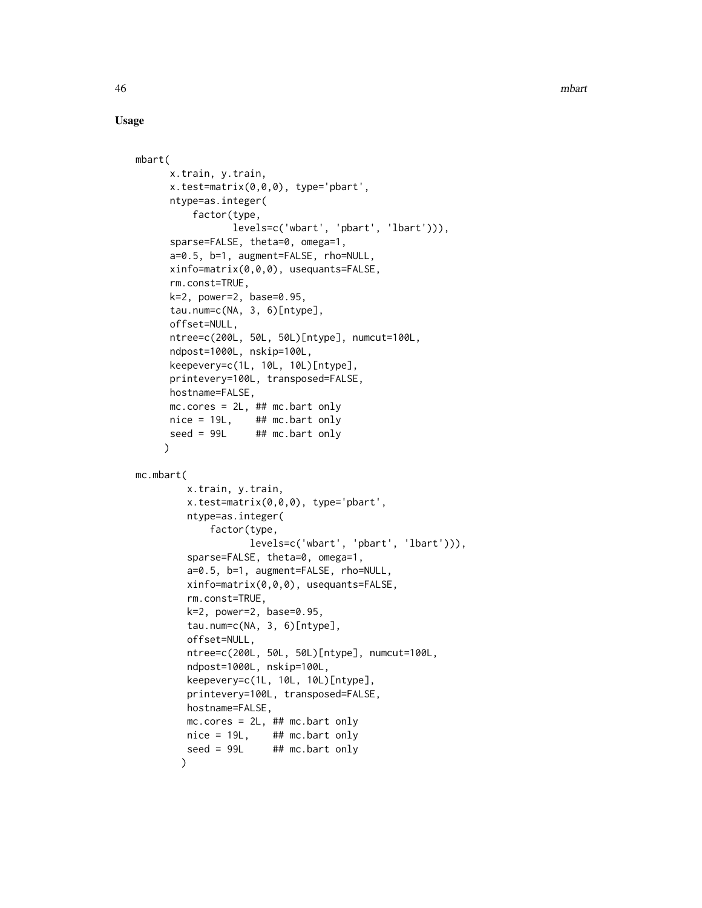# Usage

```
mbart(
      x.train, y.train,
      x.test=matrix(0,0,0), type='pbart',
      ntype=as.integer(
          factor(type,
                 levels=c('wbart', 'pbart', 'lbart'))),
      sparse=FALSE, theta=0, omega=1,
      a=0.5, b=1, augment=FALSE, rho=NULL,
      xinfo=matrix(0,0,0), usequants=FALSE,
      rm.const=TRUE,
      k=2, power=2, base=0.95,
      tau.num=c(NA, 3, 6)[ntype],
      offset=NULL,
      ntree=c(200L, 50L, 50L)[ntype], numcut=100L,
      ndpost=1000L, nskip=100L,
      keepevery=c(1L, 10L, 10L)[ntype],
      printevery=100L, transposed=FALSE,
      hostname=FALSE,
      mc.core = 2L, ## mc.bart only
      nice = 19L, ## mc</math>.seed = 99L ## mc.bart only
     )
mc.mbart(
        x.train, y.train,
         x.test=matrix(0,0,0), type='pbart',
         ntype=as.integer(
             factor(type,
                    levels=c('wbart', 'pbart', 'lbart'))),
         sparse=FALSE, theta=0, omega=1,
         a=0.5, b=1, augment=FALSE, rho=NULL,
         xinfo=matrix(0,0,0), usequants=FALSE,
         rm.const=TRUE,
         k=2, power=2, base=0.95,
         tau.num=c(NA, 3, 6)[ntype],
         offset=NULL,
         ntree=c(200L, 50L, 50L)[ntype], numcut=100L,
         ndpost=1000L, nskip=100L,
         keepevery=c(1L, 10L, 10L)[ntype],
         printevery=100L, transposed=FALSE,
         hostname=FALSE,
        mc.cores = 2L, ## mc.bart only
        nice = 19L, #H mc.bart only
         seed = 99L ## mc.bart only
        )
```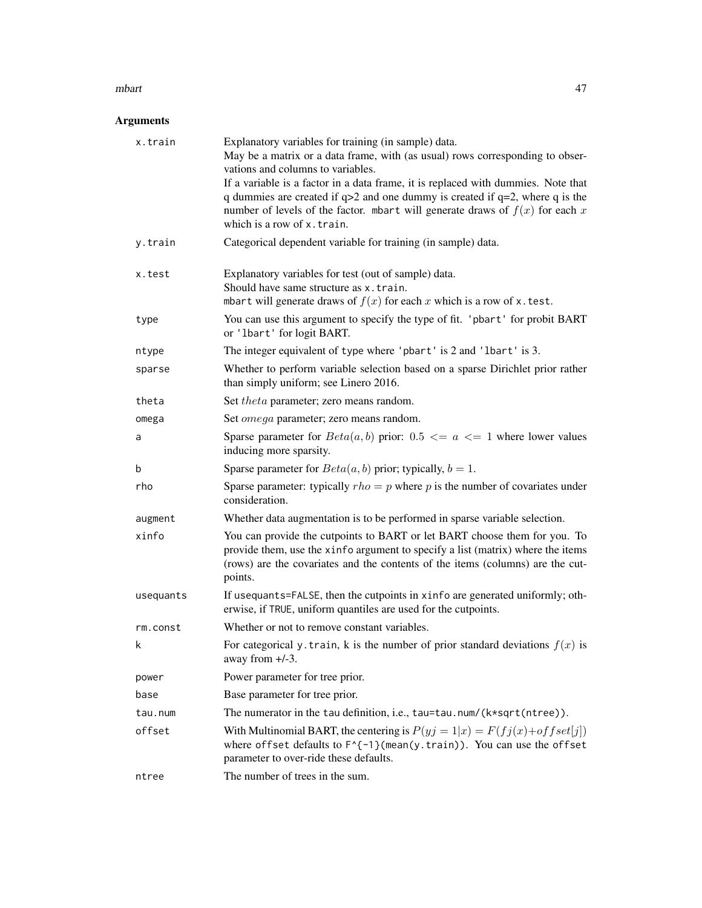#### mbart 27 and 27 and 27 and 27 and 27 and 27 and 27 and 27 and 27 and 27 and 27 and 27 and 27 and 27 and 27 and 27 and 27 and 27 and 27 and 27 and 27 and 27 and 27 and 27 and 27 and 27 and 27 and 27 and 27 and 27 and 27 and

# Arguments

| x.train   | Explanatory variables for training (in sample) data.<br>May be a matrix or a data frame, with (as usual) rows corresponding to obser-<br>vations and columns to variables.                                                                                                             |  |
|-----------|----------------------------------------------------------------------------------------------------------------------------------------------------------------------------------------------------------------------------------------------------------------------------------------|--|
|           | If a variable is a factor in a data frame, it is replaced with dummies. Note that<br>q dummies are created if $q>2$ and one dummy is created if $q=2$ , where q is the<br>number of levels of the factor. mbart will generate draws of $f(x)$ for each x<br>which is a row of x.train. |  |
| y.train   | Categorical dependent variable for training (in sample) data.                                                                                                                                                                                                                          |  |
| x.test    | Explanatory variables for test (out of sample) data.<br>Should have same structure as x.train.<br>mbart will generate draws of $f(x)$ for each x which is a row of x. test.                                                                                                            |  |
| type      | You can use this argument to specify the type of fit. 'pbart' for probit BART<br>or 'lbart' for logit BART.                                                                                                                                                                            |  |
| ntype     | The integer equivalent of type where 'pbart' is 2 and 'lbart' is 3.                                                                                                                                                                                                                    |  |
| sparse    | Whether to perform variable selection based on a sparse Dirichlet prior rather<br>than simply uniform; see Linero 2016.                                                                                                                                                                |  |
| theta     | Set <i>theta</i> parameter; zero means random.                                                                                                                                                                                                                                         |  |
| omega     | Set <i>omega</i> parameter; zero means random.                                                                                                                                                                                                                                         |  |
| a         | Sparse parameter for $Beta(a, b)$ prior: 0.5 $\leq a \leq 1$ where lower values<br>inducing more sparsity.                                                                                                                                                                             |  |
| b         | Sparse parameter for $Beta(a, b)$ prior; typically, $b = 1$ .                                                                                                                                                                                                                          |  |
| rho       | Sparse parameter: typically $rho = p$ where p is the number of covariates under<br>consideration.                                                                                                                                                                                      |  |
| augment   | Whether data augmentation is to be performed in sparse variable selection.                                                                                                                                                                                                             |  |
| xinfo     | You can provide the cutpoints to BART or let BART choose them for you. To<br>provide them, use the xinfo argument to specify a list (matrix) where the items<br>(rows) are the covariates and the contents of the items (columns) are the cut-<br>points.                              |  |
| usequants | If usequants=FALSE, then the cutpoints in xinfo are generated uniformly; oth-<br>erwise, if TRUE, uniform quantiles are used for the cutpoints.                                                                                                                                        |  |
| rm.const  | Whether or not to remove constant variables.                                                                                                                                                                                                                                           |  |
| k.        | For categorical y. train, k is the number of prior standard deviations $f(x)$ is<br>away from $+/-3$ .                                                                                                                                                                                 |  |
| power     | Power parameter for tree prior.                                                                                                                                                                                                                                                        |  |
| base      | Base parameter for tree prior.                                                                                                                                                                                                                                                         |  |
| tau.num   | The numerator in the tau definition, i.e., tau=tau.num/(k*sqrt(ntree)).                                                                                                                                                                                                                |  |
| offset    | With Multinomial BART, the centering is $P(yj = 1 x) = F(fj(x) + offset[j])$<br>where offset defaults to $F^{-1}$ {mean(y.train)). You can use the offset<br>parameter to over-ride these defaults.                                                                                    |  |
| ntree     | The number of trees in the sum.                                                                                                                                                                                                                                                        |  |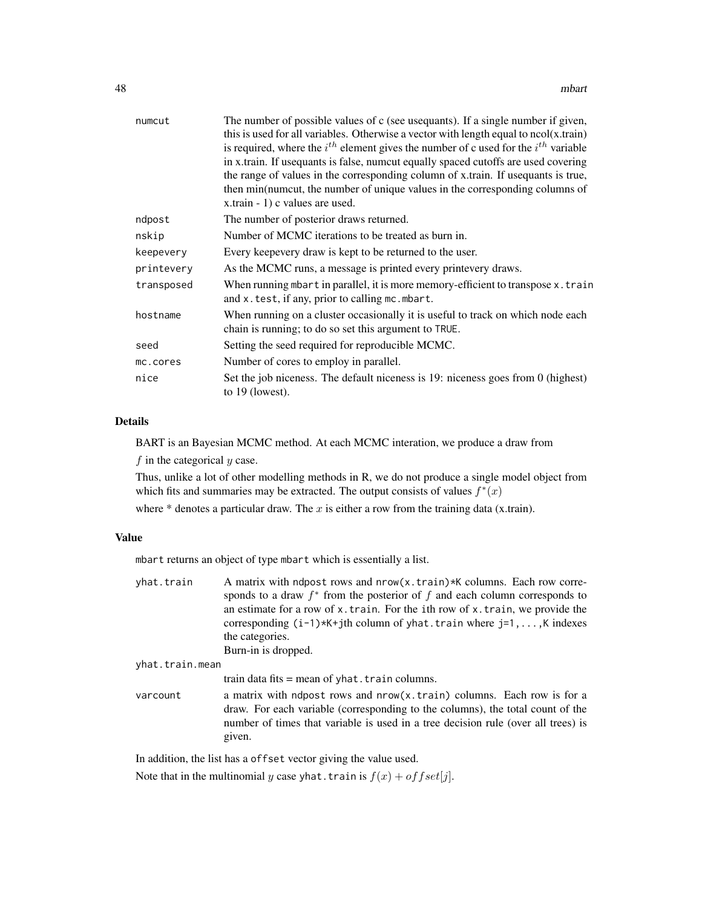| The number of possible values of c (see usequants). If a single number if given,<br>this is used for all variables. Otherwise a vector with length equal to $ncol(x.train)$<br>is required, where the $i^{th}$ element gives the number of c used for the $i^{th}$ variable<br>in x.train. If usequants is false, numcut equally spaced cutoffs are used covering<br>the range of values in the corresponding column of x.train. If used quants is true,<br>then min(numcut, the number of unique values in the corresponding columns of<br>x.train - 1) c values are used. |  |
|-----------------------------------------------------------------------------------------------------------------------------------------------------------------------------------------------------------------------------------------------------------------------------------------------------------------------------------------------------------------------------------------------------------------------------------------------------------------------------------------------------------------------------------------------------------------------------|--|
| The number of posterior draws returned.                                                                                                                                                                                                                                                                                                                                                                                                                                                                                                                                     |  |
| Number of MCMC iterations to be treated as burn in.                                                                                                                                                                                                                                                                                                                                                                                                                                                                                                                         |  |
| Every keepevery draw is kept to be returned to the user.                                                                                                                                                                                                                                                                                                                                                                                                                                                                                                                    |  |
| As the MCMC runs, a message is printed every printevery draws.                                                                                                                                                                                                                                                                                                                                                                                                                                                                                                              |  |
| When running mbart in parallel, it is more memory-efficient to transpose $x$ . train<br>and x. test, if any, prior to calling mc. mbart.                                                                                                                                                                                                                                                                                                                                                                                                                                    |  |
| When running on a cluster occasionally it is useful to track on which node each<br>chain is running; to do so set this argument to TRUE.                                                                                                                                                                                                                                                                                                                                                                                                                                    |  |
| Setting the seed required for reproducible MCMC.                                                                                                                                                                                                                                                                                                                                                                                                                                                                                                                            |  |
| Number of cores to employ in parallel.                                                                                                                                                                                                                                                                                                                                                                                                                                                                                                                                      |  |
| Set the job niceness. The default niceness is 19: niceness goes from 0 (highest)<br>to $19$ (lowest).                                                                                                                                                                                                                                                                                                                                                                                                                                                                       |  |
|                                                                                                                                                                                                                                                                                                                                                                                                                                                                                                                                                                             |  |

# Details

BART is an Bayesian MCMC method. At each MCMC interation, we produce a draw from  $f$  in the categorical  $y$  case.

Thus, unlike a lot of other modelling methods in R, we do not produce a single model object from which fits and summaries may be extracted. The output consists of values  $f^*(x)$ 

where  $*$  denotes a particular draw. The  $x$  is either a row from the training data (x.train).

## Value

mbart returns an object of type mbart which is essentially a list.

| yhat.train      | A matrix with ndpost rows and nrow(x.train)*K columns. Each row corre-<br>sponds to a draw $f^*$ from the posterior of f and each column corresponds to<br>an estimate for a row of x. train. For the ith row of x. train, we provide the<br>corresponding $(i-1)*K+jth$ column of yhat. train where $j=1,,K$ indexes<br>the categories. |  |
|-----------------|------------------------------------------------------------------------------------------------------------------------------------------------------------------------------------------------------------------------------------------------------------------------------------------------------------------------------------------|--|
|                 |                                                                                                                                                                                                                                                                                                                                          |  |
|                 | Burn-in is dropped.                                                                                                                                                                                                                                                                                                                      |  |
| yhat.train.mean |                                                                                                                                                                                                                                                                                                                                          |  |
|                 | train data fits $=$ mean of yhat. train columns.                                                                                                                                                                                                                                                                                         |  |
| varcount        | a matrix with ndpost rows and nrow(x.train) columns. Each row is for a<br>draw. For each variable (corresponding to the columns), the total count of the<br>number of times that variable is used in a tree decision rule (over all trees) is<br>given.                                                                                  |  |
|                 |                                                                                                                                                                                                                                                                                                                                          |  |

In addition, the list has a offset vector giving the value used.

Note that in the multinomial y case yhat.train is  $f(x) + offset[j]$ .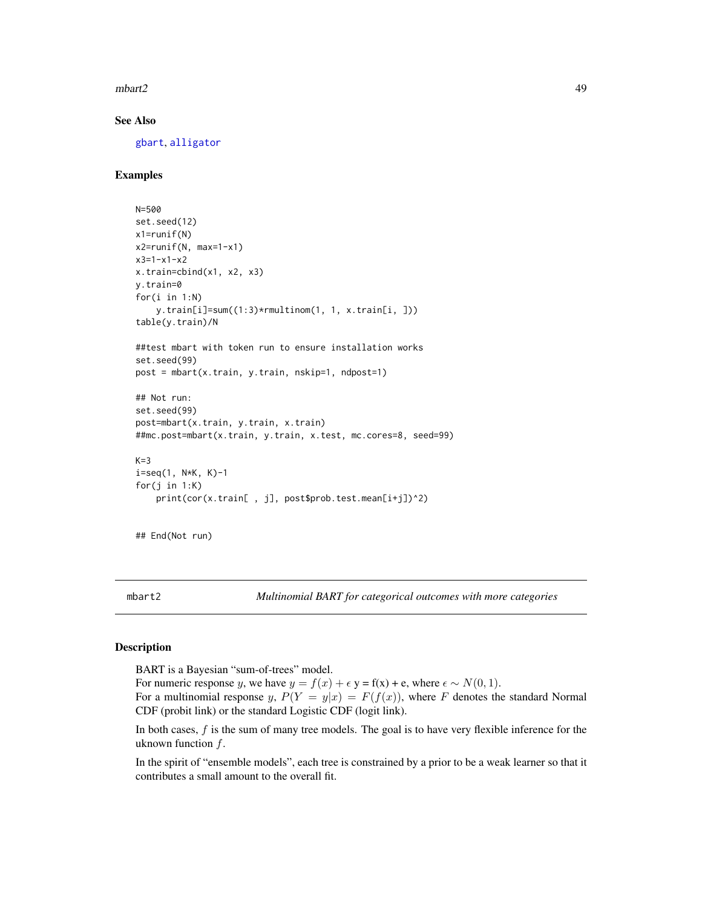$mbar{t}$ 2 49

# See Also

[gbart](#page-30-0), [alligator](#page-9-0)

# Examples

```
N=500
set.seed(12)
x1=runif(N)
x2=runif(N, max=1-x1)
x3=1-x1-x2
x.train=cbind(x1, x2, x3)
y.train=0
for(i in 1:N)
    y.train[i]=sum((1:3)*rmultinom(1, 1, x.train[i, ]))
table(y.train)/N
##test mbart with token run to ensure installation works
set.seed(99)
post = mbart(x.train, y.train, nskip=1, ndpost=1)
## Not run:
set.seed(99)
post=mbart(x.train, y.train, x.train)
##mc.post=mbart(x.train, y.train, x.test, mc.cores=8, seed=99)
K=3i=seq(1, N*K, K)-1
for(j in 1:K)
    print(cor(x.train[ , j], post$prob.test.mean[i+j])^2)
```

```
## End(Not run)
```
mbart2 *Multinomial BART for categorical outcomes with more categories*

#### Description

BART is a Bayesian "sum-of-trees" model.

For numeric response y, we have  $y = f(x) + \epsilon y = f(x) + e$ , where  $\epsilon \sim N(0, 1)$ .

For a multinomial response y,  $P(Y = y|x) = F(f(x))$ , where F denotes the standard Normal CDF (probit link) or the standard Logistic CDF (logit link).

In both cases, f is the sum of many tree models. The goal is to have very flexible inference for the uknown function  $f$ .

In the spirit of "ensemble models", each tree is constrained by a prior to be a weak learner so that it contributes a small amount to the overall fit.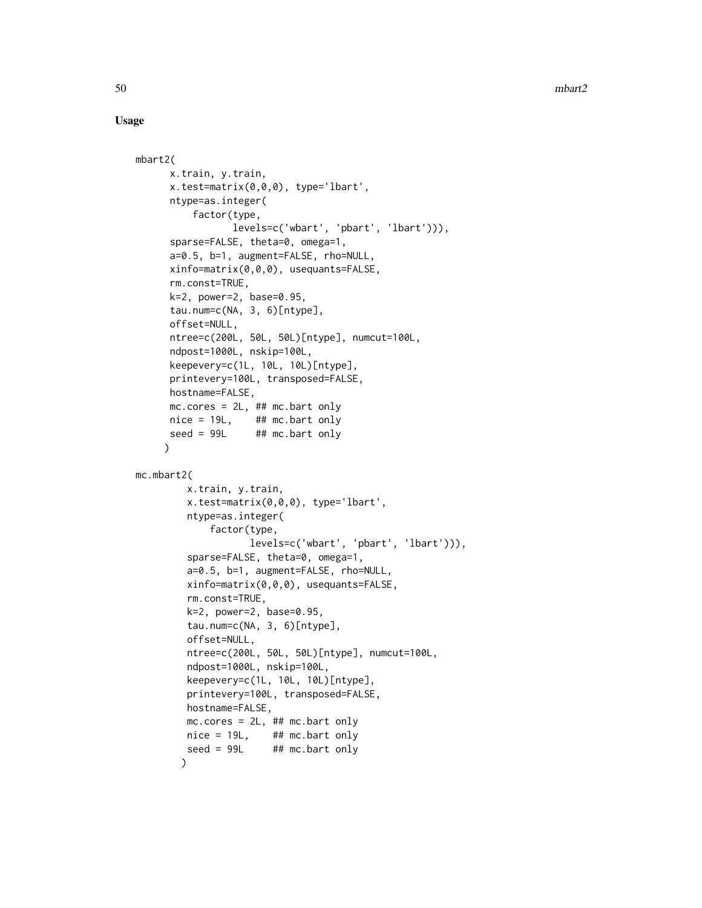## Usage

```
mbart2(
      x.train, y.train,
      x.test=matrix(0,0,0), type='lbart',
      ntype=as.integer(
          factor(type,
                 levels=c('wbart', 'pbart', 'lbart'))),
      sparse=FALSE, theta=0, omega=1,
      a=0.5, b=1, augment=FALSE, rho=NULL,
      xinfo=matrix(0,0,0), usequants=FALSE,
      rm.const=TRUE,
      k=2, power=2, base=0.95,
      tau.num=c(NA, 3, 6)[ntype],
      offset=NULL,
      ntree=c(200L, 50L, 50L)[ntype], numcut=100L,
      ndpost=1000L, nskip=100L,
      keepevery=c(1L, 10L, 10L)[ntype],
      printevery=100L, transposed=FALSE,
      hostname=FALSE,
      mc.core = 2L, ## mc.bart only
      nice = 19L, ## mc</math>.seed = 99L ## mc.bart only
     )
mc.mbart2(
        x.train, y.train,
         x.test=matrix(0,0,0), type='lbart',
         ntype=as.integer(
             factor(type,
                    levels=c('wbart', 'pbart', 'lbart'))),
         sparse=FALSE, theta=0, omega=1,
         a=0.5, b=1, augment=FALSE, rho=NULL,
         xinfo=matrix(0,0,0), usequants=FALSE,
         rm.const=TRUE,
         k=2, power=2, base=0.95,
         tau.num=c(NA, 3, 6)[ntype],
         offset=NULL,
         ntree=c(200L, 50L, 50L)[ntype], numcut=100L,
         ndpost=1000L, nskip=100L,
         keepevery=c(1L, 10L, 10L)[ntype],
         printevery=100L, transposed=FALSE,
         hostname=FALSE,
        mc.cores = 2L, ## mc.bart only
        nice = 19L, #H mc.bart only
         seed = 99L ## mc.bart only
        )
```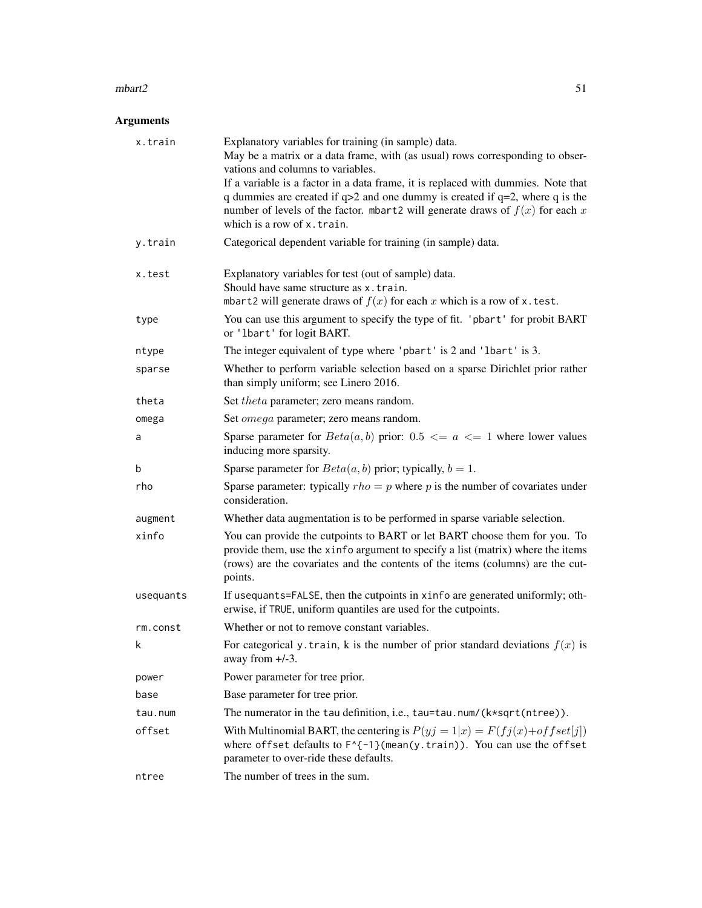### $mbar{t}$ 2 51

# Arguments

| x.train   | Explanatory variables for training (in sample) data.<br>May be a matrix or a data frame, with (as usual) rows corresponding to obser-<br>vations and columns to variables.<br>If a variable is a factor in a data frame, it is replaced with dummies. Note that<br>q dummies are created if $q>2$ and one dummy is created if $q=2$ , where q is the<br>number of levels of the factor. mbart2 will generate draws of $f(x)$ for each x<br>which is a row of x.train. |  |
|-----------|-----------------------------------------------------------------------------------------------------------------------------------------------------------------------------------------------------------------------------------------------------------------------------------------------------------------------------------------------------------------------------------------------------------------------------------------------------------------------|--|
| y.train   | Categorical dependent variable for training (in sample) data.                                                                                                                                                                                                                                                                                                                                                                                                         |  |
| x.test    | Explanatory variables for test (out of sample) data.<br>Should have same structure as x.train.<br>mbart2 will generate draws of $f(x)$ for each x which is a row of x. test.                                                                                                                                                                                                                                                                                          |  |
| type      | You can use this argument to specify the type of fit. 'pbart' for probit BART<br>or 'lbart' for logit BART.                                                                                                                                                                                                                                                                                                                                                           |  |
| ntype     | The integer equivalent of type where 'pbart' is 2 and 'lbart' is 3.                                                                                                                                                                                                                                                                                                                                                                                                   |  |
| sparse    | Whether to perform variable selection based on a sparse Dirichlet prior rather<br>than simply uniform; see Linero 2016.                                                                                                                                                                                                                                                                                                                                               |  |
| theta     | Set theta parameter; zero means random.                                                                                                                                                                                                                                                                                                                                                                                                                               |  |
| omega     | Set <i>omega</i> parameter; zero means random.                                                                                                                                                                                                                                                                                                                                                                                                                        |  |
| a         | Sparse parameter for $Beta(a, b)$ prior: 0.5 $\lt = a \lt = 1$ where lower values<br>inducing more sparsity.                                                                                                                                                                                                                                                                                                                                                          |  |
| b         | Sparse parameter for $Beta(a, b)$ prior; typically, $b = 1$ .                                                                                                                                                                                                                                                                                                                                                                                                         |  |
| rho       | Sparse parameter: typically $rho = p$ where p is the number of covariates under<br>consideration.                                                                                                                                                                                                                                                                                                                                                                     |  |
| augment   | Whether data augmentation is to be performed in sparse variable selection.                                                                                                                                                                                                                                                                                                                                                                                            |  |
| xinfo     | You can provide the cutpoints to BART or let BART choose them for you. To<br>provide them, use the xinfo argument to specify a list (matrix) where the items<br>(rows) are the covariates and the contents of the items (columns) are the cut-<br>points.                                                                                                                                                                                                             |  |
| usequants | If usequants=FALSE, then the cutpoints in xinfo are generated uniformly; oth-<br>erwise, if TRUE, uniform quantiles are used for the cutpoints.                                                                                                                                                                                                                                                                                                                       |  |
| rm.const  | Whether or not to remove constant variables.                                                                                                                                                                                                                                                                                                                                                                                                                          |  |
| k         | For categorical y. train, k is the number of prior standard deviations $f(x)$ is<br>away from $+/-3$ .                                                                                                                                                                                                                                                                                                                                                                |  |
| power     | Power parameter for tree prior.                                                                                                                                                                                                                                                                                                                                                                                                                                       |  |
| base      | Base parameter for tree prior.                                                                                                                                                                                                                                                                                                                                                                                                                                        |  |
| tau.num   | The numerator in the tau definition, i.e., tau=tau.num/(k*sqrt(ntree)).                                                                                                                                                                                                                                                                                                                                                                                               |  |
| offset    | With Multinomial BART, the centering is $P(yj = 1 x) = F(fj(x) + offset[j])$<br>where offset defaults to $F^{-1}$ (mean(y.train)). You can use the offset<br>parameter to over-ride these defaults.                                                                                                                                                                                                                                                                   |  |
| ntree     | The number of trees in the sum.                                                                                                                                                                                                                                                                                                                                                                                                                                       |  |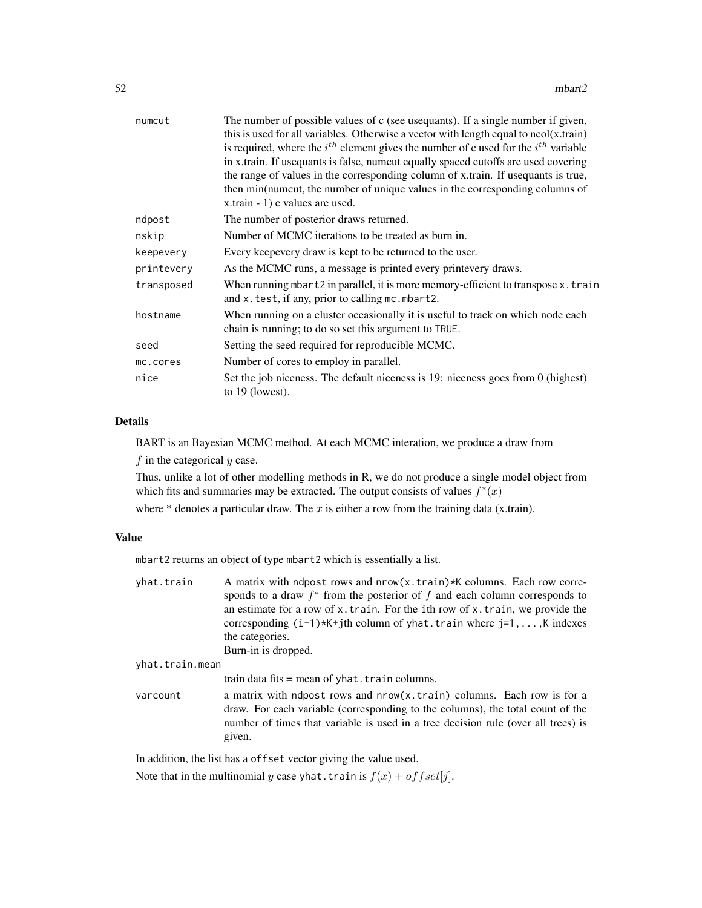| numcut     | The number of possible values of c (see usequants). If a single number if given,<br>this is used for all variables. Otherwise a vector with length equal to $ncol(x.train)$<br>is required, where the $i^{th}$ element gives the number of c used for the $i^{th}$ variable<br>in x.train. If usequants is false, numcut equally spaced cutoffs are used covering<br>the range of values in the corresponding column of x.train. If used quants is true,<br>then min(numcut, the number of unique values in the corresponding columns of |  |
|------------|------------------------------------------------------------------------------------------------------------------------------------------------------------------------------------------------------------------------------------------------------------------------------------------------------------------------------------------------------------------------------------------------------------------------------------------------------------------------------------------------------------------------------------------|--|
|            | x.train - 1) c values are used.                                                                                                                                                                                                                                                                                                                                                                                                                                                                                                          |  |
| ndpost     | The number of posterior draws returned.                                                                                                                                                                                                                                                                                                                                                                                                                                                                                                  |  |
| nskip      | Number of MCMC iterations to be treated as burn in.                                                                                                                                                                                                                                                                                                                                                                                                                                                                                      |  |
| keepevery  | Every keepevery draw is kept to be returned to the user.                                                                                                                                                                                                                                                                                                                                                                                                                                                                                 |  |
| printevery | As the MCMC runs, a message is printed every printevery draws.                                                                                                                                                                                                                                                                                                                                                                                                                                                                           |  |
| transposed | When running mbart2 in parallel, it is more memory-efficient to transpose x. train<br>and x. test, if any, prior to calling mc. mbart2.                                                                                                                                                                                                                                                                                                                                                                                                  |  |
| hostname   | When running on a cluster occasionally it is useful to track on which node each<br>chain is running; to do so set this argument to TRUE.                                                                                                                                                                                                                                                                                                                                                                                                 |  |
| seed       | Setting the seed required for reproducible MCMC.                                                                                                                                                                                                                                                                                                                                                                                                                                                                                         |  |
| mc.cores   | Number of cores to employ in parallel.                                                                                                                                                                                                                                                                                                                                                                                                                                                                                                   |  |
| nice       | Set the job niceness. The default niceness is 19: niceness goes from 0 (highest)<br>to $19$ (lowest).                                                                                                                                                                                                                                                                                                                                                                                                                                    |  |
|            |                                                                                                                                                                                                                                                                                                                                                                                                                                                                                                                                          |  |

# Details

BART is an Bayesian MCMC method. At each MCMC interation, we produce a draw from  $f$  in the categorical  $y$  case.

Thus, unlike a lot of other modelling methods in R, we do not produce a single model object from which fits and summaries may be extracted. The output consists of values  $f^*(x)$ 

where  $*$  denotes a particular draw. The  $x$  is either a row from the training data (x.train).

## Value

mbart2 returns an object of type mbart2 which is essentially a list.

| A matrix with ndpost rows and nrow(x.train)*K columns. Each row corre-<br>sponds to a draw $f^*$ from the posterior of f and each column corresponds to                                                                                                 |  |
|---------------------------------------------------------------------------------------------------------------------------------------------------------------------------------------------------------------------------------------------------------|--|
| an estimate for a row of x. train. For the ith row of x. train, we provide the<br>corresponding $(i-1)*K+j$ th column of yhat. train where $j=1,\ldots,K$ indexes                                                                                       |  |
| the categories.                                                                                                                                                                                                                                         |  |
| Burn-in is dropped.                                                                                                                                                                                                                                     |  |
| yhat.train.mean                                                                                                                                                                                                                                         |  |
| train data fits $=$ mean of yhat. train columns.                                                                                                                                                                                                        |  |
| a matrix with ndpost rows and nrow(x.train) columns. Each row is for a<br>draw. For each variable (corresponding to the columns), the total count of the<br>number of times that variable is used in a tree decision rule (over all trees) is<br>given. |  |
|                                                                                                                                                                                                                                                         |  |

In addition, the list has a offset vector giving the value used.

Note that in the multinomial y case yhat.train is  $f(x) + offset[j]$ .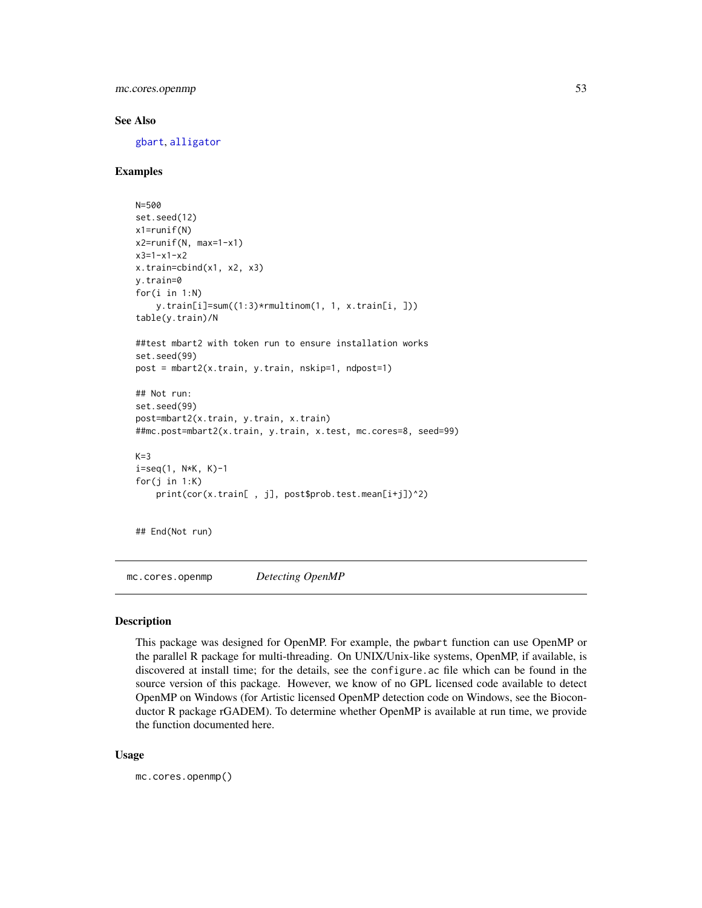mc.cores.openmp 53

## See Also

[gbart](#page-30-0), [alligator](#page-9-0)

# Examples

```
N=500
set.seed(12)
x1=runif(N)
x2=runif(N, max=1-x1)
x3=1-x1-x2x.train=cbind(x1, x2, x3)
y.train=0
for(i in 1:N)
    y.train[i]=sum((1:3)*rmultinom(1, 1, x.train[i, ]))
table(y.train)/N
##test mbart2 with token run to ensure installation works
set.seed(99)
post = mbart2(x.train, y.train, nskip=1, ndpost=1)
## Not run:
set.seed(99)
post=mbart2(x.train, y.train, x.train)
##mc.post=mbart2(x.train, y.train, x.test, mc.cores=8, seed=99)
K=3i=seq(1, N*K, K)-1for(j in 1:K)print(cor(x.train[ , j], post$prob.test.mean[i+j])^2)
```
## End(Not run)

mc.cores.openmp *Detecting OpenMP*

### Description

This package was designed for OpenMP. For example, the pwbart function can use OpenMP or the parallel R package for multi-threading. On UNIX/Unix-like systems, OpenMP, if available, is discovered at install time; for the details, see the configure.ac file which can be found in the source version of this package. However, we know of no GPL licensed code available to detect OpenMP on Windows (for Artistic licensed OpenMP detection code on Windows, see the Bioconductor R package rGADEM). To determine whether OpenMP is available at run time, we provide the function documented here.

#### Usage

mc.cores.openmp()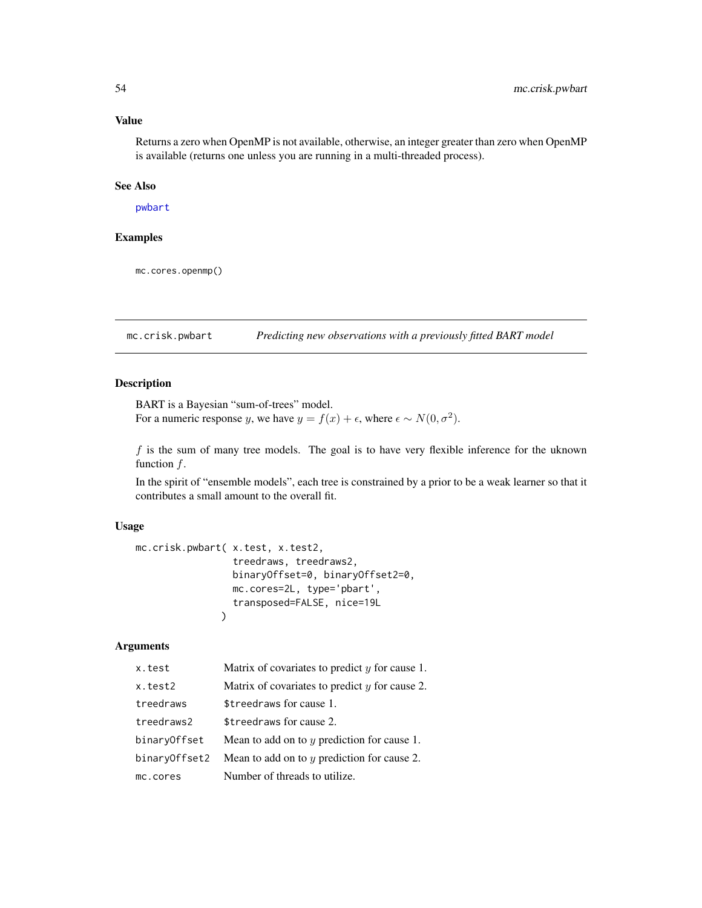## Value

Returns a zero when OpenMP is not available, otherwise, an integer greater than zero when OpenMP is available (returns one unless you are running in a multi-threaded process).

#### See Also

[pwbart](#page-102-0)

## Examples

mc.cores.openmp()

mc.crisk.pwbart *Predicting new observations with a previously fitted BART model*

#### Description

BART is a Bayesian "sum-of-trees" model. For a numeric response y, we have  $y = f(x) + \epsilon$ , where  $\epsilon \sim N(0, \sigma^2)$ .

 $f$  is the sum of many tree models. The goal is to have very flexible inference for the uknown function  $f$ .

In the spirit of "ensemble models", each tree is constrained by a prior to be a weak learner so that it contributes a small amount to the overall fit.

## Usage

```
mc.crisk.pwbart( x.test, x.test2,
                 treedraws, treedraws2,
                 binaryOffset=0, binaryOffset2=0,
                 mc.cores=2L, type='pbart',
                 transposed=FALSE, nice=19L
               )
```
# Arguments

| x.test        | Matrix of covariates to predict $y$ for cause 1. |
|---------------|--------------------------------------------------|
| x.test2       | Matrix of covariates to predict $y$ for cause 2. |
| treedraws     | \$treedraws for cause 1.                         |
| treedraws2    | \$treedraws for cause 2.                         |
| binaryOffset  | Mean to add on to $y$ prediction for cause 1.    |
| binaryOffset2 | Mean to add on to $y$ prediction for cause 2.    |
| mc.cores      | Number of threads to utilize.                    |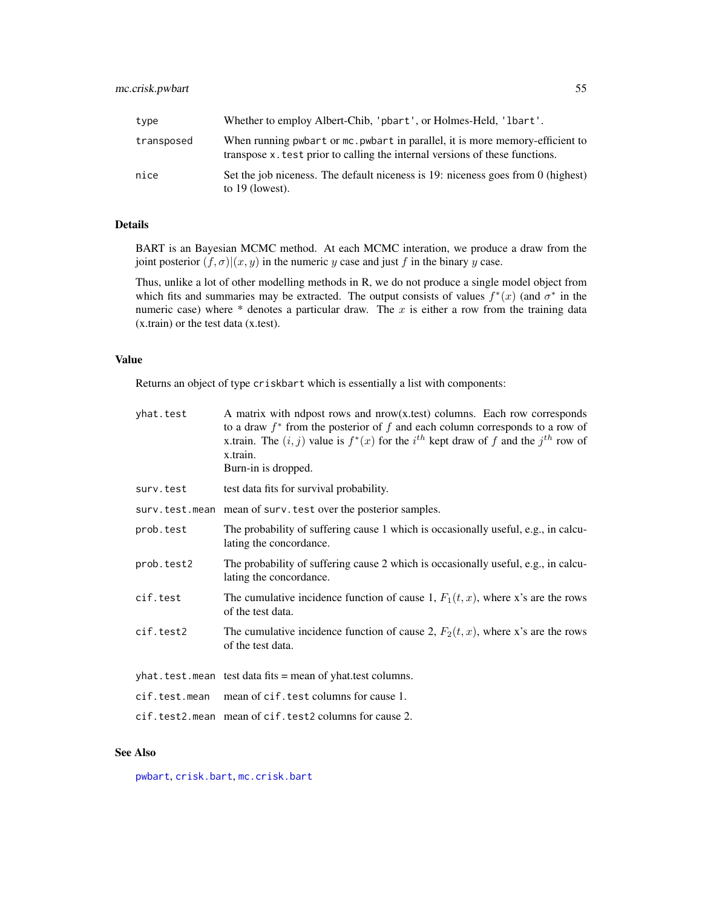| type       | Whether to employ Albert-Chib, 'pbart', or Holmes-Held, '1bart'.                                                                                             |
|------------|--------------------------------------------------------------------------------------------------------------------------------------------------------------|
| transposed | When running pwbart or mc. pwbart in parallel, it is more memory-efficient to<br>transpose x test prior to calling the internal versions of these functions. |
| nice       | Set the job niceness. The default niceness is 19: niceness goes from 0 (highest)<br>to $19$ (lowest).                                                        |

# Details

BART is an Bayesian MCMC method. At each MCMC interation, we produce a draw from the joint posterior  $(f, \sigma)(x, y)$  in the numeric y case and just f in the binary y case.

Thus, unlike a lot of other modelling methods in R, we do not produce a single model object from which fits and summaries may be extracted. The output consists of values  $f^*(x)$  (and  $\sigma^*$  in the numeric case) where  $*$  denotes a particular draw. The  $x$  is either a row from the training data (x.train) or the test data (x.test).

## Value

Returns an object of type criskbart which is essentially a list with components:

| yhat.test     | A matrix with ndpost rows and $now(x.test)$ columns. Each row corresponds<br>to a draw $f^*$ from the posterior of f and each column corresponds to a row of<br>x.train. The $(i, j)$ value is $f^*(x)$ for the $i^{th}$ kept draw of f and the $j^{th}$ row of<br>x.train.<br>Burn-in is dropped. |
|---------------|----------------------------------------------------------------------------------------------------------------------------------------------------------------------------------------------------------------------------------------------------------------------------------------------------|
| surv.test     | test data fits for survival probability.                                                                                                                                                                                                                                                           |
|               | surv.test.mean mean of surv.test over the posterior samples.                                                                                                                                                                                                                                       |
| prob.test     | The probability of suffering cause 1 which is occasionally useful, e.g., in calcu-<br>lating the concordance.                                                                                                                                                                                      |
| prob.test2    | The probability of suffering cause 2 which is occasionally useful, e.g., in calcu-<br>lating the concordance.                                                                                                                                                                                      |
| cif.test      | The cumulative incidence function of cause 1, $F_1(t, x)$ , where x's are the rows<br>of the test data.                                                                                                                                                                                            |
| cif.test2     | The cumulative incidence function of cause 2, $F_2(t, x)$ , where x's are the rows<br>of the test data.                                                                                                                                                                                            |
|               | yhat.test.mean test data fits = mean of yhat.test columns.                                                                                                                                                                                                                                         |
| cif.test.mean | mean of cif. test columns for cause 1.                                                                                                                                                                                                                                                             |
|               | cif.test2.mean mean of cif.test2 columns for cause 2.                                                                                                                                                                                                                                              |

## See Also

[pwbart](#page-102-0), [crisk.bart](#page-15-0), [mc.crisk.bart](#page-15-1)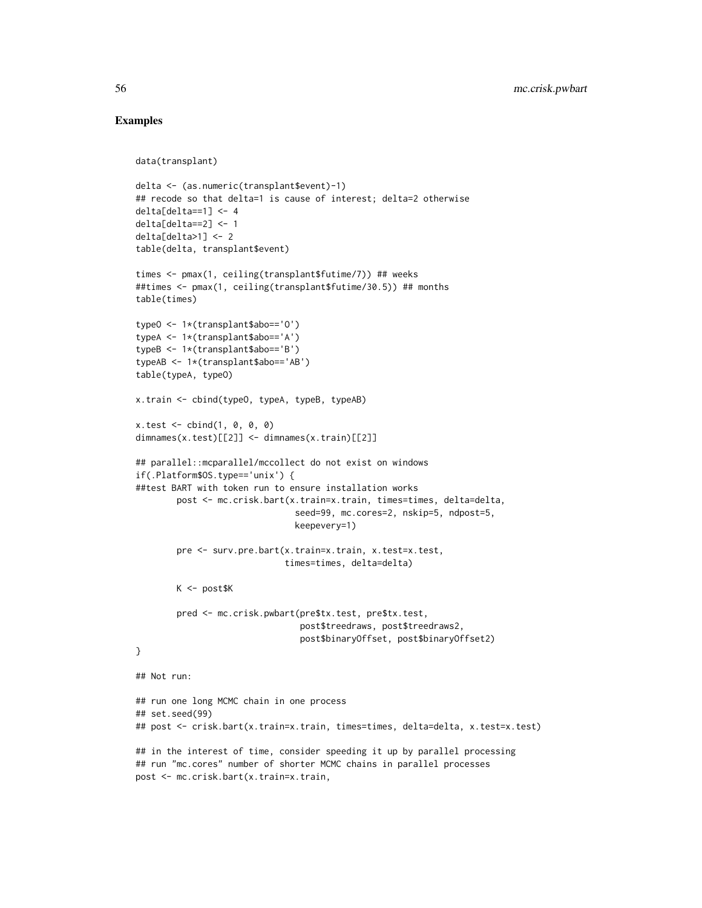## Examples

```
data(transplant)
delta <- (as.numeric(transplant$event)-1)
## recode so that delta=1 is cause of interest; delta=2 otherwise
delta[delta==1] <- 4
delta[delta==2] <- 1
delta[delta&gt;1] < -2table(delta, transplant$event)
times <- pmax(1, ceiling(transplant$futime/7)) ## weeks
##times <- pmax(1, ceiling(transplant$futime/30.5)) ## months
table(times)
typeO <- 1*(transplant$abo=='O')
typeA <- 1*(transplant$abo=='A')
typeB <- 1*(transplant$abo=='B')
typeAB <- 1*(transplant$abo=='AB')
table(typeA, typeO)
x.train <- cbind(typeO, typeA, typeB, typeAB)
x.test < - child(1, 0, 0, 0)dimnames(x.test)[[2]] <- dimnames(x.train)[[2]]
## parallel::mcparallel/mccollect do not exist on windows
if(.Platform$OS.type=='unix') {
##test BART with token run to ensure installation works
        post <- mc.crisk.bart(x.train=x.train, times=times, delta=delta,
                               seed=99, mc.cores=2, nskip=5, ndpost=5,
                               keepevery=1)
        pre <- surv.pre.bart(x.train=x.train, x.test=x.test,
                             times=times, delta=delta)
        K <- post$K
        pred <- mc.crisk.pwbart(pre$tx.test, pre$tx.test,
                                post$treedraws, post$treedraws2,
                                post$binaryOffset, post$binaryOffset2)
}
## Not run:
## run one long MCMC chain in one process
## set.seed(99)
## post <- crisk.bart(x.train=x.train, times=times, delta=delta, x.test=x.test)
## in the interest of time, consider speeding it up by parallel processing
## run "mc.cores" number of shorter MCMC chains in parallel processes
post <- mc.crisk.bart(x.train=x.train,
```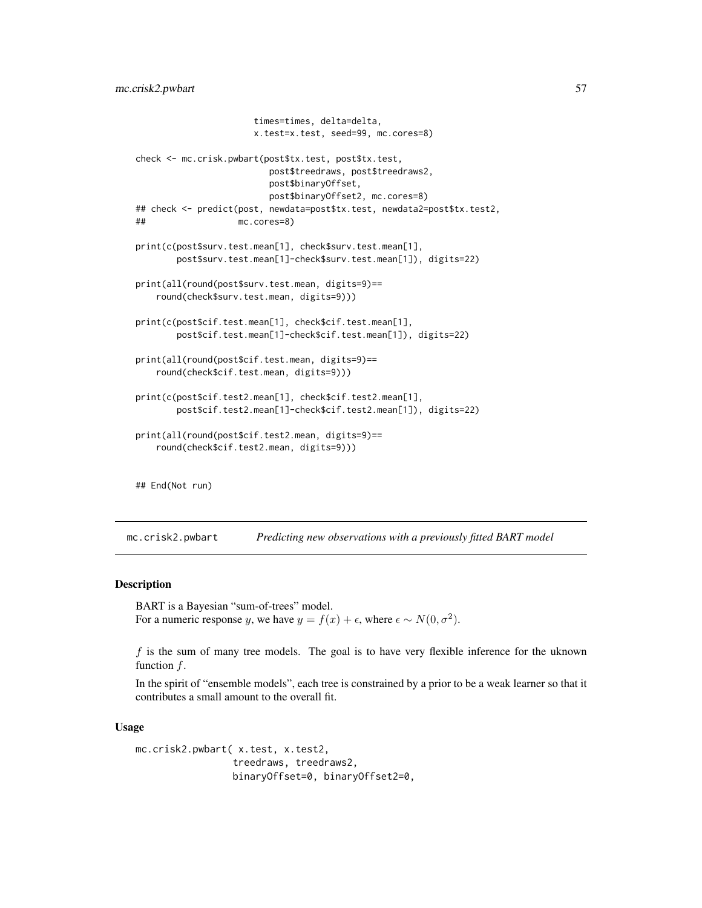```
times=times, delta=delta,
                      x.test=x.test, seed=99, mc.cores=8)
check <- mc.crisk.pwbart(post$tx.test, post$tx.test,
                         post$treedraws, post$treedraws2,
                         post$binaryOffset,
                         post$binaryOffset2, mc.cores=8)
## check <- predict(post, newdata=post$tx.test, newdata2=post$tx.test2,
## mc.cores=8)
print(c(post$surv.test.mean[1], check$surv.test.mean[1],
        post$surv.test.mean[1]-check$surv.test.mean[1]), digits=22)
print(all(round(post$surv.test.mean, digits=9)==
    round(check$surv.test.mean, digits=9)))
print(c(post$cif.test.mean[1], check$cif.test.mean[1],
       post$cif.test.mean[1]-check$cif.test.mean[1]), digits=22)
print(all(round(post$cif.test.mean, digits=9)==
    round(check$cif.test.mean, digits=9)))
print(c(post$cif.test2.mean[1], check$cif.test2.mean[1],
       post$cif.test2.mean[1]-check$cif.test2.mean[1]), digits=22)
print(all(round(post$cif.test2.mean, digits=9)==
    round(check$cif.test2.mean, digits=9)))
## End(Not run)
```
mc.crisk2.pwbart *Predicting new observations with a previously fitted BART model*

## Description

BART is a Bayesian "sum-of-trees" model. For a numeric response y, we have  $y = f(x) + \epsilon$ , where  $\epsilon \sim N(0, \sigma^2)$ .

 $f$  is the sum of many tree models. The goal is to have very flexible inference for the uknown function f.

In the spirit of "ensemble models", each tree is constrained by a prior to be a weak learner so that it contributes a small amount to the overall fit.

#### Usage

```
mc.crisk2.pwbart( x.test, x.test2,
                 treedraws, treedraws2,
                 binaryOffset=0, binaryOffset2=0,
```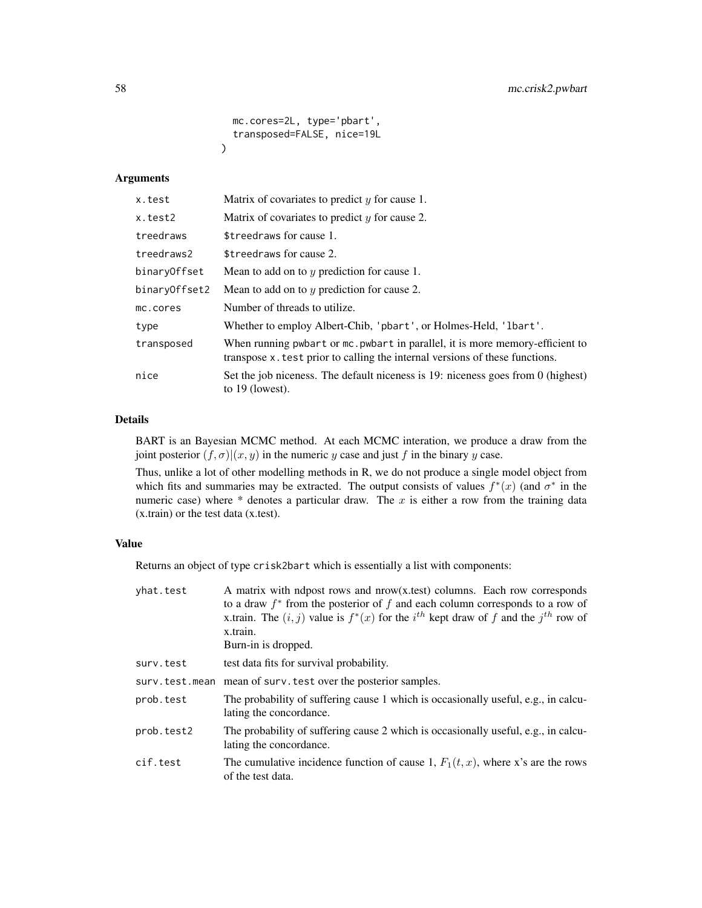```
mc.cores=2L, type='pbart',
  transposed=FALSE, nice=19L
\lambda
```
## Arguments

| x.test        | Matrix of covariates to predict $y$ for cause 1.                                                                                                             |
|---------------|--------------------------------------------------------------------------------------------------------------------------------------------------------------|
| x.test2       | Matrix of covariates to predict $y$ for cause 2.                                                                                                             |
| treedraws     | \$treedraws for cause 1.                                                                                                                                     |
| treedraws2    | \$treedraws for cause 2.                                                                                                                                     |
| binaryOffset  | Mean to add on to $y$ prediction for cause 1.                                                                                                                |
| binaryOffset2 | Mean to add on to $y$ prediction for cause 2.                                                                                                                |
| mc.cores      | Number of threads to utilize.                                                                                                                                |
| type          | Whether to employ Albert-Chib, 'pbart', or Holmes-Held, '1bart'.                                                                                             |
| transposed    | When running pwbart or mc. pwbart in parallel, it is more memory-efficient to<br>transpose x test prior to calling the internal versions of these functions. |
| nice          | Set the job niceness. The default niceness is 19: niceness goes from 0 (highest)<br>to $19$ (lowest).                                                        |

# Details

BART is an Bayesian MCMC method. At each MCMC interation, we produce a draw from the joint posterior  $(f, \sigma)|(x, y)$  in the numeric y case and just f in the binary y case.

Thus, unlike a lot of other modelling methods in R, we do not produce a single model object from which fits and summaries may be extracted. The output consists of values  $f^*(x)$  (and  $\sigma^*$  in the numeric case) where  $*$  denotes a particular draw. The x is either a row from the training data (x.train) or the test data (x.test).

# Value

Returns an object of type crisk2bart which is essentially a list with components:

| yhat.test      | A matrix with ndpost rows and nrow(x,test) columns. Each row corresponds<br>to a draw $f^*$ from the posterior of $f$ and each column corresponds to a row of<br>x.train. The $(i, j)$ value is $f^*(x)$ for the $i^{th}$ kept draw of f and the $j^{th}$ row of<br>x.train.<br>Burn-in is dropped. |
|----------------|-----------------------------------------------------------------------------------------------------------------------------------------------------------------------------------------------------------------------------------------------------------------------------------------------------|
| surv.test      | test data fits for survival probability.                                                                                                                                                                                                                                                            |
| surv.test.mean | mean of surv. test over the posterior samples.                                                                                                                                                                                                                                                      |
| prob.test      | The probability of suffering cause 1 which is occasionally useful, e.g., in calcu-<br>lating the concordance.                                                                                                                                                                                       |
| prob.test2     | The probability of suffering cause 2 which is occasionally useful, e.g., in calcu-<br>lating the concordance.                                                                                                                                                                                       |
| cif.test       | The cumulative incidence function of cause 1, $F_1(t, x)$ , where x's are the rows<br>of the test data.                                                                                                                                                                                             |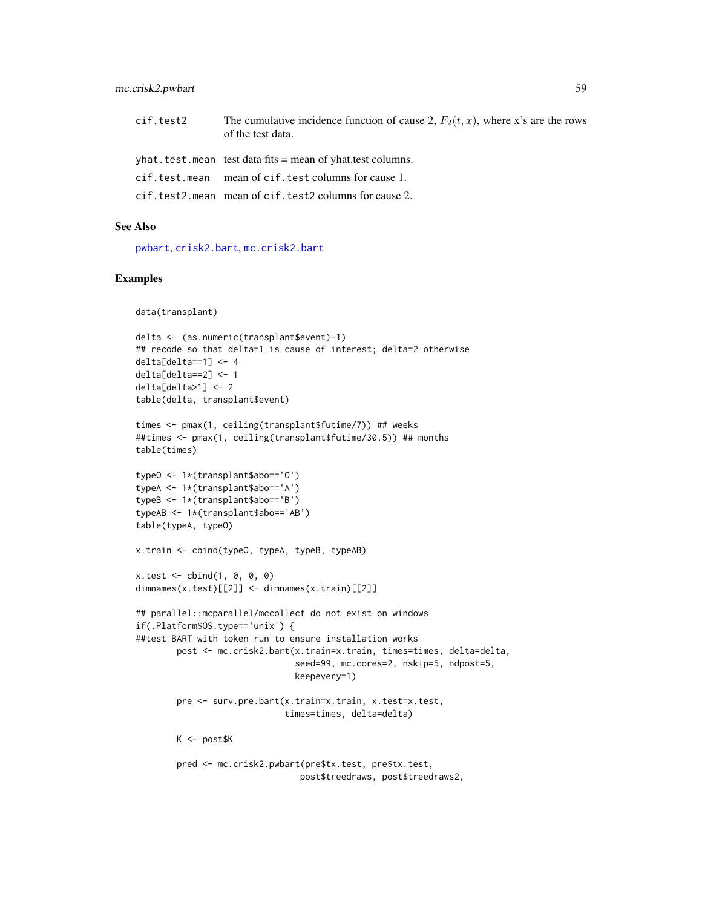## mc.crisk2.pwbart 59

| cif.test2 | The cumulative incidence function of cause 2, $F_2(t, x)$ , where x's are the rows<br>of the test data. |
|-----------|---------------------------------------------------------------------------------------------------------|
|           | yhat.test.mean test data fits = mean of yhat.test columns.                                              |
|           | cif.test.mean mean of cif.test columns for cause 1.                                                     |
|           | cif.test2.mean mean of cif.test2 columns for cause 2.                                                   |

## See Also

[pwbart](#page-102-0), [crisk2.bart](#page-23-0), [mc.crisk2.bart](#page-23-1)

## Examples

```
data(transplant)
```

```
delta <- (as.numeric(transplant$event)-1)
## recode so that delta=1 is cause of interest; delta=2 otherwise
delta[delta==1] < -4delta[delta==2] <- 1
delta[delta>1] <- 2
table(delta, transplant$event)
times <- pmax(1, ceiling(transplant$futime/7)) ## weeks
##times <- pmax(1, ceiling(transplant$futime/30.5)) ## months
table(times)
typeO <- 1*(transplant$abo=='O')
typeA <- 1*(transplant$abo=='A')
typeB <- 1*(transplant$abo=='B')
typeAB <- 1*(transplant$abo=='AB')
table(typeA, typeO)
x.train <- cbind(typeO, typeA, typeB, typeAB)
x.test < - child(1, 0, 0, 0)dimnames(x.test)[[2]] <- dimnames(x.train)[[2]]
## parallel::mcparallel/mccollect do not exist on windows
if(.Platform$OS.type=='unix') {
##test BART with token run to ensure installation works
        post <- mc.crisk2.bart(x.train=x.train, times=times, delta=delta,
                               seed=99, mc.cores=2, nskip=5, ndpost=5,
                               keepevery=1)
        pre <- surv.pre.bart(x.train=x.train, x.test=x.test,
                             times=times, delta=delta)
        K <- post$K
        pred <- mc.crisk2.pwbart(pre$tx.test, pre$tx.test,
                                post$treedraws, post$treedraws2,
```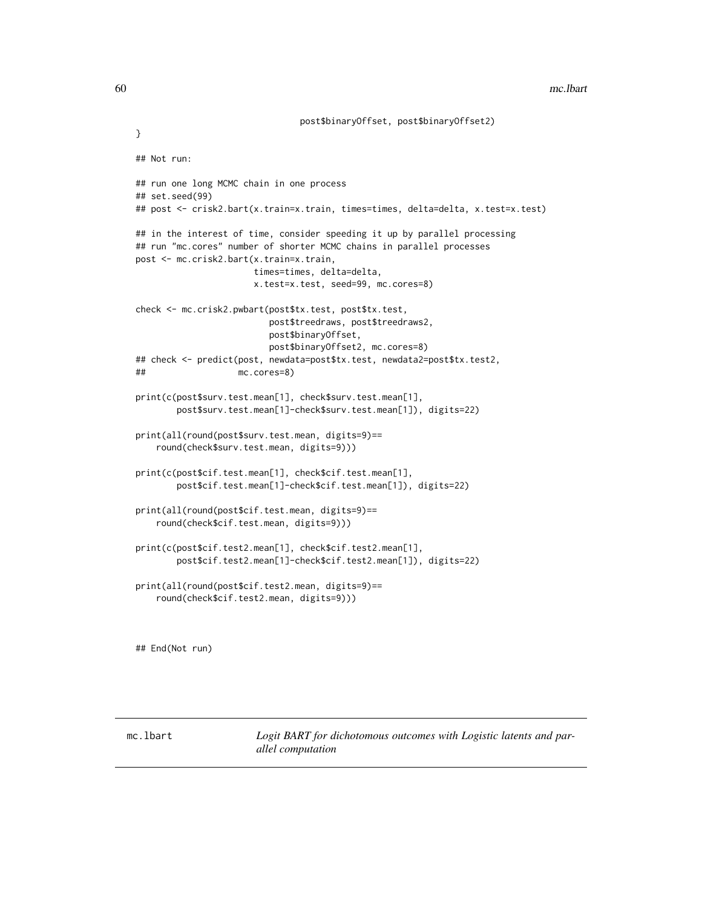## Not run:

```
## run one long MCMC chain in one process
## set.seed(99)
## post <- crisk2.bart(x.train=x.train, times=times, delta=delta, x.test=x.test)
## in the interest of time, consider speeding it up by parallel processing
## run "mc.cores" number of shorter MCMC chains in parallel processes
post <- mc.crisk2.bart(x.train=x.train,
                      times=times, delta=delta,
                      x.test=x.test, seed=99, mc.cores=8)
check <- mc.crisk2.pwbart(post$tx.test, post$tx.test,
                         post$treedraws, post$treedraws2,
                         post$binaryOffset,
                         post$binaryOffset2, mc.cores=8)
## check <- predict(post, newdata=post$tx.test, newdata2=post$tx.test2,
## mc.cores=8)
print(c(post$surv.test.mean[1], check$surv.test.mean[1],
       post$surv.test.mean[1]-check$surv.test.mean[1]), digits=22)
print(all(round(post$surv.test.mean, digits=9)==
    round(check$surv.test.mean, digits=9)))
print(c(post$cif.test.mean[1], check$cif.test.mean[1],
       post$cif.test.mean[1]-check$cif.test.mean[1]), digits=22)
print(all(round(post$cif.test.mean, digits=9)==
    round(check$cif.test.mean, digits=9)))
print(c(post$cif.test2.mean[1], check$cif.test2.mean[1],
       post$cif.test2.mean[1]-check$cif.test2.mean[1]), digits=22)
print(all(round(post$cif.test2.mean, digits=9)==
    round(check$cif.test2.mean, digits=9)))
```
## End(Not run)

mc.lbart *Logit BART for dichotomous outcomes with Logistic latents and parallel computation*

}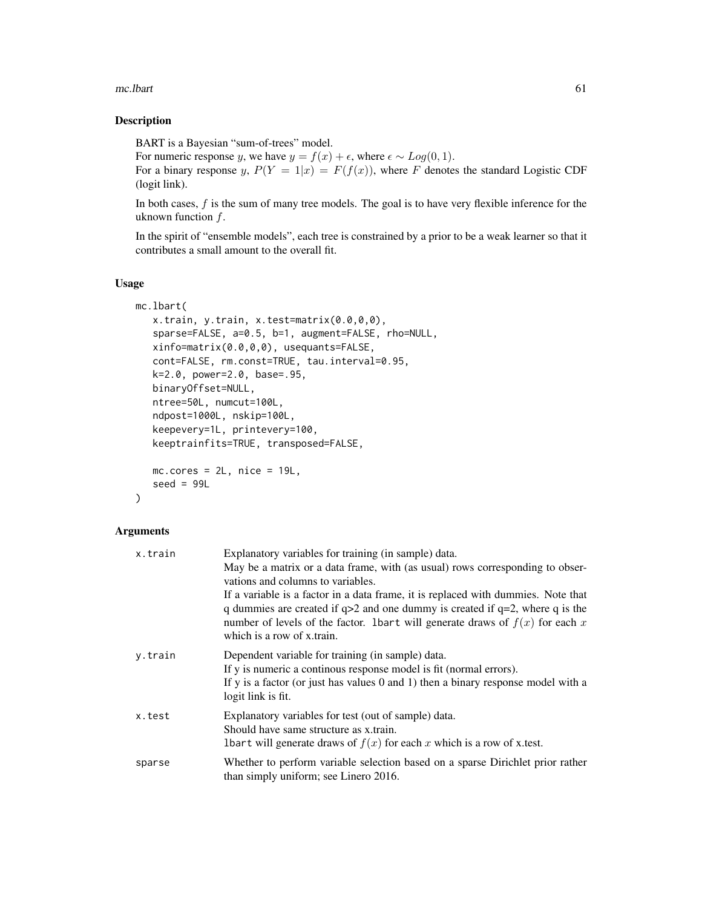#### mc.lbart 61

# Description

BART is a Bayesian "sum-of-trees" model.

For numeric response y, we have  $y = f(x) + \epsilon$ , where  $\epsilon \sim Log(0, 1)$ .

For a binary response y,  $P(Y = 1|x) = F(f(x))$ , where F denotes the standard Logistic CDF (logit link).

In both cases, f is the sum of many tree models. The goal is to have very flexible inference for the uknown function  $f$ .

In the spirit of "ensemble models", each tree is constrained by a prior to be a weak learner so that it contributes a small amount to the overall fit.

## Usage

```
mc.lbart(
   x.train, y.train, x.test=matrix(0.0,0,0),
   sparse=FALSE, a=0.5, b=1, augment=FALSE, rho=NULL,
   xinfo=matrix(0.0,0,0), usequants=FALSE,
   cont=FALSE, rm.const=TRUE, tau.interval=0.95,
   k=2.0, power=2.0, base=.95,
   binaryOffset=NULL,
   ntree=50L, numcut=100L,
   ndpost=1000L, nskip=100L,
   keepevery=1L, printevery=100,
   keeptrainfits=TRUE, transposed=FALSE,
   mc.core = 2L, nice = 19L,
   seed = 99L
```

```
\mathcal{L}
```
# Arguments

| x.train | Explanatory variables for training (in sample) data.                                                                    |
|---------|-------------------------------------------------------------------------------------------------------------------------|
|         | May be a matrix or a data frame, with (as usual) rows corresponding to obser-                                           |
|         | vations and columns to variables.                                                                                       |
|         | If a variable is a factor in a data frame, it is replaced with dummies. Note that                                       |
|         | q dummies are created if $q>2$ and one dummy is created if $q=2$ , where q is the                                       |
|         | number of levels of the factor. 1bart will generate draws of $f(x)$ for each x<br>which is a row of x train.            |
| y.train | Dependent variable for training (in sample) data.                                                                       |
|         | If y is numeric a continuous response model is fit (normal errors).                                                     |
|         | If y is a factor (or just has values $0$ and $1$ ) then a binary response model with a<br>logit link is fit.            |
| x.test  | Explanatory variables for test (out of sample) data.                                                                    |
|         | Should have same structure as x.train.                                                                                  |
|         | Ibart will generate draws of $f(x)$ for each x which is a row of x.test.                                                |
| sparse  | Whether to perform variable selection based on a sparse Dirichlet prior rather<br>than simply uniform; see Linero 2016. |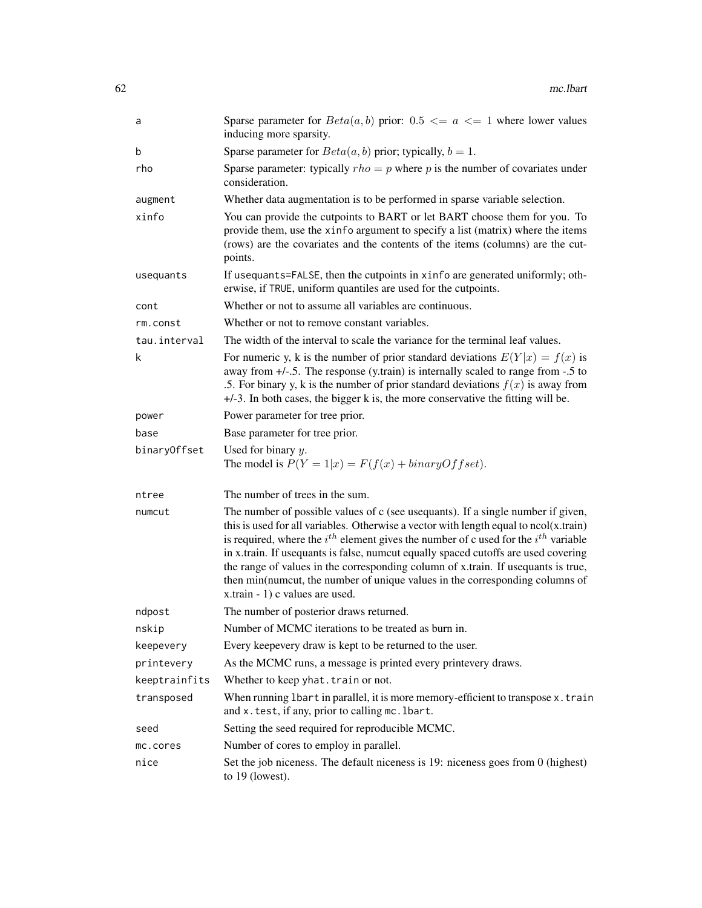| a             | Sparse parameter for $Beta(a, b)$ prior: 0.5 $\le a \le 1$ where lower values<br>inducing more sparsity.                                                                                                                                                                                                                                                                                                                                                                                                                                                                  |
|---------------|---------------------------------------------------------------------------------------------------------------------------------------------------------------------------------------------------------------------------------------------------------------------------------------------------------------------------------------------------------------------------------------------------------------------------------------------------------------------------------------------------------------------------------------------------------------------------|
| b             | Sparse parameter for $Beta(a, b)$ prior; typically, $b = 1$ .                                                                                                                                                                                                                                                                                                                                                                                                                                                                                                             |
| rho           | Sparse parameter: typically $rho = p$ where p is the number of covariates under<br>consideration.                                                                                                                                                                                                                                                                                                                                                                                                                                                                         |
| augment       | Whether data augmentation is to be performed in sparse variable selection.                                                                                                                                                                                                                                                                                                                                                                                                                                                                                                |
| xinfo         | You can provide the cutpoints to BART or let BART choose them for you. To<br>provide them, use the xinfo argument to specify a list (matrix) where the items<br>(rows) are the covariates and the contents of the items (columns) are the cut-<br>points.                                                                                                                                                                                                                                                                                                                 |
| usequants     | If usequants=FALSE, then the cutpoints in xinfo are generated uniformly; oth-<br>erwise, if TRUE, uniform quantiles are used for the cutpoints.                                                                                                                                                                                                                                                                                                                                                                                                                           |
| cont          | Whether or not to assume all variables are continuous.                                                                                                                                                                                                                                                                                                                                                                                                                                                                                                                    |
| rm.const      | Whether or not to remove constant variables.                                                                                                                                                                                                                                                                                                                                                                                                                                                                                                                              |
| tau.interval  | The width of the interval to scale the variance for the terminal leaf values.                                                                                                                                                                                                                                                                                                                                                                                                                                                                                             |
| k             | For numeric y, k is the number of prior standard deviations $E(Y x) = f(x)$ is<br>away from $+/-$ .5. The response (y.train) is internally scaled to range from $-.5$ to<br>.5. For binary y, k is the number of prior standard deviations $f(x)$ is away from<br>+/-3. In both cases, the bigger k is, the more conservative the fitting will be.                                                                                                                                                                                                                        |
| power         | Power parameter for tree prior.                                                                                                                                                                                                                                                                                                                                                                                                                                                                                                                                           |
| base          | Base parameter for tree prior.                                                                                                                                                                                                                                                                                                                                                                                                                                                                                                                                            |
| binaryOffset  | Used for binary $y$ .<br>The model is $P(Y = 1 x) = F(f(x) + binaryOffset)$ .                                                                                                                                                                                                                                                                                                                                                                                                                                                                                             |
| ntree         | The number of trees in the sum.                                                                                                                                                                                                                                                                                                                                                                                                                                                                                                                                           |
| numcut        | The number of possible values of c (see usequants). If a single number if given,<br>this is used for all variables. Otherwise a vector with length equal to $ncol(x.train)$<br>is required, where the $i^{th}$ element gives the number of c used for the $i^{th}$ variable<br>in x.train. If usequants is false, numcut equally spaced cutoffs are used covering<br>the range of values in the corresponding column of x.train. If usequants is true,<br>then min(numcut, the number of unique values in the corresponding columns of<br>x.train - 1) c values are used. |
| ndpost        | The number of posterior draws returned.                                                                                                                                                                                                                                                                                                                                                                                                                                                                                                                                   |
| nskip         | Number of MCMC iterations to be treated as burn in.                                                                                                                                                                                                                                                                                                                                                                                                                                                                                                                       |
| keepevery     | Every keepevery draw is kept to be returned to the user.                                                                                                                                                                                                                                                                                                                                                                                                                                                                                                                  |
| printevery    | As the MCMC runs, a message is printed every printevery draws.                                                                                                                                                                                                                                                                                                                                                                                                                                                                                                            |
| keeptrainfits | Whether to keep yhat. train or not.                                                                                                                                                                                                                                                                                                                                                                                                                                                                                                                                       |
| transposed    | When running 1 bart in parallel, it is more memory-efficient to transpose x.train<br>and x. test, if any, prior to calling mc. 1bart.                                                                                                                                                                                                                                                                                                                                                                                                                                     |
| seed          | Setting the seed required for reproducible MCMC.                                                                                                                                                                                                                                                                                                                                                                                                                                                                                                                          |
| mc.cores      | Number of cores to employ in parallel.                                                                                                                                                                                                                                                                                                                                                                                                                                                                                                                                    |
| nice          | Set the job niceness. The default niceness is 19: niceness goes from 0 (highest)<br>to $19$ (lowest).                                                                                                                                                                                                                                                                                                                                                                                                                                                                     |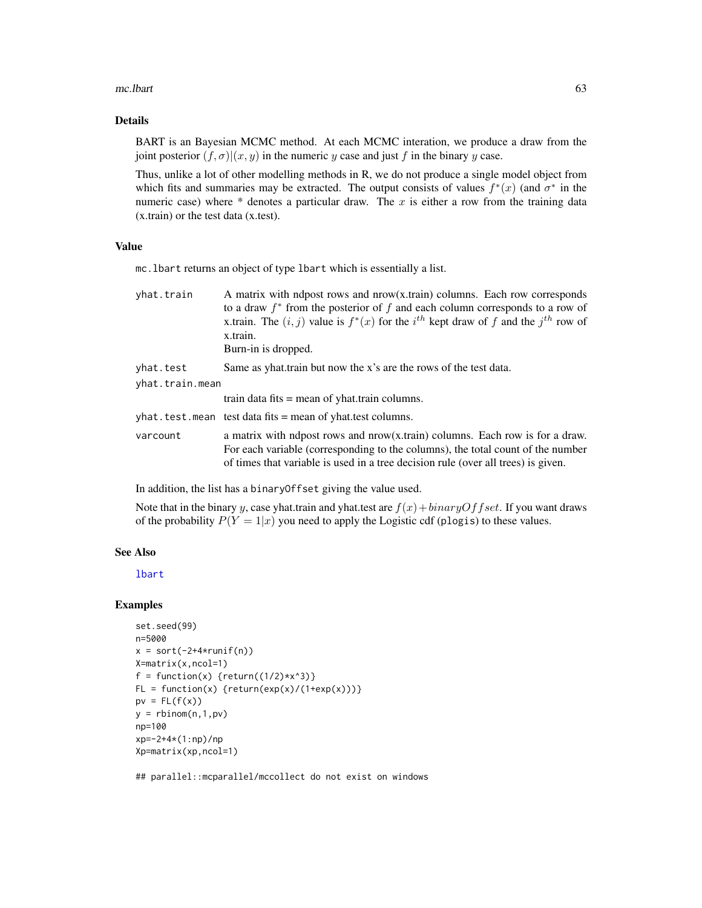#### mc.lbart 63

# Details

BART is an Bayesian MCMC method. At each MCMC interation, we produce a draw from the joint posterior  $(f, \sigma)(x, y)$  in the numeric y case and just f in the binary y case.

Thus, unlike a lot of other modelling methods in R, we do not produce a single model object from which fits and summaries may be extracted. The output consists of values  $f^*(x)$  (and  $\sigma^*$  in the numeric case) where  $*$  denotes a particular draw. The x is either a row from the training data (x.train) or the test data (x.test).

# Value

mc.lbart returns an object of type lbart which is essentially a list.

| yhat.train      | A matrix with ndpost rows and $now(x, train)$ columns. Each row corresponds<br>to a draw $f^*$ from the posterior of f and each column corresponds to a row of<br>x.train. The $(i, j)$ value is $f^*(x)$ for the $i^{th}$ kept draw of f and the $j^{th}$ row of<br>x.train.<br>Burn-in is dropped. |
|-----------------|------------------------------------------------------------------------------------------------------------------------------------------------------------------------------------------------------------------------------------------------------------------------------------------------------|
| yhat.test       | Same as yhat train but now the x's are the rows of the test data.                                                                                                                                                                                                                                    |
| yhat.train.mean |                                                                                                                                                                                                                                                                                                      |
|                 | train data fits $=$ mean of yhat. train columns.                                                                                                                                                                                                                                                     |
|                 | $\psi$ what test mean test data fits = mean of yhat test columns.                                                                                                                                                                                                                                    |
| varcount        | a matrix with ndpost rows and nrow(x.train) columns. Each row is for a draw.<br>For each variable (corresponding to the columns), the total count of the number<br>of times that variable is used in a tree decision rule (over all trees) is given.                                                 |

In addition, the list has a binaryOffset giving the value used.

Note that in the binary y, case yhat.train and yhat.test are  $f(x) + binaryOffset$ . If you want draws of the probability  $P(Y = 1|x)$  you need to apply the Logistic cdf (plogis) to these values.

## See Also

[lbart](#page-37-0)

### Examples

```
set.seed(99)
n=5000
x = sort(-2+4*runif(n))X=matrix(x,ncol=1)
f = function(x) {return((1/2)*x^3)}
FL = function(x) {return(exp(x)/(1+exp(x)))}pv = FL(f(x))y = rbinom(n, 1, pv)np=100
xp=-2+4*(1:np)/np
Xp=matrix(xp,ncol=1)
```
## parallel::mcparallel/mccollect do not exist on windows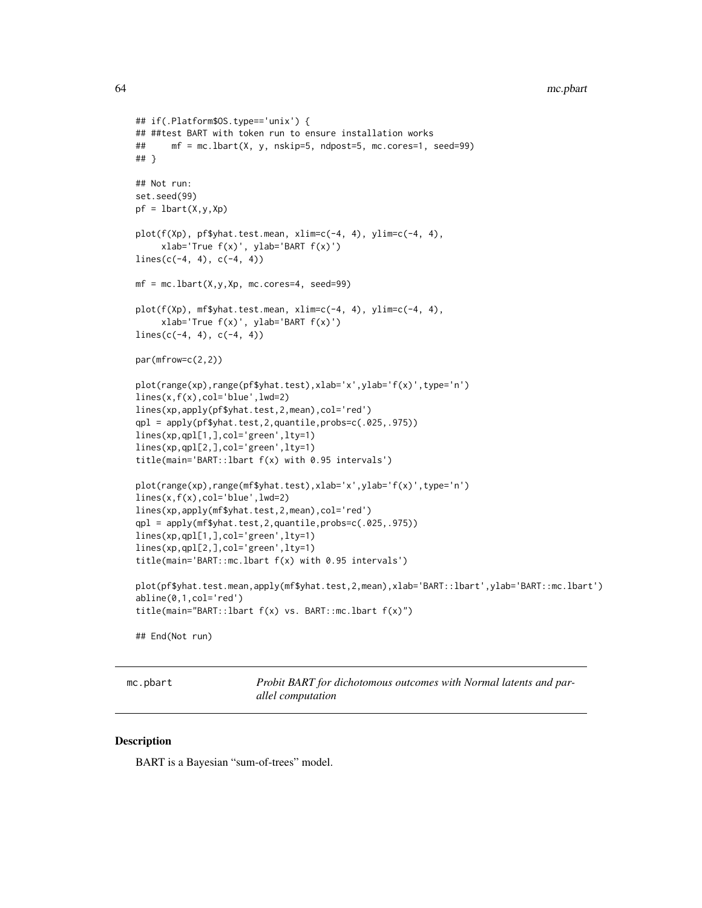```
## if(.Platform$OS.type=='unix') {
## ##test BART with token run to ensure installation works
## mf = mc.lbart(X, y, nskip=5, ndpost=5, mc.cores=1, seed=99)
## }
## Not run:
set.seed(99)
pf = lbar(X, y, Xp)plot(f(Xp), pf$yhat.test.mean, xlim=c(-4, 4), ylim=c(-4, 4),
     xlab='True f(x)', ylab='BART f(x)')
lines(c(-4, 4), c(-4, 4))mf = mc.1bart(X, y, Xp, mc.cores=4, seed=99)plot(f(Xp), mf$yhat.test.mean, xlim=c(-4, 4), ylim=c(-4, 4),
     xlab='True f(x)', ylab='BART f(x)')
lines(c(-4, 4), c(-4, 4))par(mfrow=c(2,2))
plot(range(xp),range(pf$yhat.test),xlab='x',ylab='f(x)',type='n')
lines(x,f(x),col='blue',lwd=2)
lines(xp,apply(pf$yhat.test,2,mean),col='red')
qpl = apply(pf$yhat.test,2,quantile,probs=c(.025,.975))
lines(xp,qpl[1,],col='green',lty=1)
lines(xp,qpl[2,],col='green',lty=1)
title(main='BART::lbart f(x) with 0.95 intervals')
plot(range(xp),range(mf$yhat.test),xlab='x',ylab='f(x)',type='n')
lines(x,f(x),col='blue',lwd=2)
lines(xp,apply(mf$yhat.test,2,mean),col='red')
qpl = apply(mf$yhat.test,2,quantile,probs=c(.025,.975))
lines(xp,qpl[1,],col='green',lty=1)
lines(xp,qpl[2,],col='green',lty=1)
title(main='BART::mc.lbart f(x) with 0.95 intervals')
plot(pf$yhat.test.mean,apply(mf$yhat.test,2,mean),xlab='BART::lbart',ylab='BART::mc.lbart')
abline(0,1,col='red')
title(main="BART::lbart f(x) vs. BART::mc.lbart f(x)")
## End(Not run)
```
mc.pbart *Probit BART for dichotomous outcomes with Normal latents and parallel computation*

#### **Description**

BART is a Bayesian "sum-of-trees" model.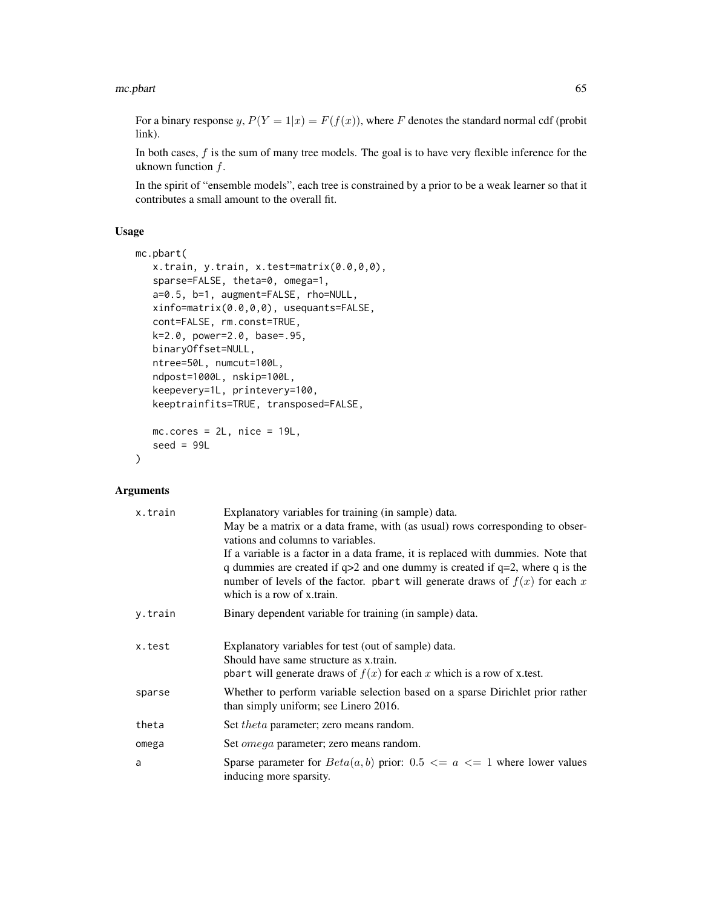For a binary response y,  $P(Y = 1|x) = F(f(x))$ , where F denotes the standard normal cdf (probit link).

In both cases, f is the sum of many tree models. The goal is to have very flexible inference for the uknown function f.

In the spirit of "ensemble models", each tree is constrained by a prior to be a weak learner so that it contributes a small amount to the overall fit.

## Usage

```
mc.pbart(
   x.train, y.train, x.test=matrix(0.0,0,0),
   sparse=FALSE, theta=0, omega=1,
   a=0.5, b=1, augment=FALSE, rho=NULL,
   xinfo=matrix(0.0,0,0), usequants=FALSE,
   cont=FALSE, rm.const=TRUE,
   k=2.0, power=2.0, base=.95,
   binaryOffset=NULL,
   ntree=50L, numcut=100L,
   ndpost=1000L, nskip=100L,
   keepevery=1L, printevery=100,
   keeptrainfits=TRUE, transposed=FALSE,
   mc.core = 2L, nice = 19L,
   seed = 99L\mathcal{L}
```
## Arguments

| x.train | Explanatory variables for training (in sample) data.<br>May be a matrix or a data frame, with (as usual) rows corresponding to obser-<br>vations and columns to variables.<br>If a variable is a factor in a data frame, it is replaced with dummies. Note that<br>q dummies are created if $q>2$ and one dummy is created if $q=2$ , where q is the<br>number of levels of the factor. pbart will generate draws of $f(x)$ for each x<br>which is a row of x train. |
|---------|----------------------------------------------------------------------------------------------------------------------------------------------------------------------------------------------------------------------------------------------------------------------------------------------------------------------------------------------------------------------------------------------------------------------------------------------------------------------|
| y.train | Binary dependent variable for training (in sample) data.                                                                                                                                                                                                                                                                                                                                                                                                             |
| x.test  | Explanatory variables for test (out of sample) data.<br>Should have same structure as x.train.<br>pbart will generate draws of $f(x)$ for each x which is a row of x test.                                                                                                                                                                                                                                                                                           |
| sparse  | Whether to perform variable selection based on a sparse Dirichlet prior rather<br>than simply uniform; see Linero 2016.                                                                                                                                                                                                                                                                                                                                              |
| theta   | Set <i>theta</i> parameter; zero means random.                                                                                                                                                                                                                                                                                                                                                                                                                       |
| omega   | Set <i>omega</i> parameter; zero means random.                                                                                                                                                                                                                                                                                                                                                                                                                       |
| a       | Sparse parameter for $Beta(a, b)$ prior: 0.5 $\leq a \leq 1$ where lower values<br>inducing more sparsity.                                                                                                                                                                                                                                                                                                                                                           |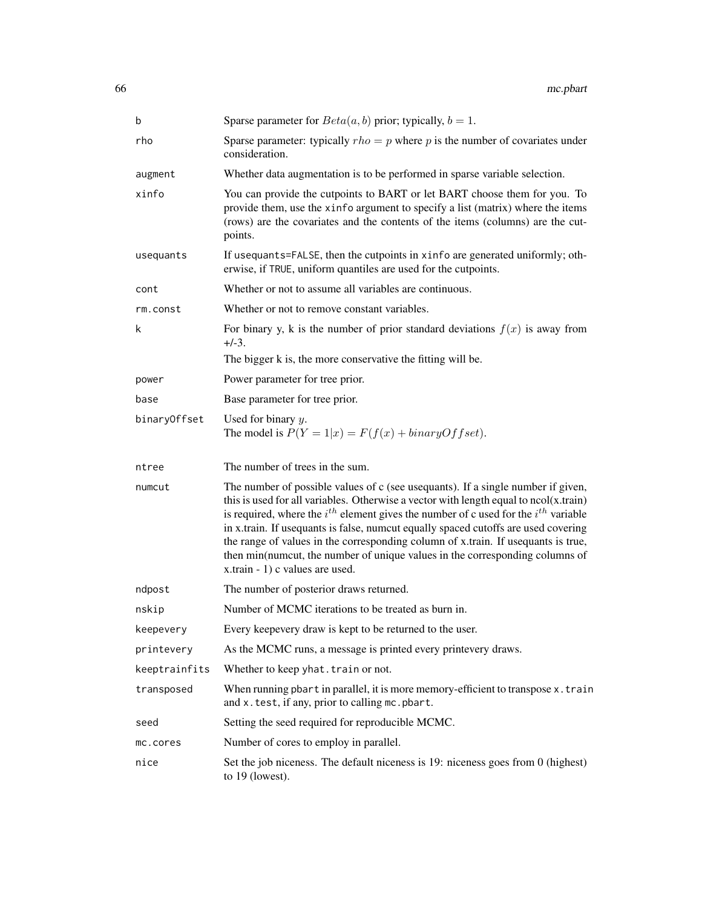| b             | Sparse parameter for $Beta(a, b)$ prior; typically, $b = 1$ .                                                                                                                                                                                                                                                                                                                                                                                                                                                                                                             |
|---------------|---------------------------------------------------------------------------------------------------------------------------------------------------------------------------------------------------------------------------------------------------------------------------------------------------------------------------------------------------------------------------------------------------------------------------------------------------------------------------------------------------------------------------------------------------------------------------|
| rho           | Sparse parameter: typically $rho = p$ where p is the number of covariates under<br>consideration.                                                                                                                                                                                                                                                                                                                                                                                                                                                                         |
| augment       | Whether data augmentation is to be performed in sparse variable selection.                                                                                                                                                                                                                                                                                                                                                                                                                                                                                                |
| xinfo         | You can provide the cutpoints to BART or let BART choose them for you. To<br>provide them, use the xinfo argument to specify a list (matrix) where the items<br>(rows) are the covariates and the contents of the items (columns) are the cut-<br>points.                                                                                                                                                                                                                                                                                                                 |
| usequants     | If usequants=FALSE, then the cutpoints in xinfo are generated uniformly; oth-<br>erwise, if TRUE, uniform quantiles are used for the cutpoints.                                                                                                                                                                                                                                                                                                                                                                                                                           |
| cont          | Whether or not to assume all variables are continuous.                                                                                                                                                                                                                                                                                                                                                                                                                                                                                                                    |
| rm.const      | Whether or not to remove constant variables.                                                                                                                                                                                                                                                                                                                                                                                                                                                                                                                              |
| k             | For binary y, k is the number of prior standard deviations $f(x)$ is away from<br>$+/-3.$                                                                                                                                                                                                                                                                                                                                                                                                                                                                                 |
|               | The bigger k is, the more conservative the fitting will be.                                                                                                                                                                                                                                                                                                                                                                                                                                                                                                               |
| power         | Power parameter for tree prior.                                                                                                                                                                                                                                                                                                                                                                                                                                                                                                                                           |
| base          | Base parameter for tree prior.                                                                                                                                                                                                                                                                                                                                                                                                                                                                                                                                            |
| binaryOffset  | Used for binary $y$ .<br>The model is $P(Y = 1 x) = F(f(x) + binaryOffset)$ .                                                                                                                                                                                                                                                                                                                                                                                                                                                                                             |
| ntree         | The number of trees in the sum.                                                                                                                                                                                                                                                                                                                                                                                                                                                                                                                                           |
| numcut        | The number of possible values of c (see usequants). If a single number if given,<br>this is used for all variables. Otherwise a vector with length equal to $ncol(x.train)$<br>is required, where the $i^{th}$ element gives the number of c used for the $i^{th}$ variable<br>in x.train. If usequants is false, numcut equally spaced cutoffs are used covering<br>the range of values in the corresponding column of x.train. If usequants is true,<br>then min(numcut, the number of unique values in the corresponding columns of<br>x.train - 1) c values are used. |
| ndpost        | The number of posterior draws returned.                                                                                                                                                                                                                                                                                                                                                                                                                                                                                                                                   |
| nskip         | Number of MCMC iterations to be treated as burn in.                                                                                                                                                                                                                                                                                                                                                                                                                                                                                                                       |
| keepevery     | Every keepevery draw is kept to be returned to the user.                                                                                                                                                                                                                                                                                                                                                                                                                                                                                                                  |
| printevery    | As the MCMC runs, a message is printed every printevery draws.                                                                                                                                                                                                                                                                                                                                                                                                                                                                                                            |
| keeptrainfits | Whether to keep yhat. train or not.                                                                                                                                                                                                                                                                                                                                                                                                                                                                                                                                       |
| transposed    | When running pbart in parallel, it is more memory-efficient to transpose x.train<br>and x.test, if any, prior to calling mc.pbart.                                                                                                                                                                                                                                                                                                                                                                                                                                        |
| seed          | Setting the seed required for reproducible MCMC.                                                                                                                                                                                                                                                                                                                                                                                                                                                                                                                          |
| mc.cores      |                                                                                                                                                                                                                                                                                                                                                                                                                                                                                                                                                                           |
|               | Number of cores to employ in parallel.                                                                                                                                                                                                                                                                                                                                                                                                                                                                                                                                    |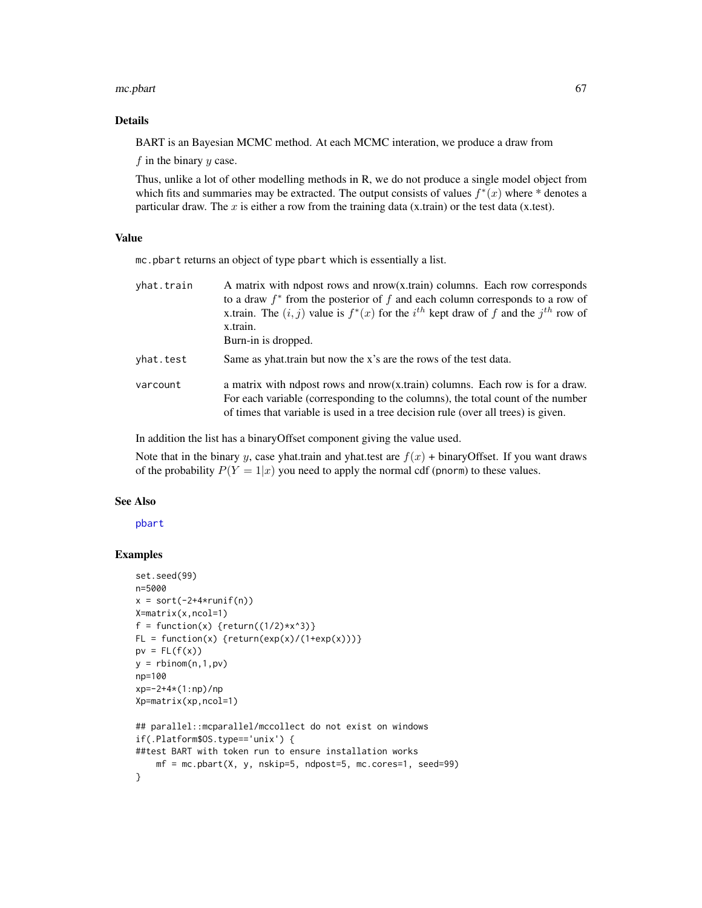#### mc.pbart 67

# Details

BART is an Bayesian MCMC method. At each MCMC interation, we produce a draw from

 $f$  in the binary  $y$  case.

Thus, unlike a lot of other modelling methods in R, we do not produce a single model object from which fits and summaries may be extracted. The output consists of values  $f^*(x)$  where \* denotes a particular draw. The  $x$  is either a row from the training data (x.train) or the test data (x.test).

### Value

mc.pbart returns an object of type pbart which is essentially a list.

| yhat.train | A matrix with ndpost rows and nrow(x.train) columns. Each row corresponds<br>to a draw $f^*$ from the posterior of f and each column corresponds to a row of<br>x.train. The $(i, j)$ value is $f^*(x)$ for the $i^{th}$ kept draw of f and the $j^{th}$ row of<br>x.train.<br>Burn-in is dropped. |
|------------|----------------------------------------------------------------------------------------------------------------------------------------------------------------------------------------------------------------------------------------------------------------------------------------------------|
| yhat.test  | Same as yhat train but now the x's are the rows of the test data.                                                                                                                                                                                                                                  |
| varcount   | a matrix with ndpost rows and nrow(x.train) columns. Each row is for a draw.<br>For each variable (corresponding to the columns), the total count of the number<br>of times that variable is used in a tree decision rule (over all trees) is given.                                               |

In addition the list has a binaryOffset component giving the value used.

Note that in the binary y, case yhat.train and yhat.test are  $f(x)$  + binaryOffset. If you want draws of the probability  $P(Y = 1|x)$  you need to apply the normal cdf (pnorm) to these values.

#### See Also

[pbart](#page-77-0)

# Examples

```
set.seed(99)
n=5000
x = sort(-2+4*runif(n))X=matrix(x,ncol=1)
f = function(x) {return((1/2)*x^3)}
FL = function(x) {return(exp(x)/(1+exp(x)))}pv = FL(f(x))y = rbinom(n, 1, pv)np=100
xp=-2+4*(1:np)/np
Xp=matrix(xp,ncol=1)
## parallel::mcparallel/mccollect do not exist on windows
if(.Platform$OS.type=='unix') {
##test BART with token run to ensure installation works
   mf = mc.pbart(X, y, nskip=5, ndpost=5, mc.core=1, seed=99)}
```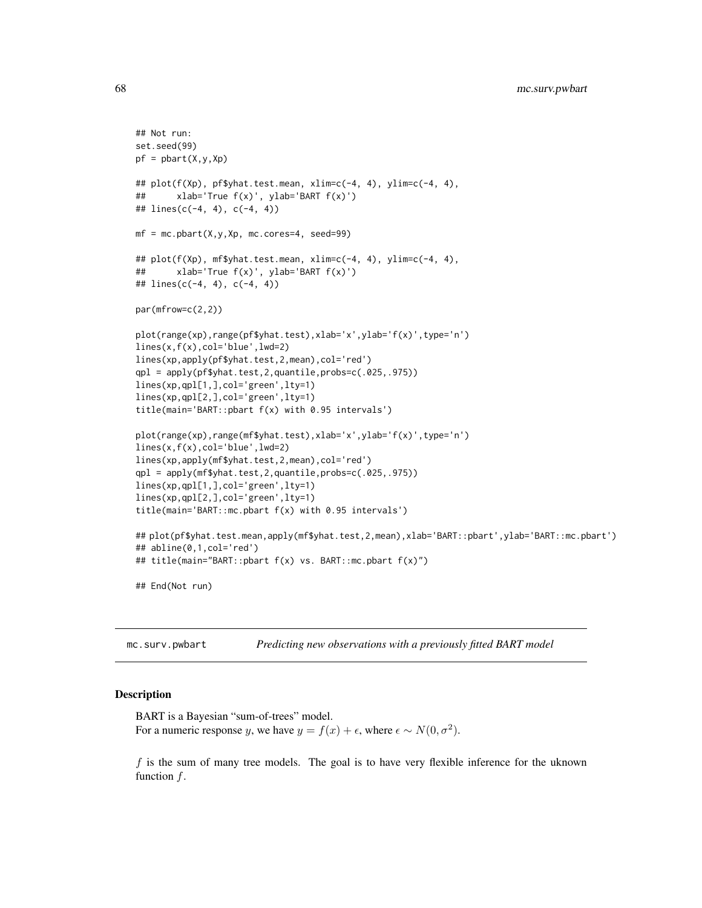```
## Not run:
set.seed(99)
pf = phart(X, y, Xp)## plot(f(Xp), pf$yhat.test.mean, xlim=c(-4, 4), ylim=c(-4, 4),
## xlab='True f(x)', ylab='BART f(x)')
## lines(c(-4, 4), c(-4, 4))
mf = mc.pbart(X, y, Xp, mc.corese=4, seed=99)## plot(f(Xp), mf$yhat.test.mean, xlim=c(-4, 4), ylim=c(-4, 4),
## xlab='True f(x)', ylab='BART f(x)')
## lines(c(-4, 4), c(-4, 4))
par(mfrow=c(2,2))
plot(range(xp),range(pf$yhat.test),xlab='x',ylab='f(x)',type='n')
lines(x,f(x),col='blue',lwd=2)
lines(xp,apply(pf$yhat.test,2,mean),col='red')
qpl = apply(pf$yhat.test,2,quantile,probs=c(.025,.975))
lines(xp,qpl[1,],col='green',lty=1)
lines(xp,qpl[2,],col='green',lty=1)
title(main='BART::pbart f(x) with 0.95 intervals')
plot(range(xp),range(mf$yhat.test),xlab='x',ylab='f(x)',type='n')
lines(x,f(x),col='blue',lwd=2)
lines(xp,apply(mf$yhat.test,2,mean),col='red')
qpl = apply(mf$yhat.test,2,quantile,probs=c(.025,.975))
lines(xp,qpl[1,],col='green',lty=1)
lines(xp,qpl[2,],col='green',lty=1)
title(main='BART::mc.pbart f(x) with 0.95 intervals')
## plot(pf$yhat.test.mean,apply(mf$yhat.test,2,mean),xlab='BART::pbart',ylab='BART::mc.pbart')
## abline(0,1,col='red')
## title(main="BART::pbart f(x) vs. BART::mc.pbart f(x)")
## End(Not run)
```
mc.surv.pwbart *Predicting new observations with a previously fitted BART model*

#### **Description**

BART is a Bayesian "sum-of-trees" model. For a numeric response y, we have  $y = f(x) + \epsilon$ , where  $\epsilon \sim N(0, \sigma^2)$ .

 $f$  is the sum of many tree models. The goal is to have very flexible inference for the uknown function  $f$ .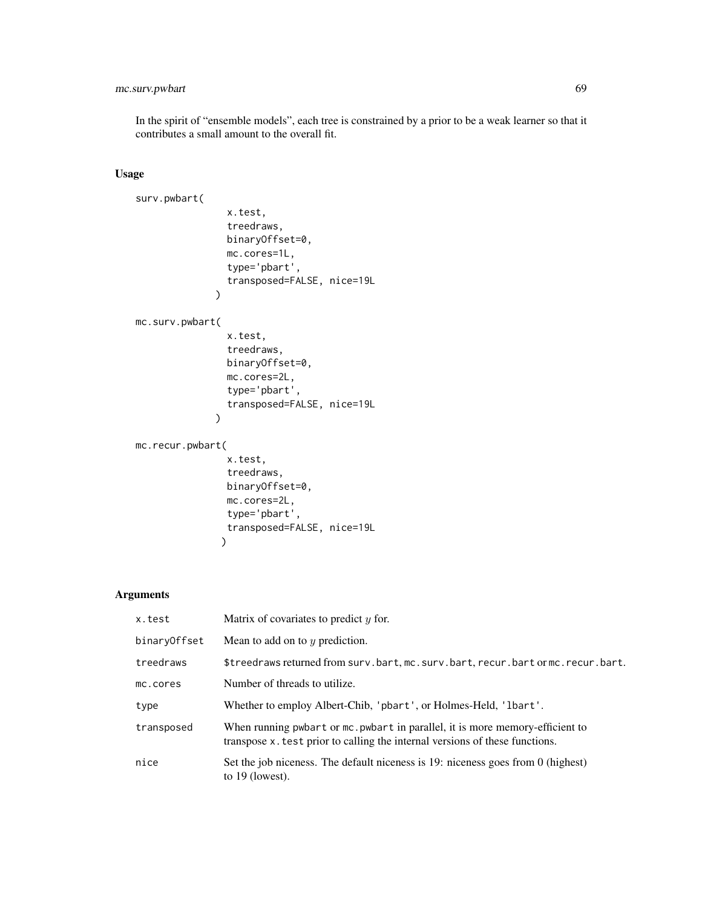# mc.surv.pwbart 69

In the spirit of "ensemble models", each tree is constrained by a prior to be a weak learner so that it contributes a small amount to the overall fit.

# Usage

```
surv.pwbart(
                 x.test,
                 treedraws,
                 binaryOffset=0,
                 mc.cores=1L,
                 type='pbart',
                 transposed=FALSE, nice=19L
               \mathcal{L}mc.surv.pwbart(
                 x.test,
                 treedraws,
                 binaryOffset=0,
                 mc.cores=2L,
                 type='pbart',
                 transposed=FALSE, nice=19L
               \lambdamc.recur.pwbart(
                 x.test,
                 treedraws,
                 binaryOffset=0,
                 mc.cores=2L,
                 type='pbart',
                 transposed=FALSE, nice=19L
                \lambda
```
# Arguments

| x.test       | Matrix of covariates to predict $y$ for.                                                                                                                     |
|--------------|--------------------------------------------------------------------------------------------------------------------------------------------------------------|
| binaryOffset | Mean to add on to $y$ prediction.                                                                                                                            |
| treedraws    | \$treedraws returned from surv.bart, mc.surv.bart, recur.bart or mc.recur.bart.                                                                              |
| mc.cores     | Number of threads to utilize.                                                                                                                                |
| type         | Whether to employ Albert-Chib, 'pbart', or Holmes-Held, 'lbart'.                                                                                             |
| transposed   | When running pwbart or mc. pwbart in parallel, it is more memory-efficient to<br>transpose x test prior to calling the internal versions of these functions. |
| nice         | Set the job niceness. The default niceness is 19: niceness goes from 0 (highest)<br>to $19$ (lowest).                                                        |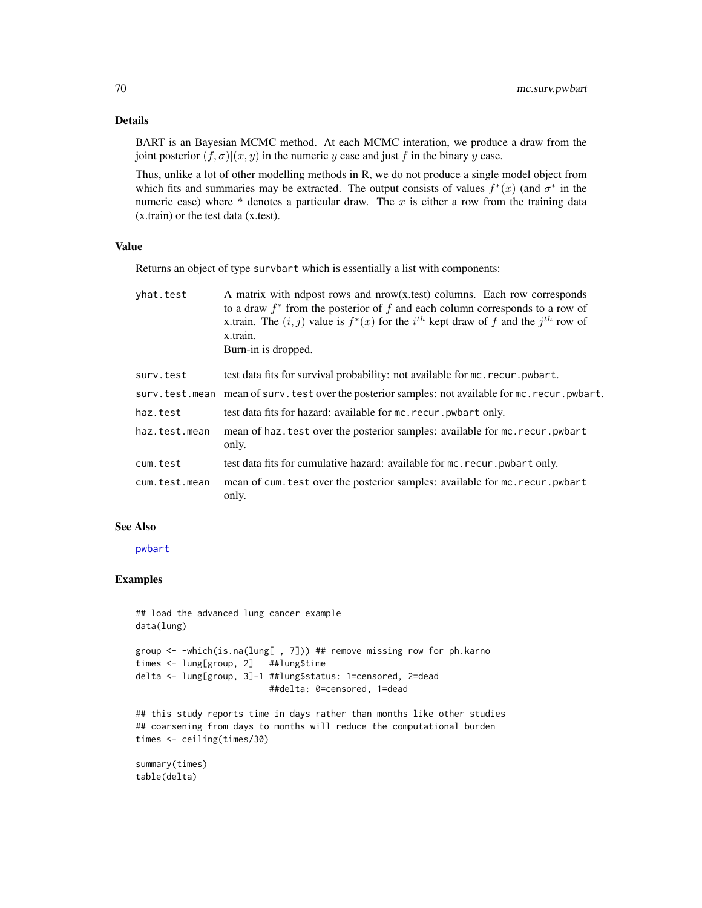## Details

BART is an Bayesian MCMC method. At each MCMC interation, we produce a draw from the joint posterior  $(f, \sigma)|(x, y)$  in the numeric y case and just f in the binary y case.

Thus, unlike a lot of other modelling methods in R, we do not produce a single model object from which fits and summaries may be extracted. The output consists of values  $f^*(x)$  (and  $\sigma^*$  in the numeric case) where  $*$  denotes a particular draw. The x is either a row from the training data (x.train) or the test data (x.test).

# Value

Returns an object of type survbart which is essentially a list with components:

| yhat.test     | A matrix with ndpost rows and nrow(x,test) columns. Each row corresponds<br>to a draw $f^*$ from the posterior of f and each column corresponds to a row of<br>x.train. The $(i, j)$ value is $f^*(x)$ for the $i^{th}$ kept draw of f and the $j^{th}$ row of<br>x.train.<br>Burn-in is dropped. |
|---------------|---------------------------------------------------------------------------------------------------------------------------------------------------------------------------------------------------------------------------------------------------------------------------------------------------|
| surv.test     | test data fits for survival probability: not available for mc. recur. pwbart.                                                                                                                                                                                                                     |
|               | surv.test.mean mean of surv.test over the posterior samples: not available for mc.recur.pwbart.                                                                                                                                                                                                   |
| haz.test      | test data fits for hazard: available for mc. recur. pwbart only.                                                                                                                                                                                                                                  |
| haz.test.mean | mean of haz. test over the posterior samples: available for mc. recur. pwbart<br>only.                                                                                                                                                                                                            |
| cum.test      | test data fits for cumulative hazard: available for mc. recur. pwbart only.                                                                                                                                                                                                                       |
| cum.test.mean | mean of cum. test over the posterior samples: available for mc. recur. pwbart<br>only.                                                                                                                                                                                                            |

## See Also

[pwbart](#page-102-0)

## Examples

```
## load the advanced lung cancer example
data(lung)
group <- -which(is.na(lung[ , 7])) ## remove missing row for ph.karno
times <- lung[group, 2] ##lung$time
delta <- lung[group, 3]-1 ##lung$status: 1=censored, 2=dead
                          ##delta: 0=censored, 1=dead
```
## this study reports time in days rather than months like other studies ## coarsening from days to months will reduce the computational burden times <- ceiling(times/30)

```
summary(times)
table(delta)
```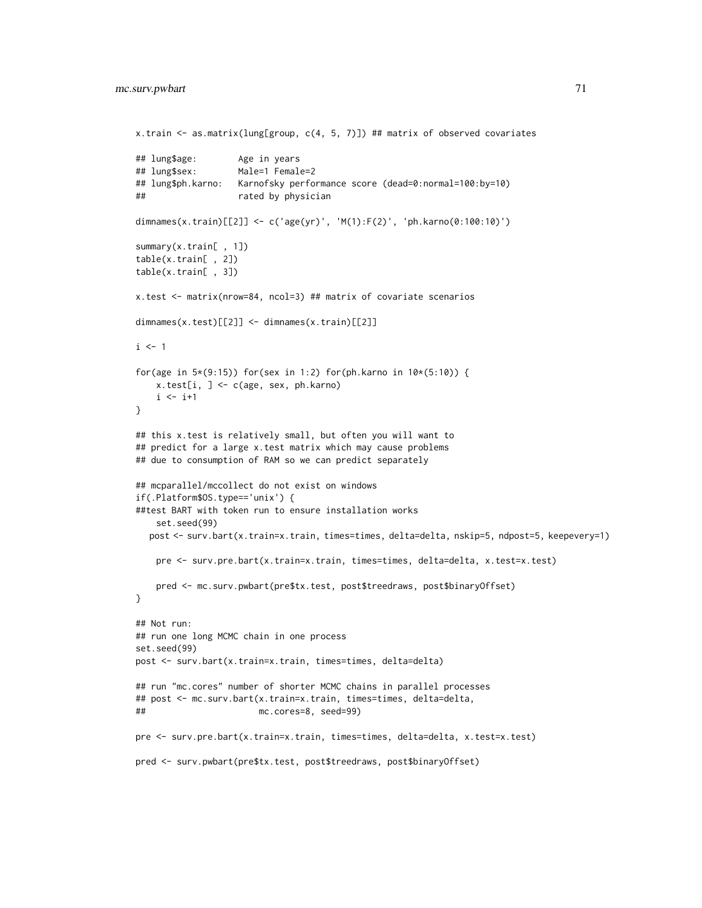```
x.train <- as.matrix(lung[group, c(4, 5, 7)]) ## matrix of observed covariates
## lung$age: Age in years
## lung$sex: Male=1 Female=2
## lung$ph.karno: Karnofsky performance score (dead=0:normal=100:by=10)
## rated by physician
dimnames(x.train)[[2]] <- c('age(yr)', 'M(1):F(2)', 'ph.karno(0:100:10)')
summary(x.train[ , 1])
table(x.train[ , 2])
table(x.train[ , 3])
x.test <- matrix(nrow=84, ncol=3) ## matrix of covariate scenarios
dimnames(x.test)[[2]] <- dimnames(x.train)[[2]]
i \leq 1for(age in 5*(9:15)) for(sex in 1:2) for(ph.karno in 10*(5:10)) {
   x.test[i, ] <- c(age, sex, ph.karno)
   i \leftarrow i+1}
## this x.test is relatively small, but often you will want to
## predict for a large x.test matrix which may cause problems
## due to consumption of RAM so we can predict separately
## mcparallel/mccollect do not exist on windows
if(.Platform$OS.type=='unix') {
##test BART with token run to ensure installation works
   set.seed(99)
  post <- surv.bart(x.train=x.train, times=times, delta=delta, nskip=5, ndpost=5, keepevery=1)
   pre <- surv.pre.bart(x.train=x.train, times=times, delta=delta, x.test=x.test)
   pred <- mc.surv.pwbart(pre$tx.test, post$treedraws, post$binaryOffset)
}
## Not run:
## run one long MCMC chain in one process
set.seed(99)
post <- surv.bart(x.train=x.train, times=times, delta=delta)
## run "mc.cores" number of shorter MCMC chains in parallel processes
## post <- mc.surv.bart(x.train=x.train, times=times, delta=delta,
## mc.cores=8, seed=99)
pre <- surv.pre.bart(x.train=x.train, times=times, delta=delta, x.test=x.test)
pred <- surv.pwbart(pre$tx.test, post$treedraws, post$binaryOffset)
```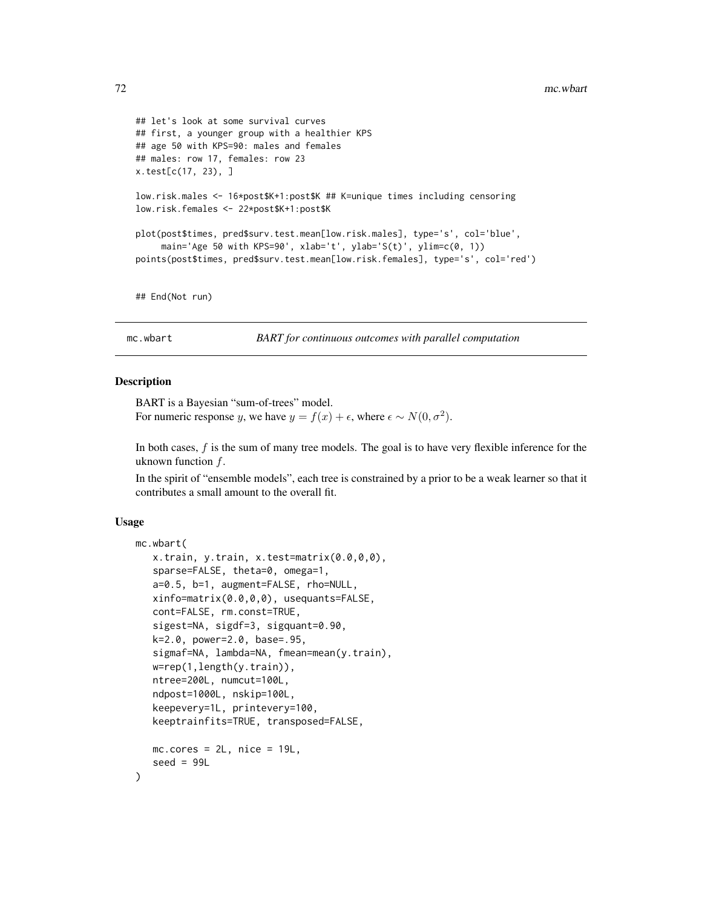```
## let's look at some survival curves
## first, a younger group with a healthier KPS
## age 50 with KPS=90: males and females
## males: row 17, females: row 23
x.test[c(17, 23), ]
low.risk.males <- 16*post$K+1:post$K ## K=unique times including censoring
low.risk.females <- 22*post$K+1:post$K
plot(post$times, pred$surv.test.mean[low.risk.males], type='s', col='blue',
     main='Age 50 with KPS=90', xlab='t', ylab='S(t)', ylim=c(0, 1))
points(post$times, pred$surv.test.mean[low.risk.females], type='s', col='red')
## End(Not run)
```
mc.wbart *BART for continuous outcomes with parallel computation*

## **Description**

BART is a Bayesian "sum-of-trees" model. For numeric response y, we have  $y = f(x) + \epsilon$ , where  $\epsilon \sim N(0, \sigma^2)$ .

In both cases,  $f$  is the sum of many tree models. The goal is to have very flexible inference for the uknown function  $f$ .

In the spirit of "ensemble models", each tree is constrained by a prior to be a weak learner so that it contributes a small amount to the overall fit.

#### Usage

```
mc.wbart(
   x.train, y.train, x.test=matrix(0.0,0,0),
   sparse=FALSE, theta=0, omega=1,
   a=0.5, b=1, augment=FALSE, rho=NULL,
   xinfo=matrix(0.0,0,0), usequants=FALSE,
   cont=FALSE, rm.const=TRUE,
   sigest=NA, sigdf=3, sigquant=0.90,
   k=2.0, power=2.0, base=.95,
   sigmaf=NA, lambda=NA, fmean=mean(y.train),
   w=rep(1,length(y.train)),
   ntree=200L, numcut=100L,
   ndpost=1000L, nskip=100L,
   keepevery=1L, printevery=100,
   keeptrainfits=TRUE, transposed=FALSE,
  mc.cores = 2L, nice = 19L,
   seed = 99L)
```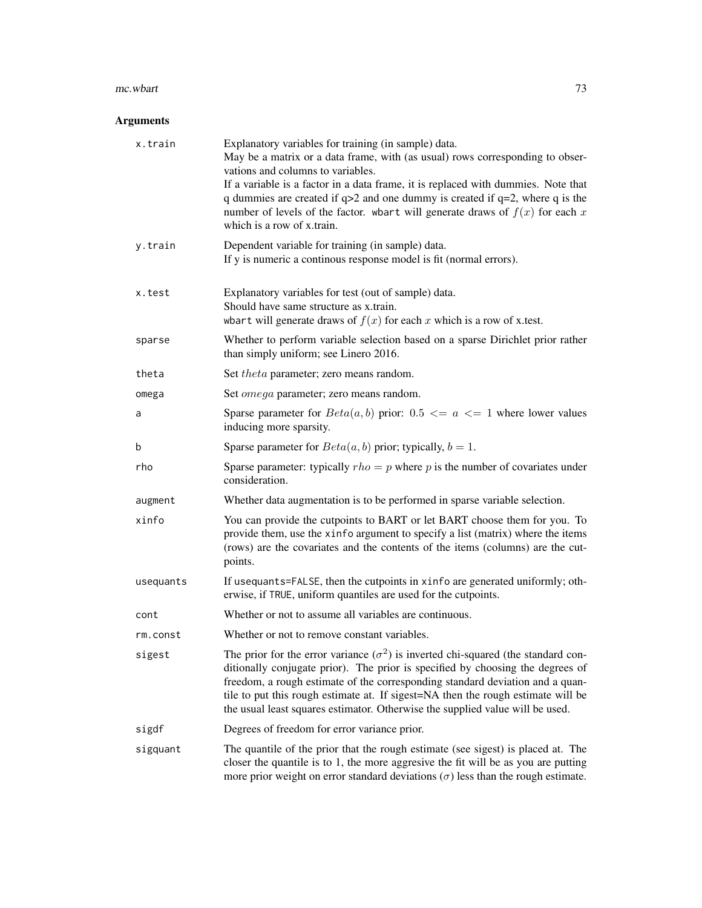#### $mc.$ wbart  $\frac{1}{3}$

# Arguments

| x.train   | Explanatory variables for training (in sample) data.<br>May be a matrix or a data frame, with (as usual) rows corresponding to obser-<br>vations and columns to variables.<br>If a variable is a factor in a data frame, it is replaced with dummies. Note that<br>q dummies are created if $q>2$ and one dummy is created if $q=2$ , where q is the<br>number of levels of the factor. when t will generate draws of $f(x)$ for each x<br>which is a row of x train. |
|-----------|-----------------------------------------------------------------------------------------------------------------------------------------------------------------------------------------------------------------------------------------------------------------------------------------------------------------------------------------------------------------------------------------------------------------------------------------------------------------------|
| y.train   | Dependent variable for training (in sample) data.<br>If y is numeric a continous response model is fit (normal errors).                                                                                                                                                                                                                                                                                                                                               |
| x.test    | Explanatory variables for test (out of sample) data.<br>Should have same structure as x.train.<br>whart will generate draws of $f(x)$ for each x which is a row of x test.                                                                                                                                                                                                                                                                                            |
| sparse    | Whether to perform variable selection based on a sparse Dirichlet prior rather<br>than simply uniform; see Linero 2016.                                                                                                                                                                                                                                                                                                                                               |
| theta     | Set <i>theta</i> parameter; zero means random.                                                                                                                                                                                                                                                                                                                                                                                                                        |
| omega     | Set <i>omega</i> parameter; zero means random.                                                                                                                                                                                                                                                                                                                                                                                                                        |
| a         | Sparse parameter for $Beta(a, b)$ prior: 0.5 $\leq a \leq 1$ where lower values<br>inducing more sparsity.                                                                                                                                                                                                                                                                                                                                                            |
| b         | Sparse parameter for $Beta(a, b)$ prior; typically, $b = 1$ .                                                                                                                                                                                                                                                                                                                                                                                                         |
| rho       | Sparse parameter: typically $rho = p$ where p is the number of covariates under<br>consideration.                                                                                                                                                                                                                                                                                                                                                                     |
| augment   | Whether data augmentation is to be performed in sparse variable selection.                                                                                                                                                                                                                                                                                                                                                                                            |
| xinfo     | You can provide the cutpoints to BART or let BART choose them for you. To<br>provide them, use the xinfo argument to specify a list (matrix) where the items<br>(rows) are the covariates and the contents of the items (columns) are the cut-<br>points.                                                                                                                                                                                                             |
| usequants | If usequants=FALSE, then the cutpoints in xinfo are generated uniformly; oth-<br>erwise, if TRUE, uniform quantiles are used for the cutpoints.                                                                                                                                                                                                                                                                                                                       |
| cont      | Whether or not to assume all variables are continuous.                                                                                                                                                                                                                                                                                                                                                                                                                |
| rm.const  | Whether or not to remove constant variables.                                                                                                                                                                                                                                                                                                                                                                                                                          |
| sigest    | The prior for the error variance $(\sigma^2)$ is inverted chi-squared (the standard con-<br>ditionally conjugate prior). The prior is specified by choosing the degrees of<br>freedom, a rough estimate of the corresponding standard deviation and a quan-<br>tile to put this rough estimate at. If sigest=NA then the rough estimate will be<br>the usual least squares estimator. Otherwise the supplied value will be used.                                      |
| sigdf     | Degrees of freedom for error variance prior.                                                                                                                                                                                                                                                                                                                                                                                                                          |
| sigquant  | The quantile of the prior that the rough estimate (see sigest) is placed at. The<br>closer the quantile is to 1, the more aggresive the fit will be as you are putting<br>more prior weight on error standard deviations $(\sigma)$ less than the rough estimate.                                                                                                                                                                                                     |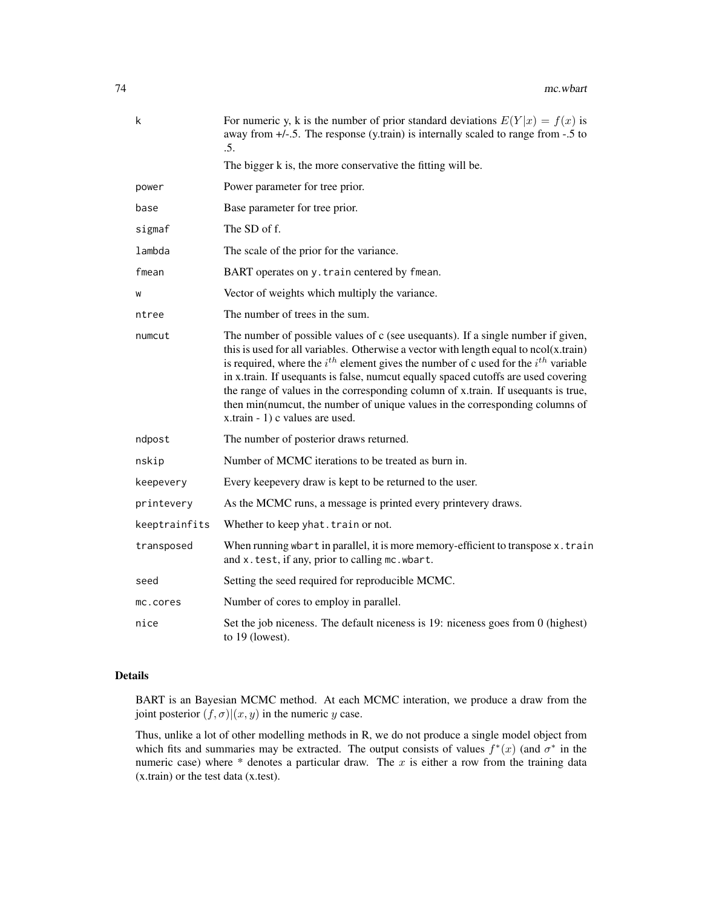| k             | For numeric y, k is the number of prior standard deviations $E(Y x) = f(x)$ is<br>away from $+/-5$ . The response (y.train) is internally scaled to range from -.5 to<br>.5.                                                                                                                                                                                                                                                                                                                                                                                               |
|---------------|----------------------------------------------------------------------------------------------------------------------------------------------------------------------------------------------------------------------------------------------------------------------------------------------------------------------------------------------------------------------------------------------------------------------------------------------------------------------------------------------------------------------------------------------------------------------------|
|               | The bigger k is, the more conservative the fitting will be.                                                                                                                                                                                                                                                                                                                                                                                                                                                                                                                |
| power         | Power parameter for tree prior.                                                                                                                                                                                                                                                                                                                                                                                                                                                                                                                                            |
| base          | Base parameter for tree prior.                                                                                                                                                                                                                                                                                                                                                                                                                                                                                                                                             |
| sigmaf        | The SD of f.                                                                                                                                                                                                                                                                                                                                                                                                                                                                                                                                                               |
| lambda        | The scale of the prior for the variance.                                                                                                                                                                                                                                                                                                                                                                                                                                                                                                                                   |
| fmean         | BART operates on y. train centered by fmean.                                                                                                                                                                                                                                                                                                                                                                                                                                                                                                                               |
| W             | Vector of weights which multiply the variance.                                                                                                                                                                                                                                                                                                                                                                                                                                                                                                                             |
| ntree         | The number of trees in the sum.                                                                                                                                                                                                                                                                                                                                                                                                                                                                                                                                            |
| numcut        | The number of possible values of c (see usequants). If a single number if given,<br>this is used for all variables. Otherwise a vector with length equal to $ncol(x, train)$<br>is required, where the $i^{th}$ element gives the number of c used for the $i^{th}$ variable<br>in x.train. If usequants is false, numcut equally spaced cutoffs are used covering<br>the range of values in the corresponding column of x.train. If usequants is true,<br>then min(numcut, the number of unique values in the corresponding columns of<br>x.train - 1) c values are used. |
| ndpost        | The number of posterior draws returned.                                                                                                                                                                                                                                                                                                                                                                                                                                                                                                                                    |
| nskip         | Number of MCMC iterations to be treated as burn in.                                                                                                                                                                                                                                                                                                                                                                                                                                                                                                                        |
| keepevery     | Every keepevery draw is kept to be returned to the user.                                                                                                                                                                                                                                                                                                                                                                                                                                                                                                                   |
| printevery    | As the MCMC runs, a message is printed every printevery draws.                                                                                                                                                                                                                                                                                                                                                                                                                                                                                                             |
| keeptrainfits | Whether to keep yhat. train or not.                                                                                                                                                                                                                                                                                                                                                                                                                                                                                                                                        |
| transposed    | When running wbart in parallel, it is more memory-efficient to transpose x.train<br>and x.test, if any, prior to calling mc.wbart.                                                                                                                                                                                                                                                                                                                                                                                                                                         |
| seed          | Setting the seed required for reproducible MCMC.                                                                                                                                                                                                                                                                                                                                                                                                                                                                                                                           |
| mc.cores      | Number of cores to employ in parallel.                                                                                                                                                                                                                                                                                                                                                                                                                                                                                                                                     |
| nice          | Set the job niceness. The default niceness is 19: niceness goes from 0 (highest)<br>to 19 (lowest).                                                                                                                                                                                                                                                                                                                                                                                                                                                                        |

# Details

BART is an Bayesian MCMC method. At each MCMC interation, we produce a draw from the joint posterior  $(f, \sigma) | (x, y)$  in the numeric y case.

Thus, unlike a lot of other modelling methods in R, we do not produce a single model object from which fits and summaries may be extracted. The output consists of values  $f^*(x)$  (and  $\sigma^*$  in the numeric case) where  $*$  denotes a particular draw. The  $x$  is either a row from the training data (x.train) or the test data (x.test).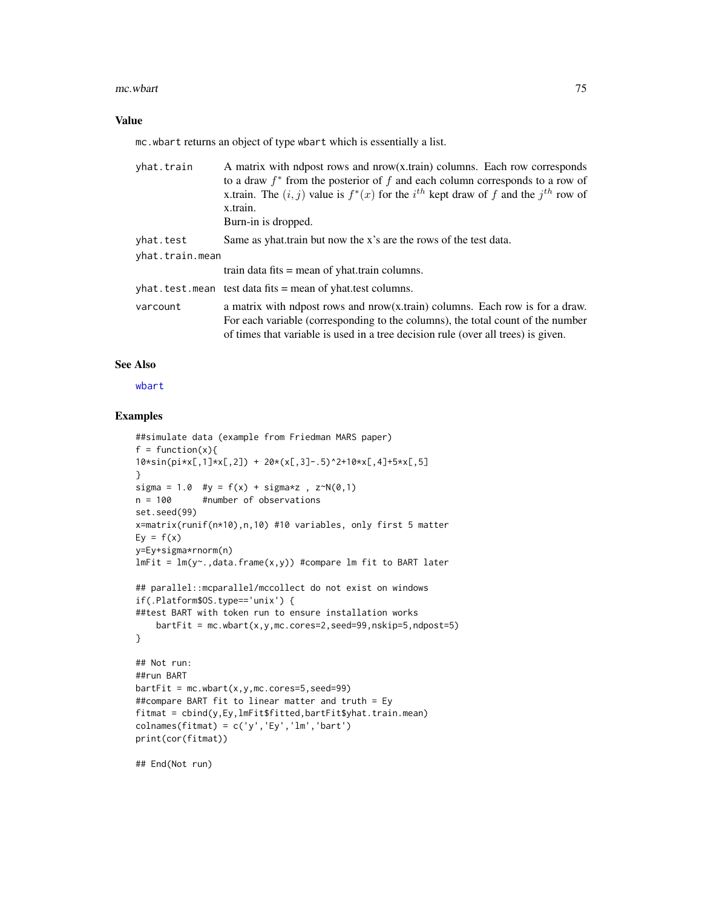#### mc.wbart 75

### Value

mc.wbart returns an object of type wbart which is essentially a list.

| yhat.train      | A matrix with ndpost rows and nrow(x.train) columns. Each row corresponds<br>to a draw $f^*$ from the posterior of f and each column corresponds to a row of<br>x.train. The $(i, j)$ value is $f^*(x)$ for the $i^{th}$ kept draw of f and the $j^{th}$ row of<br>x.train.<br>Burn-in is dropped. |
|-----------------|----------------------------------------------------------------------------------------------------------------------------------------------------------------------------------------------------------------------------------------------------------------------------------------------------|
| yhat.test       | Same as yhat.train but now the x's are the rows of the test data.                                                                                                                                                                                                                                  |
| yhat.train.mean |                                                                                                                                                                                                                                                                                                    |
|                 | train data fits $=$ mean of yhat.train columns.                                                                                                                                                                                                                                                    |
|                 | $yhat. test. mean$ test data fits = mean of yhat. test columns.                                                                                                                                                                                                                                    |
| varcount        | a matrix with ndpost rows and nrow(x.train) columns. Each row is for a draw.<br>For each variable (corresponding to the columns), the total count of the number<br>of times that variable is used in a tree decision rule (over all trees) is given.                                               |

### See Also

[wbart](#page-131-0)

## Examples

```
##simulate data (example from Friedman MARS paper)
f = function(x)10*sin(pixx[,1] * x[,2]) + 20*(x[,3] - .5)^2 + 10*x[,4] + 5*x[,5]}
sigma = 1.0 #y = f(x) + sigmaxz, z^N(0,1)n = 100 #number of observations
set.seed(99)
x=matrix(runif(n*10),n,10) #10 variables, only first 5 matter
Ey = f(x)y=Ey+sigma*rnorm(n)
lmFit = lm(y<sup>o</sup>, data frame(x, y)) #compare lm fit to BART later
## parallel::mcparallel/mccollect do not exist on windows
if(.Platform$OS.type=='unix') {
##test BART with token run to ensure installation works
    barFit = mc.what(x,y,mc.cores=2,seed=99,nskip=5,ndpost=5)}
## Not run:
##run BART
barffit = mc.wbart(x,y,mc.cores=5,seed=99)
##compare BART fit to linear matter and truth = Ey
fitmat = cbind(y,Ey,lmFit$fitted,bartFit$yhat.train.mean)
colnames(fitmat) = c('y', 'Ey', 'lm', 'bart')print(cor(fitmat))
```
## End(Not run)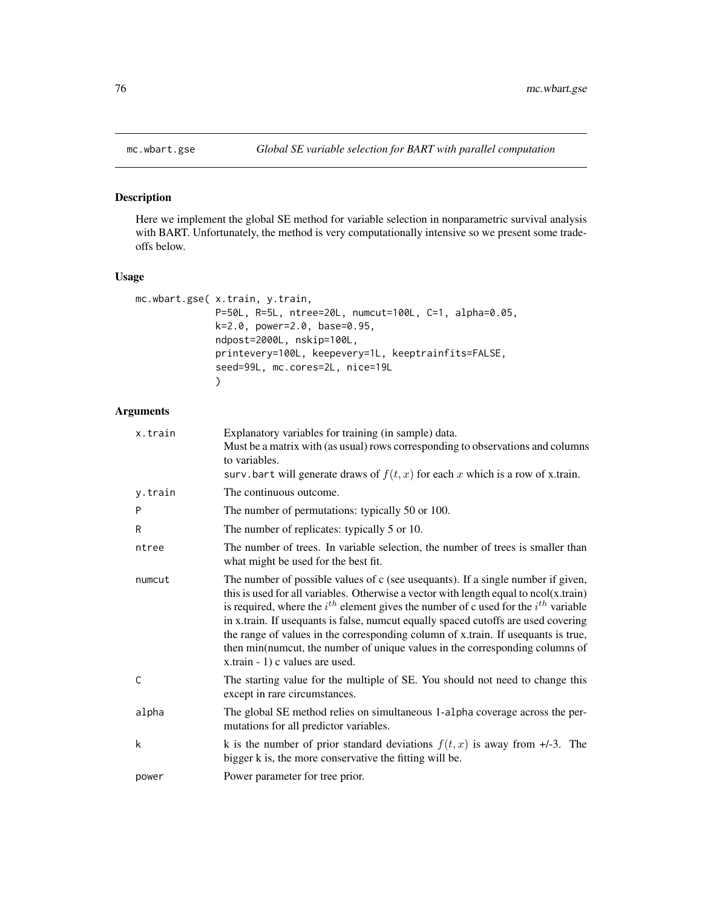# Description

Here we implement the global SE method for variable selection in nonparametric survival analysis with BART. Unfortunately, the method is very computationally intensive so we present some tradeoffs below.

# Usage

```
mc.wbart.gse( x.train, y.train,
              P=50L, R=5L, ntree=20L, numcut=100L, C=1, alpha=0.05,
              k=2.0, power=2.0, base=0.95,
              ndpost=2000L, nskip=100L,
              printevery=100L, keepevery=1L, keeptrainfits=FALSE,
              seed=99L, mc.cores=2L, nice=19L
              \mathcal{L}
```
## Arguments

| x.train | Explanatory variables for training (in sample) data.<br>Must be a matrix with (as usual) rows corresponding to observations and columns<br>to variables.<br>surv.bart will generate draws of $f(t, x)$ for each x which is a row of x.train.                                                                                                                                                                                                                                                                                                                              |
|---------|---------------------------------------------------------------------------------------------------------------------------------------------------------------------------------------------------------------------------------------------------------------------------------------------------------------------------------------------------------------------------------------------------------------------------------------------------------------------------------------------------------------------------------------------------------------------------|
| y.train | The continuous outcome.                                                                                                                                                                                                                                                                                                                                                                                                                                                                                                                                                   |
| P       | The number of permutations: typically 50 or 100.                                                                                                                                                                                                                                                                                                                                                                                                                                                                                                                          |
| R       | The number of replicates: typically 5 or 10.                                                                                                                                                                                                                                                                                                                                                                                                                                                                                                                              |
| ntree   | The number of trees. In variable selection, the number of trees is smaller than<br>what might be used for the best fit.                                                                                                                                                                                                                                                                                                                                                                                                                                                   |
| numcut  | The number of possible values of c (see usequants). If a single number if given,<br>this is used for all variables. Otherwise a vector with length equal to $ncol(x.train)$<br>is required, where the $i^{th}$ element gives the number of c used for the $i^{th}$ variable<br>in x.train. If usequants is false, numcut equally spaced cutoffs are used covering<br>the range of values in the corresponding column of x.train. If useduants is true,<br>then min(numcut, the number of unique values in the corresponding columns of<br>x.train - 1) c values are used. |
| C       | The starting value for the multiple of SE. You should not need to change this<br>except in rare circumstances.                                                                                                                                                                                                                                                                                                                                                                                                                                                            |
| alpha   | The global SE method relies on simultaneous 1-alpha coverage across the per-<br>mutations for all predictor variables.                                                                                                                                                                                                                                                                                                                                                                                                                                                    |
| k       | k is the number of prior standard deviations $f(t, x)$ is away from $+/-3$ . The<br>bigger k is, the more conservative the fitting will be.                                                                                                                                                                                                                                                                                                                                                                                                                               |
| power   | Power parameter for tree prior.                                                                                                                                                                                                                                                                                                                                                                                                                                                                                                                                           |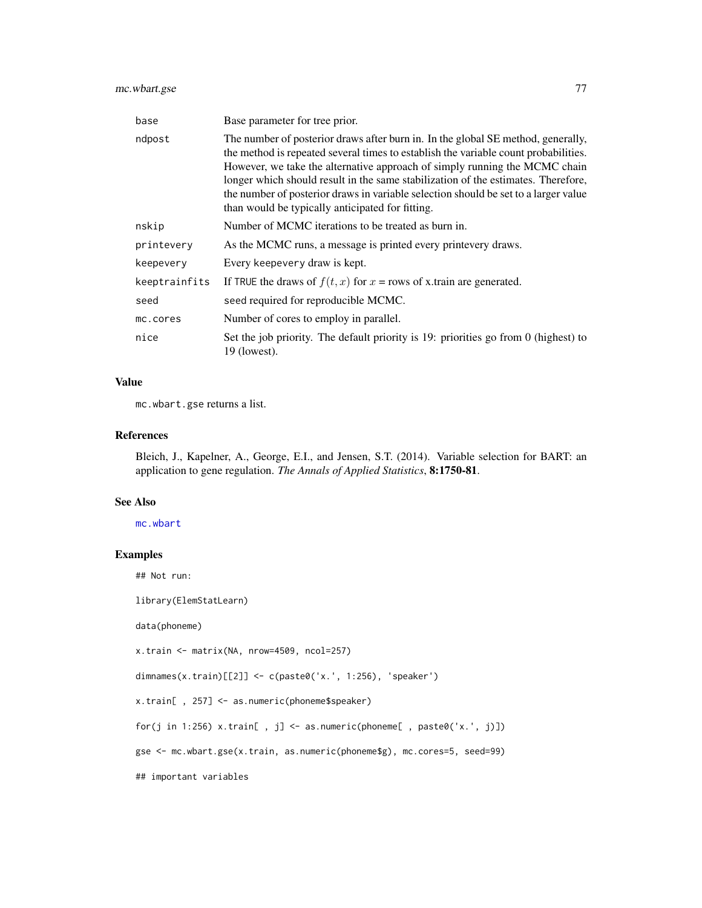# mc.wbart.gse 77

| base          | Base parameter for tree prior.                                                                                                                                                                                                                                                                                                                                                                                                                                                        |
|---------------|---------------------------------------------------------------------------------------------------------------------------------------------------------------------------------------------------------------------------------------------------------------------------------------------------------------------------------------------------------------------------------------------------------------------------------------------------------------------------------------|
| ndpost        | The number of posterior draws after burn in. In the global SE method, generally,<br>the method is repeated several times to establish the variable count probabilities.<br>However, we take the alternative approach of simply running the MCMC chain<br>longer which should result in the same stabilization of the estimates. Therefore,<br>the number of posterior draws in variable selection should be set to a larger value<br>than would be typically anticipated for fitting. |
| nskip         | Number of MCMC iterations to be treated as burn in.                                                                                                                                                                                                                                                                                                                                                                                                                                   |
| printevery    | As the MCMC runs, a message is printed every printevery draws.                                                                                                                                                                                                                                                                                                                                                                                                                        |
| keepevery     | Every keepevery draw is kept.                                                                                                                                                                                                                                                                                                                                                                                                                                                         |
| keeptrainfits | If TRUE the draws of $f(t, x)$ for $x =$ rows of x train are generated.                                                                                                                                                                                                                                                                                                                                                                                                               |
| seed          | seed required for reproducible MCMC.                                                                                                                                                                                                                                                                                                                                                                                                                                                  |
| mc.cores      | Number of cores to employ in parallel.                                                                                                                                                                                                                                                                                                                                                                                                                                                |
| nice          | Set the job priority. The default priority is 19: priorities go from 0 (highest) to<br>$19$ (lowest).                                                                                                                                                                                                                                                                                                                                                                                 |

# Value

mc.wbart.gse returns a list.

## References

Bleich, J., Kapelner, A., George, E.I., and Jensen, S.T. (2014). Variable selection for BART: an application to gene regulation. *The Annals of Applied Statistics*, 8:1750-81.

#### See Also

[mc.wbart](#page-71-0)

# Examples

## Not run:

library(ElemStatLearn)

data(phoneme)

x.train <- matrix(NA, nrow=4509, ncol=257)

dimnames(x.train)[[2]] <- c(paste0('x.', 1:256), 'speaker')

x.train[ , 257] <- as.numeric(phoneme\$speaker)

for(j in 1:256)  $x.train[$ ,  $j]$  <- as.numeric(phoneme[, paste0('x.',  $j$ )])

gse <- mc.wbart.gse(x.train, as.numeric(phoneme\$g), mc.cores=5, seed=99)

## important variables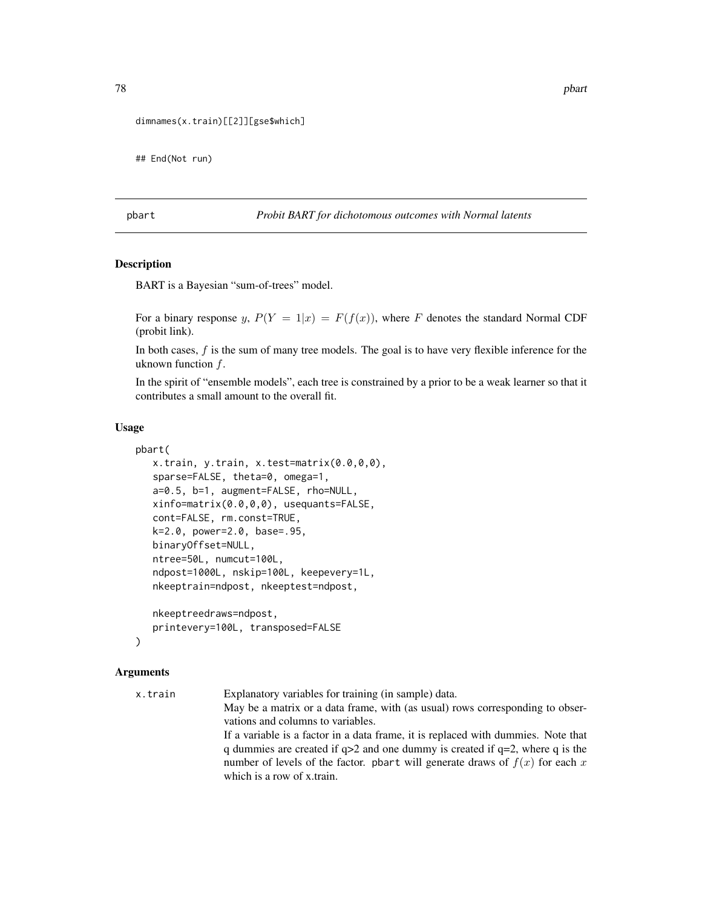```
dimnames(x.train)[[2]][gse$which]
```
## End(Not run)

pbart *Probit BART for dichotomous outcomes with Normal latents*

## Description

BART is a Bayesian "sum-of-trees" model.

For a binary response y,  $P(Y = 1|x) = F(f(x))$ , where F denotes the standard Normal CDF (probit link).

In both cases,  $f$  is the sum of many tree models. The goal is to have very flexible inference for the uknown function  $f$ .

In the spirit of "ensemble models", each tree is constrained by a prior to be a weak learner so that it contributes a small amount to the overall fit.

### Usage

```
pbart(
   x.train, y.train, x.test=matrix(0.0,0,0),
   sparse=FALSE, theta=0, omega=1,
   a=0.5, b=1, augment=FALSE, rho=NULL,
   xinfo=matrix(0.0,0,0), usequants=FALSE,
   cont=FALSE, rm.const=TRUE,
   k=2.0, power=2.0, base=.95,
   binaryOffset=NULL,
   ntree=50L, numcut=100L,
   ndpost=1000L, nskip=100L, keepevery=1L,
   nkeeptrain=ndpost, nkeeptest=ndpost,
   nkeeptreedraws=ndpost,
```
printevery=100L, transposed=FALSE

```
)
```
### Arguments

x.train Explanatory variables for training (in sample) data. May be a matrix or a data frame, with (as usual) rows corresponding to observations and columns to variables. If a variable is a factor in a data frame, it is replaced with dummies. Note that q dummies are created if q>2 and one dummy is created if q=2, where q is the number of levels of the factor. pbart will generate draws of  $f(x)$  for each x which is a row of x.train.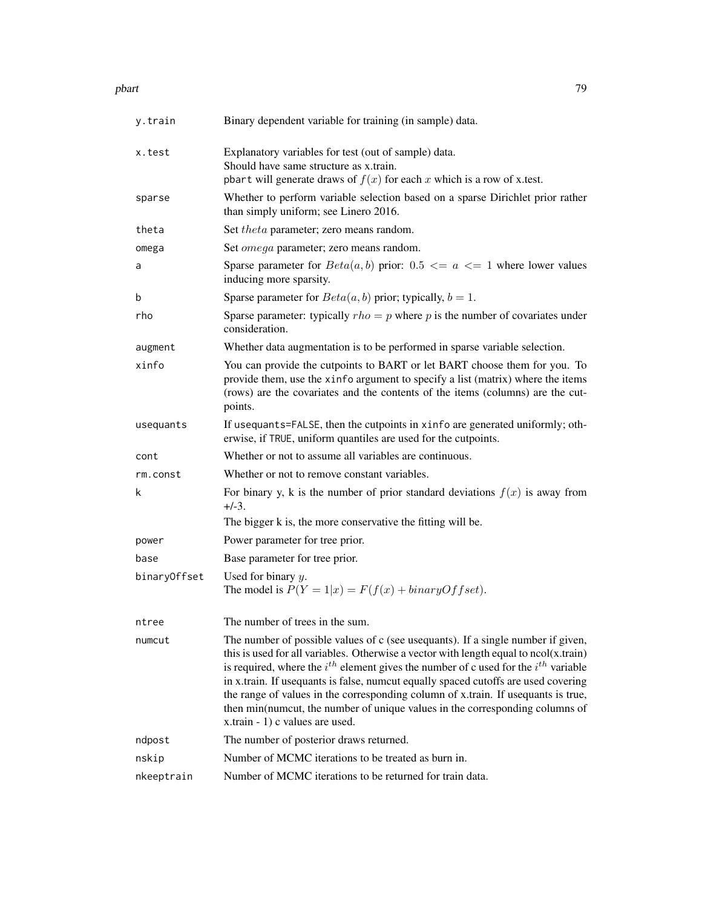#### pbart 2008 and 2008 and 2008 and 2008 and 2008 and 2008 and 2008 and 2008 and 2008 and 2008 and 2008 and 2008  $\sigma$

| y.train      | Binary dependent variable for training (in sample) data.                                                                                                                                                                                                                                                                                                                                                                                                                                                                                                               |
|--------------|------------------------------------------------------------------------------------------------------------------------------------------------------------------------------------------------------------------------------------------------------------------------------------------------------------------------------------------------------------------------------------------------------------------------------------------------------------------------------------------------------------------------------------------------------------------------|
| x.test       | Explanatory variables for test (out of sample) data.<br>Should have same structure as x.train.<br>pbart will generate draws of $f(x)$ for each x which is a row of x.test.                                                                                                                                                                                                                                                                                                                                                                                             |
| sparse       | Whether to perform variable selection based on a sparse Dirichlet prior rather<br>than simply uniform; see Linero 2016.                                                                                                                                                                                                                                                                                                                                                                                                                                                |
| theta        | Set <i>theta</i> parameter; zero means random.                                                                                                                                                                                                                                                                                                                                                                                                                                                                                                                         |
| omega        | Set <i>omega</i> parameter; zero means random.                                                                                                                                                                                                                                                                                                                                                                                                                                                                                                                         |
| a            | Sparse parameter for $Beta(a, b)$ prior: 0.5 $\leq a \leq 1$ where lower values<br>inducing more sparsity.                                                                                                                                                                                                                                                                                                                                                                                                                                                             |
| b            | Sparse parameter for $Beta(a, b)$ prior; typically, $b = 1$ .                                                                                                                                                                                                                                                                                                                                                                                                                                                                                                          |
| rho          | Sparse parameter: typically $rho = p$ where p is the number of covariates under<br>consideration.                                                                                                                                                                                                                                                                                                                                                                                                                                                                      |
| augment      | Whether data augmentation is to be performed in sparse variable selection.                                                                                                                                                                                                                                                                                                                                                                                                                                                                                             |
| xinfo        | You can provide the cutpoints to BART or let BART choose them for you. To<br>provide them, use the xinfo argument to specify a list (matrix) where the items<br>(rows) are the covariates and the contents of the items (columns) are the cut-<br>points.                                                                                                                                                                                                                                                                                                              |
| usequants    | If usequants=FALSE, then the cutpoints in xinfo are generated uniformly; oth-<br>erwise, if TRUE, uniform quantiles are used for the cutpoints.                                                                                                                                                                                                                                                                                                                                                                                                                        |
| cont         | Whether or not to assume all variables are continuous.                                                                                                                                                                                                                                                                                                                                                                                                                                                                                                                 |
| rm.const     | Whether or not to remove constant variables.                                                                                                                                                                                                                                                                                                                                                                                                                                                                                                                           |
| k            | For binary y, k is the number of prior standard deviations $f(x)$ is away from<br>$+/-3.$                                                                                                                                                                                                                                                                                                                                                                                                                                                                              |
|              | The bigger k is, the more conservative the fitting will be.                                                                                                                                                                                                                                                                                                                                                                                                                                                                                                            |
| power        | Power parameter for tree prior.                                                                                                                                                                                                                                                                                                                                                                                                                                                                                                                                        |
| base         | Base parameter for tree prior.                                                                                                                                                                                                                                                                                                                                                                                                                                                                                                                                         |
| binaryOffset | Used for binary $y$ .<br>The model is $P(Y = 1 x) = F(f(x) + binaryOffset)$ .                                                                                                                                                                                                                                                                                                                                                                                                                                                                                          |
| ntree        | The number of trees in the sum.                                                                                                                                                                                                                                                                                                                                                                                                                                                                                                                                        |
| numcut       | The number of possible values of c (see usequants). If a single number if given,<br>this is used for all variables. Otherwise a vector with length equal to ncol(x.train)<br>is required, where the $i^{th}$ element gives the number of c used for the $i^{th}$ variable<br>in x.train. If usequants is false, numcut equally spaced cutoffs are used covering<br>the range of values in the corresponding column of x.train. If used and is true,<br>then min(numcut, the number of unique values in the corresponding columns of<br>x.train - 1) c values are used. |
| ndpost       | The number of posterior draws returned.                                                                                                                                                                                                                                                                                                                                                                                                                                                                                                                                |
| nskip        | Number of MCMC iterations to be treated as burn in.                                                                                                                                                                                                                                                                                                                                                                                                                                                                                                                    |
| nkeeptrain   | Number of MCMC iterations to be returned for train data.                                                                                                                                                                                                                                                                                                                                                                                                                                                                                                               |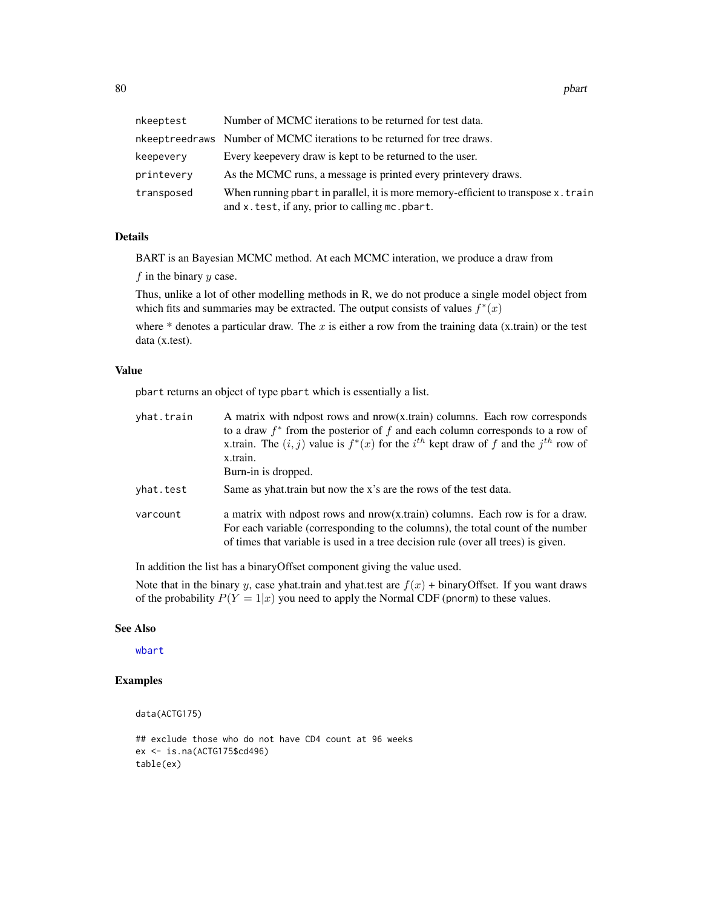| nkeeptest  | Number of MCMC iterations to be returned for test data.                                                                              |
|------------|--------------------------------------------------------------------------------------------------------------------------------------|
|            | nkeeptreedraws Number of MCMC iterations to be returned for tree draws.                                                              |
| keepevery  | Every keepevery draw is kept to be returned to the user.                                                                             |
| printevery | As the MCMC runs, a message is printed every printevery draws.                                                                       |
| transposed | When running pbart in parallel, it is more memory-efficient to transpose x.train<br>and x. test, if any, prior to calling mc. pbart. |

## Details

BART is an Bayesian MCMC method. At each MCMC interation, we produce a draw from

 $f$  in the binary  $y$  case.

Thus, unlike a lot of other modelling methods in R, we do not produce a single model object from which fits and summaries may be extracted. The output consists of values  $f^*(x)$ 

where  $*$  denotes a particular draw. The x is either a row from the training data (x.train) or the test data (x.test).

## Value

pbart returns an object of type pbart which is essentially a list.

| yhat.train | A matrix with ndpost rows and nrow(x.train) columns. Each row corresponds<br>to a draw $f^*$ from the posterior of f and each column corresponds to a row of<br>x.train. The $(i, j)$ value is $f^*(x)$ for the $i^{th}$ kept draw of f and the $j^{th}$ row of<br>x.train.<br>Burn-in is dropped. |
|------------|----------------------------------------------------------------------------------------------------------------------------------------------------------------------------------------------------------------------------------------------------------------------------------------------------|
| yhat.test  | Same as yhat train but now the x's are the rows of the test data.                                                                                                                                                                                                                                  |
| varcount   | a matrix with ndpost rows and nrow(x.train) columns. Each row is for a draw.<br>For each variable (corresponding to the columns), the total count of the number<br>of times that variable is used in a tree decision rule (over all trees) is given.                                               |

In addition the list has a binaryOffset component giving the value used.

Note that in the binary y, case yhat.train and yhat.test are  $f(x)$  + binaryOffset. If you want draws of the probability  $P(Y = 1|x)$  you need to apply the Normal CDF (pnorm) to these values.

### See Also

[wbart](#page-131-0)

# Examples

data(ACTG175)

```
## exclude those who do not have CD4 count at 96 weeks
ex <- is.na(ACTG175$cd496)
table(ex)
```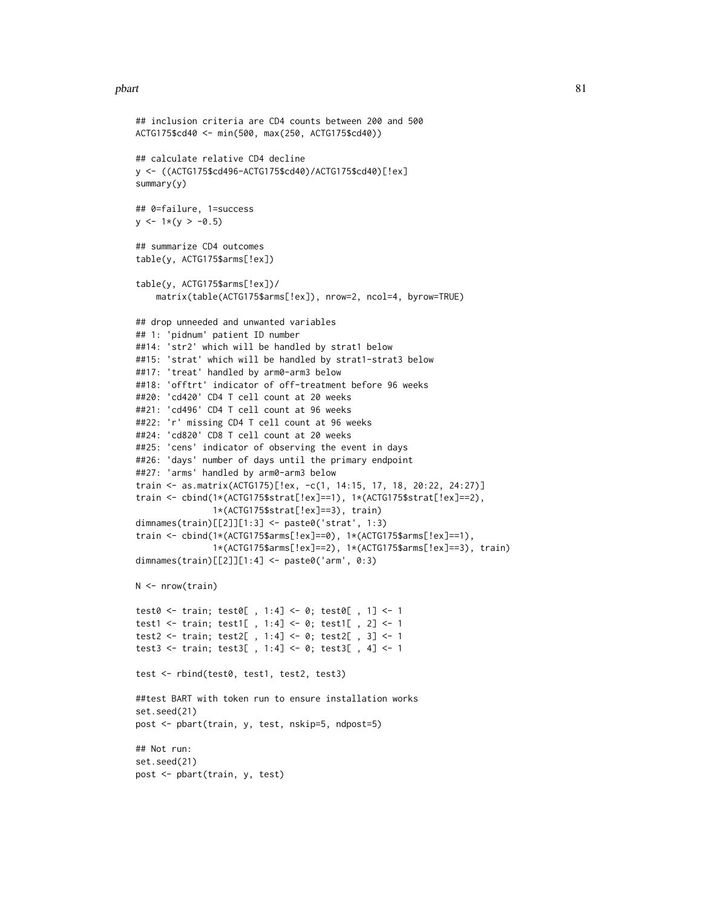#### pbart 81

```
## inclusion criteria are CD4 counts between 200 and 500
ACTG175$cd40 <- min(500, max(250, ACTG175$cd40))
## calculate relative CD4 decline
y <- ((ACTG175$cd496-ACTG175$cd40)/ACTG175$cd40)[!ex]
summary(y)
## 0=failure, 1=success
y \le -1*(y > -0.5)## summarize CD4 outcomes
table(y, ACTG175$arms[!ex])
table(y, ACTG175$arms[!ex])/
    matrix(table(ACTG175$arms[!ex]), nrow=2, ncol=4, byrow=TRUE)
## drop unneeded and unwanted variables
## 1: 'pidnum' patient ID number
##14: 'str2' which will be handled by strat1 below
##15: 'strat' which will be handled by strat1-strat3 below
##17: 'treat' handled by arm0-arm3 below
##18: 'offtrt' indicator of off-treatment before 96 weeks
##20: 'cd420' CD4 T cell count at 20 weeks
##21: 'cd496' CD4 T cell count at 96 weeks
##22: 'r' missing CD4 T cell count at 96 weeks
##24: 'cd820' CD8 T cell count at 20 weeks
##25: 'cens' indicator of observing the event in days
##26: 'days' number of days until the primary endpoint
##27: 'arms' handled by arm0-arm3 below
train <- as.matrix(ACTG175)[!ex, -c(1, 14:15, 17, 18, 20:22, 24:27)]
train <- cbind(1*(ACTG175$strat[!ex]==1), 1*(ACTG175$strat[!ex]==2),
               1*(ACTG175$strat[!ex]==3), train)
dimnames(train)[[2]][1:3] <- paste0('strat', 1:3)
train <- cbind(1*(ACTG175$arms[!ex]==0), 1*(ACTG175$arms[!ex]==1),
               1*(ACTG175$arms[!ex]==2), 1*(ACTG175$arms[!ex]==3), train)
dimnames(train)[[2]][1:4] <- paste0('arm', 0:3)
N <- nrow(train)
test0 <- train; test0[ , 1:4] <- 0; test0[ , 1] <- 1
test1 <- train; test1[ , 1:4] <- 0; test1[ , 2] <- 1
test2 <- train; test2[ , 1:4] <- 0; test2[ , 3] <- 1
test3 <- train; test3[ , 1:4] <- 0; test3[ , 4] <- 1
test <- rbind(test0, test1, test2, test3)
##test BART with token run to ensure installation works
set.seed(21)
post <- pbart(train, y, test, nskip=5, ndpost=5)
## Not run:
set.seed(21)
post <- pbart(train, y, test)
```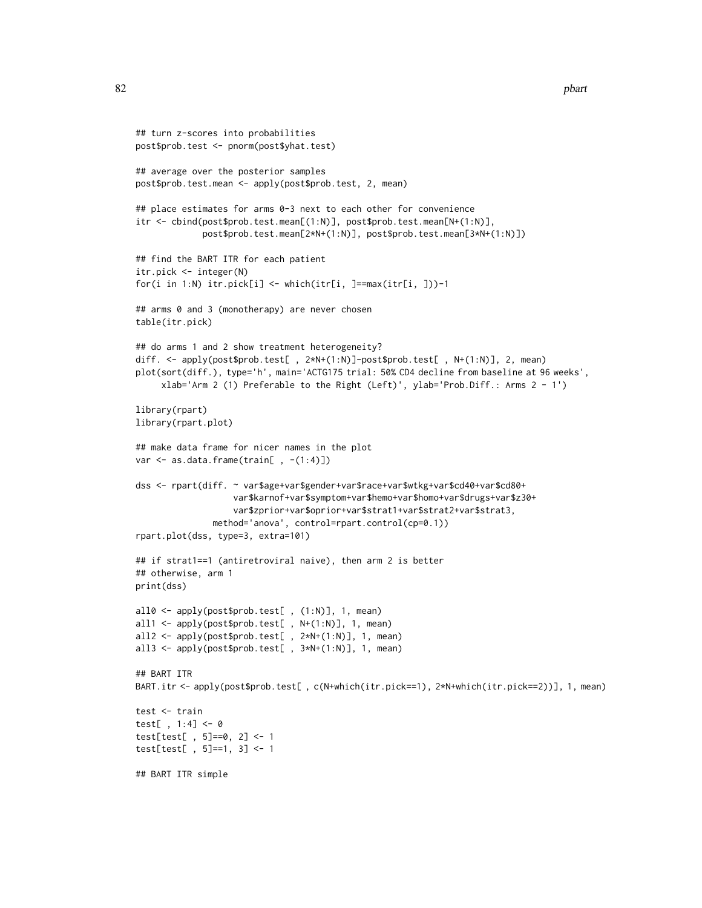```
## turn z-scores into probabilities
post$prob.test <- pnorm(post$yhat.test)
## average over the posterior samples
post$prob.test.mean <- apply(post$prob.test, 2, mean)
## place estimates for arms 0-3 next to each other for convenience
itr <- cbind(post$prob.test.mean[(1:N)], post$prob.test.mean[N+(1:N)],
             post$prob.test.mean[2*N+(1:N)], post$prob.test.mean[3*N+(1:N)])
## find the BART ITR for each patient
itr.pick <- integer(N)
for(i in 1:N) itr.pick[i] <- which(itr[i, ]==max(itr[i, ]))-1
## arms 0 and 3 (monotherapy) are never chosen
table(itr.pick)
## do arms 1 and 2 show treatment heterogeneity?
diff. <- apply(post$prob.test[ , 2*N+(1:N)]-post$prob.test[ , N+(1:N)], 2, mean)
plot(sort(diff.), type='h', main='ACTG175 trial: 50% CD4 decline from baseline at 96 weeks',
     xlab='Arm 2 (1) Preferable to the Right (Left)', ylab='Prob.Diff.: Arms 2 - 1')
library(rpart)
library(rpart.plot)
## make data frame for nicer names in the plot
var \leq as.data.frame(train[, -(1:4)])
dss <- rpart(diff. ~ var$age+var$gender+var$race+var$wtkg+var$cd40+var$cd80+
                  var$karnof+var$symptom+var$hemo+var$homo+var$drugs+var$z30+
                   var$zprior+var$oprior+var$strat1+var$strat2+var$strat3,
               method='anova', control=rpart.control(cp=0.1))
rpart.plot(dss, type=3, extra=101)
## if strat1==1 (antiretroviral naive), then arm 2 is better
## otherwise, arm 1
print(dss)
all0 <- apply(post$prob.test[ , (1:N)], 1, mean)
all1 <- apply(post$prob.test[ , N+(1:N)], 1, mean)
all2 <- apply(post$prob.test[ , 2*N+(1:N)], 1, mean)
all3 <- apply(post$prob.test[ , 3*N+(1:N)], 1, mean)
## BART ITR
BART.itr <- apply(post$prob.test[ , c(N+which(itr.pick==1), 2*N+which(itr.pick==2))], 1, mean)
test <- train
test[ , 1:4] <- 0
test[test[ , 5]==0, 2] <- 1
test[test[ , 5]==1, 3] <- 1
## BART ITR simple
```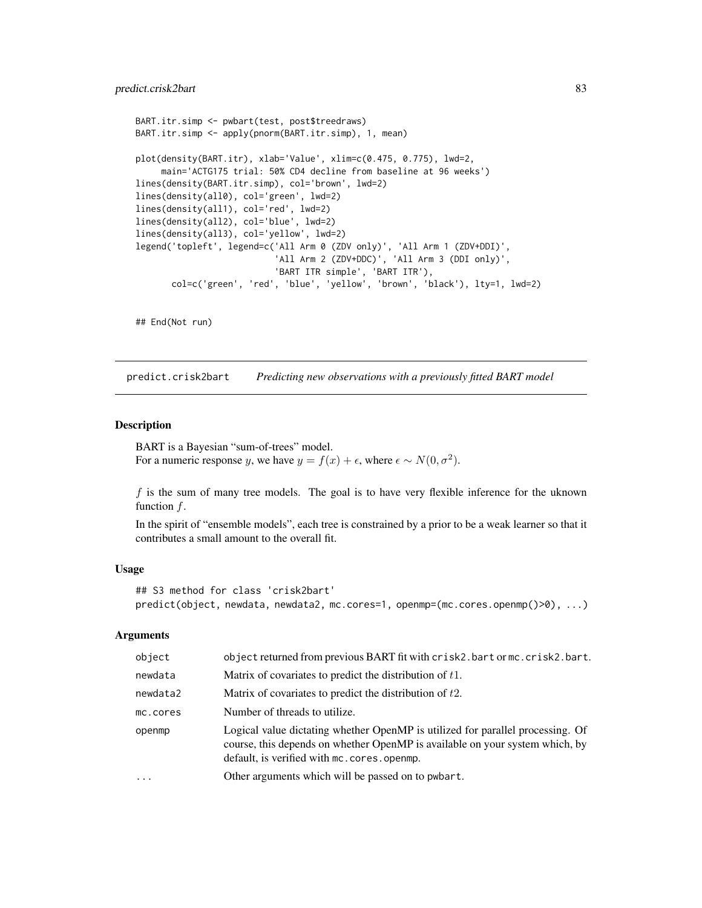```
BART.itr.simp <- pwbart(test, post$treedraws)
BART.itr.simp <- apply(pnorm(BART.itr.simp), 1, mean)
plot(density(BART.itr), xlab='Value', xlim=c(0.475, 0.775), lwd=2,
     main='ACTG175 trial: 50% CD4 decline from baseline at 96 weeks')
lines(density(BART.itr.simp), col='brown', lwd=2)
lines(density(all0), col='green', lwd=2)
lines(density(all1), col='red', lwd=2)
lines(density(all2), col='blue', lwd=2)
lines(density(all3), col='yellow', lwd=2)
legend('topleft', legend=c('All Arm 0 (ZDV only)', 'All Arm 1 (ZDV+DDI)',
                            'All Arm 2 (ZDV+DDC)', 'All Arm 3 (DDI only)',
                            'BART ITR simple', 'BART ITR'),
       col=c('green', 'red', 'blue', 'yellow', 'brown', 'black'), lty=1, lwd=2)
```

```
## End(Not run)
```
predict.crisk2bart *Predicting new observations with a previously fitted BART model*

### Description

BART is a Bayesian "sum-of-trees" model. For a numeric response y, we have  $y = f(x) + \epsilon$ , where  $\epsilon \sim N(0, \sigma^2)$ .

 $f$  is the sum of many tree models. The goal is to have very flexible inference for the uknown function f.

In the spirit of "ensemble models", each tree is constrained by a prior to be a weak learner so that it contributes a small amount to the overall fit.

#### Usage

```
## S3 method for class 'crisk2bart'
predict(object, newdata, newdata2, mc.cores=1, openmp=(mc.cores.openmp()>0), ...)
```
### **Arguments**

| object   | object returned from previous BART fit with crisk2.bart or mc.crisk2.bart.                                                                                                                                   |
|----------|--------------------------------------------------------------------------------------------------------------------------------------------------------------------------------------------------------------|
| newdata  | Matrix of covariates to predict the distribution of $t1$ .                                                                                                                                                   |
| newdata2 | Matrix of covariates to predict the distribution of $t2$ .                                                                                                                                                   |
| mc.cores | Number of threads to utilize.                                                                                                                                                                                |
| openmp   | Logical value dictating whether OpenMP is utilized for parallel processing. Of<br>course, this depends on whether OpenMP is available on your system which, by<br>default, is verified with mc.cores.openmp. |
| $\cdot$  | Other arguments which will be passed on to pwbart.                                                                                                                                                           |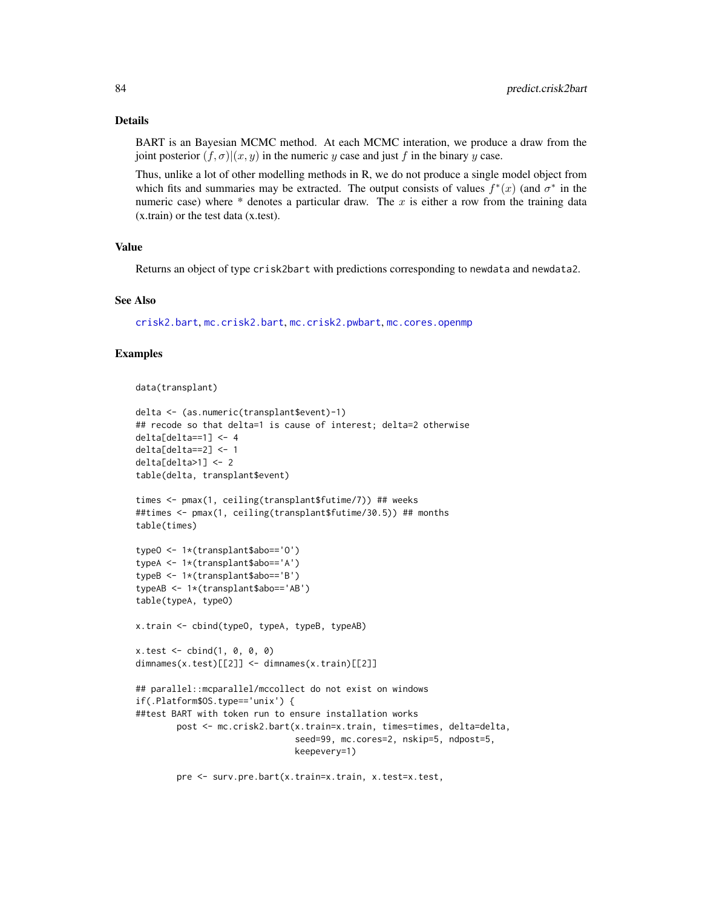## Details

BART is an Bayesian MCMC method. At each MCMC interation, we produce a draw from the joint posterior  $(f, \sigma)(x, y)$  in the numeric y case and just f in the binary y case.

Thus, unlike a lot of other modelling methods in R, we do not produce a single model object from which fits and summaries may be extracted. The output consists of values  $f^*(x)$  (and  $\sigma^*$  in the numeric case) where  $*$  denotes a particular draw. The x is either a row from the training data (x.train) or the test data (x.test).

#### Value

Returns an object of type crisk2bart with predictions corresponding to newdata and newdata2.

### See Also

[crisk2.bart](#page-23-0), [mc.crisk2.bart](#page-23-1), [mc.crisk2.pwbart](#page-56-0), [mc.cores.openmp](#page-52-0)

### Examples

```
data(transplant)
```

```
delta <- (as.numeric(transplant$event)-1)
## recode so that delta=1 is cause of interest; delta=2 otherwise
delta[delta==1] <- 4
delta[delta==2] <- 1
delta[delta>1] <- 2
table(delta, transplant$event)
times <- pmax(1, ceiling(transplant$futime/7)) ## weeks
##times <- pmax(1, ceiling(transplant$futime/30.5)) ## months
table(times)
typeO <- 1*(transplant$abo=='O')
typeA <- 1*(transplant$abo=='A')
typeB <- 1*(transplant$abo=='B')
typeAB <- 1*(transplant$abo=='AB')
table(typeA, typeO)
x.train <- cbind(typeO, typeA, typeB, typeAB)
x.test < - child(1, 0, 0, 0)dimnames(x.test)[[2]] <- dimnames(x.train)[[2]]
## parallel::mcparallel/mccollect do not exist on windows
if(.Platform$OS.type=='unix') {
##test BART with token run to ensure installation works
        post <- mc.crisk2.bart(x.train=x.train, times=times, delta=delta,
                               seed=99, mc.cores=2, nskip=5, ndpost=5,
                               keepevery=1)
```
pre <- surv.pre.bart(x.train=x.train, x.test=x.test,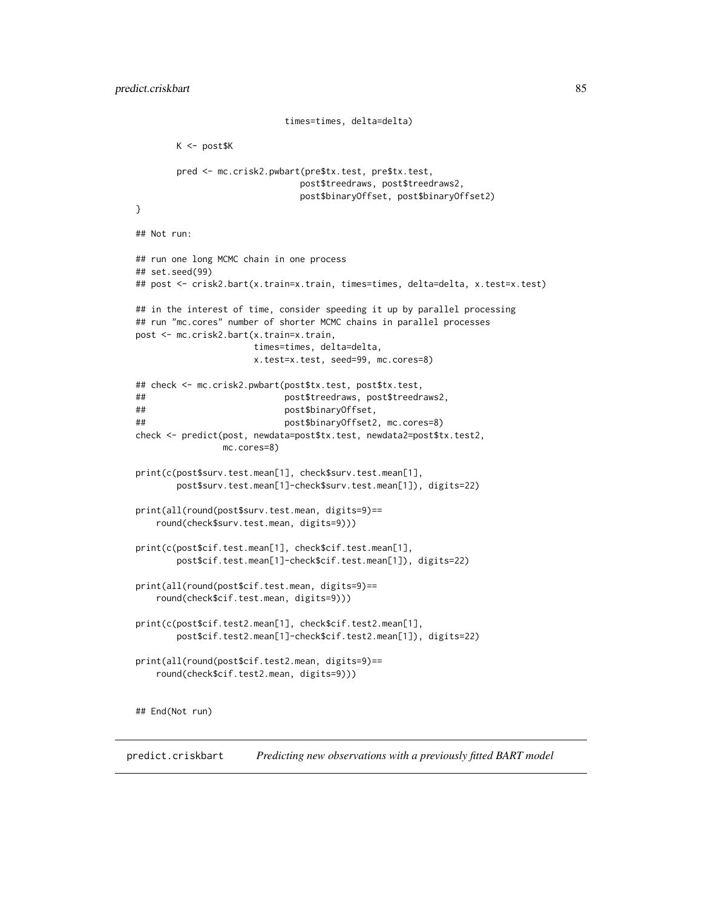```
K <- post$K
       pred <- mc.crisk2.pwbart(pre$tx.test, pre$tx.test,
                              post$treedraws, post$treedraws2,
                              post$binaryOffset, post$binaryOffset2)
}
## Not run:
## run one long MCMC chain in one process
## set.seed(99)
## post <- crisk2.bart(x.train=x.train, times=times, delta=delta, x.test=x.test)
## in the interest of time, consider speeding it up by parallel processing
## run "mc.cores" number of shorter MCMC chains in parallel processes
post <- mc.crisk2.bart(x.train=x.train,
                      times=times, delta=delta,
                      x.test=x.test, seed=99, mc.cores=8)
## check <- mc.crisk2.pwbart(post$tx.test, post$tx.test,
## post$treedraws, post$treedraws2,
## post$binaryOffset,
## post$binaryOffset2, mc.cores=8)
check <- predict(post, newdata=post$tx.test, newdata2=post$tx.test2,
                mc.cores=8)
print(c(post$surv.test.mean[1], check$surv.test.mean[1],
       post$surv.test.mean[1]-check$surv.test.mean[1]), digits=22)
print(all(round(post$surv.test.mean, digits=9)==
   round(check$surv.test.mean, digits=9)))
print(c(post$cif.test.mean[1], check$cif.test.mean[1],
       post$cif.test.mean[1]-check$cif.test.mean[1]), digits=22)
print(all(round(post$cif.test.mean, digits=9)==
   round(check$cif.test.mean, digits=9)))
print(c(post$cif.test2.mean[1], check$cif.test2.mean[1],
       post$cif.test2.mean[1]-check$cif.test2.mean[1]), digits=22)
print(all(round(post$cif.test2.mean, digits=9)==
   round(check$cif.test2.mean, digits=9)))
## End(Not run)
```
times=times, delta=delta)

predict.criskbart *Predicting new observations with a previously fitted BART model*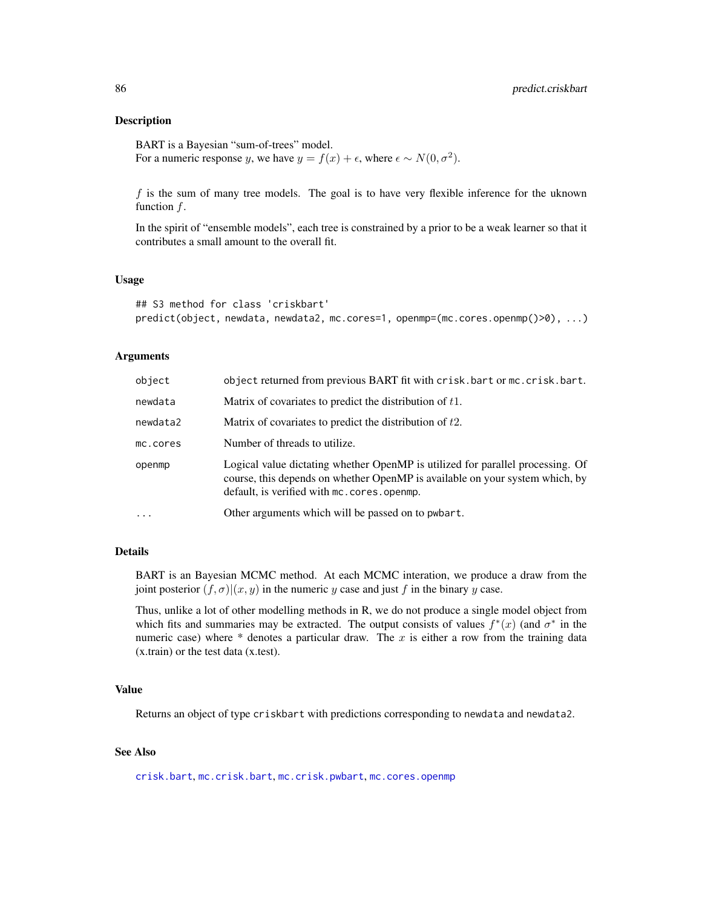### **Description**

BART is a Bayesian "sum-of-trees" model. For a numeric response y, we have  $y = f(x) + \epsilon$ , where  $\epsilon \sim N(0, \sigma^2)$ .

 $f$  is the sum of many tree models. The goal is to have very flexible inference for the uknown function  $f$ .

In the spirit of "ensemble models", each tree is constrained by a prior to be a weak learner so that it contributes a small amount to the overall fit.

### Usage

```
## S3 method for class 'criskbart'
predict(object, newdata, newdata2, mc.cores=1, openmp=(mc.cores.openmp()>0), ...)
```
#### Arguments

| object     | object returned from previous BART fit with crisk.bart or mc.crisk.bart.                                                                                                                                       |
|------------|----------------------------------------------------------------------------------------------------------------------------------------------------------------------------------------------------------------|
| newdata    | Matrix of covariates to predict the distribution of $t1$ .                                                                                                                                                     |
| newdata2   | Matrix of covariates to predict the distribution of $t2$ .                                                                                                                                                     |
| mc.cores   | Number of threads to utilize.                                                                                                                                                                                  |
| openmp     | Logical value dictating whether OpenMP is utilized for parallel processing. Of<br>course, this depends on whether OpenMP is available on your system which, by<br>default, is verified with mc. cores. openmp. |
| $\ddots$ . | Other arguments which will be passed on to pwbart.                                                                                                                                                             |

## Details

BART is an Bayesian MCMC method. At each MCMC interation, we produce a draw from the joint posterior  $(f, \sigma)(x, y)$  in the numeric y case and just f in the binary y case.

Thus, unlike a lot of other modelling methods in R, we do not produce a single model object from which fits and summaries may be extracted. The output consists of values  $f^*(x)$  (and  $\sigma^*$  in the numeric case) where  $*$  denotes a particular draw. The x is either a row from the training data (x.train) or the test data (x.test).

#### Value

Returns an object of type criskbart with predictions corresponding to newdata and newdata2.

## See Also

[crisk.bart](#page-15-0), [mc.crisk.bart](#page-15-1), [mc.crisk.pwbart](#page-53-0), [mc.cores.openmp](#page-52-0)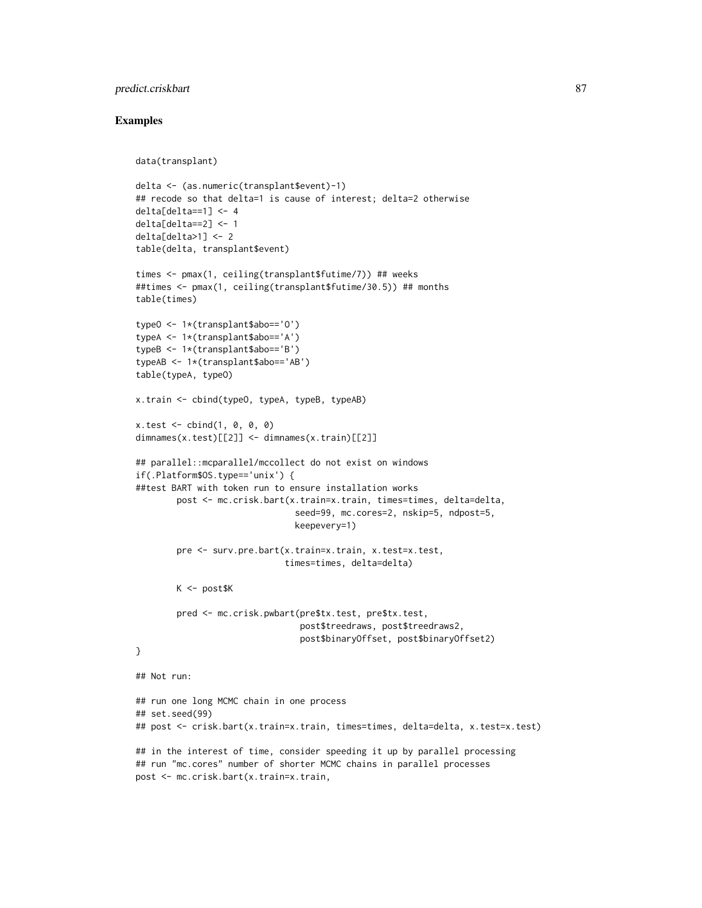## predict.criskbart 87

```
data(transplant)
delta <- (as.numeric(transplant$event)-1)
## recode so that delta=1 is cause of interest; delta=2 otherwise
delta[delta==1] <- 4
delta[delta==2] <- 1
delta[delta>1] < -2table(delta, transplant$event)
times <- pmax(1, ceiling(transplant$futime/7)) ## weeks
##times <- pmax(1, ceiling(transplant$futime/30.5)) ## months
table(times)
typeO <- 1*(transplant$abo=='O')
typeA <- 1*(transplant$abo=='A')
typeB <- 1*(transplant$abo=='B')
typeAB <- 1*(transplant$abo=='AB')
table(typeA, typeO)
x.train <- cbind(typeO, typeA, typeB, typeAB)
x.test < - child(1, 0, 0, 0)dimnames(x.test)[[2]] <- dimnames(x.train)[[2]]
## parallel::mcparallel/mccollect do not exist on windows
if(.Platform$OS.type=='unix') {
##test BART with token run to ensure installation works
        post <- mc.crisk.bart(x.train=x.train, times=times, delta=delta,
                               seed=99, mc.cores=2, nskip=5, ndpost=5,
                               keepevery=1)
        pre <- surv.pre.bart(x.train=x.train, x.test=x.test,
                             times=times, delta=delta)
        K <- post$K
        pred <- mc.crisk.pwbart(pre$tx.test, pre$tx.test,
                                post$treedraws, post$treedraws2,
                                post$binaryOffset, post$binaryOffset2)
}
## Not run:
## run one long MCMC chain in one process
## set.seed(99)
## post <- crisk.bart(x.train=x.train, times=times, delta=delta, x.test=x.test)
## in the interest of time, consider speeding it up by parallel processing
## run "mc.cores" number of shorter MCMC chains in parallel processes
post <- mc.crisk.bart(x.train=x.train,
```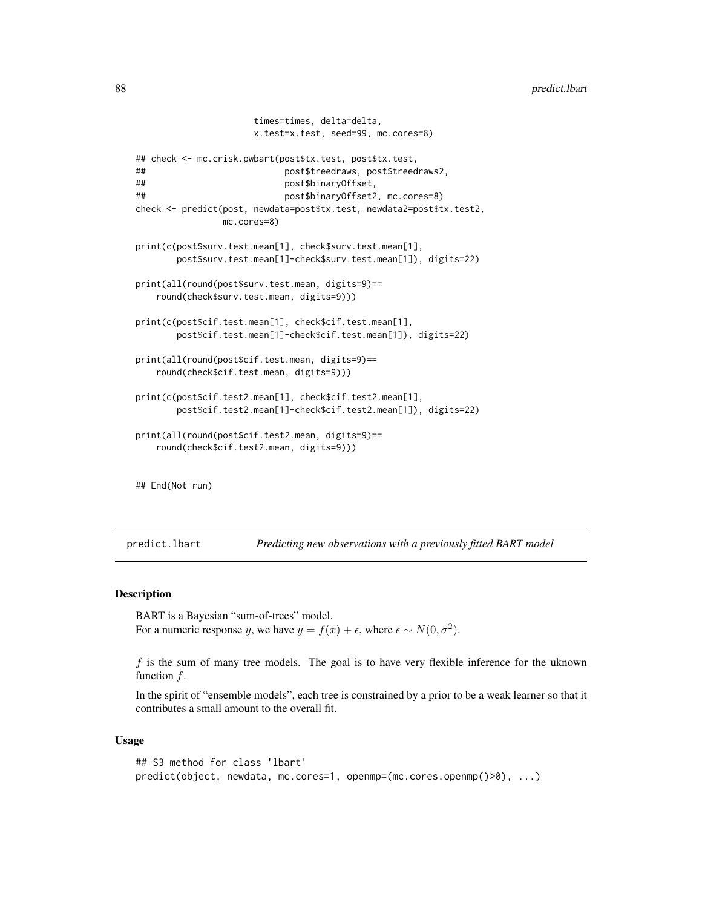```
times=times, delta=delta,
                     x.test=x.test, seed=99, mc.cores=8)
## check <- mc.crisk.pwbart(post$tx.test, post$tx.test,
## post$treedraws, post$treedraws2,
## post$binaryOffset,
## post$binaryOffset2, mc.cores=8)
check <- predict(post, newdata=post$tx.test, newdata2=post$tx.test2,
               mc.cores=8)
print(c(post$surv.test.mean[1], check$surv.test.mean[1],
       post$surv.test.mean[1]-check$surv.test.mean[1]), digits=22)
print(all(round(post$surv.test.mean, digits=9)==
   round(check$surv.test.mean, digits=9)))
print(c(post$cif.test.mean[1], check$cif.test.mean[1],
       post$cif.test.mean[1]-check$cif.test.mean[1]), digits=22)
print(all(round(post$cif.test.mean, digits=9)==
   round(check$cif.test.mean, digits=9)))
print(c(post$cif.test2.mean[1], check$cif.test2.mean[1],
       post$cif.test2.mean[1]-check$cif.test2.mean[1]), digits=22)
print(all(round(post$cif.test2.mean, digits=9)==
   round(check$cif.test2.mean, digits=9)))
## End(Not run)
```
predict.lbart *Predicting new observations with a previously fitted BART model*

## **Description**

BART is a Bayesian "sum-of-trees" model. For a numeric response y, we have  $y = f(x) + \epsilon$ , where  $\epsilon \sim N(0, \sigma^2)$ .

 $f$  is the sum of many tree models. The goal is to have very flexible inference for the uknown function  $f$ .

In the spirit of "ensemble models", each tree is constrained by a prior to be a weak learner so that it contributes a small amount to the overall fit.

#### Usage

```
## S3 method for class 'lbart'
predict(object, newdata, mc.cores=1, openmp=(mc.cores.openmp()>0), ...)
```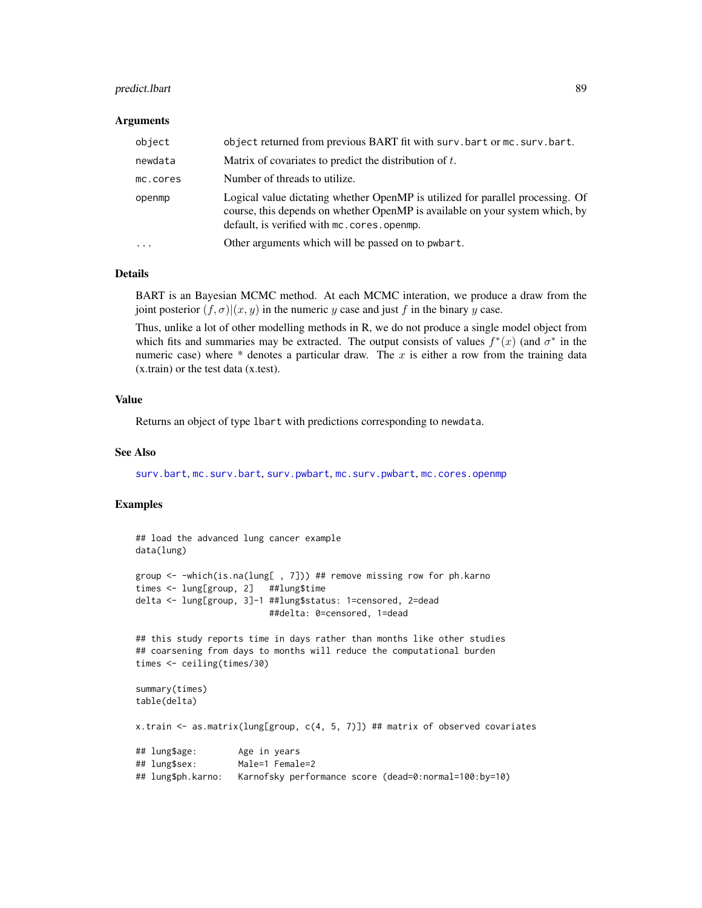## predict.Ibart 89

#### Arguments

| object     | object returned from previous BART fit with surv.bart or mc.surv.bart.                                                                                                                                         |
|------------|----------------------------------------------------------------------------------------------------------------------------------------------------------------------------------------------------------------|
| newdata    | Matrix of covariates to predict the distribution of $t$ .                                                                                                                                                      |
| mc.cores   | Number of threads to utilize.                                                                                                                                                                                  |
| openmp     | Logical value dictating whether OpenMP is utilized for parallel processing. Of<br>course, this depends on whether OpenMP is available on your system which, by<br>default, is verified with mc. cores. openmp. |
| $\ddots$ . | Other arguments which will be passed on to pwbart.                                                                                                                                                             |

## Details

BART is an Bayesian MCMC method. At each MCMC interation, we produce a draw from the joint posterior  $(f, \sigma)(x, y)$  in the numeric y case and just f in the binary y case.

Thus, unlike a lot of other modelling methods in R, we do not produce a single model object from which fits and summaries may be extracted. The output consists of values  $f^*(x)$  (and  $\sigma^*$  in the numeric case) where  $*$  denotes a particular draw. The x is either a row from the training data (x.train) or the test data (x.test).

### Value

Returns an object of type lbart with predictions corresponding to newdata.

### See Also

[surv.bart](#page-123-0), [mc.surv.bart](#page-123-1), [surv.pwbart](#page-67-0), [mc.surv.pwbart](#page-67-1), [mc.cores.openmp](#page-52-0)

```
## load the advanced lung cancer example
data(lung)
group <- -which(is.na(lung[ , 7])) ## remove missing row for ph.karno
times <- lung[group, 2] ##lung$time
delta <- lung[group, 3]-1 ##lung$status: 1=censored, 2=dead
                         ##delta: 0=censored, 1=dead
## this study reports time in days rather than months like other studies
## coarsening from days to months will reduce the computational burden
times <- ceiling(times/30)
summary(times)
table(delta)
x.train <- as.matrix(lung[group, c(4, 5, 7)]) ## matrix of observed covariates
## lung$age: Age in years
## lung$sex: Male=1 Female=2
## lung$ph.karno: Karnofsky performance score (dead=0:normal=100:by=10)
```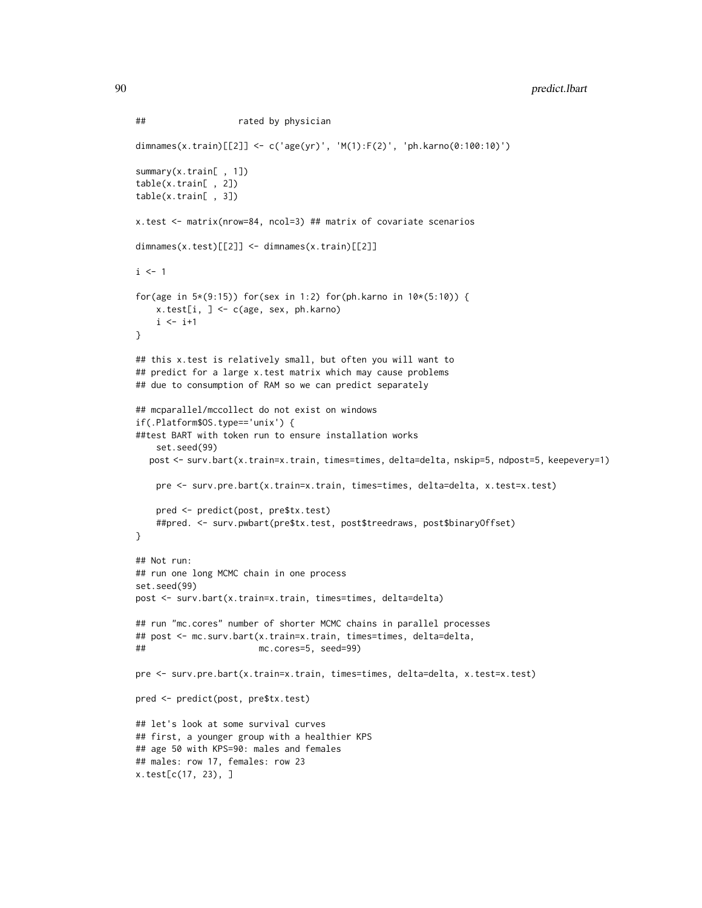```
## rated by physician
dimnames(x.train)[[2]] <- c('age(yr)', 'M(1):F(2)', 'ph.karno(0:100:10)')
summary(x.train[ , 1])
table(x.train[ , 2])
table(x.train[ , 3])
x.test <- matrix(nrow=84, ncol=3) ## matrix of covariate scenarios
dimnames(x.test)[[2]] <- dimnames(x.train)[[2]]
i \leq 1for(age in 5*(9:15)) for(sex in 1:2) for(ph.karno in 10*(5:10)) {
   x.test[i, ] <- c(age, sex, ph.karno)
   i \leftarrow i+1}
## this x.test is relatively small, but often you will want to
## predict for a large x.test matrix which may cause problems
## due to consumption of RAM so we can predict separately
## mcparallel/mccollect do not exist on windows
if(.Platform$OS.type=='unix') {
##test BART with token run to ensure installation works
   set.seed(99)
  post <- surv.bart(x.train=x.train, times=times, delta=delta, nskip=5, ndpost=5, keepevery=1)
   pre <- surv.pre.bart(x.train=x.train, times=times, delta=delta, x.test=x.test)
   pred <- predict(post, pre$tx.test)
    ##pred. <- surv.pwbart(pre$tx.test, post$treedraws, post$binaryOffset)
}
## Not run:
## run one long MCMC chain in one process
set.seed(99)
post <- surv.bart(x.train=x.train, times=times, delta=delta)
## run "mc.cores" number of shorter MCMC chains in parallel processes
## post <- mc.surv.bart(x.train=x.train, times=times, delta=delta,
## mc.cores=5, seed=99)
pre <- surv.pre.bart(x.train=x.train, times=times, delta=delta, x.test=x.test)
pred <- predict(post, pre$tx.test)
## let's look at some survival curves
## first, a younger group with a healthier KPS
## age 50 with KPS=90: males and females
## males: row 17, females: row 23
x.test[c(17, 23), ]
```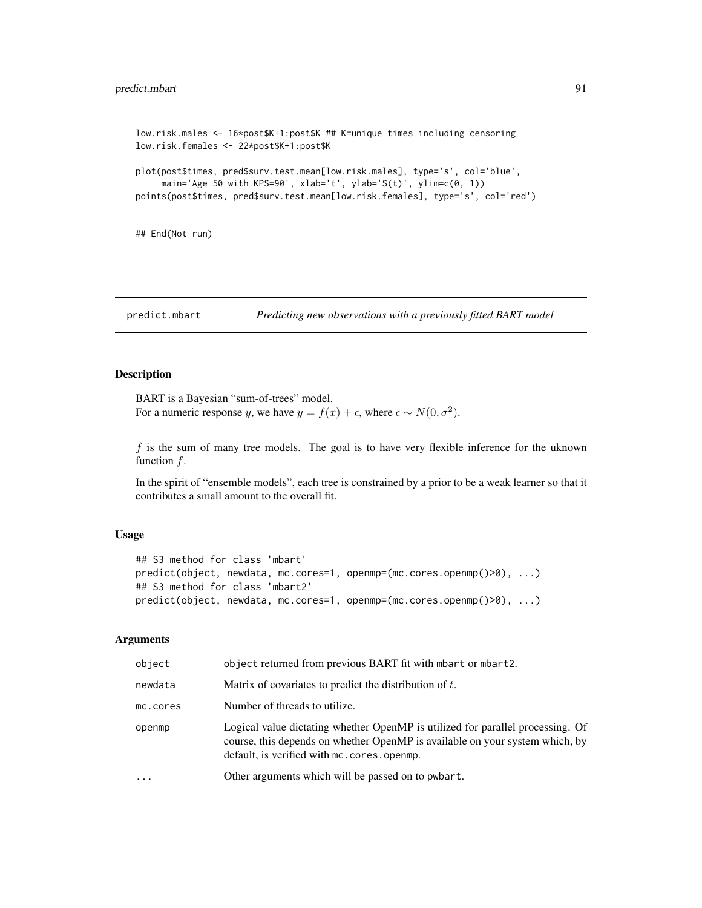## predict.mbart 91

```
low.risk.males <- 16*post$K+1:post$K ## K=unique times including censoring
low.risk.females <- 22*post$K+1:post$K
plot(post$times, pred$surv.test.mean[low.risk.males], type='s', col='blue',
    main='Age 50 with KPS=90', xlab='t', ylab='S(t)', ylim=c(0, 1))
points(post$times, pred$surv.test.mean[low.risk.females], type='s', col='red')
```
## End(Not run)

predict.mbart *Predicting new observations with a previously fitted BART model*

#### Description

BART is a Bayesian "sum-of-trees" model. For a numeric response y, we have  $y = f(x) + \epsilon$ , where  $\epsilon \sim N(0, \sigma^2)$ .

 $f$  is the sum of many tree models. The goal is to have very flexible inference for the uknown function  $f$ .

In the spirit of "ensemble models", each tree is constrained by a prior to be a weak learner so that it contributes a small amount to the overall fit.

## Usage

```
## S3 method for class 'mbart'
predict(object, newdata, mc.cores=1, openmp=(mc.cores.openmp()>0), ...)
## S3 method for class 'mbart2'
predict(object, newdata, mc.cores=1, openmp=(mc.cores.openmp()>0), ...)
```
### Arguments

| object   | object returned from previous BART fit with mbart or mbart2.                                                                                                                                                 |
|----------|--------------------------------------------------------------------------------------------------------------------------------------------------------------------------------------------------------------|
| newdata  | Matrix of covariates to predict the distribution of $t$ .                                                                                                                                                    |
| mc.cores | Number of threads to utilize.                                                                                                                                                                                |
| openmp   | Logical value dictating whether OpenMP is utilized for parallel processing. Of<br>course, this depends on whether OpenMP is available on your system which, by<br>default, is verified with mc.cores.openmp. |
| $\cdots$ | Other arguments which will be passed on to pwbart.                                                                                                                                                           |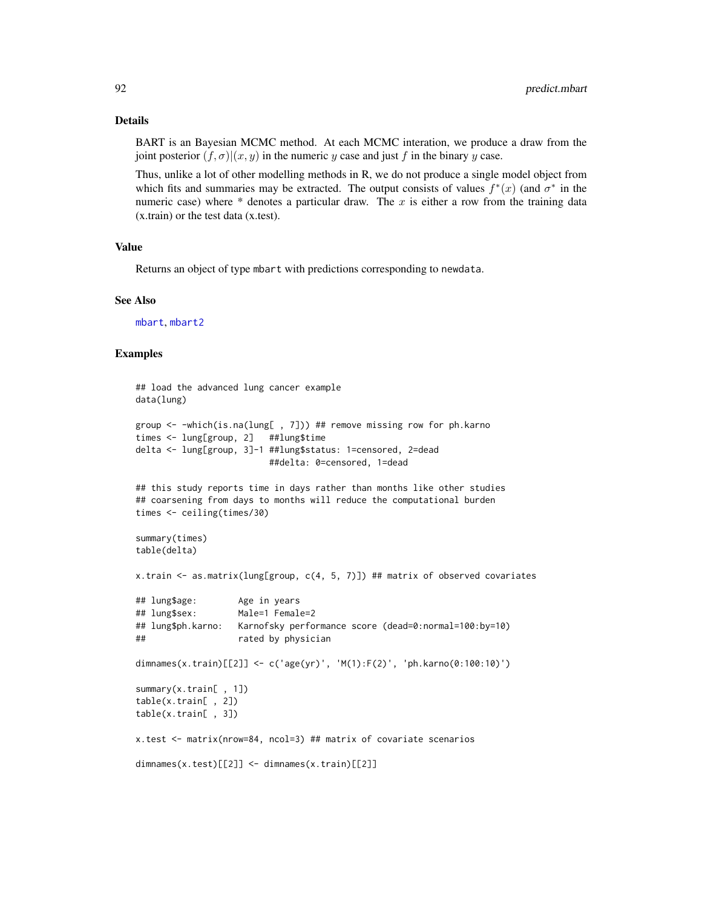#### Details

BART is an Bayesian MCMC method. At each MCMC interation, we produce a draw from the joint posterior  $(f, \sigma)(x, y)$  in the numeric y case and just f in the binary y case.

Thus, unlike a lot of other modelling methods in R, we do not produce a single model object from which fits and summaries may be extracted. The output consists of values  $f^*(x)$  (and  $\sigma^*$  in the numeric case) where  $*$  denotes a particular draw. The x is either a row from the training data (x.train) or the test data (x.test).

#### Value

Returns an object of type mbart with predictions corresponding to newdata.

### See Also

[mbart](#page-44-0), [mbart2](#page-48-0)

```
## load the advanced lung cancer example
data(lung)
group <- -which(is.na(lung[ , 7])) ## remove missing row for ph.karno
times <- lung[group, 2] ##lung$time
delta <- lung[group, 3]-1 ##lung$status: 1=censored, 2=dead
                         ##delta: 0=censored, 1=dead
## this study reports time in days rather than months like other studies
## coarsening from days to months will reduce the computational burden
times <- ceiling(times/30)
summary(times)
table(delta)
x.train <- as.matrix(lung[group, c(4, 5, 7)]) ## matrix of observed covariates
## lung$age: Age in years
## lung$sex: Male=1 Female=2
## lung$ph.karno: Karnofsky performance score (dead=0:normal=100:by=10)
## rated by physician
dimnames(x.train)[[2]] <- c('age(yr)', 'M(1):F(2)', 'ph.karno(0:100:10)')
summary(x.train[ , 1])
table(x.train[ , 2])
table(x.train[ , 3])
x.test <- matrix(nrow=84, ncol=3) ## matrix of covariate scenarios
dimnames(x.test)[[2]] <- dimnames(x.train)[[2]]
```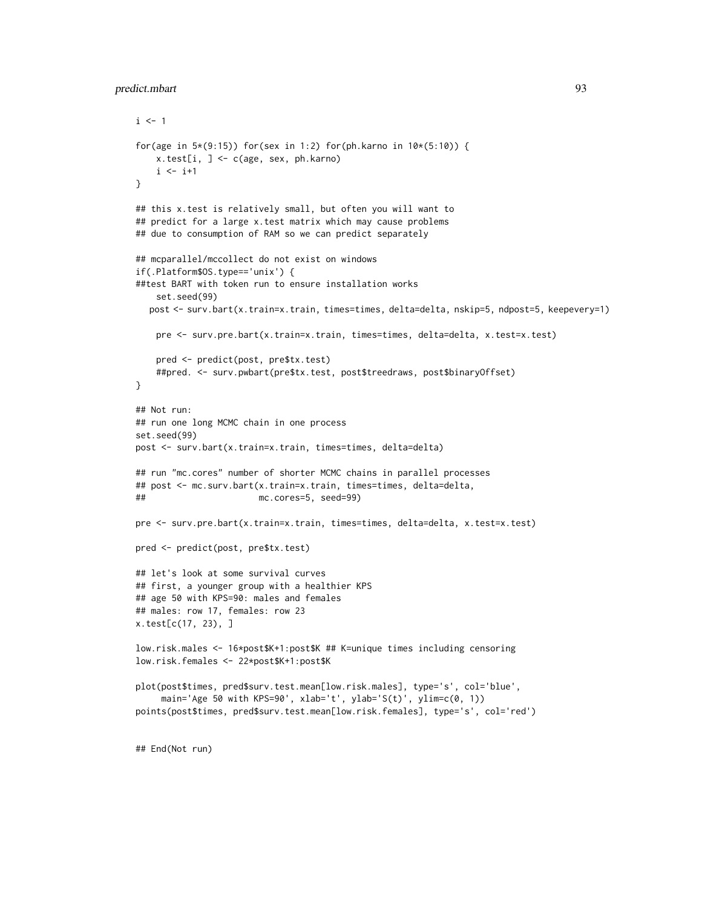## predict.mbart 93

```
i \leq 1for(age in 5*(9:15)) for(sex in 1:2) for(ph.karno in 10*(5:10)) {
   x.test[i, ] <- c(age, sex, ph.karno)
   i \leftarrow i+1}
## this x.test is relatively small, but often you will want to
## predict for a large x.test matrix which may cause problems
## due to consumption of RAM so we can predict separately
## mcparallel/mccollect do not exist on windows
if(.Platform$OS.type=='unix') {
##test BART with token run to ensure installation works
    set.seed(99)
  post <- surv.bart(x.train=x.train, times=times, delta=delta, nskip=5, ndpost=5, keepevery=1)
    pre <- surv.pre.bart(x.train=x.train, times=times, delta=delta, x.test=x.test)
    pred <- predict(post, pre$tx.test)
    ##pred. <- surv.pwbart(pre$tx.test, post$treedraws, post$binaryOffset)
}
## Not run:
## run one long MCMC chain in one process
set.seed(99)
post <- surv.bart(x.train=x.train, times=times, delta=delta)
## run "mc.cores" number of shorter MCMC chains in parallel processes
## post <- mc.surv.bart(x.train=x.train, times=times, delta=delta,
## mc.cores=5, seed=99)
pre <- surv.pre.bart(x.train=x.train, times=times, delta=delta, x.test=x.test)
pred <- predict(post, pre$tx.test)
## let's look at some survival curves
## first, a younger group with a healthier KPS
## age 50 with KPS=90: males and females
## males: row 17, females: row 23
x.test[c(17, 23), ]
low.risk.males <- 16*post$K+1:post$K ## K=unique times including censoring
low.risk.females <- 22*post$K+1:post$K
plot(post$times, pred$surv.test.mean[low.risk.males], type='s', col='blue',
     main='Age 50 with KPS=90', xlab='t', ylab='S(t)', ylim=c(0, 1))
points(post$times, pred$surv.test.mean[low.risk.females], type='s', col='red')
```
## End(Not run)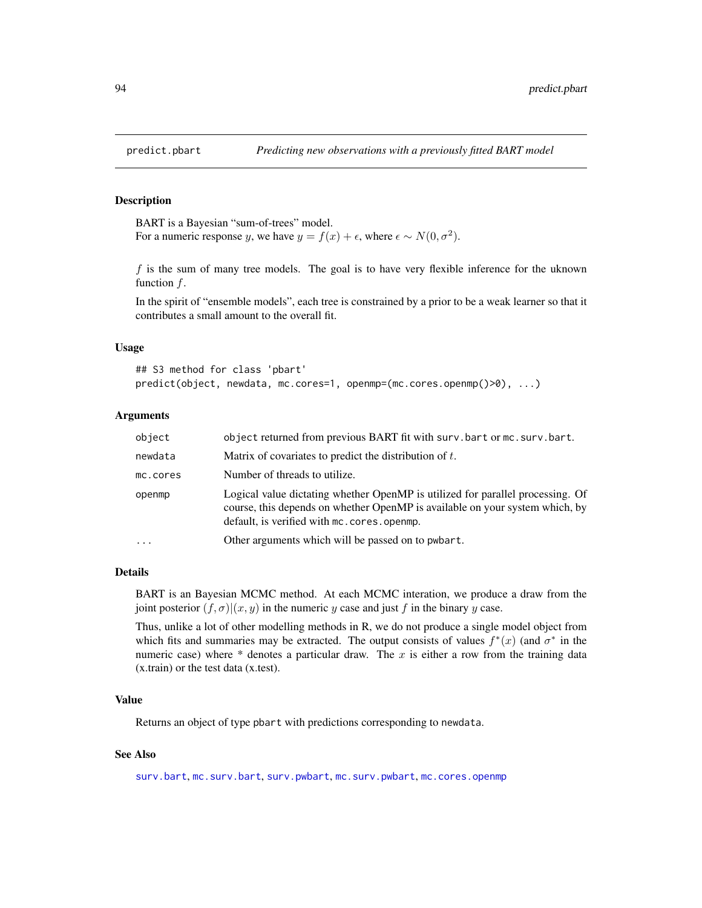## Description

BART is a Bayesian "sum-of-trees" model. For a numeric response y, we have  $y = f(x) + \epsilon$ , where  $\epsilon \sim N(0, \sigma^2)$ .

f is the sum of many tree models. The goal is to have very flexible inference for the uknown function  $f$ .

In the spirit of "ensemble models", each tree is constrained by a prior to be a weak learner so that it contributes a small amount to the overall fit.

### Usage

```
## S3 method for class 'pbart'
predict(object, newdata, mc.cores=1, openmp=(mc.cores.openmp()>0), ...)
```
# Arguments

| object   | object returned from previous BART fit with surv.bart or mc.surv.bart.                                                                                                                                         |
|----------|----------------------------------------------------------------------------------------------------------------------------------------------------------------------------------------------------------------|
| newdata  | Matrix of covariates to predict the distribution of $t$ .                                                                                                                                                      |
| mc.cores | Number of threads to utilize.                                                                                                                                                                                  |
| openmp   | Logical value dictating whether OpenMP is utilized for parallel processing. Of<br>course, this depends on whether OpenMP is available on your system which, by<br>default, is verified with mc. cores. openmp. |
| .        | Other arguments which will be passed on to pwbart.                                                                                                                                                             |

#### Details

BART is an Bayesian MCMC method. At each MCMC interation, we produce a draw from the joint posterior  $(f, \sigma) | (x, y)$  in the numeric y case and just f in the binary y case.

Thus, unlike a lot of other modelling methods in R, we do not produce a single model object from which fits and summaries may be extracted. The output consists of values  $f^*(x)$  (and  $\sigma^*$  in the numeric case) where  $*$  denotes a particular draw. The x is either a row from the training data (x.train) or the test data (x.test).

# Value

Returns an object of type pbart with predictions corresponding to newdata.

## See Also

[surv.bart](#page-123-0), [mc.surv.bart](#page-123-1), [surv.pwbart](#page-67-0), [mc.surv.pwbart](#page-67-1), [mc.cores.openmp](#page-52-0)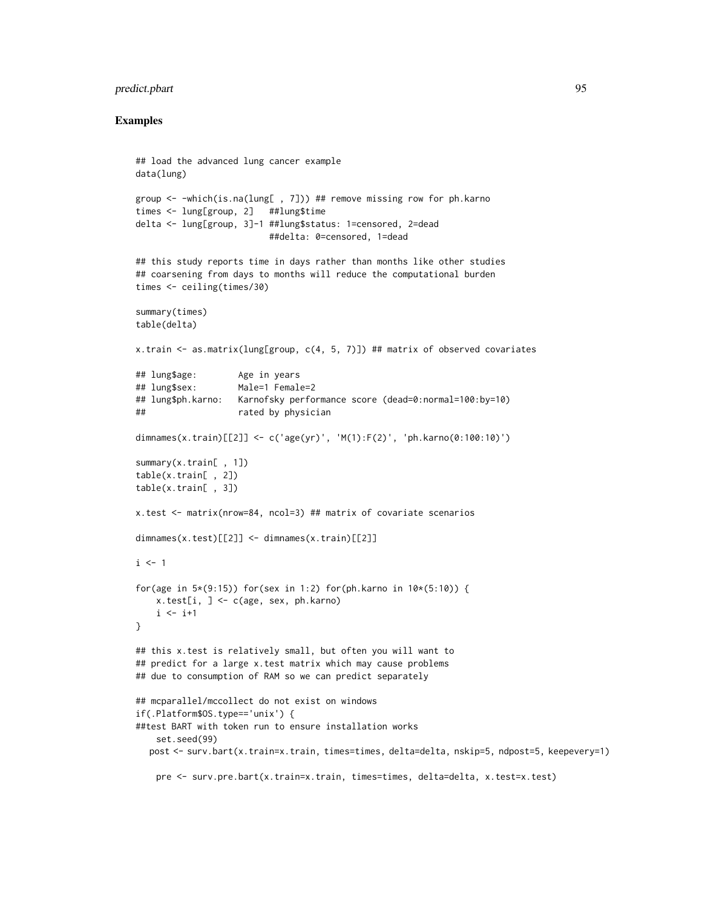## predict.pbart 95

```
## load the advanced lung cancer example
data(lung)
group <- -which(is.na(lung[ , 7])) ## remove missing row for ph.karno
times <- lung[group, 2] ##lung$time
delta <- lung[group, 3]-1 ##lung$status: 1=censored, 2=dead
                         ##delta: 0=censored, 1=dead
## this study reports time in days rather than months like other studies
## coarsening from days to months will reduce the computational burden
times <- ceiling(times/30)
summary(times)
table(delta)
x.train <- as.matrix(lung[group, c(4, 5, 7)]) ## matrix of observed covariates
## lung$age: Age in years
## lung$sex: Male=1 Female=2
## lung$ph.karno: Karnofsky performance score (dead=0:normal=100:by=10)
## rated by physician
dimnames(x.train)[[2]] <- c('age(yr)', 'M(1):F(2)', 'ph.karno(0:100:10)')
summary(x.train[ , 1])
table(x.train[ , 2])
table(x.train[ , 3])
x.test <- matrix(nrow=84, ncol=3) ## matrix of covariate scenarios
dimnames(x.test)[[2]] <- dimnames(x.train)[[2]]
i \leq 1for(age in 5*(9:15)) for(sex in 1:2) for(ph.karno in 10*(5:10)) {
   x.test[i, ] <- c(age, sex, ph.karno)
    i \leftarrow i+1}
## this x.test is relatively small, but often you will want to
## predict for a large x.test matrix which may cause problems
## due to consumption of RAM so we can predict separately
## mcparallel/mccollect do not exist on windows
if(.Platform$OS.type=='unix') {
##test BART with token run to ensure installation works
    set.seed(99)
  post <- surv.bart(x.train=x.train, times=times, delta=delta, nskip=5, ndpost=5, keepevery=1)
    pre <- surv.pre.bart(x.train=x.train, times=times, delta=delta, x.test=x.test)
```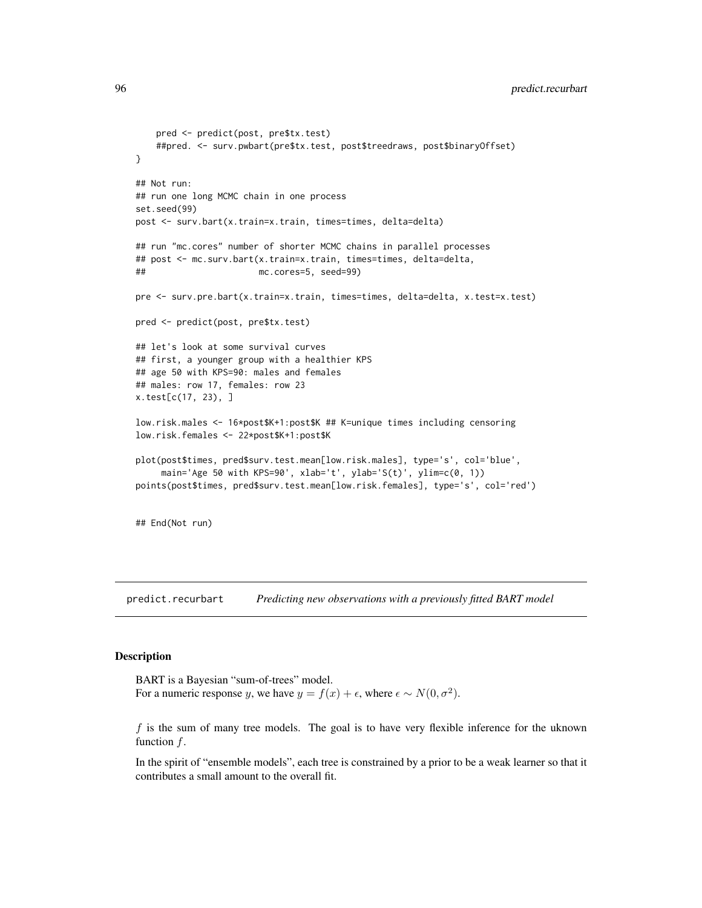96 **predict.recurbart** 

```
pred <- predict(post, pre$tx.test)
   ##pred. <- surv.pwbart(pre$tx.test, post$treedraws, post$binaryOffset)
}
## Not run:
## run one long MCMC chain in one process
set.seed(99)
post <- surv.bart(x.train=x.train, times=times, delta=delta)
## run "mc.cores" number of shorter MCMC chains in parallel processes
## post <- mc.surv.bart(x.train=x.train, times=times, delta=delta,
## mc.cores=5, seed=99)
pre <- surv.pre.bart(x.train=x.train, times=times, delta=delta, x.test=x.test)
pred <- predict(post, pre$tx.test)
## let's look at some survival curves
## first, a younger group with a healthier KPS
## age 50 with KPS=90: males and females
## males: row 17, females: row 23
x.test[c(17, 23), ]
low.risk.males <- 16*post$K+1:post$K ## K=unique times including censoring
low.risk.females <- 22*post$K+1:post$K
plot(post$times, pred$surv.test.mean[low.risk.males], type='s', col='blue',
    main='Age 50 with KPS=90', xlab='t', ylab='S(t)', ylim=c(0, 1))
points(post$times, pred$surv.test.mean[low.risk.females], type='s', col='red')
## End(Not run)
```
<span id="page-95-0"></span>predict.recurbart *Predicting new observations with a previously fitted BART model*

### Description

BART is a Bayesian "sum-of-trees" model. For a numeric response y, we have  $y = f(x) + \epsilon$ , where  $\epsilon \sim N(0, \sigma^2)$ .

 $f$  is the sum of many tree models. The goal is to have very flexible inference for the uknown function  $f$ .

In the spirit of "ensemble models", each tree is constrained by a prior to be a weak learner so that it contributes a small amount to the overall fit.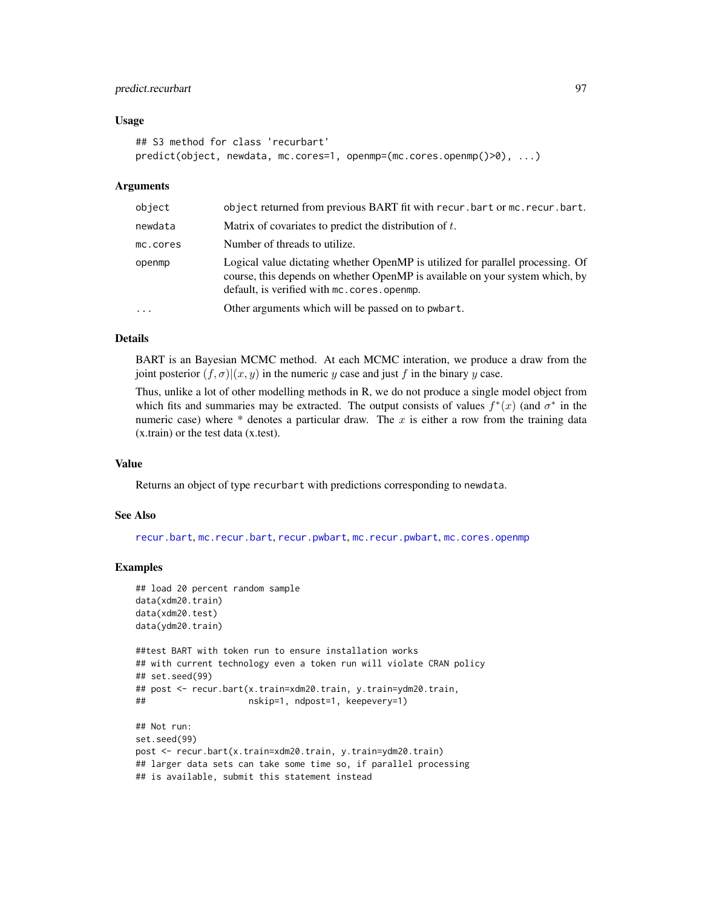## predict.recurbart 97

#### Usage

```
## S3 method for class 'recurbart'
predict(object, newdata, mc.cores=1, openmp=(mc.cores.openmp()>0), ...)
```
#### Arguments

| object   | object returned from previous BART fit with recur.bart or mc.recur.bart.                                                                                                                                     |
|----------|--------------------------------------------------------------------------------------------------------------------------------------------------------------------------------------------------------------|
| newdata  | Matrix of covariates to predict the distribution of $t$ .                                                                                                                                                    |
| mc.cores | Number of threads to utilize.                                                                                                                                                                                |
| openmp   | Logical value dictating whether OpenMP is utilized for parallel processing. Of<br>course, this depends on whether OpenMP is available on your system which, by<br>default, is verified with mc.cores.openmp. |
| $\cdots$ | Other arguments which will be passed on to pwbart.                                                                                                                                                           |

#### Details

BART is an Bayesian MCMC method. At each MCMC interation, we produce a draw from the joint posterior  $(f, \sigma)(x, y)$  in the numeric y case and just f in the binary y case.

Thus, unlike a lot of other modelling methods in R, we do not produce a single model object from which fits and summaries may be extracted. The output consists of values  $f^*(x)$  (and  $\sigma^*$  in the numeric case) where  $*$  denotes a particular draw. The x is either a row from the training data (x.train) or the test data (x.test).

#### Value

Returns an object of type recurbart with predictions corresponding to newdata.

### See Also

[recur.bart](#page-104-0), [mc.recur.bart](#page-104-1), [recur.pwbart](#page-67-0), [mc.recur.pwbart](#page-67-0), [mc.cores.openmp](#page-52-0)

```
## load 20 percent random sample
data(xdm20.train)
data(xdm20.test)
data(ydm20.train)
##test BART with token run to ensure installation works
## with current technology even a token run will violate CRAN policy
## set.seed(99)
## post <- recur.bart(x.train=xdm20.train, y.train=ydm20.train,
## nskip=1, ndpost=1, keepevery=1)
## Not run:
set.seed(99)
post <- recur.bart(x.train=xdm20.train, y.train=ydm20.train)
## larger data sets can take some time so, if parallel processing
## is available, submit this statement instead
```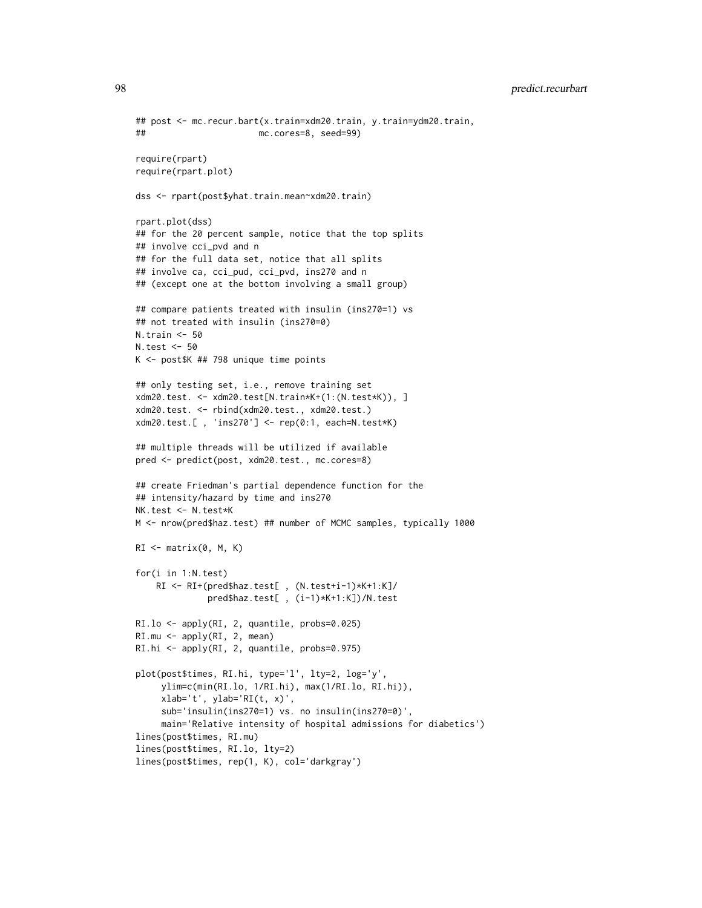```
## post <- mc.recur.bart(x.train=xdm20.train, y.train=ydm20.train,
## mc.cores=8, seed=99)
require(rpart)
require(rpart.plot)
dss <- rpart(post$yhat.train.mean~xdm20.train)
rpart.plot(dss)
## for the 20 percent sample, notice that the top splits
## involve cci_pvd and n
## for the full data set, notice that all splits
## involve ca, cci_pud, cci_pvd, ins270 and n
## (except one at the bottom involving a small group)
## compare patients treated with insulin (ins270=1) vs
## not treated with insulin (ins270=0)
N.train <- 50
N.test <- 50
K <- post$K ## 798 unique time points
## only testing set, i.e., remove training set
xdm20.test. <- xdm20.test[N.train*K+(1:(N.test*K)), ]
xdm20.test. <- rbind(xdm20.test., xdm20.test.)
xdm20.test.[ , 'ins270'] <- rep(0:1, each=N.test*K)
## multiple threads will be utilized if available
pred <- predict(post, xdm20.test., mc.cores=8)
## create Friedman's partial dependence function for the
## intensity/hazard by time and ins270
NK.test <- N.test*K
M <- nrow(pred$haz.test) ## number of MCMC samples, typically 1000
RI \leftarrow matrix(0, M, K)for(i in 1:N.test)
    RI <- RI+(pred$haz.test[ , (N.test+i-1)*K+1:K]/
              pred$haz.test[ , (i-1)*K+1:K])/N.test
RI.lo <- apply(RI, 2, quantile, probs=0.025)
RI.mu <- apply(RI, 2, mean)
RI.hi <- apply(RI, 2, quantile, probs=0.975)
plot(post$times, RI.hi, type='l', lty=2, log='y',
     ylim=c(min(RI.lo, 1/RI.hi), max(1/RI.lo, RI.hi)),
     xlab='t', ylab='RI(t, x)',
     sub='insulin(ins270=1) vs. no insulin(ins270=0)',
     main='Relative intensity of hospital admissions for diabetics')
lines(post$times, RI.mu)
lines(post$times, RI.lo, lty=2)
lines(post$times, rep(1, K), col='darkgray')
```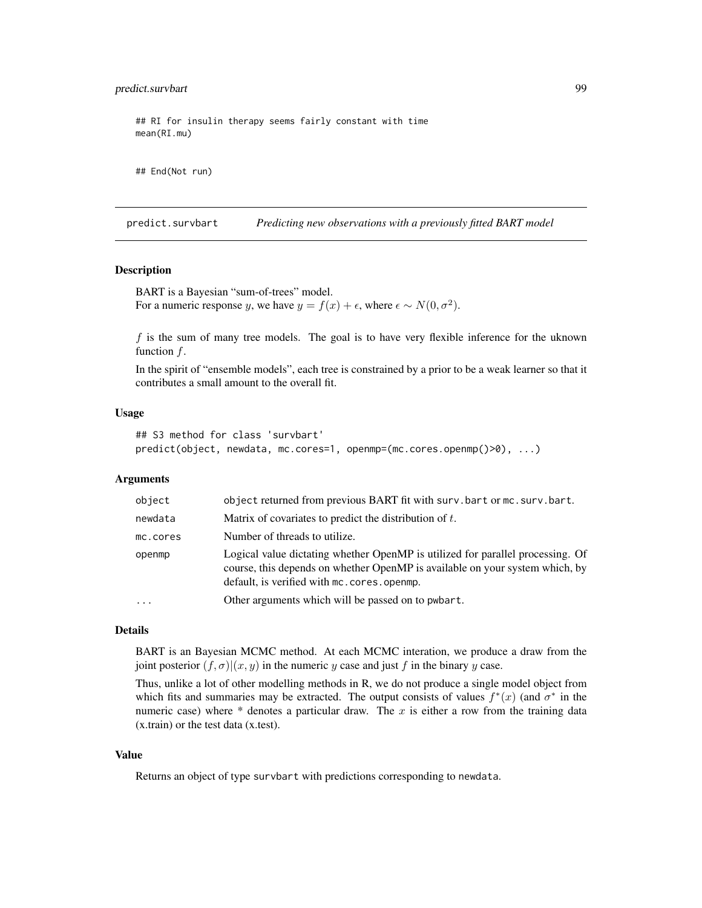## predict.survbart 99

## RI for insulin therapy seems fairly constant with time mean(RI.mu)

## End(Not run)

predict.survbart *Predicting new observations with a previously fitted BART model*

## **Description**

BART is a Bayesian "sum-of-trees" model. For a numeric response y, we have  $y = f(x) + \epsilon$ , where  $\epsilon \sim N(0, \sigma^2)$ .

 $f$  is the sum of many tree models. The goal is to have very flexible inference for the uknown function  $f$ .

In the spirit of "ensemble models", each tree is constrained by a prior to be a weak learner so that it contributes a small amount to the overall fit.

#### Usage

```
## S3 method for class 'survbart'
predict(object, newdata, mc.cores=1, openmp=(mc.cores.openmp()>0), ...)
```
## Arguments

| object                  | object returned from previous BART fit with surv.bart or mc. surv.bart.                                                                                                                                      |
|-------------------------|--------------------------------------------------------------------------------------------------------------------------------------------------------------------------------------------------------------|
| newdata                 | Matrix of covariates to predict the distribution of $t$ .                                                                                                                                                    |
| mc.cores                | Number of threads to utilize.                                                                                                                                                                                |
| openmp                  | Logical value dictating whether OpenMP is utilized for parallel processing. Of<br>course, this depends on whether OpenMP is available on your system which, by<br>default, is verified with mc.cores.openmp. |
| $\cdot$ $\cdot$ $\cdot$ | Other arguments which will be passed on to pwbart.                                                                                                                                                           |

## Details

BART is an Bayesian MCMC method. At each MCMC interation, we produce a draw from the joint posterior  $(f, \sigma)(x, y)$  in the numeric y case and just f in the binary y case.

Thus, unlike a lot of other modelling methods in R, we do not produce a single model object from which fits and summaries may be extracted. The output consists of values  $f^*(x)$  (and  $\sigma^*$  in the numeric case) where  $*$  denotes a particular draw. The x is either a row from the training data (x.train) or the test data (x.test).

#### Value

Returns an object of type survbart with predictions corresponding to newdata.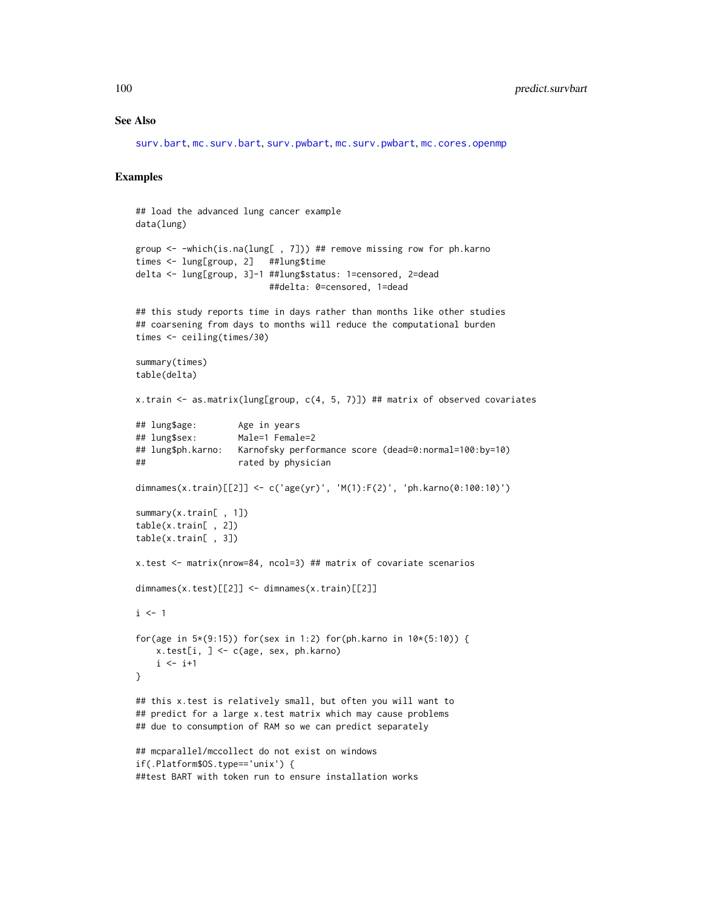#### See Also

[surv.bart](#page-123-0), [mc.surv.bart](#page-123-1), [surv.pwbart](#page-67-0), [mc.surv.pwbart](#page-67-1), [mc.cores.openmp](#page-52-0)

```
## load the advanced lung cancer example
data(lung)
group <- -which(is.na(lung[ , 7])) ## remove missing row for ph.karno
times <- lung[group, 2] ##lung$time
delta <- lung[group, 3]-1 ##lung$status: 1=censored, 2=dead
                         ##delta: 0=censored, 1=dead
## this study reports time in days rather than months like other studies
## coarsening from days to months will reduce the computational burden
times <- ceiling(times/30)
summary(times)
table(delta)
x.train <- as.matrix(lung[group, c(4, 5, 7)]) ## matrix of observed covariates
## lung$age: Age in years
## lung$sex: Male=1 Female=2
## lung$ph.karno: Karnofsky performance score (dead=0:normal=100:by=10)
## rated by physician
dimnames(x.train)[[2]] <- c('age(yr)', 'M(1):F(2)', 'ph.karno(0:100:10)')
summary(x.train[ , 1])
table(x.train[ , 2])
table(x.train[ , 3])
x.test <- matrix(nrow=84, ncol=3) ## matrix of covariate scenarios
dimnames(x.test)[[2]] <- dimnames(x.train)[[2]]
i \leq 1for(age in 5*(9:15)) for(sex in 1:2) for(ph.karno in 10*(5:10)) {
   x.test[i, ] \leftarrow c(age, sex, ph.karno)i \leftarrow i+1}
## this x.test is relatively small, but often you will want to
## predict for a large x.test matrix which may cause problems
## due to consumption of RAM so we can predict separately
## mcparallel/mccollect do not exist on windows
if(.Platform$OS.type=='unix') {
##test BART with token run to ensure installation works
```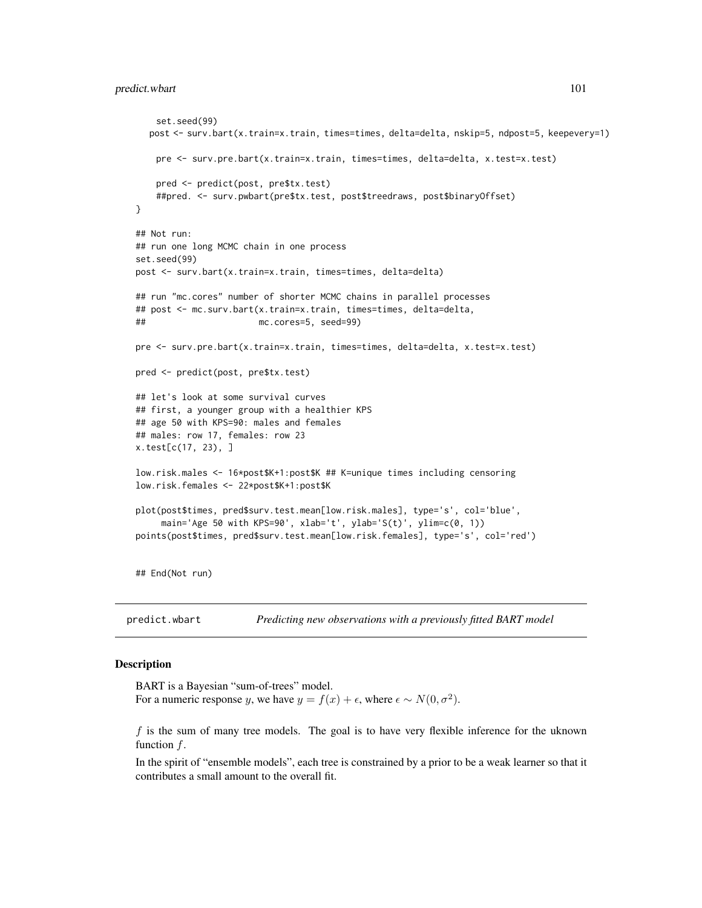## predict.wbart 101

```
set.seed(99)
  post <- surv.bart(x.train=x.train, times=times, delta=delta, nskip=5, ndpost=5, keepevery=1)
   pre <- surv.pre.bart(x.train=x.train, times=times, delta=delta, x.test=x.test)
   pred <- predict(post, pre$tx.test)
    ##pred. <- surv.pwbart(pre$tx.test, post$treedraws, post$binaryOffset)
}
## Not run:
## run one long MCMC chain in one process
set.seed(99)
post <- surv.bart(x.train=x.train, times=times, delta=delta)
## run "mc.cores" number of shorter MCMC chains in parallel processes
## post <- mc.surv.bart(x.train=x.train, times=times, delta=delta,
## mc.cores=5, seed=99)
pre <- surv.pre.bart(x.train=x.train, times=times, delta=delta, x.test=x.test)
pred <- predict(post, pre$tx.test)
## let's look at some survival curves
## first, a younger group with a healthier KPS
## age 50 with KPS=90: males and females
## males: row 17, females: row 23
x.test[c(17, 23), ]
low.risk.males <- 16*post$K+1:post$K ## K=unique times including censoring
low.risk.females <- 22*post$K+1:post$K
plot(post$times, pred$surv.test.mean[low.risk.males], type='s', col='blue',
     main='Age 50 with KPS=90', xlab='t', ylab='S(t)', ylim=c(0, 1))
points(post$times, pred$surv.test.mean[low.risk.females], type='s', col='red')
## End(Not run)
```
<span id="page-100-0"></span>predict.wbart *Predicting new observations with a previously fitted BART model*

### **Description**

BART is a Bayesian "sum-of-trees" model. For a numeric response y, we have  $y = f(x) + \epsilon$ , where  $\epsilon \sim N(0, \sigma^2)$ .

 $f$  is the sum of many tree models. The goal is to have very flexible inference for the uknown function  $f$ .

In the spirit of "ensemble models", each tree is constrained by a prior to be a weak learner so that it contributes a small amount to the overall fit.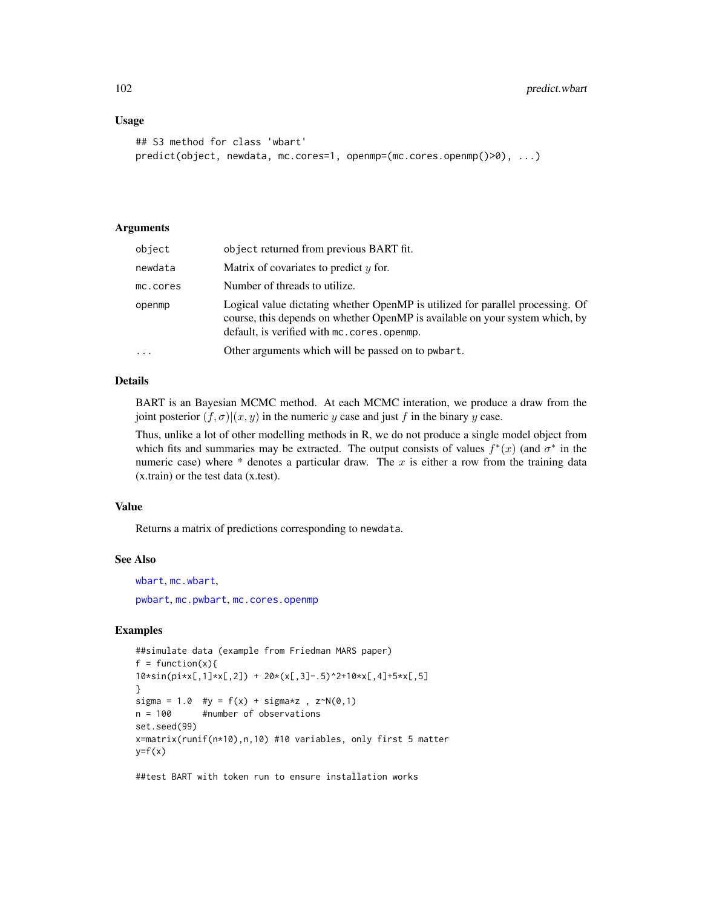## Usage

```
## S3 method for class 'wbart'
predict(object, newdata, mc.cores=1, openmp=(mc.cores.openmp()>0), ...)
```
# Arguments

| object    | object returned from previous BART fit.                                                                                                                                                                        |
|-----------|----------------------------------------------------------------------------------------------------------------------------------------------------------------------------------------------------------------|
| newdata   | Matrix of covariates to predict $y$ for.                                                                                                                                                                       |
| mc.cores  | Number of threads to utilize.                                                                                                                                                                                  |
| openmp    | Logical value dictating whether OpenMP is utilized for parallel processing. Of<br>course, this depends on whether OpenMP is available on your system which, by<br>default, is verified with mc. cores. openmp. |
| $\ddotsc$ | Other arguments which will be passed on to pwbart.                                                                                                                                                             |

#### Details

BART is an Bayesian MCMC method. At each MCMC interation, we produce a draw from the joint posterior  $(f, \sigma)(x, y)$  in the numeric y case and just f in the binary y case.

Thus, unlike a lot of other modelling methods in R, we do not produce a single model object from which fits and summaries may be extracted. The output consists of values  $f^*(x)$  (and  $\sigma^*$  in the numeric case) where  $*$  denotes a particular draw. The x is either a row from the training data (x.train) or the test data (x.test).

### Value

Returns a matrix of predictions corresponding to newdata.

#### See Also

[wbart](#page-131-0), [mc.wbart](#page-71-0), [pwbart](#page-102-0), [mc.pwbart](#page-102-1), [mc.cores.openmp](#page-52-0)

# Examples

```
##simulate data (example from Friedman MARS paper)
f = function(x)10*sin(pixL,1]*xL,2]) + 20*(xL,3] - .5)^2+10*xL,4] + 5*xL,5]}
sigma = 1.0 #y = f(x) + sigma*z, z \sim N(0,1)n = 100 #number of observations
set.seed(99)
x=matrix(runif(n*10),n,10) #10 variables, only first 5 matter
y=f(x)
```
##test BART with token run to ensure installation works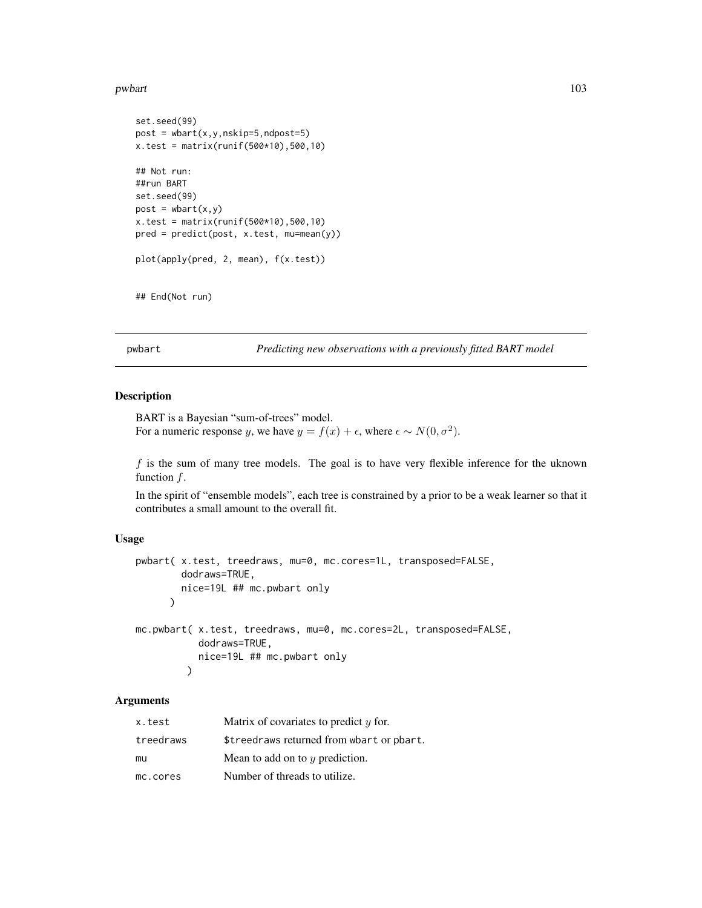#### pwbart 103

```
set.seed(99)
post = what(x, y, nskip=5, ndpost=5)x.test = matrix(runif(500*10),500,10)
## Not run:
##run BART
set.seed(99)
post = what(x, y)x.test = matrix(runif(500*10), 500, 10)pred = predict(post, x.test, mu=mean(y))
plot(apply(pred, 2, mean), f(x.test))
```

```
## End(Not run)
```
<span id="page-102-0"></span>pwbart *Predicting new observations with a previously fitted BART model*

# <span id="page-102-1"></span>Description

BART is a Bayesian "sum-of-trees" model. For a numeric response y, we have  $y = f(x) + \epsilon$ , where  $\epsilon \sim N(0, \sigma^2)$ .

 $f$  is the sum of many tree models. The goal is to have very flexible inference for the uknown function  $f$ .

In the spirit of "ensemble models", each tree is constrained by a prior to be a weak learner so that it contributes a small amount to the overall fit.

### Usage

```
pwbart( x.test, treedraws, mu=0, mc.cores=1L, transposed=FALSE,
       dodraws=TRUE,
       nice=19L ## mc.pwbart only
     )
mc.pwbart( x.test, treedraws, mu=0, mc.cores=2L, transposed=FALSE,
          dodraws=TRUE,
          nice=19L ## mc.pwbart only
         )
```
# Arguments

| x.test    | Matrix of covariates to predict $\gamma$ for. |
|-----------|-----------------------------------------------|
| treedraws | \$treedraws returned from wbart or pbart.     |
| mu        | Mean to add on to $y$ prediction.             |
| mc.cores  | Number of threads to utilize.                 |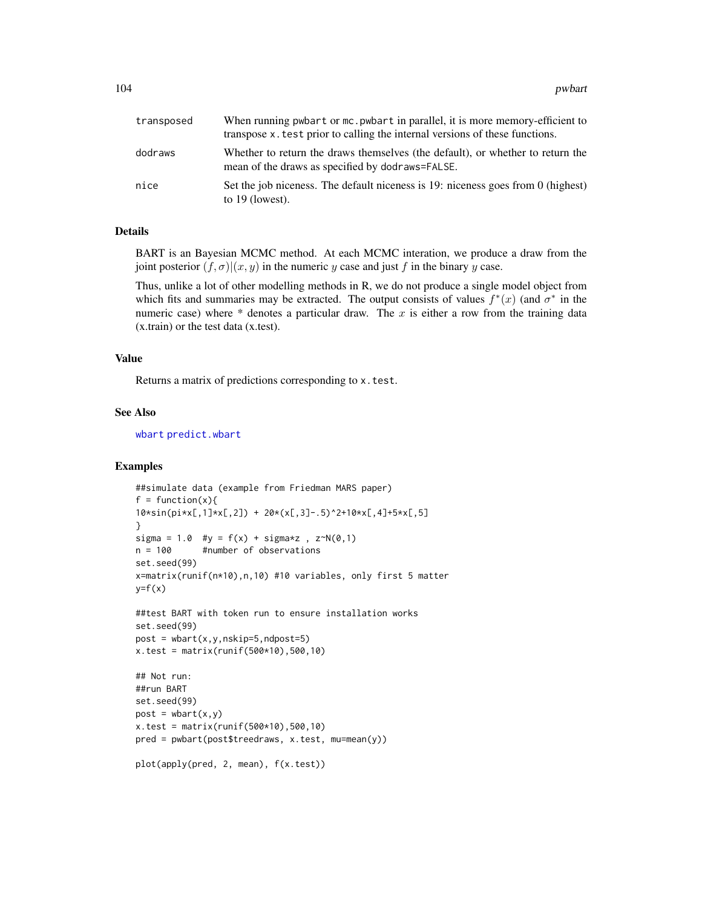| transposed | When running pwbart or mc. pwbart in parallel, it is more memory-efficient to<br>transpose x, test prior to calling the internal versions of these functions. |
|------------|---------------------------------------------------------------------------------------------------------------------------------------------------------------|
| dodraws    | Whether to return the draws themselves (the default), or whether to return the<br>mean of the draws as specified by dodraws=FALSE.                            |
| nice       | Set the job niceness. The default niceness is 19: niceness goes from 0 (highest)<br>to $19$ (lowest).                                                         |

# Details

BART is an Bayesian MCMC method. At each MCMC interation, we produce a draw from the joint posterior  $(f, \sigma)(x, y)$  in the numeric y case and just f in the binary y case.

Thus, unlike a lot of other modelling methods in R, we do not produce a single model object from which fits and summaries may be extracted. The output consists of values  $f^*(x)$  (and  $\sigma^*$  in the numeric case) where  $*$  denotes a particular draw. The x is either a row from the training data (x.train) or the test data (x.test).

## Value

Returns a matrix of predictions corresponding to x.test.

### See Also

[wbart](#page-131-0) [predict.wbart](#page-100-0)

```
##simulate data (example from Friedman MARS paper)
f = function(x)10*sin(pixL,1]*xL,2]) + 20*(xL,3]-.5)^2+10*xL,4]+5*xL,5]}
sigma = 1.0 #y = f(x) + sigma*z, z \sim N(0,1)n = 100 #number of observations
set.seed(99)
x=matrix(runif(n*10),n,10) #10 variables, only first 5 matter
y=f(x)##test BART with token run to ensure installation works
set.seed(99)
post = what(x, y, nskip=5, ndpost=5)x.test = matrix(runif(500*10), 500, 10)## Not run:
##run BART
set.seed(99)
post = what(x, y)x.test = matrix(runif(500*10), 500, 10)pred = pwbart(post$treedraws, x.test, mu=mean(y))
plot(apply(pred, 2, mean), f(x.test))
```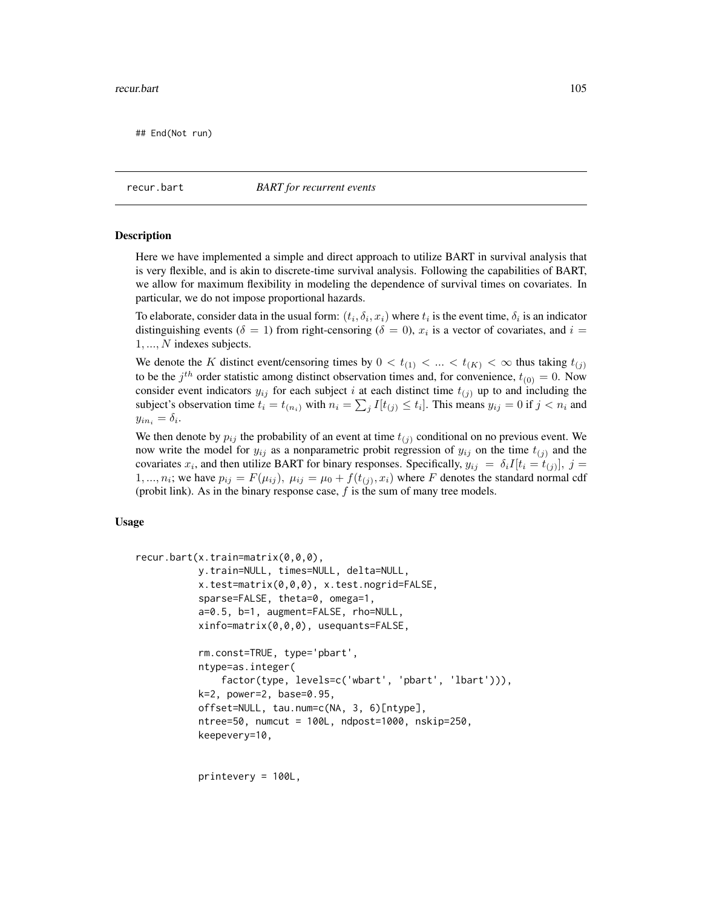## End(Not run)

<span id="page-104-0"></span>recur.bart *BART for recurrent events*

#### <span id="page-104-1"></span>**Description**

Here we have implemented a simple and direct approach to utilize BART in survival analysis that is very flexible, and is akin to discrete-time survival analysis. Following the capabilities of BART, we allow for maximum flexibility in modeling the dependence of survival times on covariates. In particular, we do not impose proportional hazards.

To elaborate, consider data in the usual form:  $(t_i, \delta_i, x_i)$  where  $t_i$  is the event time,  $\delta_i$  is an indicator distinguishing events ( $\delta = 1$ ) from right-censoring ( $\delta = 0$ ),  $x_i$  is a vector of covariates, and  $i =$ 1, ..., N indexes subjects.

We denote the K distinct event/censoring times by  $0 < t_{(1)} < ... < t_{(K)} < \infty$  thus taking  $t_{(j)}$ to be the  $j<sup>th</sup>$  order statistic among distinct observation times and, for convenience,  $t_{(0)} = 0$ . Now consider event indicators  $y_{ij}$  for each subject i at each distinct time  $t_{(i)}$  up to and including the subject's observation time  $t_i = t_{(n_i)}$  with  $n_i = \sum_j I[t_{(j)} \le t_i]$ . This means  $y_{ij} = 0$  if  $j < n_i$  and  $y_{in_i} = \delta_i.$ 

We then denote by  $p_{ij}$  the probability of an event at time  $t_{(i)}$  conditional on no previous event. We now write the model for  $y_{ij}$  as a nonparametric probit regression of  $y_{ij}$  on the time  $t_{(i)}$  and the covariates  $x_i$ , and then utilize BART for binary responses. Specifically,  $y_{ij} = \delta_i I[t_i = t_{(j)}], j =$ 1, ...,  $n_i$ ; we have  $p_{ij} = F(\mu_{ij})$ ,  $\mu_{ij} = \mu_0 + f(t_{(j)}, x_i)$  where F denotes the standard normal cdf (probit link). As in the binary response case,  $f$  is the sum of many tree models.

### Usage

```
recur.bart(x.train=matrix(0,0,0),
           y.train=NULL, times=NULL, delta=NULL,
           x.test=matrix(0,0,0), x.test.nogrid=FALSE,
           sparse=FALSE, theta=0, omega=1,
           a=0.5, b=1, augment=FALSE, rho=NULL,
           xinfo=matrix(0,0,0), usequants=FALSE,
           rm.const=TRUE, type='pbart',
           ntype=as.integer(
               factor(type, levels=c('wbart', 'pbart', 'lbart'))),
           k=2, power=2, base=0.95,
           offset=NULL, tau.num=c(NA, 3, 6)[ntype],
           ntree=50, numcut = 100L, ndpost=1000, nskip=250,
           keepevery=10,
```
printevery = 100L,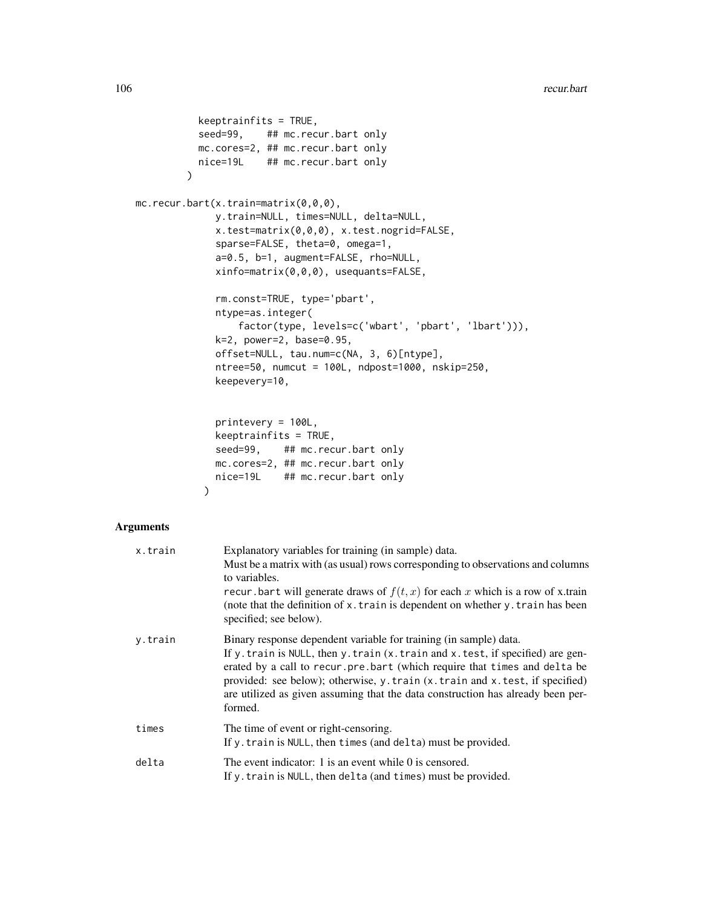```
keeptrainfits = TRUE,
           seed=99, ## mc.recur.bart only
          mc.cores=2, ## mc.recur.bart only
          nice=19L ## mc.recur.bart only
         \lambdamc.recur.bart(x.train=matrix(0,0,0),
              y.train=NULL, times=NULL, delta=NULL,
              x.test=matrix(0,0,0), x.test.nogrid=FALSE,
              sparse=FALSE, theta=0, omega=1,
              a=0.5, b=1, augment=FALSE, rho=NULL,
              xinfo=matrix(0,0,0), usequants=FALSE,
              rm.const=TRUE, type='pbart',
              ntype=as.integer(
                  factor(type, levels=c('wbart', 'pbart', 'lbart'))),
              k=2, power=2, base=0.95,
              offset=NULL, tau.num=c(NA, 3, 6)[ntype],
              ntree=50, numcut = 100L, ndpost=1000, nskip=250,
              keepevery=10,
              printevery = 100L,
              keeptrainfits = TRUE,
              seed=99, ## mc.recur.bart only
             mc.cores=2, ## mc.recur.bart only
              nice=19L ## mc.recur.bart only
            )
```

```
Arguments
```

| x.train | Explanatory variables for training (in sample) data.<br>Must be a matrix with (as usual) rows corresponding to observations and columns<br>to variables.<br>recur. bart will generate draws of $f(t, x)$ for each x which is a row of x.train<br>(note that the definition of x. train is dependent on whether y. train has been<br>specified; see below).                                                        |
|---------|-------------------------------------------------------------------------------------------------------------------------------------------------------------------------------------------------------------------------------------------------------------------------------------------------------------------------------------------------------------------------------------------------------------------|
| y.train | Binary response dependent variable for training (in sample) data.<br>If y. train is NULL, then y. train (x. train and x. test, if specified) are gen-<br>erated by a call to recur. pre. bart (which require that times and delta be<br>provided: see below); otherwise, y.train (x.train and x.test, if specified)<br>are utilized as given assuming that the data construction has already been per-<br>formed. |
| times   | The time of event or right-censoring.<br>If y. train is NULL, then times (and delta) must be provided.                                                                                                                                                                                                                                                                                                            |
| delta   | The event indicator: 1 is an event while 0 is censored.<br>If y. train is NULL, then delta (and times) must be provided.                                                                                                                                                                                                                                                                                          |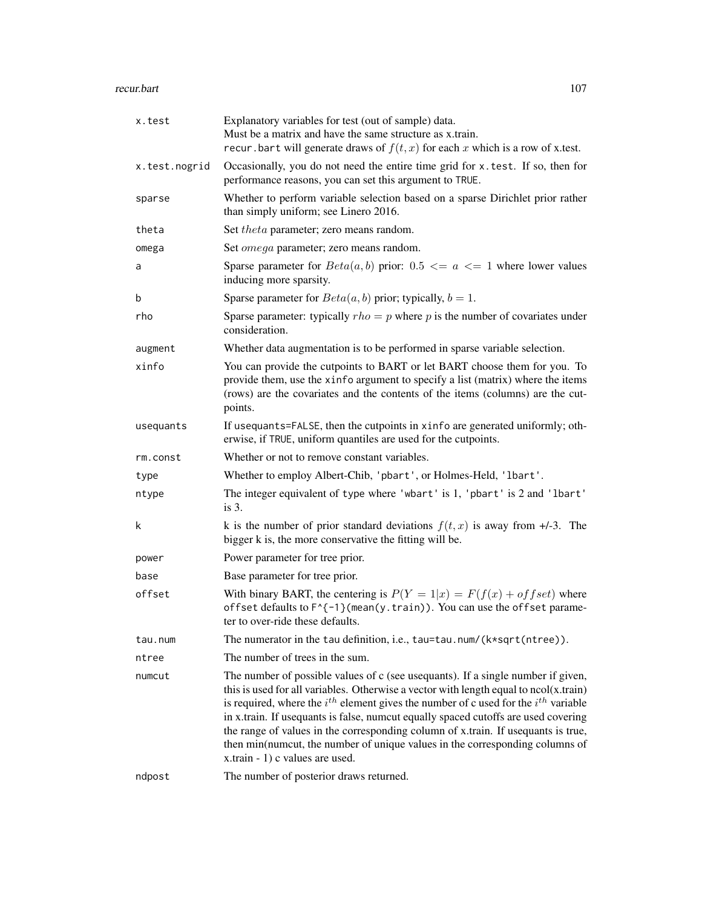#### recur.bart 107

| x.test        | Explanatory variables for test (out of sample) data.<br>Must be a matrix and have the same structure as x.train.<br>recur. bart will generate draws of $f(t, x)$ for each x which is a row of x test.                                                                                                                                                                                                                                                                                                                                                                     |
|---------------|---------------------------------------------------------------------------------------------------------------------------------------------------------------------------------------------------------------------------------------------------------------------------------------------------------------------------------------------------------------------------------------------------------------------------------------------------------------------------------------------------------------------------------------------------------------------------|
| x.test.nogrid | Occasionally, you do not need the entire time grid for x.test. If so, then for<br>performance reasons, you can set this argument to TRUE.                                                                                                                                                                                                                                                                                                                                                                                                                                 |
| sparse        | Whether to perform variable selection based on a sparse Dirichlet prior rather<br>than simply uniform; see Linero 2016.                                                                                                                                                                                                                                                                                                                                                                                                                                                   |
| theta         | Set <i>theta</i> parameter; zero means random.                                                                                                                                                                                                                                                                                                                                                                                                                                                                                                                            |
| omega         | Set omega parameter; zero means random.                                                                                                                                                                                                                                                                                                                                                                                                                                                                                                                                   |
| a             | Sparse parameter for $Beta(a, b)$ prior: 0.5 $\le a \le 1$ where lower values<br>inducing more sparsity.                                                                                                                                                                                                                                                                                                                                                                                                                                                                  |
| b             | Sparse parameter for $Beta(a, b)$ prior; typically, $b = 1$ .                                                                                                                                                                                                                                                                                                                                                                                                                                                                                                             |
| rho           | Sparse parameter: typically $rho = p$ where p is the number of covariates under<br>consideration.                                                                                                                                                                                                                                                                                                                                                                                                                                                                         |
| augment       | Whether data augmentation is to be performed in sparse variable selection.                                                                                                                                                                                                                                                                                                                                                                                                                                                                                                |
| xinfo         | You can provide the cutpoints to BART or let BART choose them for you. To<br>provide them, use the xinfo argument to specify a list (matrix) where the items<br>(rows) are the covariates and the contents of the items (columns) are the cut-<br>points.                                                                                                                                                                                                                                                                                                                 |
| usequants     | If usequants=FALSE, then the cutpoints in xinfo are generated uniformly; oth-<br>erwise, if TRUE, uniform quantiles are used for the cutpoints.                                                                                                                                                                                                                                                                                                                                                                                                                           |
| rm.const      | Whether or not to remove constant variables.                                                                                                                                                                                                                                                                                                                                                                                                                                                                                                                              |
| type          | Whether to employ Albert-Chib, 'pbart', or Holmes-Held, '1bart'.                                                                                                                                                                                                                                                                                                                                                                                                                                                                                                          |
| ntype         | The integer equivalent of type where 'wbart' is 1, 'pbart' is 2 and 'lbart'<br>is $3$ .                                                                                                                                                                                                                                                                                                                                                                                                                                                                                   |
| k             | k is the number of prior standard deviations $f(t, x)$ is away from $+1$ -3. The<br>bigger k is, the more conservative the fitting will be.                                                                                                                                                                                                                                                                                                                                                                                                                               |
| power         | Power parameter for tree prior.                                                                                                                                                                                                                                                                                                                                                                                                                                                                                                                                           |
| base          | Base parameter for tree prior.                                                                                                                                                                                                                                                                                                                                                                                                                                                                                                                                            |
| offset        | With binary BART, the centering is $P(Y = 1 x) = F(f(x) + of fset)$ where<br>offset defaults to F^{-1}(mean(y.train)). You can use the offset parame-<br>ter to over-ride these defaults.                                                                                                                                                                                                                                                                                                                                                                                 |
| tau.num       | The numerator in the tau definition, i.e., tau=tau.num/(k*sqrt(ntree)).                                                                                                                                                                                                                                                                                                                                                                                                                                                                                                   |
| ntree         | The number of trees in the sum.                                                                                                                                                                                                                                                                                                                                                                                                                                                                                                                                           |
| numcut        | The number of possible values of c (see usequants). If a single number if given,<br>this is used for all variables. Otherwise a vector with length equal to $ncol(x.train)$<br>is required, where the $i^{th}$ element gives the number of c used for the $i^{th}$ variable<br>in x.train. If usequants is false, numcut equally spaced cutoffs are used covering<br>the range of values in the corresponding column of x.train. If usequants is true,<br>then min(numcut, the number of unique values in the corresponding columns of<br>x.train - 1) c values are used. |
| ndpost        | The number of posterior draws returned.                                                                                                                                                                                                                                                                                                                                                                                                                                                                                                                                   |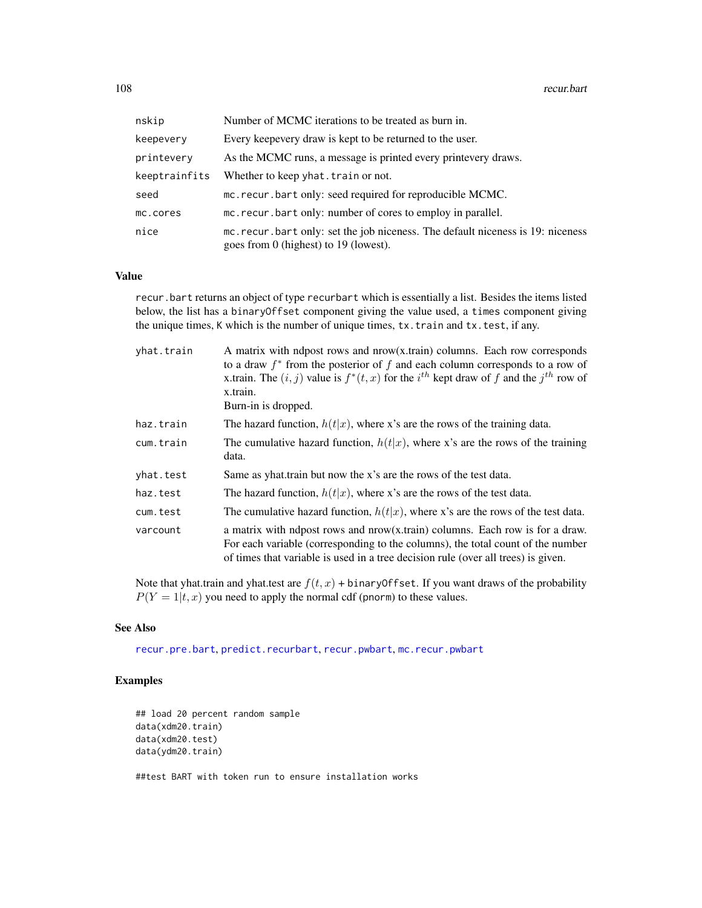| nskip         | Number of MCMC iterations to be treated as burn in.                                                                         |
|---------------|-----------------------------------------------------------------------------------------------------------------------------|
| keepevery     | Every keepevery draw is kept to be returned to the user.                                                                    |
| printevery    | As the MCMC runs, a message is printed every printevery draws.                                                              |
| keeptrainfits | Whether to keep yhat. train or not.                                                                                         |
| seed          | mc. recur. bart only: seed required for reproducible MCMC.                                                                  |
| mc.cores      | mc. recur. bart only: number of cores to employ in parallel.                                                                |
| nice          | mc. recur. bart only: set the job niceness. The default niceness is 19: niceness<br>goes from $0$ (highest) to 19 (lowest). |

### Value

recur.bart returns an object of type recurbart which is essentially a list. Besides the items listed below, the list has a binaryOffset component giving the value used, a times component giving the unique times, K which is the number of unique times, tx.train and tx.test, if any.

| A matrix with ndpost rows and $now(x, train)$ columns. Each row corresponds<br>to a draw $f^*$ from the posterior of f and each column corresponds to a row of<br>x.train. The $(i, j)$ value is $f^*(t, x)$ for the $i^{th}$ kept draw of f and the $j^{th}$ row of<br>x.train.<br>Burn-in is dropped. |
|---------------------------------------------------------------------------------------------------------------------------------------------------------------------------------------------------------------------------------------------------------------------------------------------------------|
| The hazard function, $h(t x)$ , where x's are the rows of the training data.                                                                                                                                                                                                                            |
| The cumulative hazard function, $h(t x)$ , where x's are the rows of the training<br>data.                                                                                                                                                                                                              |
| Same as yhat train but now the x's are the rows of the test data.                                                                                                                                                                                                                                       |
| The hazard function, $h(t x)$ , where x's are the rows of the test data.                                                                                                                                                                                                                                |
| The cumulative hazard function, $h(t x)$ , where x's are the rows of the test data.                                                                                                                                                                                                                     |
| a matrix with ndpost rows and nrow(x.train) columns. Each row is for a draw.<br>For each variable (corresponding to the columns), the total count of the number<br>of times that variable is used in a tree decision rule (over all trees) is given.                                                    |
|                                                                                                                                                                                                                                                                                                         |

Note that yhat.train and yhat.test are  $f(t, x)$  + binaryOffset. If you want draws of the probability  $P(Y = 1|t, x)$  you need to apply the normal cdf (pnorm) to these values.

## See Also

[recur.pre.bart](#page-109-0), [predict.recurbart](#page-95-0), [recur.pwbart](#page-67-0), [mc.recur.pwbart](#page-67-0)

```
## load 20 percent random sample
data(xdm20.train)
data(xdm20.test)
data(ydm20.train)
##test BART with token run to ensure installation works
```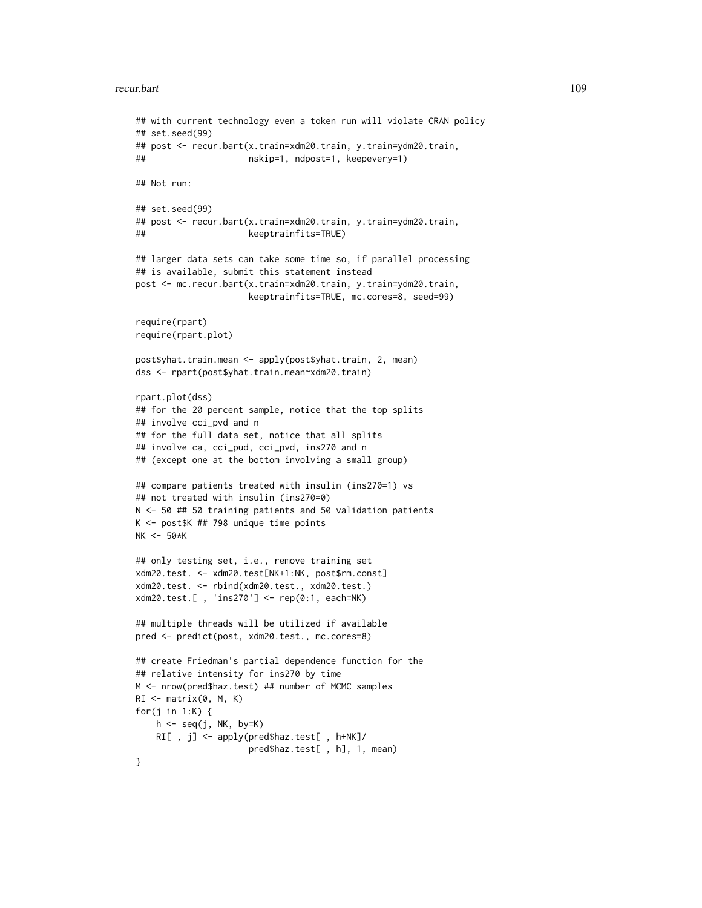#### recur.bart 109

```
## with current technology even a token run will violate CRAN policy
## set.seed(99)
## post <- recur.bart(x.train=xdm20.train, y.train=ydm20.train,
## nskip=1, ndpost=1, keepevery=1)
## Not run:
## set.seed(99)
## post <- recur.bart(x.train=xdm20.train, y.train=ydm20.train,
## keeptrainfits=TRUE)
## larger data sets can take some time so, if parallel processing
## is available, submit this statement instead
post <- mc.recur.bart(x.train=xdm20.train, y.train=ydm20.train,
                     keeptrainfits=TRUE, mc.cores=8, seed=99)
require(rpart)
require(rpart.plot)
post$yhat.train.mean <- apply(post$yhat.train, 2, mean)
dss <- rpart(post$yhat.train.mean~xdm20.train)
rpart.plot(dss)
## for the 20 percent sample, notice that the top splits
## involve cci_pvd and n
## for the full data set, notice that all splits
## involve ca, cci_pud, cci_pvd, ins270 and n
## (except one at the bottom involving a small group)
## compare patients treated with insulin (ins270=1) vs
## not treated with insulin (ins270=0)
N <- 50 ## 50 training patients and 50 validation patients
K <- post$K ## 798 unique time points
NK <- 50*K
## only testing set, i.e., remove training set
xdm20.test. <- xdm20.test[NK+1:NK, post$rm.const]
xdm20.test. <- rbind(xdm20.test., xdm20.test.)
xdm20.test.[ , 'ins270'] <- rep(0:1, each=NK)
## multiple threads will be utilized if available
pred <- predict(post, xdm20.test., mc.cores=8)
## create Friedman's partial dependence function for the
## relative intensity for ins270 by time
M <- nrow(pred$haz.test) ## number of MCMC samples
RI \leftarrow matrix(0, M, K)for(j in 1:K) {
    h \leftarrow seq(j, NK, by=K)RI[ , j] <- apply(pred$haz.test[ , h+NK]/
                     pred$haz.test[ , h], 1, mean)
}
```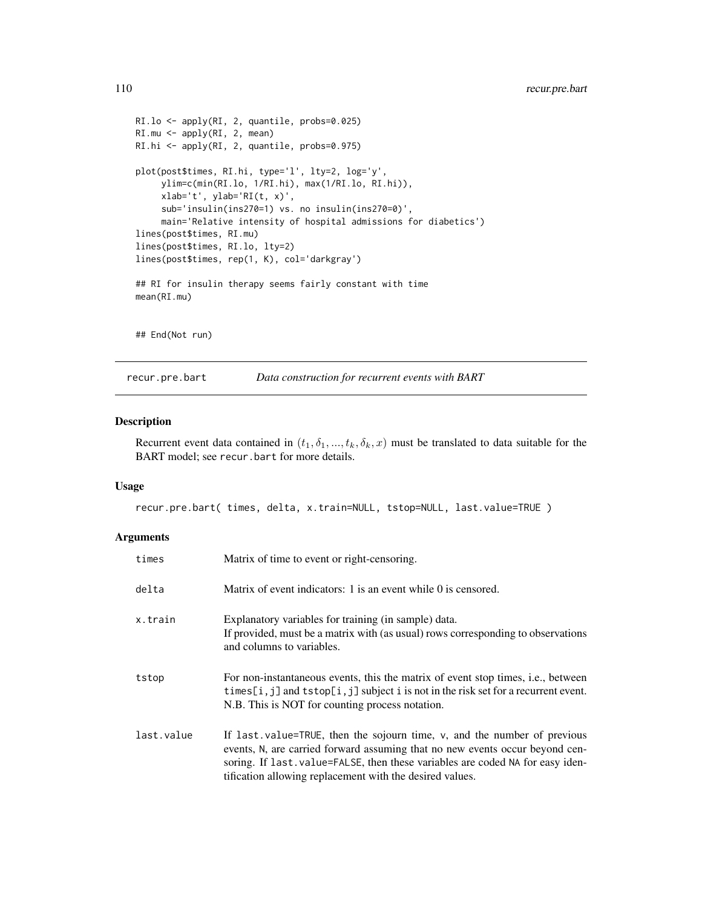```
RI.lo <- apply(RI, 2, quantile, probs=0.025)
RI.mu <- apply(RI, 2, mean)
RI.hi <- apply(RI, 2, quantile, probs=0.975)
plot(post$times, RI.hi, type='l', lty=2, log='y',
     ylim=c(min(RI.lo, 1/RI.hi), max(1/RI.lo, RI.hi)),
     xlab='t', ylab='RI(t, x)',sub='insulin(ins270=1) vs. no insulin(ins270=0)',
     main='Relative intensity of hospital admissions for diabetics')
lines(post$times, RI.mu)
lines(post$times, RI.lo, lty=2)
lines(post$times, rep(1, K), col='darkgray')
## RI for insulin therapy seems fairly constant with time
mean(RI.mu)
## End(Not run)
```
recur.pre.bart *Data construction for recurrent events with BART*

#### Description

Recurrent event data contained in  $(t_1, \delta_1, ..., t_k, \delta_k, x)$  must be translated to data suitable for the BART model; see recur.bart for more details.

#### Usage

```
recur.pre.bart( times, delta, x.train=NULL, tstop=NULL, last.value=TRUE )
```
#### Arguments

| times      | Matrix of time to event or right-censoring.                                                                                                                                                                                               |
|------------|-------------------------------------------------------------------------------------------------------------------------------------------------------------------------------------------------------------------------------------------|
| delta      | Matrix of event indicators: 1 is an event while 0 is censored.                                                                                                                                                                            |
| x.train    | Explanatory variables for training (in sample) data.<br>If provided, must be a matrix with (as usual) rows corresponding to observations<br>and columns to variables.                                                                     |
| tstop      | For non-instantaneous events, this the matrix of event stop times, <i>i.e.</i> , between<br>times[i, j] and tstop[i, j] subject i is not in the risk set for a recurrent event.<br>N.B. This is NOT for counting process notation.        |
| last.value | If last value=TRUE, then the sojourn time, v, and the number of previous<br>events, N, are carried forward assuming that no new events occur beyond cen-<br>soring. If last value=FALSE, then these variables are coded NA for easy iden- |

tification allowing replacement with the desired values.

<span id="page-109-0"></span>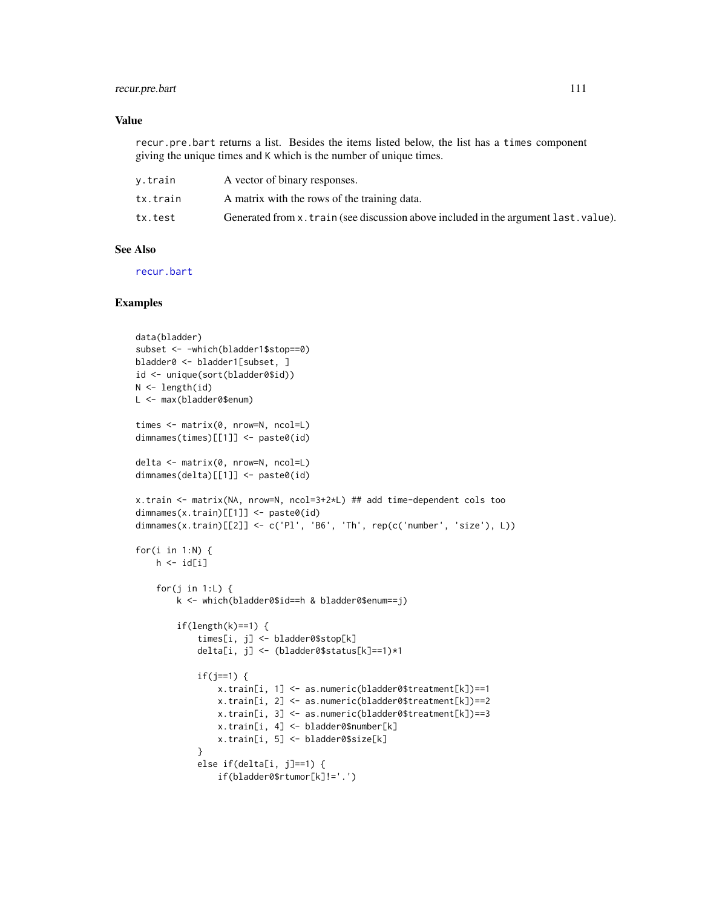# <span id="page-110-0"></span>recur.pre.bart 111

### Value

recur.pre.bart returns a list. Besides the items listed below, the list has a times component giving the unique times and K which is the number of unique times.

| v.train  | A vector of binary responses.                                                        |
|----------|--------------------------------------------------------------------------------------|
| tx.train | A matrix with the rows of the training data.                                         |
| tx.test  | Generated from x. train (see discussion above included in the argument last. value). |

# See Also

[recur.bart](#page-104-0)

```
data(bladder)
subset <- -which(bladder1$stop==0)
bladder0 <- bladder1[subset, ]
id <- unique(sort(bladder0$id))
N < - length(id)
L <- max(bladder0$enum)
times <- matrix(0, nrow=N, ncol=L)
dimnames(times)[[1]] <- paste0(id)
delta <- matrix(0, nrow=N, ncol=L)
dimnames(delta)[[1]] <- paste0(id)
x.train <- matrix(NA, nrow=N, ncol=3+2*L) ## add time-dependent cols too
dimnames(x.train)[[1]] <- paste0(id)
dimnames(x.train)[[2]] <- c('Pl', 'B6', 'Th', rep(c('number', 'size'), L))
for(i in 1:N) {
   h \leftarrow \text{id}[i]for(j in 1:L) {
        k <- which(bladder0$id==h & bladder0$enum==j)
        if(length(k)==1) {
            times[i, j] <- bladder0$stop[k]
            delta[i, j] <- (bladder0$status[k]==1)*1
            if(j==1) {
                x.train[i, 1] <- as.numeric(bladder0$treatment[k])==1
                x.train[i, 2] <- as.numeric(bladder0$treatment[k])==2
                x.train[i, 3] <- as.numeric(bladder0$treatment[k])==3
                x.train[i, 4] <- bladder0$number[k]
                x.train[i, 5] <- bladder0$size[k]
            }
            else if(delta[i, j]==1) {
                if(bladder0$rtumor[k]!='.')
```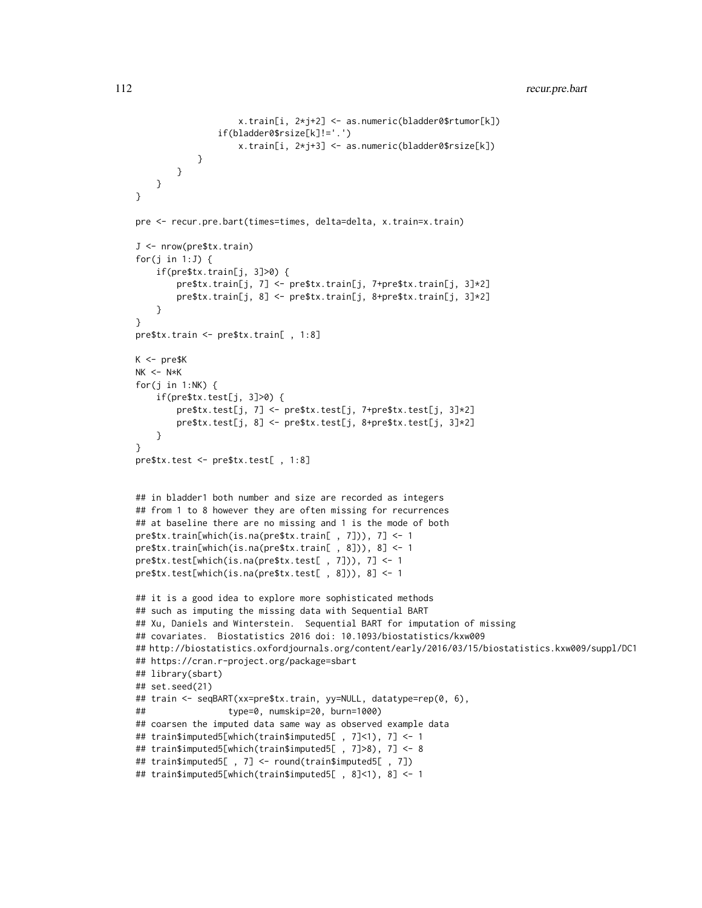```
x.train[i, 2*j+2] <- as.numeric(bladder0$rtumor[k])
                if(bladder0$rsize[k]!='.')
                    x.train[i, 2*j+3] <- as.numeric(bladder0$rsize[k])
            }
       }
   }
}
pre <- recur.pre.bart(times=times, delta=delta, x.train=x.train)
J <- nrow(pre$tx.train)
for(j in 1:J) {
    if(pre$tx.train[j, 3]>0) {
        pre$tx.train[j, 7] <- pre$tx.train[j, 7+pre$tx.train[j, 3]*2]
        pre$tx.train[j, 8] <- pre$tx.train[j, 8+pre$tx.train[j, 3]*2]
    }
}
pre$tx.train <- pre$tx.train[ , 1:8]
K < - pre$KNK < - N*Kfor(j in 1:NK) \{if(pre$tx.test[j, 3]>0) {
        pre$tx.test[j, 7] <- pre$tx.test[j, 7+pre$tx.test[j, 3]*2]
        pre$tx.test[j, 8] <- pre$tx.test[j, 8+pre$tx.test[j, 3]*2]
    }
}
pre$tx.test <- pre$tx.test[ , 1:8]
## in bladder1 both number and size are recorded as integers
## from 1 to 8 however they are often missing for recurrences
## at baseline there are no missing and 1 is the mode of both
pre$tx.train[which(is.na(pre$tx.train[ , 7])), 7] <- 1
pre$tx.train[which(is.na(pre$tx.train[ , 8])), 8] <- 1
pre$tx.test[which(is.na(pre$tx.test[ , 7])), 7] <- 1
pre$tx.test[which(is.na(pre$tx.test[ , 8])), 8] <- 1
## it is a good idea to explore more sophisticated methods
## such as imputing the missing data with Sequential BART
## Xu, Daniels and Winterstein. Sequential BART for imputation of missing
## covariates. Biostatistics 2016 doi: 10.1093/biostatistics/kxw009
## http://biostatistics.oxfordjournals.org/content/early/2016/03/15/biostatistics.kxw009/suppl/DC1
## https://cran.r-project.org/package=sbart
## library(sbart)
## set.seed(21)
## train <- seqBART(xx=pre$tx.train, yy=NULL, datatype=rep(0, 6),
## type=0, numskip=20, burn=1000)
## coarsen the imputed data same way as observed example data
## train$imputed5[which(train$imputed5[ , 7]<1), 7] <- 1
## train$imputed5[which(train$imputed5[ , 7]>8), 7] <- 8
## train$imputed5[ , 7] <- round(train$imputed5[ , 7])
## train$imputed5[which(train$imputed5[ , 8]<1), 8] <- 1
```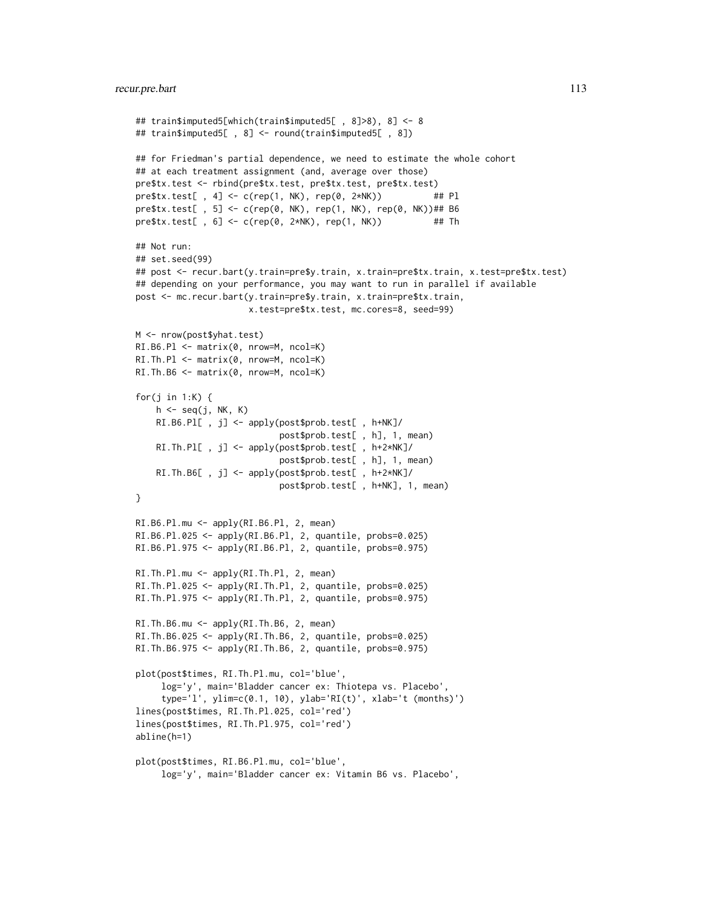```
## train$imputed5[which(train$imputed5[ , 8]>8), 8] <- 8
## train$imputed5[ , 8] <- round(train$imputed5[ , 8])
## for Friedman's partial dependence, we need to estimate the whole cohort
## at each treatment assignment (and, average over those)
pre$tx.test <- rbind(pre$tx.test, pre$tx.test, pre$tx.test)
pre$tx.test[, 4] <- c(rep(1, NK), rep(0, 2*NK)) ## Pl
pre$tx.test[, 5] <- c(rep(0, NK), rep(1, NK), rep(0, NK))## B6
pre$tx.test[, 6] <- c(rep(0, 2*NK), rep(1, NK)) ## Th
## Not run:
## set.seed(99)
## post <- recur.bart(y.train=pre$y.train, x.train=pre$tx.train, x.test=pre$tx.test)
## depending on your performance, you may want to run in parallel if available
post <- mc.recur.bart(y.train=pre$y.train, x.train=pre$tx.train,
                     x.test=pre$tx.test, mc.cores=8, seed=99)
M <- nrow(post$yhat.test)
RI.B6.Pl <- matrix(0, nrow=M, ncol=K)
RI.Th.Pl <- matrix(0, nrow=M, ncol=K)
RI.Th.B6 <- matrix(0, nrow=M, ncol=K)
for(j in 1:K) {
    h \leq -seq(j, NK, K)RI.B6.Pl[ , j] <- apply(post$prob.test[ , h+NK]/
                            post$prob.test[ , h], 1, mean)
    RI.Th.Pl[ , j] <- apply(post$prob.test[ , h+2*NK]/
                            post$prob.test[ , h], 1, mean)
    RI.Th.B6[ , j] <- apply(post$prob.test[ , h+2*NK]/
                            post$prob.test[ , h+NK], 1, mean)
}
RI.B6.Pl.mu <- apply(RI.B6.Pl, 2, mean)
RI.B6.Pl.025 <- apply(RI.B6.Pl, 2, quantile, probs=0.025)
RI.B6.Pl.975 <- apply(RI.B6.Pl, 2, quantile, probs=0.975)
RI.Th.Pl.mu <- apply(RI.Th.Pl, 2, mean)
RI.Th.Pl.025 <- apply(RI.Th.Pl, 2, quantile, probs=0.025)
RI.Th.Pl.975 <- apply(RI.Th.Pl, 2, quantile, probs=0.975)
RI.Th.B6.mu <- apply(RI.Th.B6, 2, mean)
RI.Th.B6.025 <- apply(RI.Th.B6, 2, quantile, probs=0.025)
RI.Th.B6.975 <- apply(RI.Th.B6, 2, quantile, probs=0.975)
plot(post$times, RI.Th.Pl.mu, col='blue',
     log='y', main='Bladder cancer ex: Thiotepa vs. Placebo',
     type='l', ylim=c(0.1, 10), ylab='RI(t)', xlab='t (months)')
lines(post$times, RI.Th.Pl.025, col='red')
lines(post$times, RI.Th.Pl.975, col='red')
abline(h=1)
plot(post$times, RI.B6.Pl.mu, col='blue',
     log='y', main='Bladder cancer ex: Vitamin B6 vs. Placebo',
```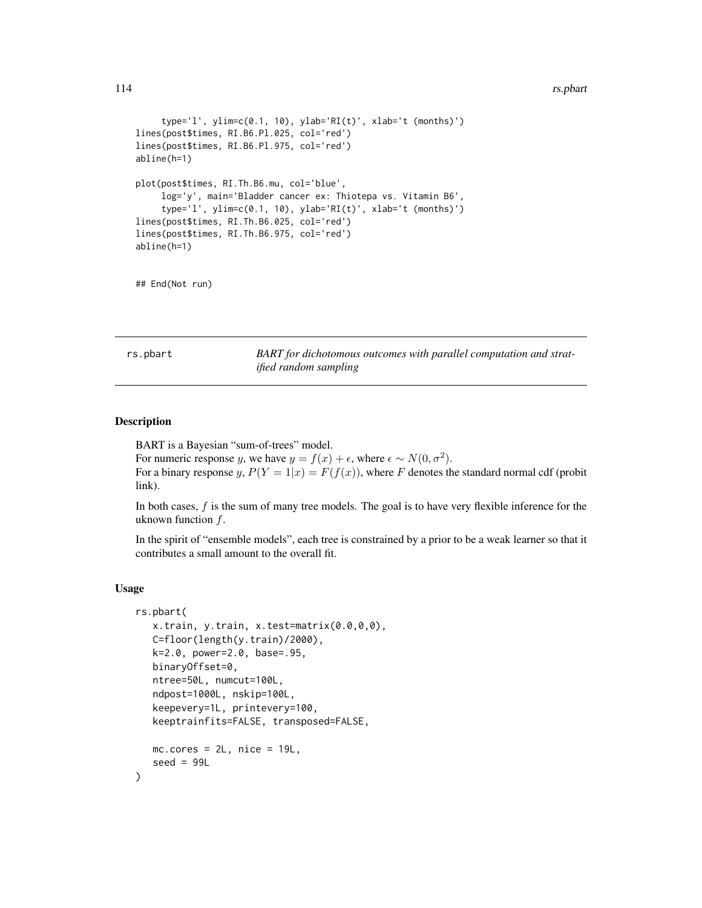#### <span id="page-113-1"></span>114 rs.pbart **114** rs.pbart **114** rs.pbart **114** rs.pbart **114** rs.pbart **114** rs.pbart **114** rs.pbart **114** rs.pbart **114** rs.pbart **114** *rs.pbart* **114** *rs.pbart* **114** *rs.pbart* **114** *rs.pbart* **114** *rs.pbart* **114**

```
type='l', ylim=c(0.1, 10), ylab='RI(t)', xlab='t (months)')
lines(post$times, RI.B6.Pl.025, col='red')
lines(post$times, RI.B6.Pl.975, col='red')
abline(h=1)
plot(post$times, RI.Th.B6.mu, col='blue',
     log='y', main='Bladder cancer ex: Thiotepa vs. Vitamin B6',
     type='l', ylim=c(0.1, 10), ylab='RI(t)', xlab='t (months)')
lines(post$times, RI.Th.B6.025, col='red')
lines(post$times, RI.Th.B6.975, col='red')
abline(h=1)
```
## End(Not run)

<span id="page-113-0"></span>rs.pbart *BART for dichotomous outcomes with parallel computation and stratified random sampling*

# Description

BART is a Bayesian "sum-of-trees" model.

For numeric response y, we have  $y = f(x) + \epsilon$ , where  $\epsilon \sim N(0, \sigma^2)$ . For a binary response y,  $P(Y = 1|x) = F(f(x))$ , where F denotes the standard normal cdf (probit link).

In both cases,  $f$  is the sum of many tree models. The goal is to have very flexible inference for the uknown function  $f$ .

In the spirit of "ensemble models", each tree is constrained by a prior to be a weak learner so that it contributes a small amount to the overall fit.

#### Usage

```
rs.pbart(
   x.train, y.train, x.test=matrix(0.0,0,0),
   C=floor(length(y.train)/2000),
   k=2.0, power=2.0, base=.95,
   binaryOffset=0,
   ntree=50L, numcut=100L,
   ndpost=1000L, nskip=100L,
   keepevery=1L, printevery=100,
   keeptrainfits=FALSE, transposed=FALSE,
  mc.core = 2L, nice = 19L,
   seed = 99L)
```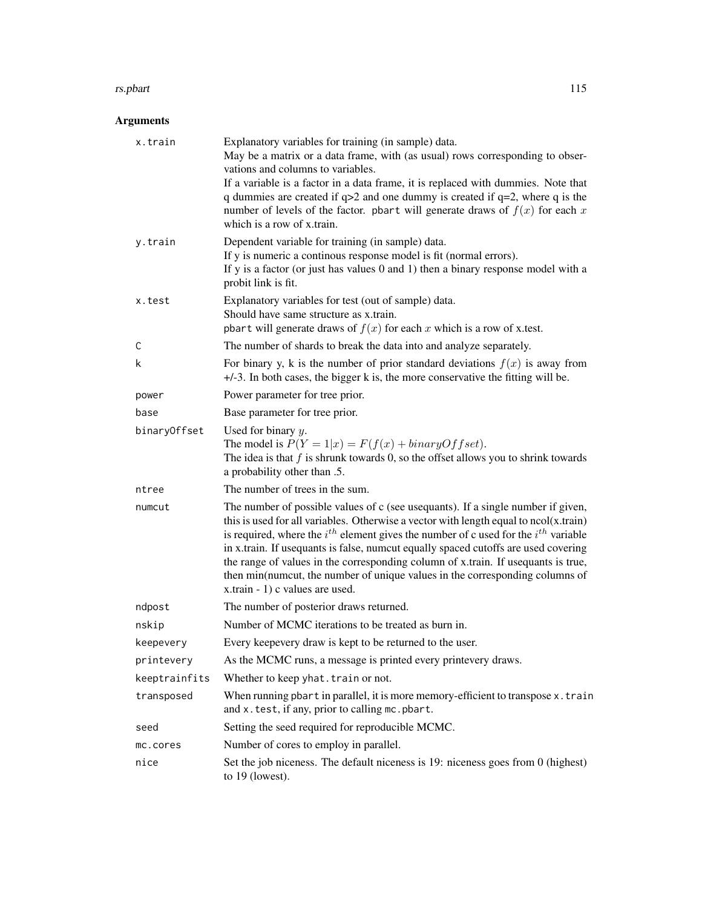#### rs.pbart 115

# Arguments

| x.train       | Explanatory variables for training (in sample) data.<br>May be a matrix or a data frame, with (as usual) rows corresponding to obser-<br>vations and columns to variables.<br>If a variable is a factor in a data frame, it is replaced with dummies. Note that<br>q dummies are created if $q>2$ and one dummy is created if $q=2$ , where q is the<br>number of levels of the factor. pbart will generate draws of $f(x)$ for each x<br>which is a row of x train.                                                                                                      |
|---------------|---------------------------------------------------------------------------------------------------------------------------------------------------------------------------------------------------------------------------------------------------------------------------------------------------------------------------------------------------------------------------------------------------------------------------------------------------------------------------------------------------------------------------------------------------------------------------|
| y.train       | Dependent variable for training (in sample) data.<br>If y is numeric a continous response model is fit (normal errors).<br>If $y$ is a factor (or just has values 0 and 1) then a binary response model with a<br>probit link is fit.                                                                                                                                                                                                                                                                                                                                     |
| x.test        | Explanatory variables for test (out of sample) data.<br>Should have same structure as x.train.<br>pbart will generate draws of $f(x)$ for each x which is a row of x.test.                                                                                                                                                                                                                                                                                                                                                                                                |
| С             | The number of shards to break the data into and analyze separately.                                                                                                                                                                                                                                                                                                                                                                                                                                                                                                       |
| k             | For binary y, k is the number of prior standard deviations $f(x)$ is away from<br>$+/-3$ . In both cases, the bigger k is, the more conservative the fitting will be.                                                                                                                                                                                                                                                                                                                                                                                                     |
| power         | Power parameter for tree prior.                                                                                                                                                                                                                                                                                                                                                                                                                                                                                                                                           |
| base          | Base parameter for tree prior.                                                                                                                                                                                                                                                                                                                                                                                                                                                                                                                                            |
| binaryOffset  | Used for binary $y$ .<br>The model is $P(Y = 1 x) = F(f(x) + binaryOffset)$ .<br>The idea is that $f$ is shrunk towards 0, so the offset allows you to shrink towards<br>a probability other than .5.                                                                                                                                                                                                                                                                                                                                                                     |
| ntree         | The number of trees in the sum.                                                                                                                                                                                                                                                                                                                                                                                                                                                                                                                                           |
| numcut        | The number of possible values of c (see usequants). If a single number if given,<br>this is used for all variables. Otherwise a vector with length equal to $ncol(x.train)$<br>is required, where the $i^{th}$ element gives the number of c used for the $i^{th}$ variable<br>in x.train. If usequants is false, numcut equally spaced cutoffs are used covering<br>the range of values in the corresponding column of x.train. If usequants is true,<br>then min(numcut, the number of unique values in the corresponding columns of<br>x.train - 1) c values are used. |
| ndpost        | The number of posterior draws returned.                                                                                                                                                                                                                                                                                                                                                                                                                                                                                                                                   |
| nskip         | Number of MCMC iterations to be treated as burn in.                                                                                                                                                                                                                                                                                                                                                                                                                                                                                                                       |
| keepevery     | Every keepevery draw is kept to be returned to the user.                                                                                                                                                                                                                                                                                                                                                                                                                                                                                                                  |
| printevery    | As the MCMC runs, a message is printed every printevery draws.                                                                                                                                                                                                                                                                                                                                                                                                                                                                                                            |
| keeptrainfits | Whether to keep yhat. train or not.                                                                                                                                                                                                                                                                                                                                                                                                                                                                                                                                       |
| transposed    | When running pbart in parallel, it is more memory-efficient to transpose x.train<br>and x.test, if any, prior to calling mc.pbart.                                                                                                                                                                                                                                                                                                                                                                                                                                        |
| seed          | Setting the seed required for reproducible MCMC.                                                                                                                                                                                                                                                                                                                                                                                                                                                                                                                          |
| mc.cores      | Number of cores to employ in parallel.                                                                                                                                                                                                                                                                                                                                                                                                                                                                                                                                    |
| nice          | Set the job niceness. The default niceness is 19: niceness goes from 0 (highest)<br>to 19 (lowest).                                                                                                                                                                                                                                                                                                                                                                                                                                                                       |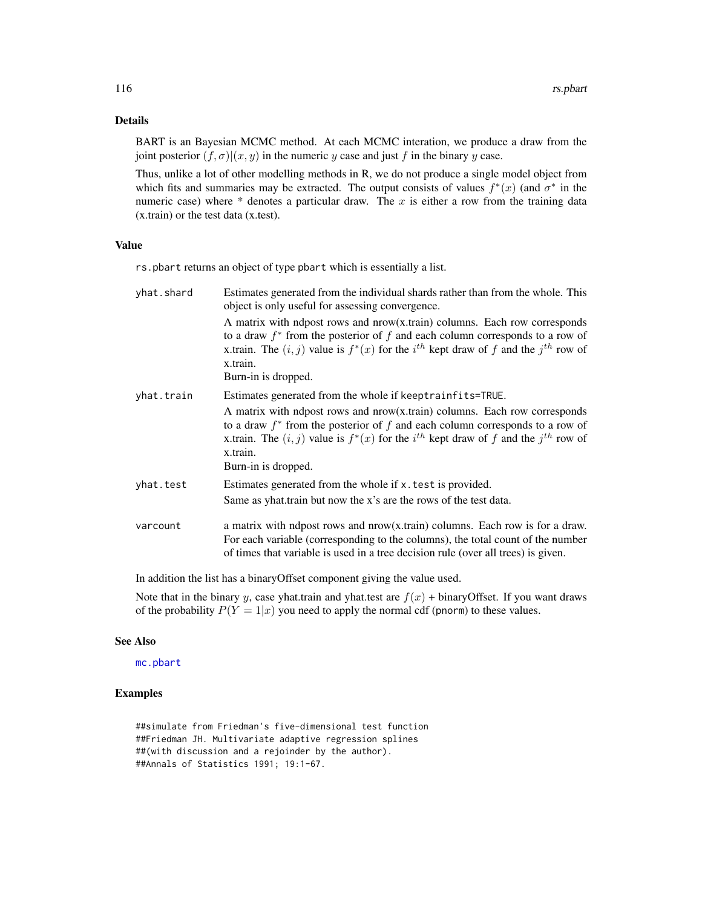# <span id="page-115-0"></span>Details

BART is an Bayesian MCMC method. At each MCMC interation, we produce a draw from the joint posterior  $(f, \sigma) | (x, y)$  in the numeric y case and just f in the binary y case.

Thus, unlike a lot of other modelling methods in R, we do not produce a single model object from which fits and summaries may be extracted. The output consists of values  $f^*(x)$  (and  $\sigma^*$  in the numeric case) where  $*$  denotes a particular draw. The x is either a row from the training data (x.train) or the test data (x.test).

# Value

rs.pbart returns an object of type pbart which is essentially a list.

| yhat.shard | Estimates generated from the individual shards rather than from the whole. This<br>object is only useful for assessing convergence.                                                                                                                                                                 |
|------------|-----------------------------------------------------------------------------------------------------------------------------------------------------------------------------------------------------------------------------------------------------------------------------------------------------|
|            | A matrix with ndpost rows and nrow(x.train) columns. Each row corresponds<br>to a draw $f^*$ from the posterior of f and each column corresponds to a row of<br>x.train. The $(i, j)$ value is $f^*(x)$ for the $i^{th}$ kept draw of f and the $j^{th}$ row of<br>x.train.<br>Burn-in is dropped.  |
| yhat.train | Estimates generated from the whole if keeptrainfits=TRUE.                                                                                                                                                                                                                                           |
|            | A matrix with ndpost rows and $now(x.train)$ columns. Each row corresponds<br>to a draw $f^*$ from the posterior of f and each column corresponds to a row of<br>x.train. The $(i, j)$ value is $f^*(x)$ for the $i^{th}$ kept draw of f and the $j^{th}$ row of<br>x.train.<br>Burn-in is dropped. |
| yhat.test  | Estimates generated from the whole if x. test is provided.                                                                                                                                                                                                                                          |
|            | Same as yhat train but now the x's are the rows of the test data.                                                                                                                                                                                                                                   |
| varcount   | a matrix with ndpost rows and nrow(x.train) columns. Each row is for a draw.<br>For each variable (corresponding to the columns), the total count of the number<br>of times that variable is used in a tree decision rule (over all trees) is given.                                                |

In addition the list has a binaryOffset component giving the value used.

Note that in the binary y, case yhat.train and yhat.test are  $f(x)$  + binaryOffset. If you want draws of the probability  $P(Y = 1|x)$  you need to apply the normal cdf (pnorm) to these values.

# See Also

[mc.pbart](#page-63-0)

```
##simulate from Friedman's five-dimensional test function
##Friedman JH. Multivariate adaptive regression splines
##(with discussion and a rejoinder by the author).
##Annals of Statistics 1991; 19:1-67.
```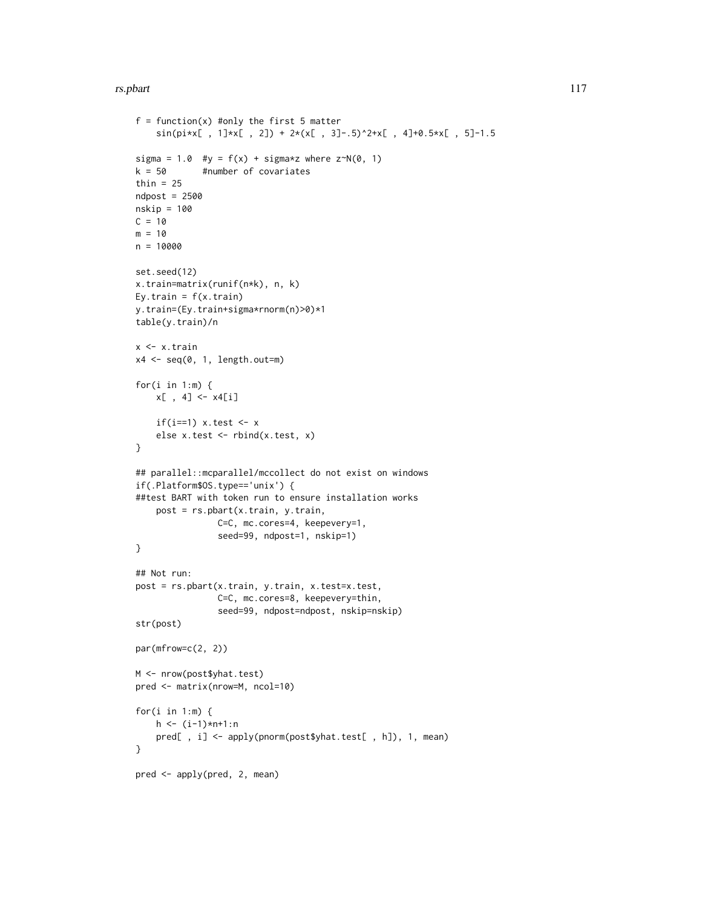#### rs.pbart 117

```
f = function(x) #only the first 5 matter
    sin(pi*x[, 1] * x[, 2] + 2*(x[, 3]-.5)^2+x[, 4]+0.5*x[, 5]-1.5
sigma = 1.0 #y = f(x) + sigma*z where z^N(0, 1)k = 50 #number of covariates
thin = 25ndpost = 2500nskip = 100
C = 10m = 10n = 10000
set.seed(12)
x.train=matrix(runif(n*k), n, k)
Ey.train = f(x.train)y.train=(Ey.train+sigma*rnorm(n)>0)*1
table(y.train)/n
x <- x.train
x4 \leq -\text{seq}(0, 1, \text{length.out} = m)for(i in 1:m) \{x[ , 4] < -x4[i]if(i==1) x.test \leftarrow x
    else x.test <- rbind(x.test, x)
}
## parallel::mcparallel/mccollect do not exist on windows
if(.Platform$OS.type=='unix') {
##test BART with token run to ensure installation works
   post = rs.pbart(x.train, y.train,
               C=C, mc.cores=4, keepevery=1,
                seed=99, ndpost=1, nskip=1)
}
## Not run:
post = rs.pbart(x.train, y.train, x.test=x.test,
                C=C, mc.cores=8, keepevery=thin,
                seed=99, ndpost=ndpost, nskip=nskip)
str(post)
par(mfrow=c(2, 2))
M <- nrow(post$yhat.test)
pred <- matrix(nrow=M, ncol=10)
for(i in 1:m) \{h <- (i-1)*n+1:n
   pred[ , i] <- apply(pnorm(post$yhat.test[ , h]), 1, mean)
}
pred <- apply(pred, 2, mean)
```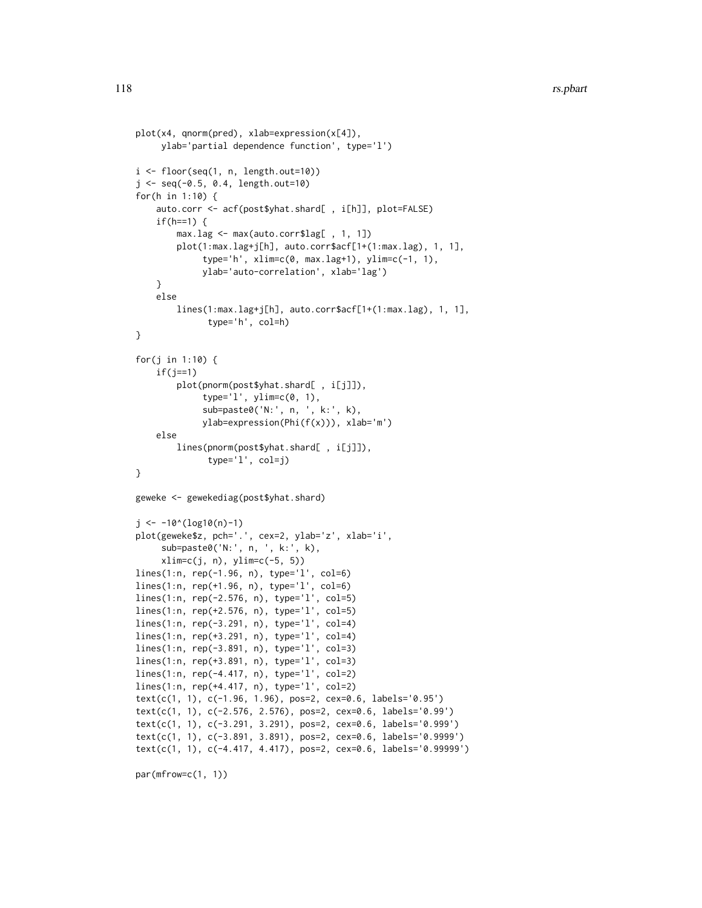```
plot(x4, qnorm(pred), xlab=expression(x[4]),
     ylab='partial dependence function', type='l')
i \leq floor(seq(1, n, length.out=10))
j <- seq(-0.5, 0.4, length.out=10)
for(h in 1:10) {
    auto.corr <- acf(post$yhat.shard[ , i[h]], plot=FALSE)
    if(h==1) {
        max.lag <- max(auto.corr$lag[ , 1, 1])
        plot(1:max.lag+j[h], auto.corr$acf[1+(1:max.lag), 1, 1],
             type='h', xlim=c(0, max.lag+1), ylim=c(-1, 1),
             ylab='auto-correlation', xlab='lag')
    }
    else
        lines(1:max.lag+j[h], auto.corr$acf[1+(1:max.lag), 1, 1],
              type='h', col=h)
}
for(j in 1:10) {
    if(j==1)plot(pnorm(post$yhat.shard[ , i[j]]),
             type='l', ylim=c(0, 1),
             sub=paste0('N:', n, ', k:', k),
             ylab=expression(Phi(f(x))), xlab='m')
    else
        lines(pnorm(post$yhat.shard[ , i[j]]),
              type='l', col=j)
}
geweke <- gewekediag(post$yhat.shard)
j <- -10^(log10(n)-1)plot(geweke$z, pch='.', cex=2, ylab='z', xlab='i',
     sub=paste0('N:', n, ', k:', k),
     xlim=c(j, n), ylim=c(-5, 5))
lines(1:n, rep(-1.96, n), type='l', col=6)
lines(1:n, rep(+1.96, n), type='l', col=6)
lines(1:n, rep(-2.576, n), type='l', col=5)
lines(1:n, rep(+2.576, n), type='l', col=5)
lines(1:n, rep(-3.291, n), type='l', col=4)
lines(1:n, rep(+3.291, n), type='l', col=4)
lines(1:n, rep(-3.891, n), type='l', col=3)
lines(1:n, rep(+3.891, n), type='l', col=3)
lines(1:n, rep(-4.417, n), type='l', col=2)
lines(1:n, rep(+4.417, n), type='l', col=2)
text(c(1, 1), c(-1.96, 1.96), pos=2, cex=0.6, labels='0.95')
text(c(1, 1), c(-2.576, 2.576), pos=2, cex=0.6, labels='0.99')
text(c(1, 1), c(-3.291, 3.291), pos=2, cex=0.6, labels='0.999')
text(c(1, 1), c(-3.891, 3.891), pos=2, cex=0.6, labels='0.9999')
text(c(1, 1), c(-4.417, 4.417), pos=2, cex=0.6, labels='0.99999')
```
par(mfrow=c(1, 1))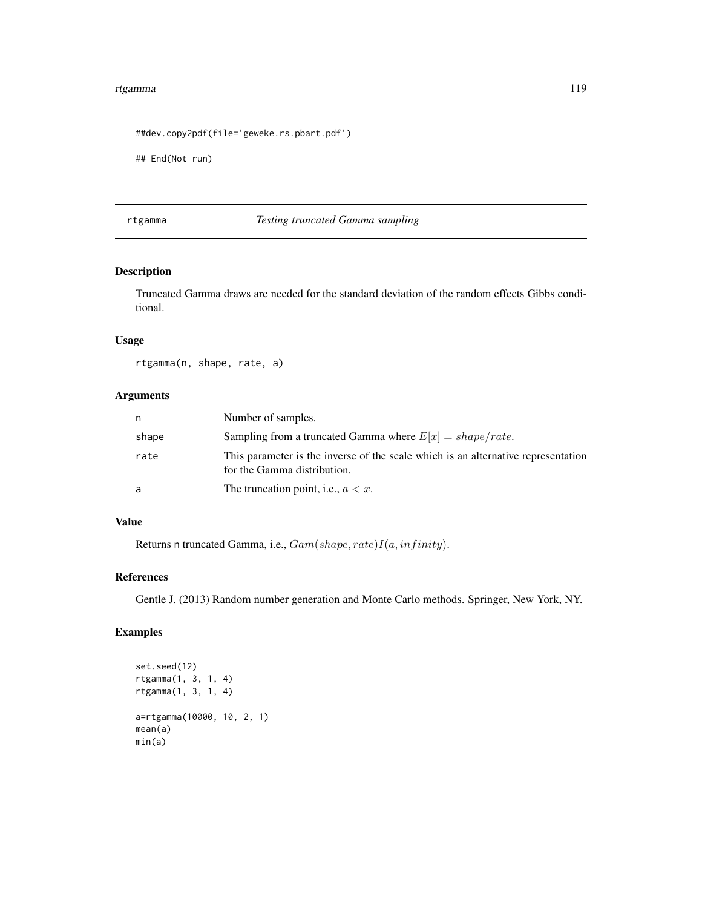#### <span id="page-118-0"></span>rtgamma 119

```
##dev.copy2pdf(file='geweke.rs.pbart.pdf')
```
## End(Not run)

rtgamma *Testing truncated Gamma sampling*

# Description

Truncated Gamma draws are needed for the standard deviation of the random effects Gibbs conditional.

# Usage

rtgamma(n, shape, rate, a)

# Arguments

| n     | Number of samples.                                                                                               |
|-------|------------------------------------------------------------------------------------------------------------------|
| shape | Sampling from a truncated Gamma where $E[x] = shape/rate$ .                                                      |
| rate  | This parameter is the inverse of the scale which is an alternative representation<br>for the Gamma distribution. |
| a     | The truncation point, i.e., $a < x$ .                                                                            |

# Value

Returns n truncated Gamma, i.e.,  $Gam(shape, rate)I(a, infinity)$ .

# References

Gentle J. (2013) Random number generation and Monte Carlo methods. Springer, New York, NY.

```
set.seed(12)
rtgamma(1, 3, 1, 4)
rtgamma(1, 3, 1, 4)
a=rtgamma(10000, 10, 2, 1)
mean(a)
min(a)
```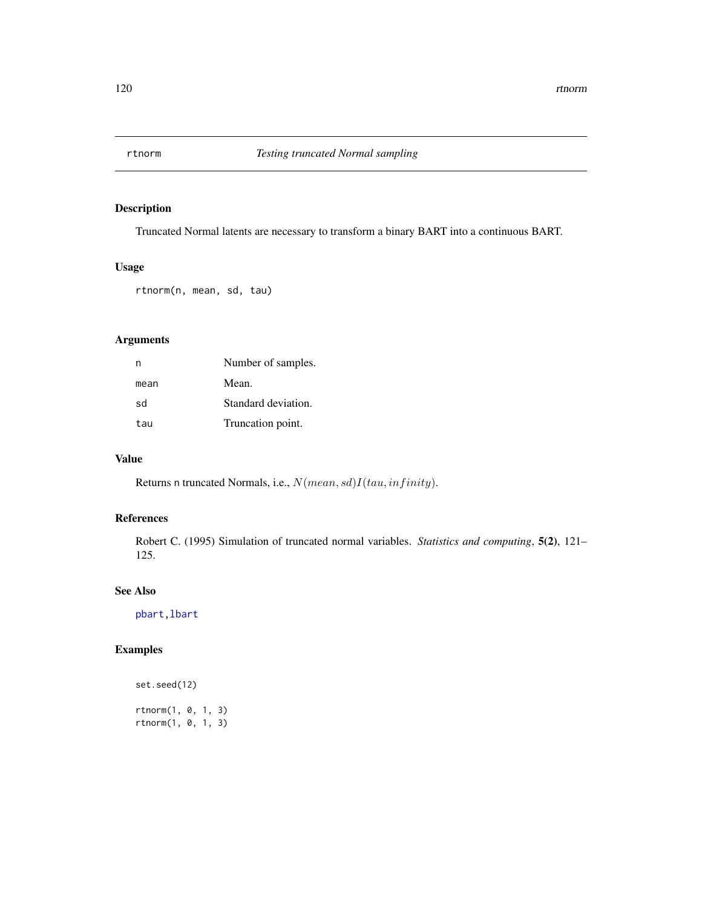<span id="page-119-0"></span>

Truncated Normal latents are necessary to transform a binary BART into a continuous BART.

# Usage

rtnorm(n, mean, sd, tau)

# Arguments

| n    | Number of samples.  |
|------|---------------------|
| mean | Mean.               |
| sd   | Standard deviation. |
| tau  | Truncation point.   |

# Value

Returns n truncated Normals, i.e.,  $N(mean, sd)I(tau, infinity)$ .

# References

Robert C. (1995) Simulation of truncated normal variables. *Statistics and computing*, 5(2), 121– 125.

#### See Also

[pbart](#page-77-0)[,lbart](#page-37-0)

```
set.seed(12)
rtnorm(1, 0, 1, 3)
rtnorm(1, 0, 1, 3)
```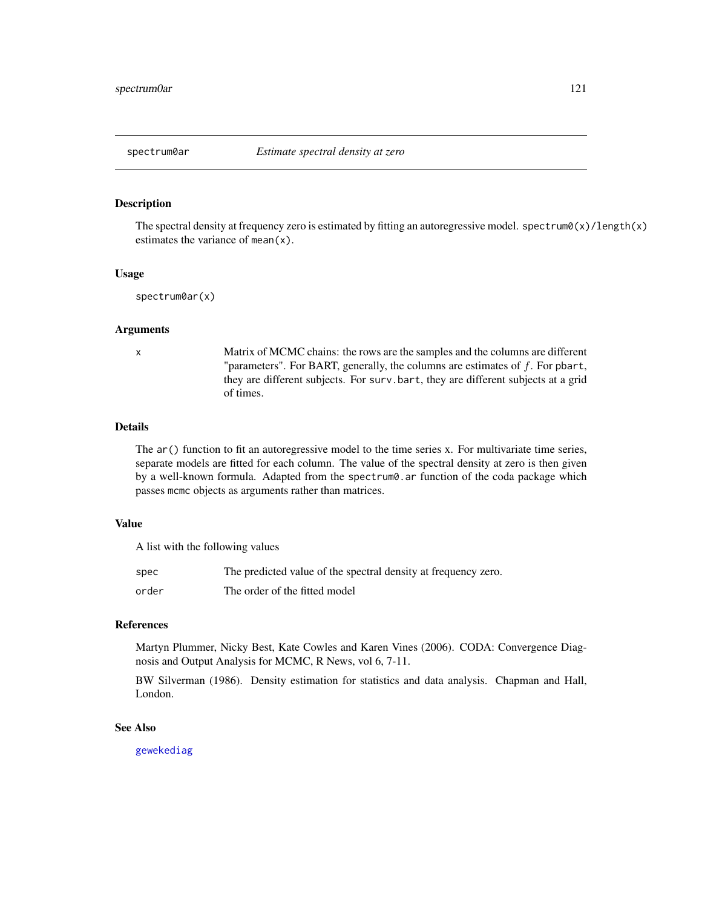<span id="page-120-0"></span>

The spectral density at frequency zero is estimated by fitting an autoregressive model. spectrum0(x)/length(x) estimates the variance of mean(x).

#### Usage

```
spectrum0ar(x)
```
#### Arguments

x Matrix of MCMC chains: the rows are the samples and the columns are different "parameters". For BART, generally, the columns are estimates of  $f$ . For pbart, they are different subjects. For surv.bart, they are different subjects at a grid of times.

#### Details

The  $ar()$  function to fit an autoregressive model to the time series x. For multivariate time series, separate models are fitted for each column. The value of the spectral density at zero is then given by a well-known formula. Adapted from the spectrum0.ar function of the coda package which passes mcmc objects as arguments rather than matrices.

# Value

A list with the following values

| spec  | The predicted value of the spectral density at frequency zero. |
|-------|----------------------------------------------------------------|
| order | The order of the fitted model                                  |

# References

Martyn Plummer, Nicky Best, Kate Cowles and Karen Vines (2006). CODA: Convergence Diagnosis and Output Analysis for MCMC, R News, vol 6, 7-11.

BW Silverman (1986). Density estimation for statistics and data analysis. Chapman and Hall, London.

# See Also

[gewekediag](#page-34-0)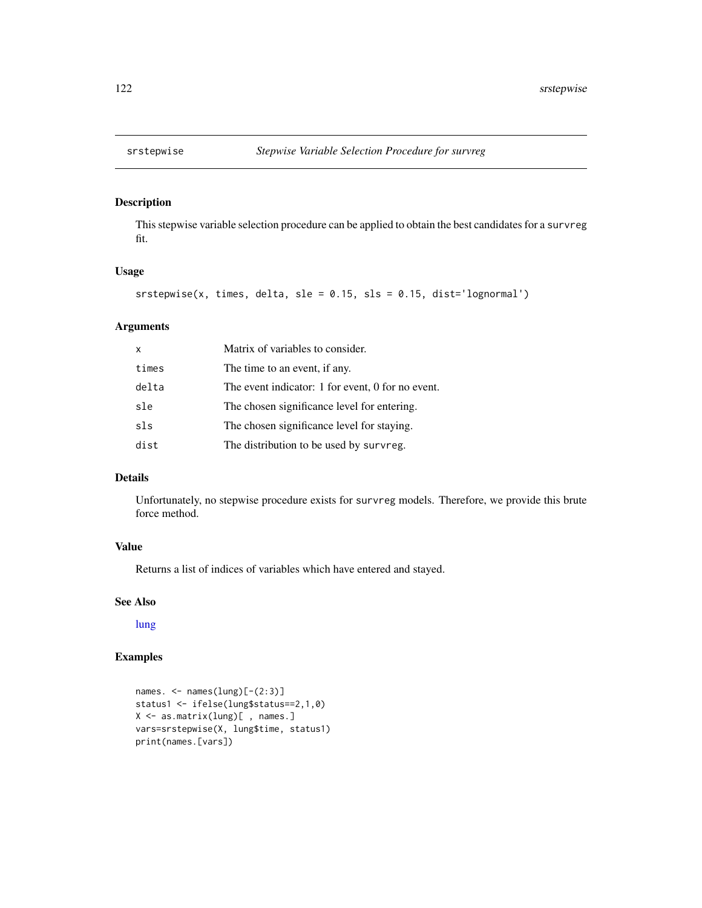<span id="page-121-0"></span>

This stepwise variable selection procedure can be applied to obtain the best candidates for a survreg fit.

# Usage

```
srstepwise(x, times, delta, sle = 0.15, sls = 0.15, dist='lognormal')
```
#### Arguments

| $\times$ | Matrix of variables to consider.                  |
|----------|---------------------------------------------------|
| times    | The time to an event, if any.                     |
| delta    | The event indicator: 1 for event, 0 for no event. |
| sle      | The chosen significance level for entering.       |
| sls      | The chosen significance level for staying.        |
| dist     | The distribution to be used by survreg.           |

#### Details

Unfortunately, no stepwise procedure exists for survreg models. Therefore, we provide this brute force method.

# Value

Returns a list of indices of variables which have entered and stayed.

# See Also

[lung](#page-43-0)

```
names. <- names(lung)[-(2:3)]
status1 <- ifelse(lung$status==2,1,0)
X <- as.matrix(lung)[ , names.]
vars=srstepwise(X, lung$time, status1)
print(names.[vars])
```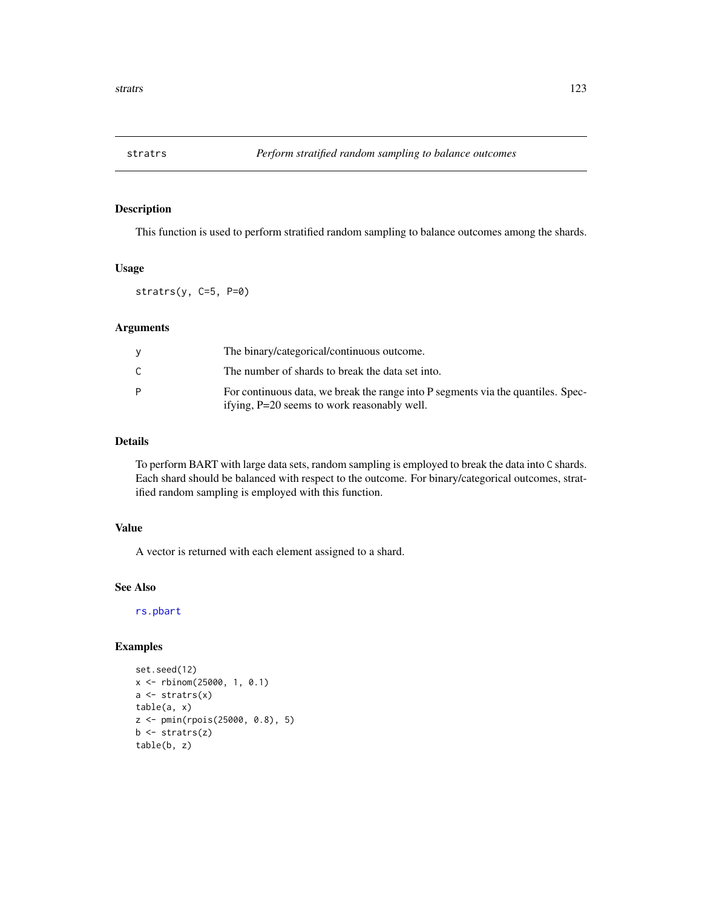<span id="page-122-0"></span>

This function is used to perform stratified random sampling to balance outcomes among the shards.

#### Usage

stratrs(y, C=5, P=0)

# Arguments

|   | The binary/categorical/continuous outcome.                                                                                      |
|---|---------------------------------------------------------------------------------------------------------------------------------|
| C | The number of shards to break the data set into.                                                                                |
| P | For continuous data, we break the range into P segments via the quantiles. Spec-<br>ifying, P=20 seems to work reasonably well. |

# Details

To perform BART with large data sets, random sampling is employed to break the data into C shards. Each shard should be balanced with respect to the outcome. For binary/categorical outcomes, stratified random sampling is employed with this function.

# Value

A vector is returned with each element assigned to a shard.

# See Also

[rs.pbart](#page-113-0)

```
set.seed(12)
x <- rbinom(25000, 1, 0.1)
a \leftarrow stratrs(x)table(a, x)
z <- pmin(rpois(25000, 0.8), 5)
b <- stratrs(z)
table(b, z)
```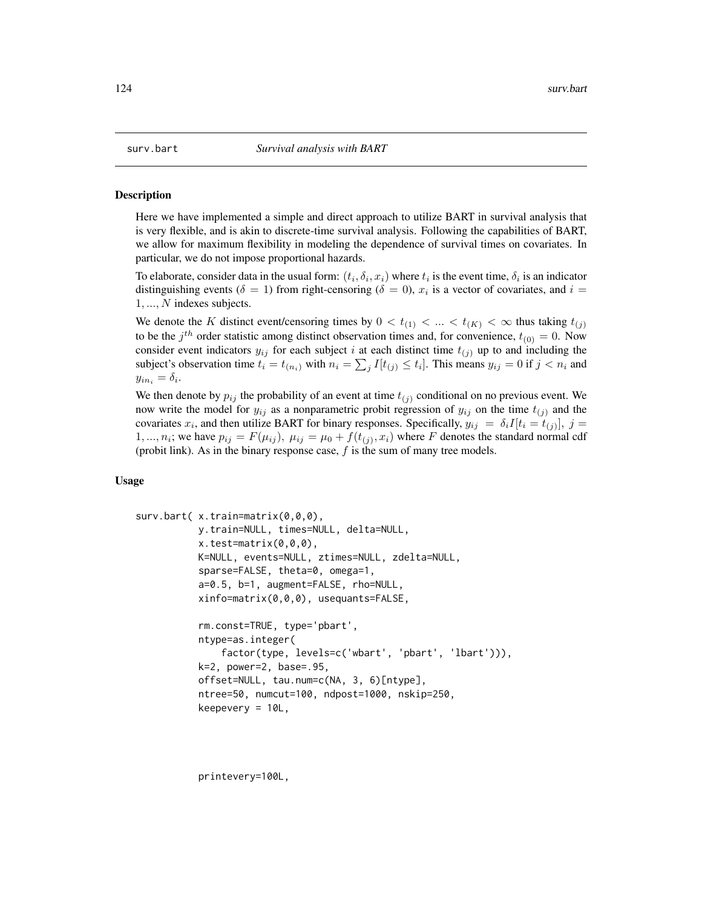Here we have implemented a simple and direct approach to utilize BART in survival analysis that is very flexible, and is akin to discrete-time survival analysis. Following the capabilities of BART, we allow for maximum flexibility in modeling the dependence of survival times on covariates. In particular, we do not impose proportional hazards.

To elaborate, consider data in the usual form:  $(t_i, \delta_i, x_i)$  where  $t_i$  is the event time,  $\delta_i$  is an indicator distinguishing events ( $\delta = 1$ ) from right-censoring ( $\delta = 0$ ),  $x_i$  is a vector of covariates, and  $i =$ 1, ..., N indexes subjects.

We denote the K distinct event/censoring times by  $0 < t_{(1)} < ... < t_{(K)} < \infty$  thus taking  $t_{(i)}$ to be the  $j<sup>th</sup>$  order statistic among distinct observation times and, for convenience,  $t_{(0)} = 0$ . Now consider event indicators  $y_{ij}$  for each subject i at each distinct time  $t_{(j)}$  up to and including the subject's observation time  $t_i = t_{(n_i)}$  with  $n_i = \sum_j I[t_{(j)} \le t_i]$ . This means  $y_{ij} = 0$  if  $j < n_i$  and  $y_{in_i} = \delta_i.$ 

We then denote by  $p_{ij}$  the probability of an event at time  $t_{(j)}$  conditional on no previous event. We now write the model for  $y_{ij}$  as a nonparametric probit regression of  $y_{ij}$  on the time  $t_{(j)}$  and the covariates  $x_i$ , and then utilize BART for binary responses. Specifically,  $y_{ij} = \delta_i I[t_i = t_{(j)}], j =$ 1, ...,  $n_i$ ; we have  $p_{ij} = F(\mu_{ij})$ ,  $\mu_{ij} = \mu_0 + f(t_{(j)}, x_i)$  where F denotes the standard normal cdf (probit link). As in the binary response case,  $f$  is the sum of many tree models.

#### Usage

```
surv.bart( x.train=matrix(0,0,0),
          y.train=NULL, times=NULL, delta=NULL,
           x.test=matrix(0,0,0),
           K=NULL, events=NULL, ztimes=NULL, zdelta=NULL,
           sparse=FALSE, theta=0, omega=1,
           a=0.5, b=1, augment=FALSE, rho=NULL,
           xinfo=matrix(0,0,0), usequants=FALSE,
           rm.const=TRUE, type='pbart',
           ntype=as.integer(
               factor(type, levels=c('wbart', 'pbart', 'lbart'))),
           k=2, power=2, base=.95,
           offset=NULL, tau.num=c(NA, 3, 6)[ntype],
           ntree=50, numcut=100, ndpost=1000, nskip=250,
           keepevery = 10L,
```
printevery=100L,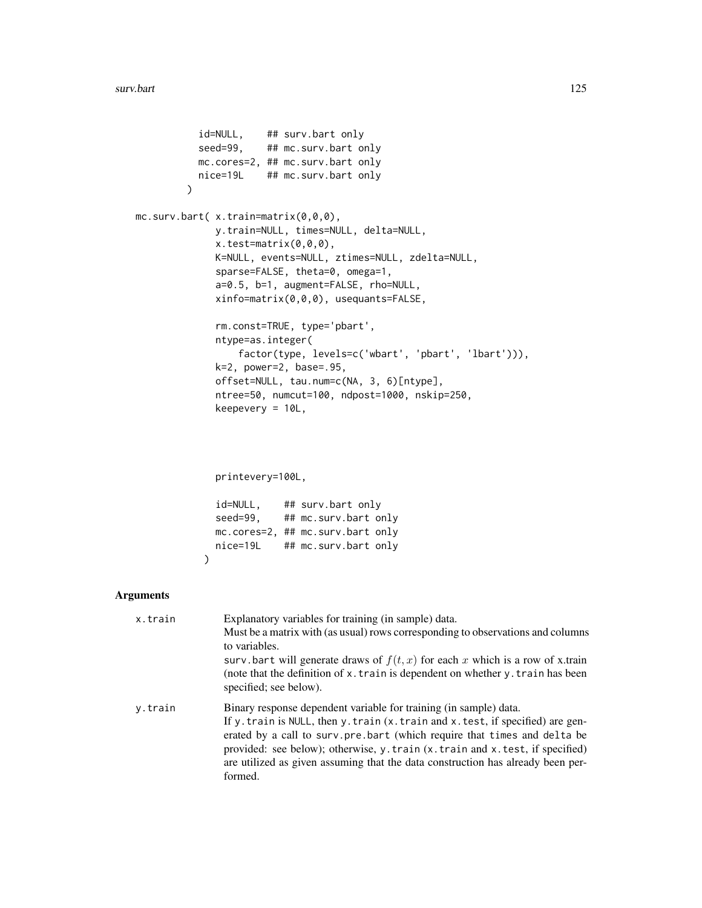```
id=NULL, ## surv.bart only
               seed=99, ## mc.surv.bart only
               mc.cores=2, ## mc.surv.bart only
               nice=19L ## mc.surv.bart only
             \lambdamc.surv.bart( x.train=matrix(0,0,0),
                  y.train=NULL, times=NULL, delta=NULL,
                  x.test=matrix(0,0,0),
                  K=NULL, events=NULL, ztimes=NULL, zdelta=NULL,
                  sparse=FALSE, theta=0, omega=1,
                  a=0.5, b=1, augment=FALSE, rho=NULL,
                  xinfo=matrix(0,0,0), usequants=FALSE,
                  rm.const=TRUE, type='pbart',
                  ntype=as.integer(
                      factor(type, levels=c('wbart', 'pbart', 'lbart'))),
                  k=2, power=2, base=.95,
                  offset=NULL, tau.num=c(NA, 3, 6)[ntype],
                  ntree=50, numcut=100, ndpost=1000, nskip=250,
                  keepevery = 10L,
                  printevery=100L,
                  id=NULL, ## surv.bart only
                  seed=99, ## mc.surv.bart only
                  mc.cores=2, ## mc.surv.bart only
                  nice=19L ## mc.surv.bart only
                )
Arguments
   x.train Explanatory variables for training (in sample) data.
                    Must be a matrix with (as usual) rows corresponding to observations and columns
                    to variables.
                    surv.bart will generate draws of f(t, x) for each x which is a row of x.train
                    (note that the definition of x.train is dependent on whether y.train has been
                    specified; see below).
```

```
y.train Binary response dependent variable for training (in sample) data.
                 If y.train is NULL, then y.train (x.train and x.test, if specified) are gen-
                 erated by a call to surv.pre.bart (which require that times and delta be
                  provided: see below); otherwise, y.train (x.train and x.test, if specified)
                  are utilized as given assuming that the data construction has already been per-
                 formed.
```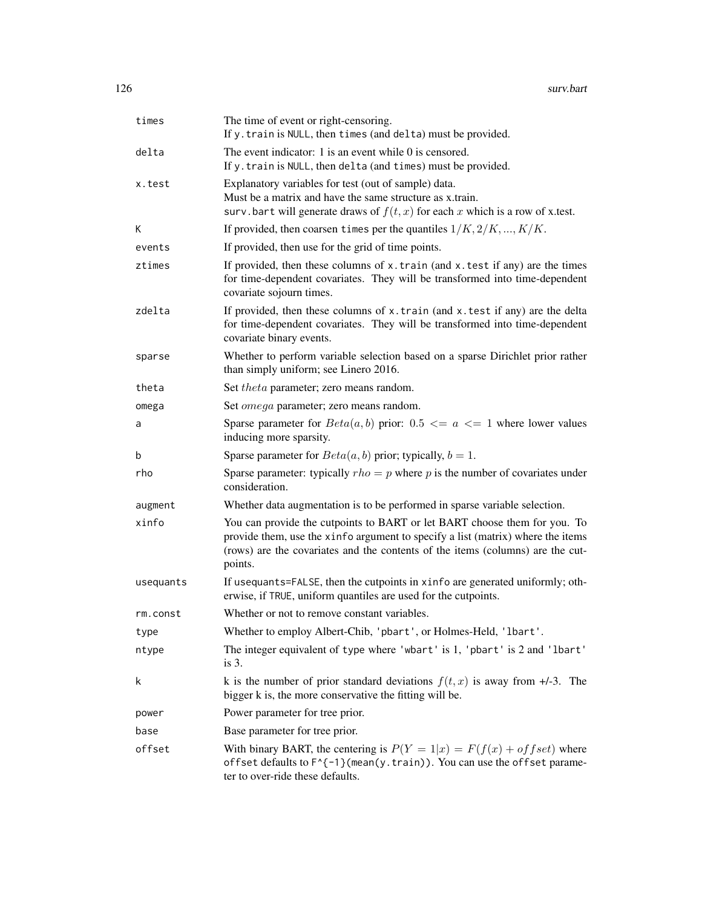| times     | The time of event or right-censoring.<br>If y. train is NULL, then times (and delta) must be provided.                                                                                                                                                    |
|-----------|-----------------------------------------------------------------------------------------------------------------------------------------------------------------------------------------------------------------------------------------------------------|
| delta     | The event indicator: $1$ is an event while $0$ is censored.<br>If y. train is NULL, then delta (and times) must be provided.                                                                                                                              |
| x.test    | Explanatory variables for test (out of sample) data.<br>Must be a matrix and have the same structure as x.train.<br>surv.bart will generate draws of $f(t, x)$ for each x which is a row of x.test.                                                       |
| Κ         | If provided, then coarsen times per the quantiles $1/K, 2/K, , K/K$ .                                                                                                                                                                                     |
| events    | If provided, then use for the grid of time points.                                                                                                                                                                                                        |
| ztimes    | If provided, then these columns of $x$ . train (and $x$ . test if any) are the times<br>for time-dependent covariates. They will be transformed into time-dependent<br>covariate sojourn times.                                                           |
| zdelta    | If provided, then these columns of x.train (and x.test if any) are the delta<br>for time-dependent covariates. They will be transformed into time-dependent<br>covariate binary events.                                                                   |
| sparse    | Whether to perform variable selection based on a sparse Dirichlet prior rather<br>than simply uniform; see Linero 2016.                                                                                                                                   |
| theta     | Set theta parameter; zero means random.                                                                                                                                                                                                                   |
| omega     | Set <i>omega</i> parameter; zero means random.                                                                                                                                                                                                            |
| a         | Sparse parameter for $Beta(a, b)$ prior: $0.5 \le a \le 1$ where lower values<br>inducing more sparsity.                                                                                                                                                  |
| b         | Sparse parameter for $Beta(a, b)$ prior; typically, $b = 1$ .                                                                                                                                                                                             |
| rho       | Sparse parameter: typically $rho = p$ where p is the number of covariates under<br>consideration.                                                                                                                                                         |
| augment   | Whether data augmentation is to be performed in sparse variable selection.                                                                                                                                                                                |
| xinfo     | You can provide the cutpoints to BART or let BART choose them for you. To<br>provide them, use the xinfo argument to specify a list (matrix) where the items<br>(rows) are the covariates and the contents of the items (columns) are the cut-<br>points. |
| usequants | If usequants=FALSE, then the cutpoints in xinfo are generated uniformly; oth-<br>erwise, if TRUE, uniform quantiles are used for the cutpoints.                                                                                                           |
| rm.const  | Whether or not to remove constant variables.                                                                                                                                                                                                              |
| type      | Whether to employ Albert-Chib, 'pbart', or Holmes-Held, 'lbart'.                                                                                                                                                                                          |
| ntype     | The integer equivalent of type where 'wbart' is 1, 'pbart' is 2 and 'lbart'<br>is $3$ .                                                                                                                                                                   |
| k         | k is the number of prior standard deviations $f(t, x)$ is away from $\pm$ /-3. The<br>bigger k is, the more conservative the fitting will be.                                                                                                             |
| power     | Power parameter for tree prior.                                                                                                                                                                                                                           |
| base      | Base parameter for tree prior.                                                                                                                                                                                                                            |
| offset    | With binary BART, the centering is $P(Y = 1 x) = F(f(x) + of fset)$ where<br>offset defaults to F^{-1}(mean(y.train)). You can use the offset parame-<br>ter to over-ride these defaults.                                                                 |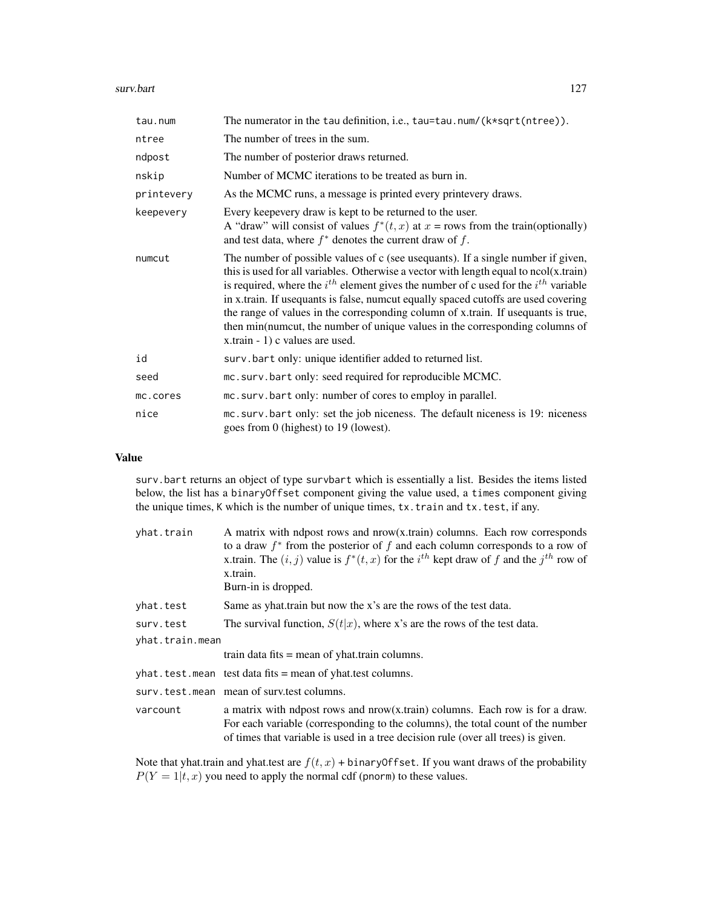#### surv.bart 127

| tau.num    | The numerator in the tau definition, i.e., tau=tau.num/( $k*sqrt(ntree)$ ).                                                                                                                                                                                                                                                                                                                                                                                                                                                                                               |
|------------|---------------------------------------------------------------------------------------------------------------------------------------------------------------------------------------------------------------------------------------------------------------------------------------------------------------------------------------------------------------------------------------------------------------------------------------------------------------------------------------------------------------------------------------------------------------------------|
| ntree      | The number of trees in the sum.                                                                                                                                                                                                                                                                                                                                                                                                                                                                                                                                           |
| ndpost     | The number of posterior draws returned.                                                                                                                                                                                                                                                                                                                                                                                                                                                                                                                                   |
| nskip      | Number of MCMC iterations to be treated as burn in.                                                                                                                                                                                                                                                                                                                                                                                                                                                                                                                       |
| printevery | As the MCMC runs, a message is printed every printevery draws.                                                                                                                                                                                                                                                                                                                                                                                                                                                                                                            |
| keepevery  | Every keepevery draw is kept to be returned to the user.<br>A "draw" will consist of values $f^*(t, x)$ at $x =$ rows from the train(optionally)<br>and test data, where $f^*$ denotes the current draw of f.                                                                                                                                                                                                                                                                                                                                                             |
| numcut     | The number of possible values of c (see usequants). If a single number if given,<br>this is used for all variables. Otherwise a vector with length equal to $ncol(x.train)$<br>is required, where the $i^{th}$ element gives the number of c used for the $i^{th}$ variable<br>in x.train. If usequants is false, numcut equally spaced cutoffs are used covering<br>the range of values in the corresponding column of x.train. If usequants is true,<br>then min(numcut, the number of unique values in the corresponding columns of<br>x.train - 1) c values are used. |
| id         | surv.bart only: unique identifier added to returned list.                                                                                                                                                                                                                                                                                                                                                                                                                                                                                                                 |
| seed       | mc.surv.bart only: seed required for reproducible MCMC.                                                                                                                                                                                                                                                                                                                                                                                                                                                                                                                   |
| mc.cores   | mc.surv.bart only: number of cores to employ in parallel.                                                                                                                                                                                                                                                                                                                                                                                                                                                                                                                 |
| nice       | mc. surv. bart only: set the job niceness. The default niceness is 19: niceness<br>goes from 0 (highest) to 19 (lowest).                                                                                                                                                                                                                                                                                                                                                                                                                                                  |

# Value

surv.bart returns an object of type survbart which is essentially a list. Besides the items listed below, the list has a binaryOffset component giving the value used, a times component giving the unique times, K which is the number of unique times, tx.train and tx.test, if any.

| yhat.train      | A matrix with ndpost rows and nrow(x.train) columns. Each row corresponds<br>to a draw $f^*$ from the posterior of f and each column corresponds to a row of<br>x.train. The $(i, j)$ value is $f^*(t, x)$ for the $i^{th}$ kept draw of f and the $j^{th}$ row of<br>x.train.<br>Burn-in is dropped. |
|-----------------|-------------------------------------------------------------------------------------------------------------------------------------------------------------------------------------------------------------------------------------------------------------------------------------------------------|
| yhat.test       | Same as yhat train but now the x's are the rows of the test data.                                                                                                                                                                                                                                     |
| surv.test       | The survival function, $S(t x)$ , where x's are the rows of the test data.                                                                                                                                                                                                                            |
| yhat.train.mean |                                                                                                                                                                                                                                                                                                       |
|                 | train data fits $=$ mean of yhat train columns.                                                                                                                                                                                                                                                       |
|                 | $yhat.test.$ mean test data fits = mean of yhat test columns.                                                                                                                                                                                                                                         |
|                 | surv.test.mean mean of surv.test columns.                                                                                                                                                                                                                                                             |
| varcount        | a matrix with ndpost rows and nrow(x.train) columns. Each row is for a draw.<br>For each variable (corresponding to the columns), the total count of the number<br>of times that variable is used in a tree decision rule (over all trees) is given.                                                  |

Note that yhat.train and yhat.test are  $f(t, x)$  + binaryOffset. If you want draws of the probability  $P(Y = 1|t, x)$  you need to apply the normal cdf (pnorm) to these values.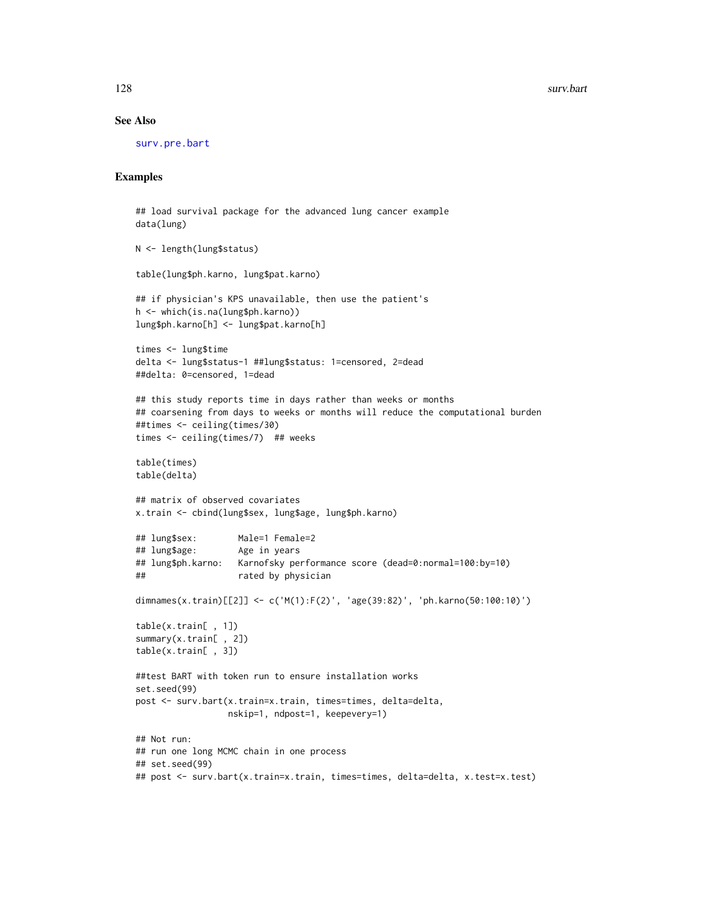#### See Also

[surv.pre.bart](#page-128-0)

```
## load survival package for the advanced lung cancer example
data(lung)
N <- length(lung$status)
table(lung$ph.karno, lung$pat.karno)
## if physician's KPS unavailable, then use the patient's
h <- which(is.na(lung$ph.karno))
lung$ph.karno[h] <- lung$pat.karno[h]
times <- lung$time
delta <- lung$status-1 ##lung$status: 1=censored, 2=dead
##delta: 0=censored, 1=dead
## this study reports time in days rather than weeks or months
## coarsening from days to weeks or months will reduce the computational burden
##times <- ceiling(times/30)
times <- ceiling(times/7) ## weeks
table(times)
table(delta)
## matrix of observed covariates
x.train <- cbind(lung$sex, lung$age, lung$ph.karno)
## lung$sex: Male=1 Female=2
## lung$age: Age in years
## lung$ph.karno: Karnofsky performance score (dead=0:normal=100:by=10)
## rated by physician
dimnames(x.train)[[2]] <- c('M(1):F(2)', 'age(39:82)', 'ph.karno(50:100:10)')
table(x.train[ , 1])
summary(x.train[ , 2])
table(x.train[ , 3])
##test BART with token run to ensure installation works
set.seed(99)
post <- surv.bart(x.train=x.train, times=times, delta=delta,
                 nskip=1, ndpost=1, keepevery=1)
## Not run:
## run one long MCMC chain in one process
## set.seed(99)
## post <- surv.bart(x.train=x.train, times=times, delta=delta, x.test=x.test)
```
<span id="page-127-0"></span>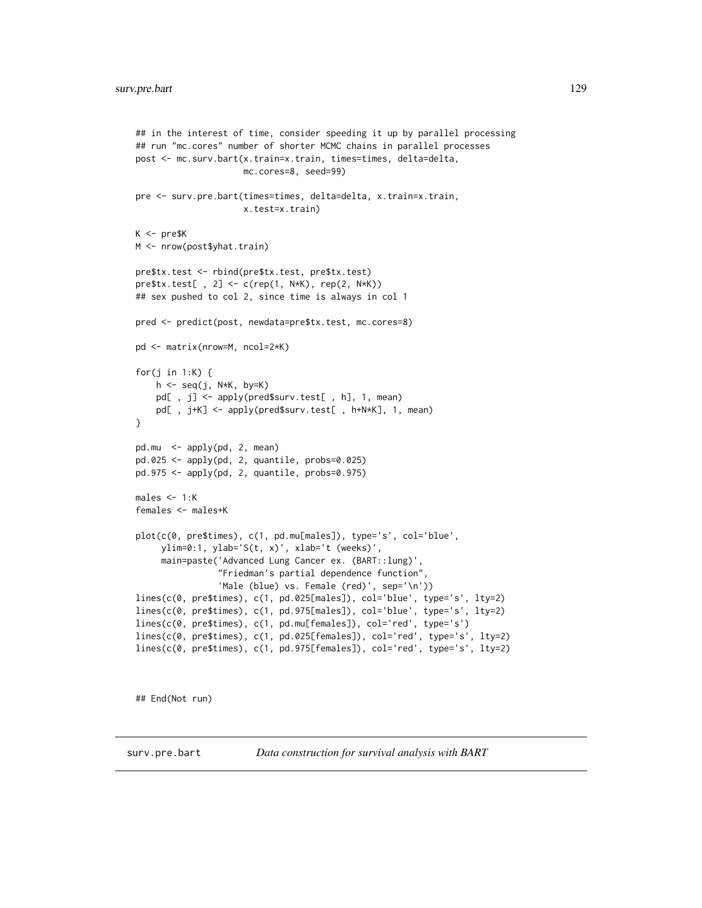```
## in the interest of time, consider speeding it up by parallel processing
## run "mc.cores" number of shorter MCMC chains in parallel processes
post <- mc.surv.bart(x.train=x.train, times=times, delta=delta,
                     mc.cores=8, seed=99)
pre <- surv.pre.bart(times=times, delta=delta, x.train=x.train,
                     x.test=x.train)
K <- pre$K
M <- nrow(post$yhat.train)
pre$tx.test <- rbind(pre$tx.test, pre$tx.test)
pre$tx.test[ , 2] <- c(rep(1, N*K), rep(2, N*K))
## sex pushed to col 2, since time is always in col 1
pred <- predict(post, newdata=pre$tx.test, mc.cores=8)
pd <- matrix(nrow=M, ncol=2*K)
for(j in 1:K) {
    h \leq -\text{seq}(j, N*K, by=K)pd[ , j] <- apply(pred$surv.test[ , h], 1, mean)
    pd[ , j+K] <- apply(pred$surv.test[ , h+N*K], 1, mean)
}
pd.mu <- apply(pd, 2, mean)
pd.025 <- apply(pd, 2, quantile, probs=0.025)
pd.975 <- apply(pd, 2, quantile, probs=0.975)
males <-1:Kfemales <- males+K
plot(c(0, pre$times), c(1, pd.mu[males]), type='s', col='blue',
     ylim=0:1, ylab='S(t, x)', xlab='t (weeks)',
     main=paste('Advanced Lung Cancer ex. (BART::lung)'
                "Friedman's partial dependence function",
                'Male (blue) vs. Female (red)', sep='\n'))
lines(c(0, pre$times), c(1, pd.025[males]), col='blue', type='s', lty=2)
lines(c(0, pre$times), c(1, pd.975[males]), col='blue', type='s', lty=2)
lines(c(0, pre$times), c(1, pd.mu[females]), col='red', type='s')
lines(c(0, pre$times), c(1, pd.025[females]), col='red', type='s', lty=2)
lines(c(0, pre$times), c(1, pd.975[females]), col='red', type='s', lty=2)
```
## End(Not run)

<span id="page-128-0"></span>surv.pre.bart *Data construction for survival analysis with BART*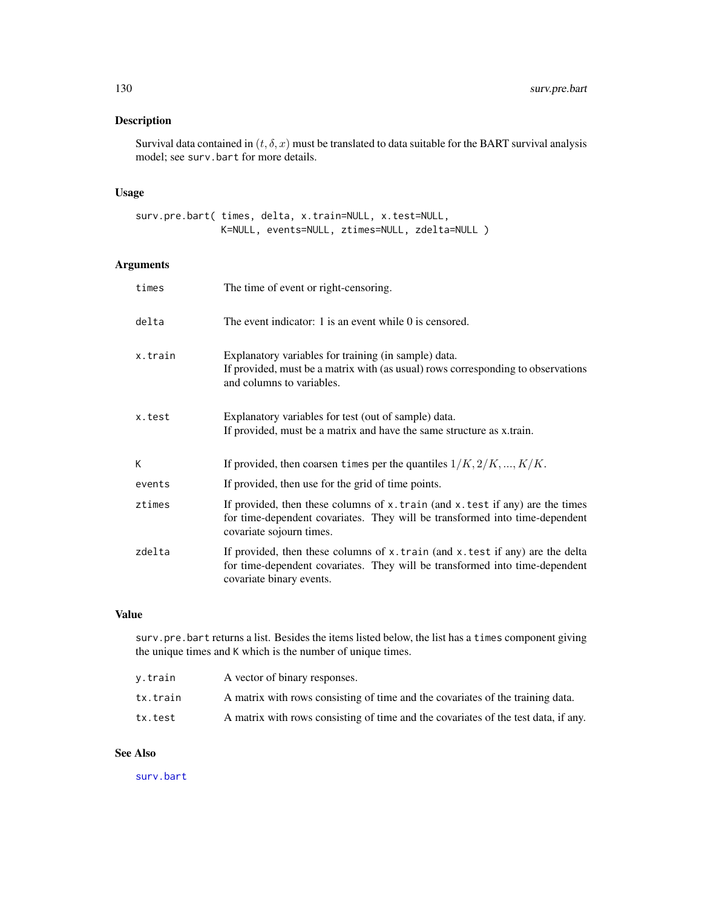<span id="page-129-0"></span>Survival data contained in  $(t, \delta, x)$  must be translated to data suitable for the BART survival analysis model; see surv.bart for more details.

# Usage

surv.pre.bart( times, delta, x.train=NULL, x.test=NULL, K=NULL, events=NULL, ztimes=NULL, zdelta=NULL )

# Arguments

| times   | The time of event or right-censoring.                                                                                                                                                           |
|---------|-------------------------------------------------------------------------------------------------------------------------------------------------------------------------------------------------|
| delta   | The event indicator: 1 is an event while 0 is censored.                                                                                                                                         |
| x.train | Explanatory variables for training (in sample) data.<br>If provided, must be a matrix with (as usual) rows corresponding to observations<br>and columns to variables.                           |
| x.test  | Explanatory variables for test (out of sample) data.<br>If provided, must be a matrix and have the same structure as x.train.                                                                   |
| K       | If provided, then coarsen times per the quantiles $1/K, 2/K, , K/K$ .                                                                                                                           |
| events  | If provided, then use for the grid of time points.                                                                                                                                              |
| ztimes  | If provided, then these columns of $x$ . train (and $x$ . test if any) are the times<br>for time-dependent covariates. They will be transformed into time-dependent<br>covariate sojourn times. |
| zdelta  | If provided, then these columns of x.train (and x.test if any) are the delta<br>for time-dependent covariates. They will be transformed into time-dependent<br>covariate binary events.         |

# Value

surv.pre.bart returns a list. Besides the items listed below, the list has a times component giving the unique times and K which is the number of unique times.

| v.train  | A vector of binary responses.                                                      |
|----------|------------------------------------------------------------------------------------|
| tx.train | A matrix with rows consisting of time and the covariates of the training data.     |
| tx.test  | A matrix with rows consisting of time and the covariates of the test data, if any. |

# See Also

[surv.bart](#page-123-0)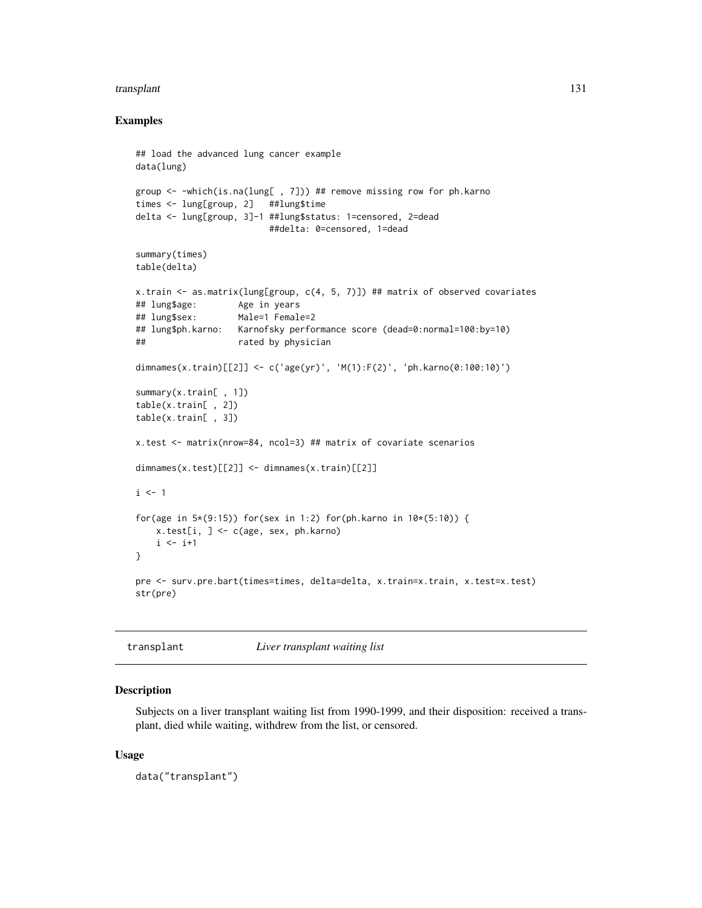#### <span id="page-130-0"></span>transplant 131

#### Examples

```
## load the advanced lung cancer example
data(lung)
group <- -which(is.na(lung[ , 7])) ## remove missing row for ph.karno
times <- lung[group, 2] ##lung$time
delta <- lung[group, 3]-1 ##lung$status: 1=censored, 2=dead
                         ##delta: 0=censored, 1=dead
summary(times)
table(delta)
x.train <- as.matrix(lung[group, c(4, 5, 7)]) ## matrix of observed covariates
## lung$age: Age in years
## lung$sex: Male=1 Female=2
## lung$ph.karno: Karnofsky performance score (dead=0:normal=100:by=10)
## rated by physician
dimnames(x.train)[[2]] <- c('age(yr)', 'M(1):F(2)', 'ph.karno(0:100:10)')
summary(x.train[ , 1])
table(x.train[ , 2])
table(x.train[ , 3])
x.test <- matrix(nrow=84, ncol=3) ## matrix of covariate scenarios
dimnames(x.test)[[2]] <- dimnames(x.train)[[2]]
i \leq 1for(age in 5*(9:15)) for(sex in 1:2) for(ph.karno in 10*(5:10)) {
   x.test[i, ] <- c(age, sex, ph.karno)
   i \leftarrow i+1}
pre <- surv.pre.bart(times=times, delta=delta, x.train=x.train, x.test=x.test)
str(pre)
```
transplant *Liver transplant waiting list*

#### Description

Subjects on a liver transplant waiting list from 1990-1999, and their disposition: received a transplant, died while waiting, withdrew from the list, or censored.

#### Usage

data("transplant")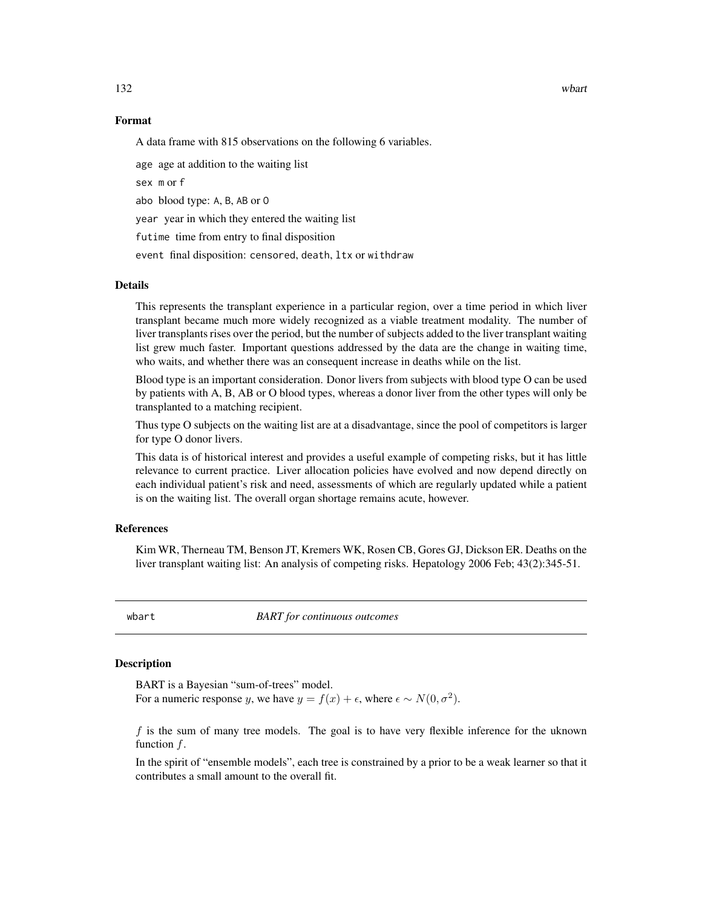<span id="page-131-0"></span>132 wbart

#### Format

A data frame with 815 observations on the following 6 variables.

age age at addition to the waiting list sex m or f abo blood type: A, B, AB or O year year in which they entered the waiting list futime time from entry to final disposition event final disposition: censored, death, ltx or withdraw

#### Details

This represents the transplant experience in a particular region, over a time period in which liver transplant became much more widely recognized as a viable treatment modality. The number of liver transplants rises over the period, but the number of subjects added to the liver transplant waiting list grew much faster. Important questions addressed by the data are the change in waiting time, who waits, and whether there was an consequent increase in deaths while on the list.

Blood type is an important consideration. Donor livers from subjects with blood type O can be used by patients with A, B, AB or O blood types, whereas a donor liver from the other types will only be transplanted to a matching recipient.

Thus type O subjects on the waiting list are at a disadvantage, since the pool of competitors is larger for type O donor livers.

This data is of historical interest and provides a useful example of competing risks, but it has little relevance to current practice. Liver allocation policies have evolved and now depend directly on each individual patient's risk and need, assessments of which are regularly updated while a patient is on the waiting list. The overall organ shortage remains acute, however.

# References

Kim WR, Therneau TM, Benson JT, Kremers WK, Rosen CB, Gores GJ, Dickson ER. Deaths on the liver transplant waiting list: An analysis of competing risks. Hepatology 2006 Feb; 43(2):345-51.

wbart *BART for continuous outcomes*

# **Description**

BART is a Bayesian "sum-of-trees" model. For a numeric response y, we have  $y = f(x) + \epsilon$ , where  $\epsilon \sim N(0, \sigma^2)$ .

 $f$  is the sum of many tree models. The goal is to have very flexible inference for the uknown function  $f$ .

In the spirit of "ensemble models", each tree is constrained by a prior to be a weak learner so that it contributes a small amount to the overall fit.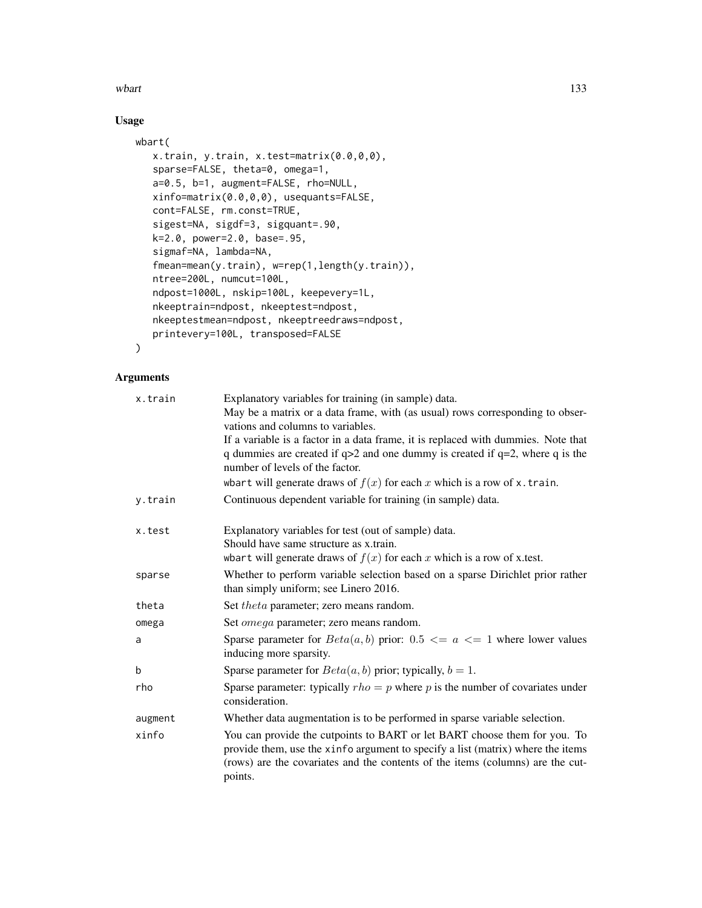where the contract of the contract of the contract of the contract of the contract of the contract of the contract of the contract of the contract of the contract of the contract of the contract of the contract of the cont

# Usage

```
wbart(
   x.train, y.train, x.test=matrix(0.0,0,0),
   sparse=FALSE, theta=0, omega=1,
   a=0.5, b=1, augment=FALSE, rho=NULL,
   xinfo=matrix(0.0,0,0), usequants=FALSE,
   cont=FALSE, rm.const=TRUE,
   sigest=NA, sigdf=3, sigquant=.90,
   k=2.0, power=2.0, base=.95,
   sigmaf=NA, lambda=NA,
   fmean=mean(y.train), w=rep(1,length(y.train)),
   ntree=200L, numcut=100L,
   ndpost=1000L, nskip=100L, keepevery=1L,
   nkeeptrain=ndpost, nkeeptest=ndpost,
   nkeeptestmean=ndpost, nkeeptreedraws=ndpost,
   printevery=100L, transposed=FALSE
```
# $\mathcal{L}$

# Arguments

| x.train | Explanatory variables for training (in sample) data.<br>May be a matrix or a data frame, with (as usual) rows corresponding to obser-                                                                                                                     |
|---------|-----------------------------------------------------------------------------------------------------------------------------------------------------------------------------------------------------------------------------------------------------------|
|         | vations and columns to variables.                                                                                                                                                                                                                         |
|         | If a variable is a factor in a data frame, it is replaced with dummies. Note that<br>q dummies are created if $q>2$ and one dummy is created if $q=2$ , where q is the<br>number of levels of the factor.                                                 |
|         | wbart will generate draws of $f(x)$ for each x which is a row of x. train.                                                                                                                                                                                |
| y.train | Continuous dependent variable for training (in sample) data.                                                                                                                                                                                              |
| x.test  | Explanatory variables for test (out of sample) data.<br>Should have same structure as x.train.                                                                                                                                                            |
|         | whart will generate draws of $f(x)$ for each x which is a row of x.test.                                                                                                                                                                                  |
| sparse  | Whether to perform variable selection based on a sparse Dirichlet prior rather<br>than simply uniform; see Linero 2016.                                                                                                                                   |
| theta   | Set <i>theta</i> parameter; zero means random.                                                                                                                                                                                                            |
| omega   | Set <i>omega</i> parameter; zero means random.                                                                                                                                                                                                            |
| a       | Sparse parameter for $Beta(a, b)$ prior: 0.5 $\leq a \leq 1$ where lower values<br>inducing more sparsity.                                                                                                                                                |
| b       | Sparse parameter for $Beta(a, b)$ prior; typically, $b = 1$ .                                                                                                                                                                                             |
| rho     | Sparse parameter: typically $rho = p$ where p is the number of covariates under<br>consideration.                                                                                                                                                         |
| augment | Whether data augmentation is to be performed in sparse variable selection.                                                                                                                                                                                |
| xinfo   | You can provide the cutpoints to BART or let BART choose them for you. To<br>provide them, use the xinfo argument to specify a list (matrix) where the items<br>(rows) are the covariates and the contents of the items (columns) are the cut-<br>points. |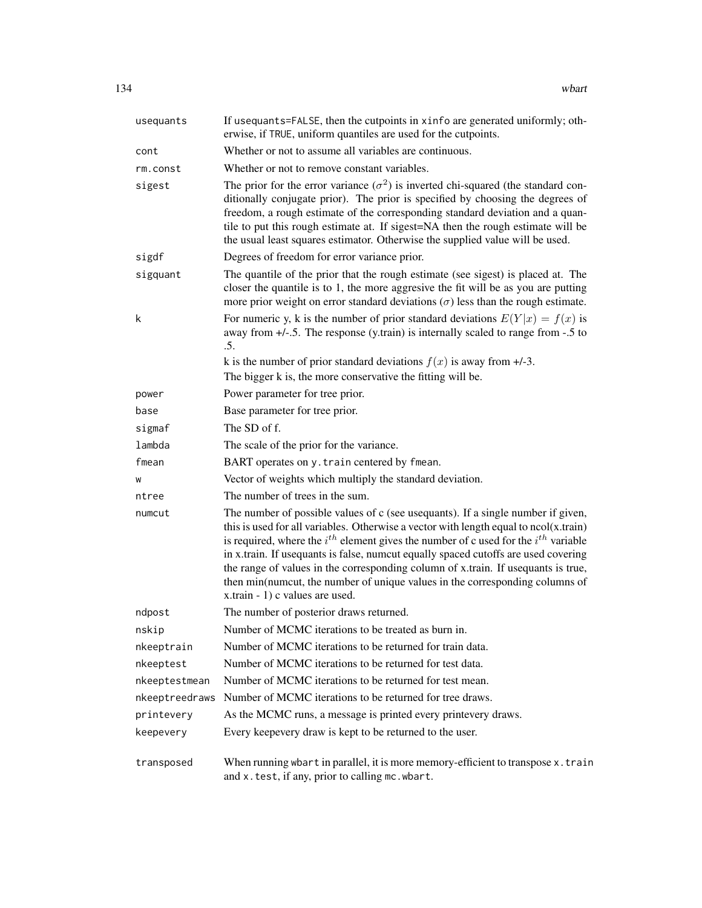| usequants      | If usequants=FALSE, then the cutpoints in xinfo are generated uniformly; oth-<br>erwise, if TRUE, uniform quantiles are used for the cutpoints.                                                                                                                                                                                                                                                                                                                                                                                                                           |
|----------------|---------------------------------------------------------------------------------------------------------------------------------------------------------------------------------------------------------------------------------------------------------------------------------------------------------------------------------------------------------------------------------------------------------------------------------------------------------------------------------------------------------------------------------------------------------------------------|
| cont           | Whether or not to assume all variables are continuous.                                                                                                                                                                                                                                                                                                                                                                                                                                                                                                                    |
| rm.const       | Whether or not to remove constant variables.                                                                                                                                                                                                                                                                                                                                                                                                                                                                                                                              |
| sigest         | The prior for the error variance $(\sigma^2)$ is inverted chi-squared (the standard con-<br>ditionally conjugate prior). The prior is specified by choosing the degrees of<br>freedom, a rough estimate of the corresponding standard deviation and a quan-<br>tile to put this rough estimate at. If sigest=NA then the rough estimate will be<br>the usual least squares estimator. Otherwise the supplied value will be used.                                                                                                                                          |
| sigdf          | Degrees of freedom for error variance prior.                                                                                                                                                                                                                                                                                                                                                                                                                                                                                                                              |
| sigquant       | The quantile of the prior that the rough estimate (see sigest) is placed at. The<br>closer the quantile is to 1, the more aggresive the fit will be as you are putting<br>more prior weight on error standard deviations $(\sigma)$ less than the rough estimate.                                                                                                                                                                                                                                                                                                         |
| k              | For numeric y, k is the number of prior standard deviations $E(Y x) = f(x)$ is<br>away from $+/-5$ . The response (y.train) is internally scaled to range from $-5$ to<br>.5.                                                                                                                                                                                                                                                                                                                                                                                             |
|                | k is the number of prior standard deviations $f(x)$ is away from $+/-3$ .<br>The bigger k is, the more conservative the fitting will be.                                                                                                                                                                                                                                                                                                                                                                                                                                  |
| power          | Power parameter for tree prior.                                                                                                                                                                                                                                                                                                                                                                                                                                                                                                                                           |
| base           | Base parameter for tree prior.                                                                                                                                                                                                                                                                                                                                                                                                                                                                                                                                            |
| sigmaf         | The SD of f.                                                                                                                                                                                                                                                                                                                                                                                                                                                                                                                                                              |
| lambda         | The scale of the prior for the variance.                                                                                                                                                                                                                                                                                                                                                                                                                                                                                                                                  |
| fmean          | BART operates on y. train centered by fmean.                                                                                                                                                                                                                                                                                                                                                                                                                                                                                                                              |
| W              | Vector of weights which multiply the standard deviation.                                                                                                                                                                                                                                                                                                                                                                                                                                                                                                                  |
| ntree          | The number of trees in the sum.                                                                                                                                                                                                                                                                                                                                                                                                                                                                                                                                           |
| numcut         | The number of possible values of c (see usequants). If a single number if given,<br>this is used for all variables. Otherwise a vector with length equal to $ncol(x.train)$<br>is required, where the $i^{th}$ element gives the number of c used for the $i^{th}$ variable<br>in x.train. If usequants is false, numcut equally spaced cutoffs are used covering<br>the range of values in the corresponding column of x.train. If usequants is true,<br>then min(numcut, the number of unique values in the corresponding columns of<br>x.train - 1) c values are used. |
| ndpost         | The number of posterior draws returned.                                                                                                                                                                                                                                                                                                                                                                                                                                                                                                                                   |
| nskip          | Number of MCMC iterations to be treated as burn in.                                                                                                                                                                                                                                                                                                                                                                                                                                                                                                                       |
| nkeeptrain     | Number of MCMC iterations to be returned for train data.                                                                                                                                                                                                                                                                                                                                                                                                                                                                                                                  |
| nkeeptest      | Number of MCMC iterations to be returned for test data.                                                                                                                                                                                                                                                                                                                                                                                                                                                                                                                   |
| nkeeptestmean  | Number of MCMC iterations to be returned for test mean.                                                                                                                                                                                                                                                                                                                                                                                                                                                                                                                   |
| nkeeptreedraws | Number of MCMC iterations to be returned for tree draws.                                                                                                                                                                                                                                                                                                                                                                                                                                                                                                                  |
| printevery     | As the MCMC runs, a message is printed every printevery draws.                                                                                                                                                                                                                                                                                                                                                                                                                                                                                                            |
| keepevery      | Every keepevery draw is kept to be returned to the user.                                                                                                                                                                                                                                                                                                                                                                                                                                                                                                                  |
| transposed     | When running wbart in parallel, it is more memory-efficient to transpose x. train<br>and x.test, if any, prior to calling mc.wbart.                                                                                                                                                                                                                                                                                                                                                                                                                                       |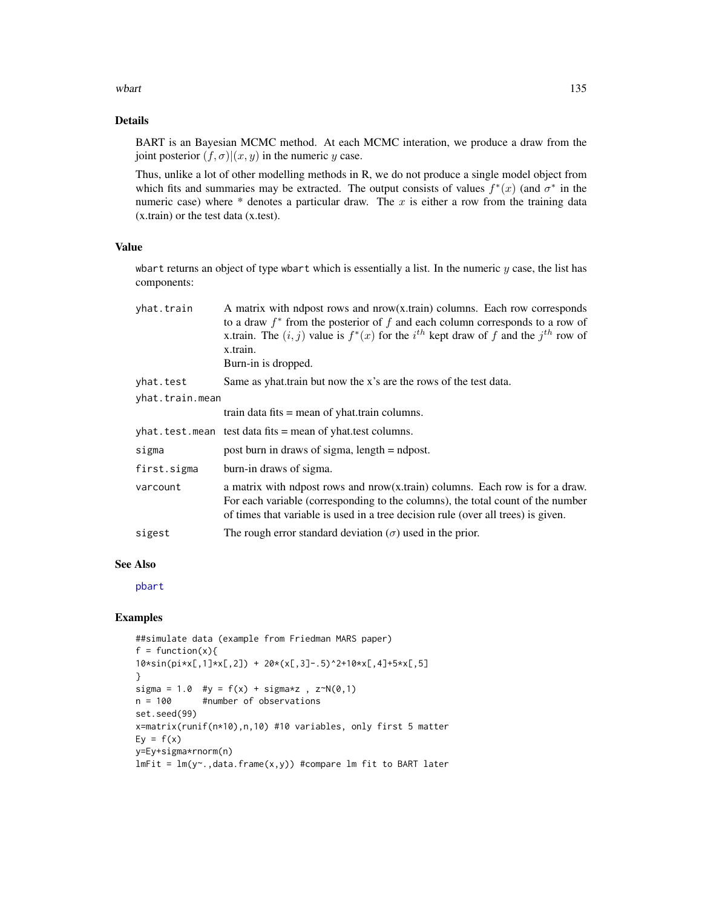<span id="page-134-0"></span>where the contract of the contract of the contract of the contract of the contract of the contract of the contract of the contract of the contract of the contract of the contract of the contract of the contract of the cont

# Details

BART is an Bayesian MCMC method. At each MCMC interation, we produce a draw from the joint posterior  $(f, \sigma) | (x, y)$  in the numeric y case.

Thus, unlike a lot of other modelling methods in R, we do not produce a single model object from which fits and summaries may be extracted. The output consists of values  $f^*(x)$  (and  $\sigma^*$  in the numeric case) where  $*$  denotes a particular draw. The  $x$  is either a row from the training data (x.train) or the test data (x.test).

# Value

wbart returns an object of type wbart which is essentially a list. In the numeric  $y$  case, the list has components:

| yhat.train                   | A matrix with ndpost rows and nrow(x.train) columns. Each row corresponds<br>to a draw $f^*$ from the posterior of f and each column corresponds to a row of<br>x.train. The $(i, j)$ value is $f^*(x)$ for the $i^{th}$ kept draw of f and the $j^{th}$ row of<br>x.train.<br>Burn-in is dropped. |
|------------------------------|----------------------------------------------------------------------------------------------------------------------------------------------------------------------------------------------------------------------------------------------------------------------------------------------------|
| yhat.test<br>yhat.train.mean | Same as yhat train but now the x's are the rows of the test data.                                                                                                                                                                                                                                  |
|                              | train data fits $=$ mean of yhat train columns.                                                                                                                                                                                                                                                    |
|                              | yhat.test.mean test data fits = mean of yhat.test columns.                                                                                                                                                                                                                                         |
| sigma                        | post burn in draws of sigma, $length = ndpost$ .                                                                                                                                                                                                                                                   |
| first.sigma                  | burn-in draws of sigma.                                                                                                                                                                                                                                                                            |
| varcount                     | a matrix with ndpost rows and nrow(x.train) columns. Each row is for a draw.<br>For each variable (corresponding to the columns), the total count of the number<br>of times that variable is used in a tree decision rule (over all trees) is given.                                               |
| sigest                       | The rough error standard deviation $(\sigma)$ used in the prior.                                                                                                                                                                                                                                   |
|                              |                                                                                                                                                                                                                                                                                                    |

# See Also

[pbart](#page-77-0)

```
##simulate data (example from Friedman MARS paper)
f = function(x)10*sin(pixx[,1] * x[,2]) + 20 * (x[,3] - .5)^2 + 10 * x[,4] + 5 * x[,5]}
sigma = 1.0 #y = f(x) + \text{sigma}x, z \sim N(0,1)n = 100 #number of observations
set.seed(99)
x=matrix(runif(n*10),n,10) #10 variables, only first 5 matter
Ey = f(x)y=Ey+sigma*rnorm(n)
lmFit = lm(y~. , data frame(x, y)) #compare lm fit to BART later
```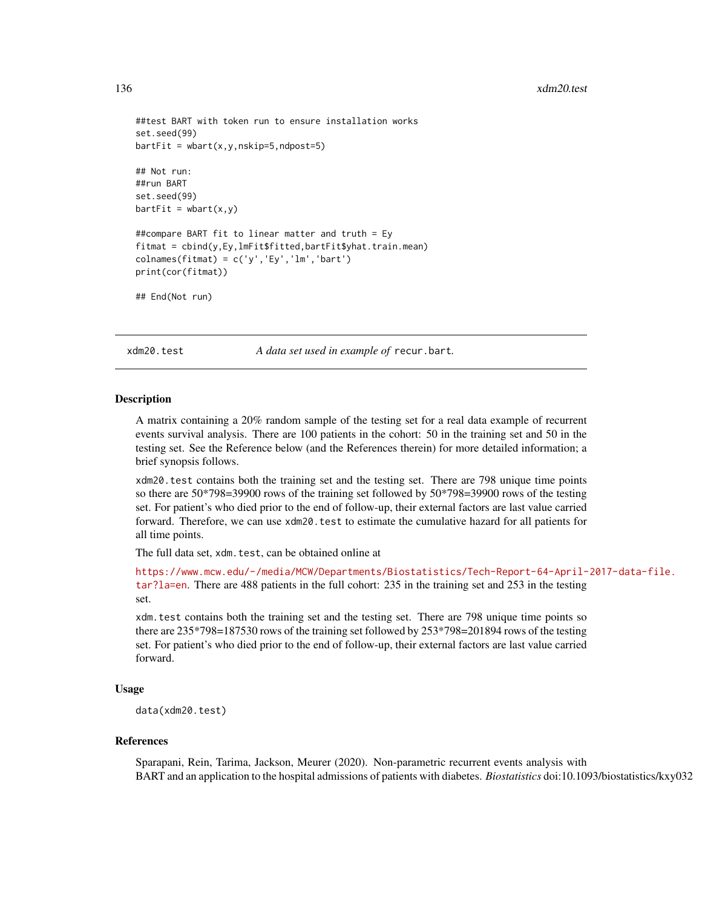```
##test BART with token run to ensure installation works
set.seed(99)
barffit = wbart(x,y,nskip=5,ndpost=5)
## Not run:
##run BART
set.seed(99)
barffit = whart(x,y)##compare BART fit to linear matter and truth = Ey
fitmat = cbind(y,Ey,lmFit$fitted,bartFit$yhat.train.mean)
colnames(fitmat) = c('y', 'Ey', 'lm', 'bart')print(cor(fitmat))
## End(Not run)
```
xdm20.test *A data set used in example of* recur.bart*.*

#### **Description**

A matrix containing a 20% random sample of the testing set for a real data example of recurrent events survival analysis. There are 100 patients in the cohort: 50 in the training set and 50 in the testing set. See the Reference below (and the References therein) for more detailed information; a brief synopsis follows.

xdm20.test contains both the training set and the testing set. There are 798 unique time points so there are 50\*798=39900 rows of the training set followed by 50\*798=39900 rows of the testing set. For patient's who died prior to the end of follow-up, their external factors are last value carried forward. Therefore, we can use xdm20.test to estimate the cumulative hazard for all patients for all time points.

The full data set, xdm.test, can be obtained online at

[https://www.mcw.edu/-/media/MCW/Departments/Biostatistics/Tech-Report-64-April-](https://www.mcw.edu/-/media/MCW/Departments/Biostatistics/Tech-Report-64-April-2017-data-file.tar?la=en)2017-data-file. [tar?la=en](https://www.mcw.edu/-/media/MCW/Departments/Biostatistics/Tech-Report-64-April-2017-data-file.tar?la=en). There are 488 patients in the full cohort: 235 in the training set and 253 in the testing set.

xdm.test contains both the training set and the testing set. There are 798 unique time points so there are 235\*798=187530 rows of the training set followed by 253\*798=201894 rows of the testing set. For patient's who died prior to the end of follow-up, their external factors are last value carried forward.

#### Usage

```
data(xdm20.test)
```
#### References

Sparapani, Rein, Tarima, Jackson, Meurer (2020). Non-parametric recurrent events analysis with BART and an application to the hospital admissions of patients with diabetes. *Biostatistics* doi:10.1093/biostatistics/kxy032

<span id="page-135-0"></span>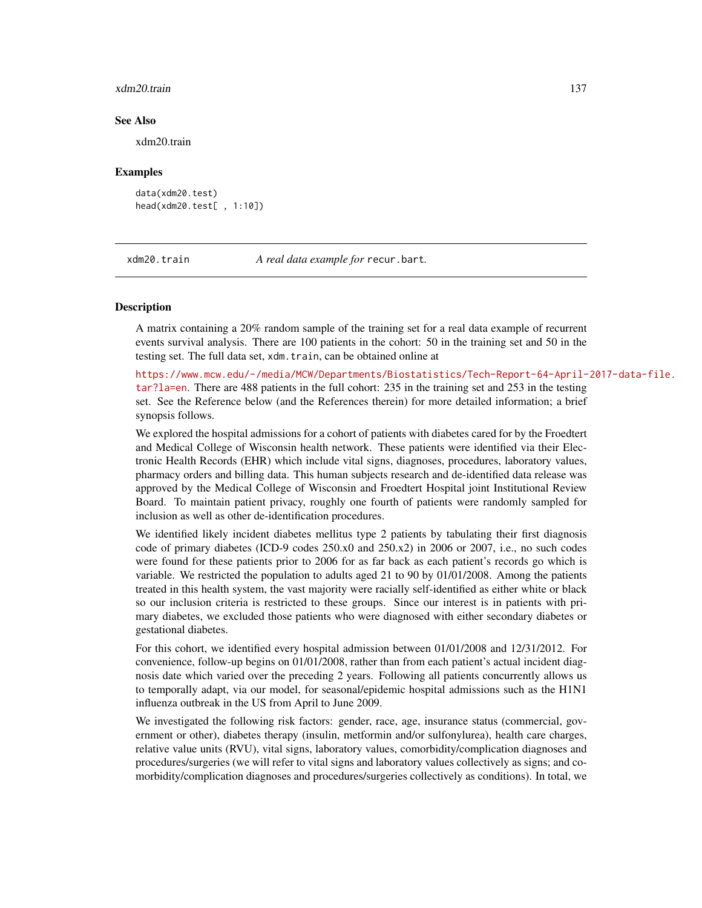#### <span id="page-136-0"></span>xdm20.train 137

#### See Also

xdm20.train

#### Examples

```
data(xdm20.test)
head(xdm20.test[ , 1:10])
```
xdm20.train *A real data example for* recur.bart*.*

#### Description

A matrix containing a 20% random sample of the training set for a real data example of recurrent events survival analysis. There are 100 patients in the cohort: 50 in the training set and 50 in the testing set. The full data set, xdm.train, can be obtained online at

[https://www.mcw.edu/-/media/MCW/Departments/Biostatistics/Tech-Report-64-April-](https://www.mcw.edu/-/media/MCW/Departments/Biostatistics/Tech-Report-64-April-2017-data-file.tar?la=en)2017-data-file. [tar?la=en](https://www.mcw.edu/-/media/MCW/Departments/Biostatistics/Tech-Report-64-April-2017-data-file.tar?la=en). There are 488 patients in the full cohort: 235 in the training set and 253 in the testing set. See the Reference below (and the References therein) for more detailed information; a brief synopsis follows.

We explored the hospital admissions for a cohort of patients with diabetes cared for by the Froedtert and Medical College of Wisconsin health network. These patients were identified via their Electronic Health Records (EHR) which include vital signs, diagnoses, procedures, laboratory values, pharmacy orders and billing data. This human subjects research and de-identified data release was approved by the Medical College of Wisconsin and Froedtert Hospital joint Institutional Review Board. To maintain patient privacy, roughly one fourth of patients were randomly sampled for inclusion as well as other de-identification procedures.

We identified likely incident diabetes mellitus type 2 patients by tabulating their first diagnosis code of primary diabetes (ICD-9 codes 250.x0 and 250.x2) in 2006 or 2007, i.e., no such codes were found for these patients prior to 2006 for as far back as each patient's records go which is variable. We restricted the population to adults aged 21 to 90 by 01/01/2008. Among the patients treated in this health system, the vast majority were racially self-identified as either white or black so our inclusion criteria is restricted to these groups. Since our interest is in patients with primary diabetes, we excluded those patients who were diagnosed with either secondary diabetes or gestational diabetes.

For this cohort, we identified every hospital admission between 01/01/2008 and 12/31/2012. For convenience, follow-up begins on 01/01/2008, rather than from each patient's actual incident diagnosis date which varied over the preceding 2 years. Following all patients concurrently allows us to temporally adapt, via our model, for seasonal/epidemic hospital admissions such as the H1N1 influenza outbreak in the US from April to June 2009.

We investigated the following risk factors: gender, race, age, insurance status (commercial, government or other), diabetes therapy (insulin, metformin and/or sulfonylurea), health care charges, relative value units (RVU), vital signs, laboratory values, comorbidity/complication diagnoses and procedures/surgeries (we will refer to vital signs and laboratory values collectively as signs; and comorbidity/complication diagnoses and procedures/surgeries collectively as conditions). In total, we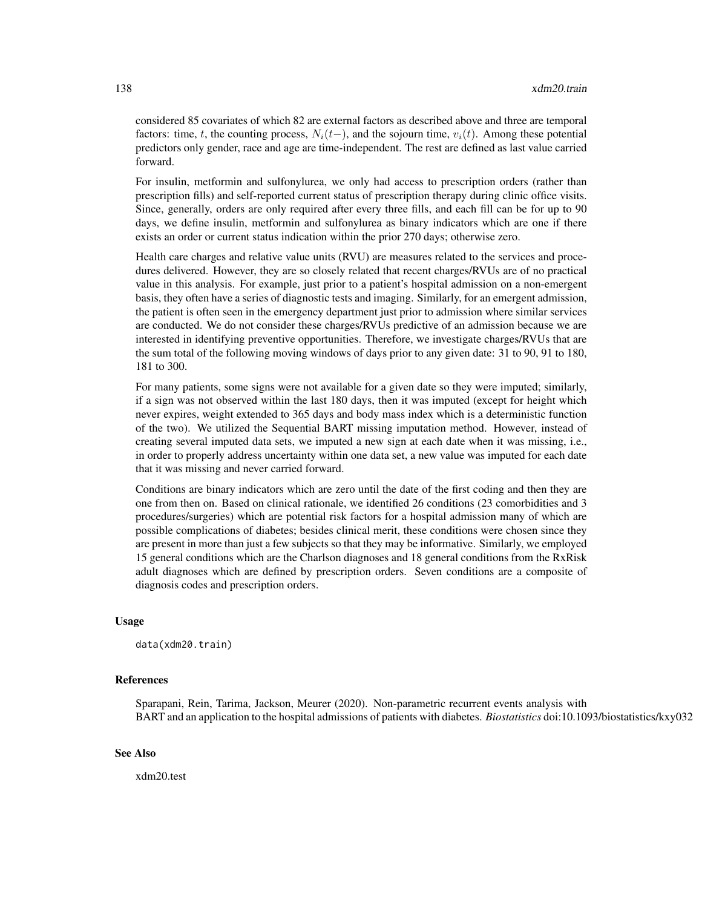considered 85 covariates of which 82 are external factors as described above and three are temporal factors: time, t, the counting process,  $N_i(t-)$ , and the sojourn time,  $v_i(t)$ . Among these potential predictors only gender, race and age are time-independent. The rest are defined as last value carried forward.

For insulin, metformin and sulfonylurea, we only had access to prescription orders (rather than prescription fills) and self-reported current status of prescription therapy during clinic office visits. Since, generally, orders are only required after every three fills, and each fill can be for up to 90 days, we define insulin, metformin and sulfonylurea as binary indicators which are one if there exists an order or current status indication within the prior 270 days; otherwise zero.

Health care charges and relative value units (RVU) are measures related to the services and procedures delivered. However, they are so closely related that recent charges/RVUs are of no practical value in this analysis. For example, just prior to a patient's hospital admission on a non-emergent basis, they often have a series of diagnostic tests and imaging. Similarly, for an emergent admission, the patient is often seen in the emergency department just prior to admission where similar services are conducted. We do not consider these charges/RVUs predictive of an admission because we are interested in identifying preventive opportunities. Therefore, we investigate charges/RVUs that are the sum total of the following moving windows of days prior to any given date: 31 to 90, 91 to 180, 181 to 300.

For many patients, some signs were not available for a given date so they were imputed; similarly, if a sign was not observed within the last 180 days, then it was imputed (except for height which never expires, weight extended to 365 days and body mass index which is a deterministic function of the two). We utilized the Sequential BART missing imputation method. However, instead of creating several imputed data sets, we imputed a new sign at each date when it was missing, i.e., in order to properly address uncertainty within one data set, a new value was imputed for each date that it was missing and never carried forward.

Conditions are binary indicators which are zero until the date of the first coding and then they are one from then on. Based on clinical rationale, we identified 26 conditions (23 comorbidities and 3 procedures/surgeries) which are potential risk factors for a hospital admission many of which are possible complications of diabetes; besides clinical merit, these conditions were chosen since they are present in more than just a few subjects so that they may be informative. Similarly, we employed 15 general conditions which are the Charlson diagnoses and 18 general conditions from the RxRisk adult diagnoses which are defined by prescription orders. Seven conditions are a composite of diagnosis codes and prescription orders.

#### Usage

data(xdm20.train)

## References

Sparapani, Rein, Tarima, Jackson, Meurer (2020). Non-parametric recurrent events analysis with BART and an application to the hospital admissions of patients with diabetes. *Biostatistics* doi:10.1093/biostatistics/kxy032

#### See Also

xdm20.test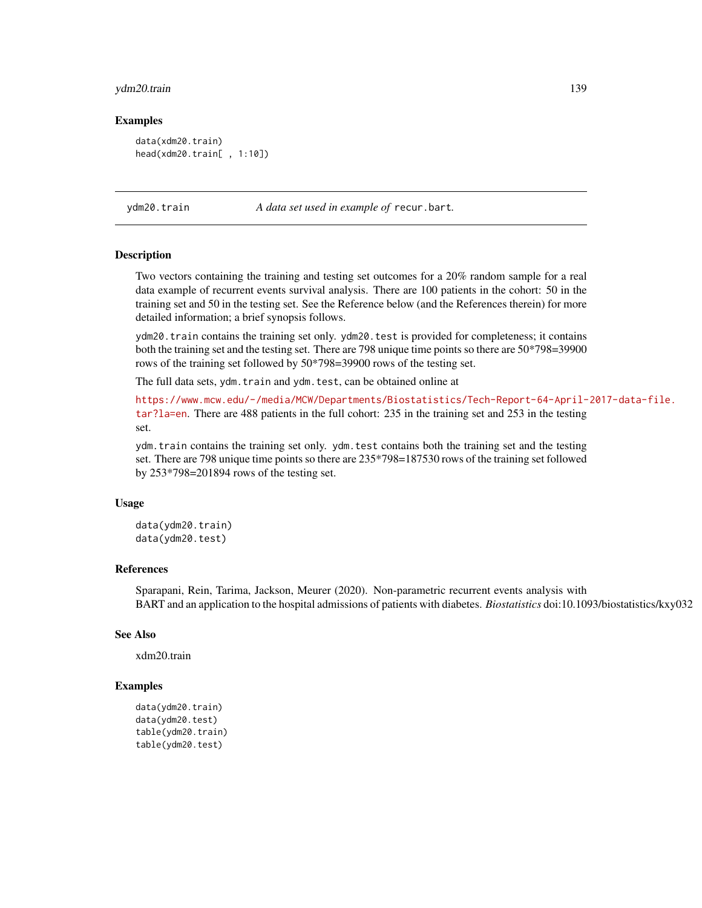# <span id="page-138-0"></span>ydm20.train 139

#### Examples

```
data(xdm20.train)
head(xdm20.train[ , 1:10])
```
ydm20.train *A data set used in example of* recur.bart*.*

#### Description

Two vectors containing the training and testing set outcomes for a 20% random sample for a real data example of recurrent events survival analysis. There are 100 patients in the cohort: 50 in the training set and 50 in the testing set. See the Reference below (and the References therein) for more detailed information; a brief synopsis follows.

ydm20.train contains the training set only. ydm20.test is provided for completeness; it contains both the training set and the testing set. There are 798 unique time points so there are  $50*798=39900$ rows of the training set followed by 50\*798=39900 rows of the testing set.

The full data sets, ydm.train and ydm.test, can be obtained online at

[https://www.mcw.edu/-/media/MCW/Departments/Biostatistics/Tech-Report-64-April-](https://www.mcw.edu/-/media/MCW/Departments/Biostatistics/Tech-Report-64-April-2017-data-file.tar?la=en)2017-data-file. [tar?la=en](https://www.mcw.edu/-/media/MCW/Departments/Biostatistics/Tech-Report-64-April-2017-data-file.tar?la=en). There are 488 patients in the full cohort: 235 in the training set and 253 in the testing set.

ydm.train contains the training set only. ydm.test contains both the training set and the testing set. There are 798 unique time points so there are 235\*798=187530 rows of the training set followed by 253\*798=201894 rows of the testing set.

#### Usage

data(ydm20.train) data(ydm20.test)

#### References

Sparapani, Rein, Tarima, Jackson, Meurer (2020). Non-parametric recurrent events analysis with BART and an application to the hospital admissions of patients with diabetes. *Biostatistics* doi:10.1093/biostatistics/kxy032

### See Also

xdm20.train

```
data(ydm20.train)
data(ydm20.test)
table(ydm20.train)
table(ydm20.test)
```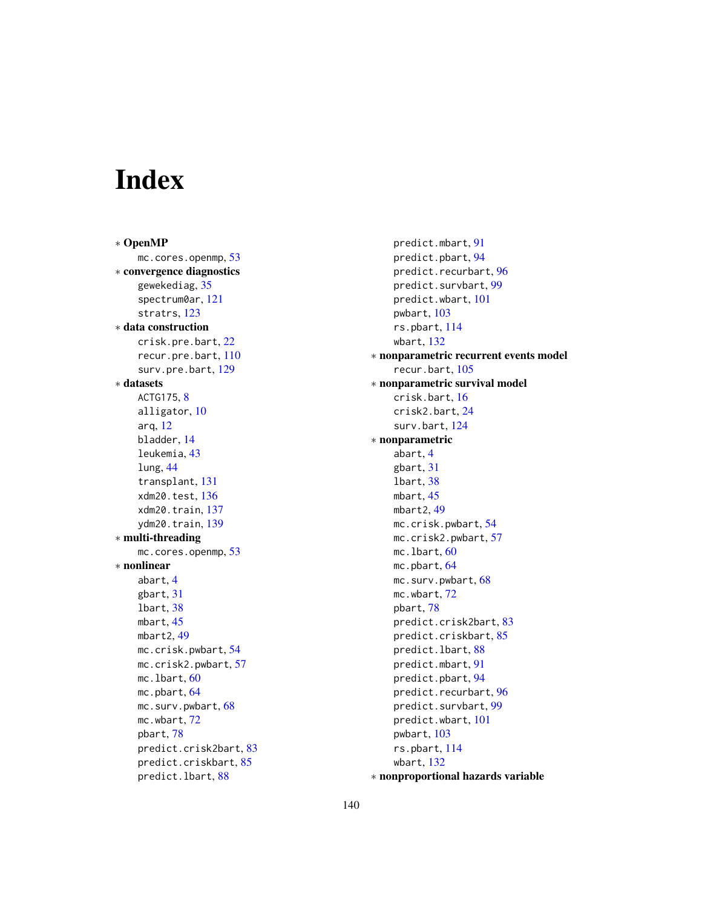# Index

∗ OpenMP mc.cores.openmp, [53](#page-52-0) ∗ convergence diagnostics gewekediag, [35](#page-34-1) spectrum0ar, [121](#page-120-0) stratrs, [123](#page-122-0) ∗ data construction crisk.pre.bart, [22](#page-21-0) recur.pre.bart, [110](#page-109-0) surv.pre.bart, [129](#page-128-1) ∗ datasets ACTG175, [8](#page-7-0) alligator, [10](#page-9-0) arq, [12](#page-11-0) bladder, [14](#page-13-0) leukemia, [43](#page-42-0) lung, [44](#page-43-1) transplant, [131](#page-130-0) xdm20.test, [136](#page-135-0) xdm20.train, [137](#page-136-0) ydm20.train, [139](#page-138-0) ∗ multi-threading mc.cores.openmp, [53](#page-52-0) ∗ nonlinear abart, [4](#page-3-0) gbart, [31](#page-30-0) lbart, [38](#page-37-1) mbart, [45](#page-44-0) mbart2, [49](#page-48-0) mc.crisk.pwbart, [54](#page-53-0) mc.crisk2.pwbart, [57](#page-56-0) mc.lbart, [60](#page-59-0) mc.pbart, [64](#page-63-1) mc.surv.pwbart, [68](#page-67-0) mc.wbart, [72](#page-71-0) pbart, [78](#page-77-1) predict.crisk2bart, [83](#page-82-0) predict.criskbart, [85](#page-84-0) predict.lbart, [88](#page-87-0)

predict.mbart, [91](#page-90-0) predict.pbart, [94](#page-93-0) predict.recurbart, [96](#page-95-0) predict.survbart, [99](#page-98-0) predict.wbart, [101](#page-100-0) pwbart, [103](#page-102-0) rs.pbart, [114](#page-113-1) wbart, [132](#page-131-0) ∗ nonparametric recurrent events model recur.bart, [105](#page-104-1) ∗ nonparametric survival model crisk.bart, [16](#page-15-0) crisk2.bart, [24](#page-23-0) surv.bart, [124](#page-123-1) ∗ nonparametric abart, [4](#page-3-0) gbart, [31](#page-30-0) lbart, [38](#page-37-1) mbart, [45](#page-44-0) mbart2, [49](#page-48-0) mc.crisk.pwbart, [54](#page-53-0) mc.crisk2.pwbart, [57](#page-56-0) mc.lbart, [60](#page-59-0) mc.pbart, [64](#page-63-1) mc.surv.pwbart, [68](#page-67-0) mc.wbart, [72](#page-71-0) pbart, [78](#page-77-1) predict.crisk2bart, [83](#page-82-0) predict.criskbart, [85](#page-84-0) predict.lbart, [88](#page-87-0) predict.mbart, [91](#page-90-0) predict.pbart, [94](#page-93-0) predict.recurbart, [96](#page-95-0) predict.survbart, [99](#page-98-0) predict.wbart, [101](#page-100-0) pwbart, [103](#page-102-0) rs.pbart, [114](#page-113-1) wbart, [132](#page-131-0) ∗ nonproportional hazards variable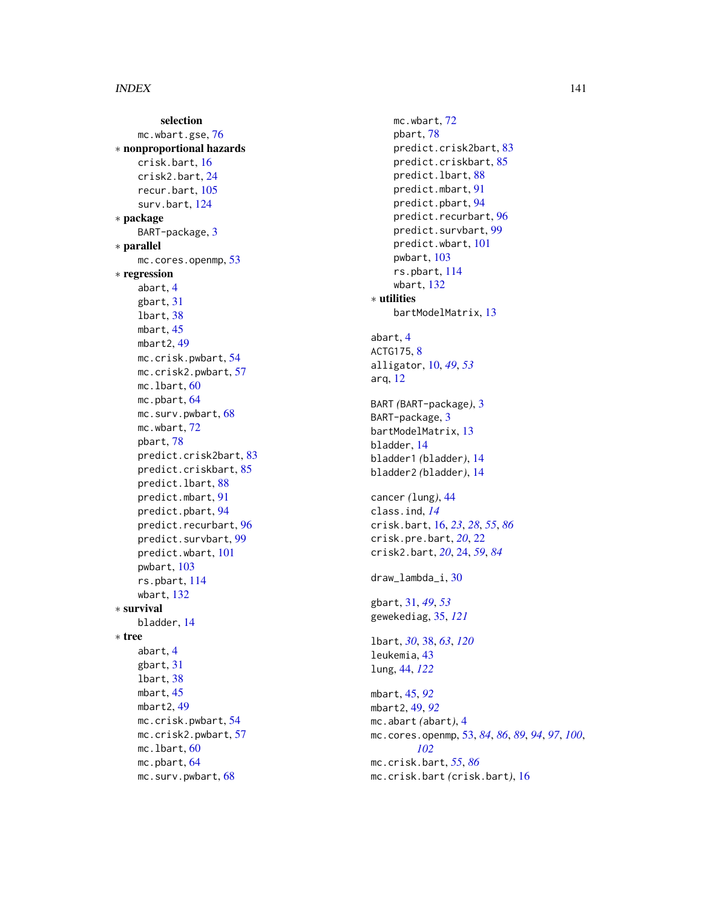selection mc.wbart.gse, $76$ ∗ nonproportional hazards crisk.bart , [16](#page-15-0) crisk2.bart , [24](#page-23-0) recur.bart , [105](#page-104-1) surv.bart, [124](#page-123-1) ∗ package BART-package, [3](#page-2-0) ∗ parallel mc.cores.openmp, [53](#page-52-0) ∗ regression abart , [4](#page-3-0) gbart , [31](#page-30-0) lbart , [38](#page-37-1) mbart , [45](#page-44-0) mbart2 , [49](#page-48-0) mc.crisk.pwbart , [54](#page-53-0) mc.crisk2.pwbart , [57](#page-56-0) mc.lbart, <mark>[60](#page-59-0)</mark> mc.pbart, [64](#page-63-1) mc.surv.pwbart, [68](#page-67-0) mc.wbart , [72](#page-71-0) pbart , [78](#page-77-1) predict.crisk2bart , [83](#page-82-0) predict.criskbart , [85](#page-84-0) predict.lbart , [88](#page-87-0) predict.mbart , [91](#page-90-0) predict.pbart , [94](#page-93-0) predict.recurbart , [96](#page-95-0) predict.survbart , [99](#page-98-0) predict.wbart , [101](#page-100-0) pwbart , [103](#page-102-0) rs.pbart , [114](#page-113-1) wbart , [132](#page-131-0) ∗ survival bladder , [14](#page-13-0) ∗ tree abart , [4](#page-3-0) gbart , [31](#page-30-0) lbart , [38](#page-37-1) mbart , [45](#page-44-0) mbart2,[49](#page-48-0) mc.crisk.pwbart , [54](#page-53-0) mc.crisk2.pwbart , [57](#page-56-0) mc.lbart, <mark>[60](#page-59-0)</mark> mc.pbart, [64](#page-63-1) mc.surv.pwbart, [68](#page-67-0)

mc.wbart,[72](#page-71-0) pbart , [78](#page-77-1) predict.crisk2bart , [83](#page-82-0) predict.criskbart , [85](#page-84-0) predict.lbart , [88](#page-87-0) predict.mbart , [91](#page-90-0) predict.pbart, <mark>[94](#page-93-0)</mark> predict.recurbart , [96](#page-95-0) predict.survbart , [99](#page-98-0) predict.wbart , [101](#page-100-0) pwbart , [103](#page-102-0) rs.pbart , [114](#page-113-1) wbart , [132](#page-131-0) ∗ utilities bartModelMatrix , [13](#page-12-0) abart , [4](#page-3-0) ACTG175, <mark>[8](#page-7-0)</mark> alligator , [10](#page-9-0) , *[49](#page-48-0)* , *[53](#page-52-0)* arq , [12](#page-11-0) BART *(*BART-package *)* , [3](#page-2-0) BART-package, [3](#page-2-0) bartModelMatrix , [13](#page-12-0) bladder , [14](#page-13-0) bladder1 *(*bladder *)* , [14](#page-13-0) bladder2 *(*bladder *)* , [14](#page-13-0) cancer *(*lung *)* , [44](#page-43-1) class.ind , *[14](#page-13-0)* crisk.bart , [16](#page-15-0) , *[23](#page-22-0)* , *[28](#page-27-0)* , *[55](#page-54-0)* , *[86](#page-85-0)* crisk.pre.bart , *[20](#page-19-0)* , [22](#page-21-0) crisk2.bart , *[20](#page-19-0)* , [24](#page-23-0) , *[59](#page-58-0)* , *[84](#page-83-0)* draw\_lambda\_i , [30](#page-29-0) gbart , [31](#page-30-0) , *[49](#page-48-0)* , *[53](#page-52-0)* gewekediag , [35](#page-34-1) , *[121](#page-120-0)* lbart , *[30](#page-29-0)* , [38](#page-37-1) , *[63](#page-62-0)* , *[120](#page-119-0)* leukemia , [43](#page-42-0) lung , [44](#page-43-1) , *[122](#page-121-0)* mbart , [45](#page-44-0) , *[92](#page-91-0)* mbart2 , [49](#page-48-0) , *[92](#page-91-0)* mc.abart *(*abart *)* , [4](#page-3-0) mc.cores.openmp , [53](#page-52-0) , *[84](#page-83-0)* , *[86](#page-85-0)* , *[89](#page-88-0)* , *[94](#page-93-0)* , *[97](#page-96-0)* , *[100](#page-99-0)* , *[102](#page-101-0)* mc.crisk.bart , *[55](#page-54-0)* , *[86](#page-85-0)* mc.crisk.bart *(*crisk.bart *)* , [16](#page-15-0)